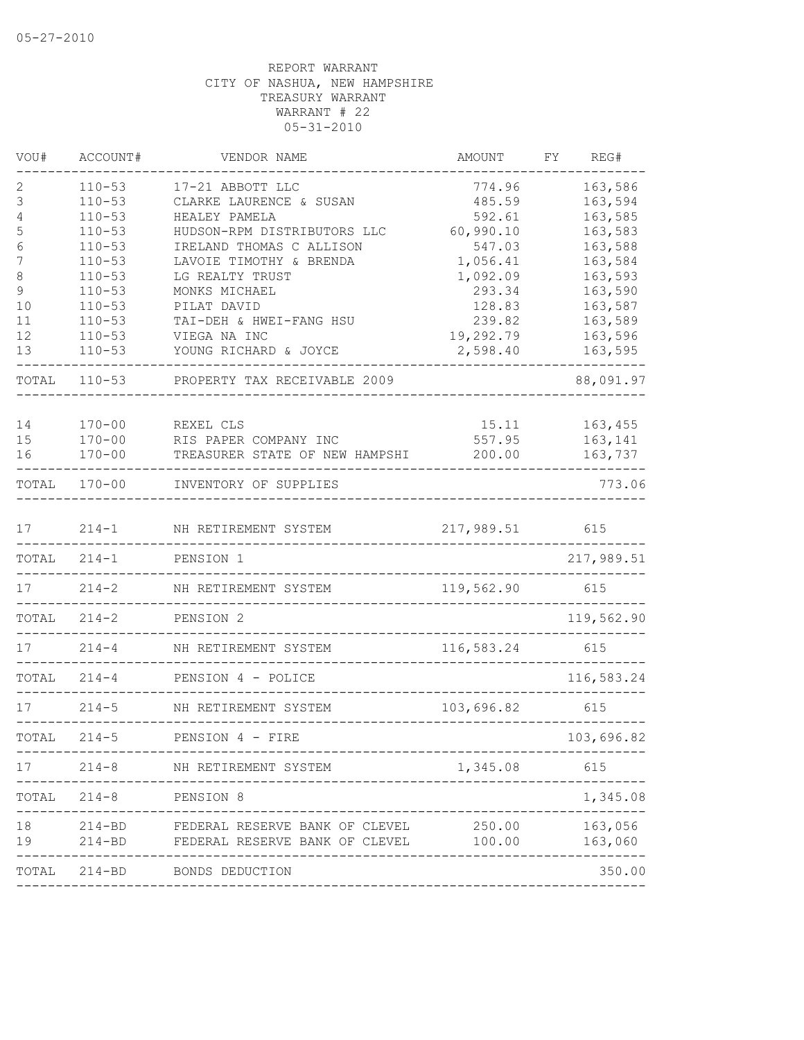| VOU#   | ACCOUNT#                 | VENDOR NAME                                             | AMOUNT              | FY | REG#               |
|--------|--------------------------|---------------------------------------------------------|---------------------|----|--------------------|
| 2      | $110 - 53$               | 17-21 ABBOTT LLC                                        | 774.96              |    | 163,586            |
| 3      | $110 - 53$               | CLARKE LAURENCE & SUSAN                                 | 485.59              |    | 163,594            |
| 4      | $110 - 53$               | HEALEY PAMELA                                           | 592.61              |    | 163,585            |
| 5<br>6 | $110 - 53$<br>$110 - 53$ | HUDSON-RPM DISTRIBUTORS LLC<br>IRELAND THOMAS C ALLISON | 60,990.10<br>547.03 |    | 163,583<br>163,588 |
| 7      | $110 - 53$               | LAVOIE TIMOTHY & BRENDA                                 | 1,056.41            |    | 163,584            |
| 8      | $110 - 53$               | LG REALTY TRUST                                         | 1,092.09            |    | 163,593            |
| 9      | $110 - 53$               | MONKS MICHAEL                                           | 293.34              |    | 163,590            |
| 10     | $110 - 53$               | PILAT DAVID                                             | 128.83              |    | 163,587            |
| 11     | $110 - 53$               | TAI-DEH & HWEI-FANG HSU                                 | 239.82              |    | 163,589            |
| 12     | $110 - 53$               | VIEGA NA INC                                            | 19,292.79           |    | 163,596            |
| 13     | $110 - 53$               | YOUNG RICHARD & JOYCE                                   | 2,598.40            |    | 163,595            |
|        |                          |                                                         |                     |    |                    |
| TOTAL  | $110 - 53$               | PROPERTY TAX RECEIVABLE 2009                            |                     |    | 88,091.97          |
| 14     | $170 - 00$               | REXEL CLS                                               | 15.11               |    | 163,455            |
| 15     | $170 - 00$               | RIS PAPER COMPANY INC                                   | 557.95              |    | 163,141            |
| 16     | $170 - 00$               | TREASURER STATE OF NEW HAMPSHI                          | 200.00              |    | 163,737            |
| TOTAL  | $170 - 00$               | INVENTORY OF SUPPLIES                                   |                     |    | 773.06             |
| 17     | $214 - 1$                | NH RETIREMENT SYSTEM                                    | 217,989.51          |    | 615                |
| TOTAL  | $214 - 1$                | PENSION 1                                               |                     |    | 217,989.51         |
|        |                          |                                                         |                     |    |                    |
| 17     | $214 - 2$                | NH RETIREMENT SYSTEM                                    | 119,562.90          |    | 615                |
| TOTAL  | $214 - 2$                | PENSION 2<br>________________                           |                     |    | 119,562.90         |
| 17     | $214 - 4$                | NH RETIREMENT SYSTEM                                    | 116,583.24          |    | 615                |
| TOTAL  | $214 - 4$                | PENSION 4 - POLICE                                      |                     |    | 116,583.24         |
| 17     | $214 - 5$                | NH RETIREMENT SYSTEM                                    | 103,696.82          |    | 615                |
| TOTAL  | $214 - 5$                | PENSION 4 - FIRE                                        |                     |    | 103,696.82         |
| 17     |                          | 214-8 NH RETIREMENT SYSTEM                              | 1,345.08            |    | 615                |
|        | TOTAL 214-8 PENSION 8    |                                                         |                     |    | 1,345.08           |
| 18     |                          | 214-BD FEDERAL RESERVE BANK OF CLEVEL                   | 250.00              |    | 163,056            |
| 19     |                          | 214-BD FEDERAL RESERVE BANK OF CLEVEL                   | 100.00              |    | 163,060            |
|        |                          | -----------------------<br>TOTAL 214-BD BONDS DEDUCTION |                     |    | -------<br>350.00  |
|        |                          |                                                         |                     |    |                    |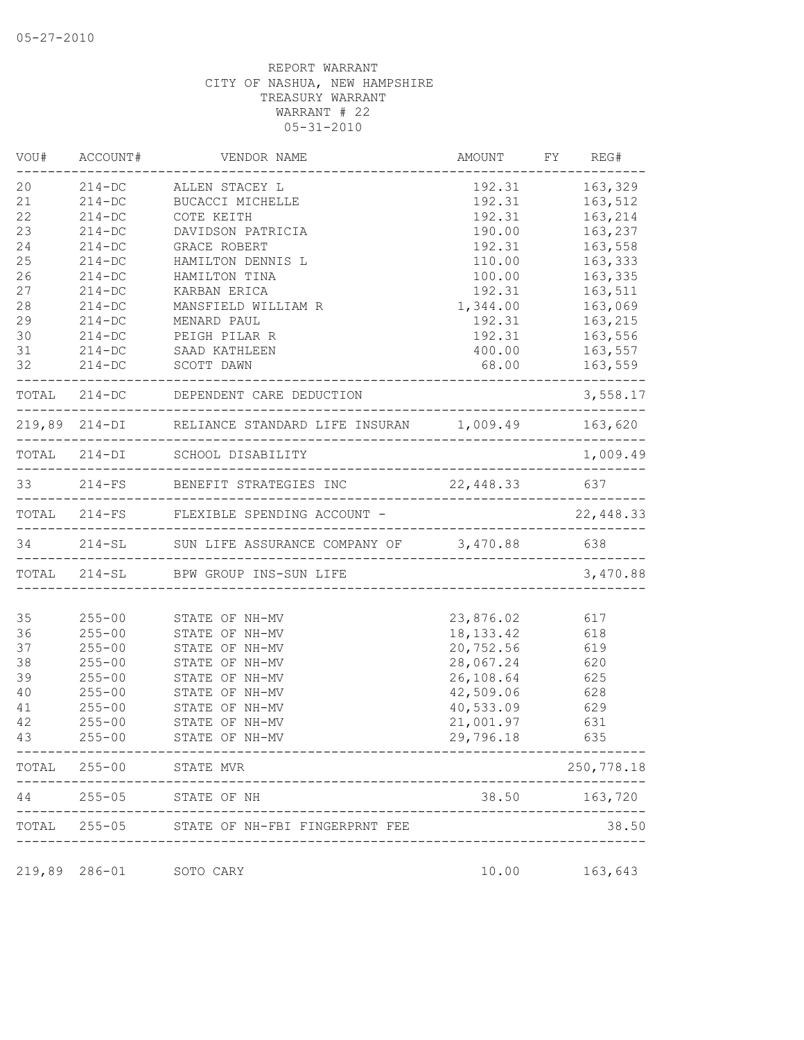|    | VOU# ACCOUNT# | VENDOR NAME                                                   | AMOUNT FY REG#  |                  |
|----|---------------|---------------------------------------------------------------|-----------------|------------------|
| 20 | $214 - DC$    | ALLEN STACEY L                                                | 192.31          | 163,329          |
| 21 | $214 - DC$    | BUCACCI MICHELLE                                              | 192.31          | 163,512          |
| 22 | $214-DC$      | COTE KEITH                                                    | 192.31          | 163,214          |
| 23 | $214 - DC$    | DAVIDSON PATRICIA                                             | 190.00          | 163,237          |
| 24 | $214 - DC$    | GRACE ROBERT                                                  | 192.31          | 163,558          |
| 25 | $214 - DC$    | HAMILTON DENNIS L                                             | 110.00          | 163,333          |
| 26 | $214 - DC$    | HAMILTON TINA                                                 | 100.00          | 163,335          |
| 27 | $214 - DC$    | KARBAN ERICA                                                  | 192.31          | 163,511          |
| 28 | $214 - DC$    | MANSFIELD WILLIAM R                                           | 1,344.00        | 163,069          |
| 29 | $214 - DC$    | MENARD PAUL                                                   | 192.31          | 163,215          |
| 30 | $214 - DC$    | PEIGH PILAR R                                                 | 192.31          | 163,556          |
| 31 | $214 - DC$    | SAAD KATHLEEN                                                 | 400.00          | 163,557          |
| 32 |               | 214-DC SCOTT DAWN                                             | 68.00           | 163,559          |
|    |               | TOTAL 214-DC DEPENDENT CARE DEDUCTION                         |                 | 3,558.17         |
|    |               | 219,89 214-DI RELIANCE STANDARD LIFE INSURAN 1,009.49 163,620 |                 |                  |
|    |               | TOTAL 214-DI SCHOOL DISABILITY                                |                 | 1,009.49         |
|    |               | 33 214-FS BENEFIT STRATEGIES INC 22,448.33 637                |                 |                  |
|    |               | TOTAL 214-FS FLEXIBLE SPENDING ACCOUNT -                      |                 | 22,448.33        |
|    |               | 34 214-SL SUN LIFE ASSURANCE COMPANY OF 3,470.88 638          |                 |                  |
|    |               | TOTAL 214-SL BPW GROUP INS-SUN LIFE                           |                 | 3,470.88         |
| 35 | $255 - 00$    | STATE OF NH-MV                                                | 23,876.02       | 617              |
| 36 | $255 - 00$    | STATE OF NH-MV                                                | 18, 133. 42 618 |                  |
| 37 | $255 - 00$    | STATE OF NH-MV                                                | 20,752.56       | 619              |
| 38 | $255 - 00$    | STATE OF NH-MV                                                | 28,067.24       | 620              |
| 39 | $255 - 00$    | STATE OF NH-MV                                                | 26,108.64       | 625              |
| 40 |               |                                                               | 42,509.06       | 628              |
|    | $255 - 00$    | STATE OF NH-MV                                                |                 |                  |
| 41 | $255 - 00$    | STATE OF NH-MV                                                | 40,533.09       | 629              |
| 42 | $255 - 00$    | STATE OF NH-MV                                                | 21,001.97       | 631              |
| 43 | $255 - 00$    | STATE OF NH-MV                                                | 29,796.18       | 635              |
|    |               | TOTAL 255-00 STATE MVR                                        |                 | 250,778.18       |
|    |               | 44 255-05 STATE OF NH                                         |                 | 38.50 163,720    |
|    |               | TOTAL 255-05 STATE OF NH-FBI FINGERPRNT FEE                   |                 | 38.50            |
|    |               | 219,89 286-01 SOTO CARY                                       |                 | 10.00    163,643 |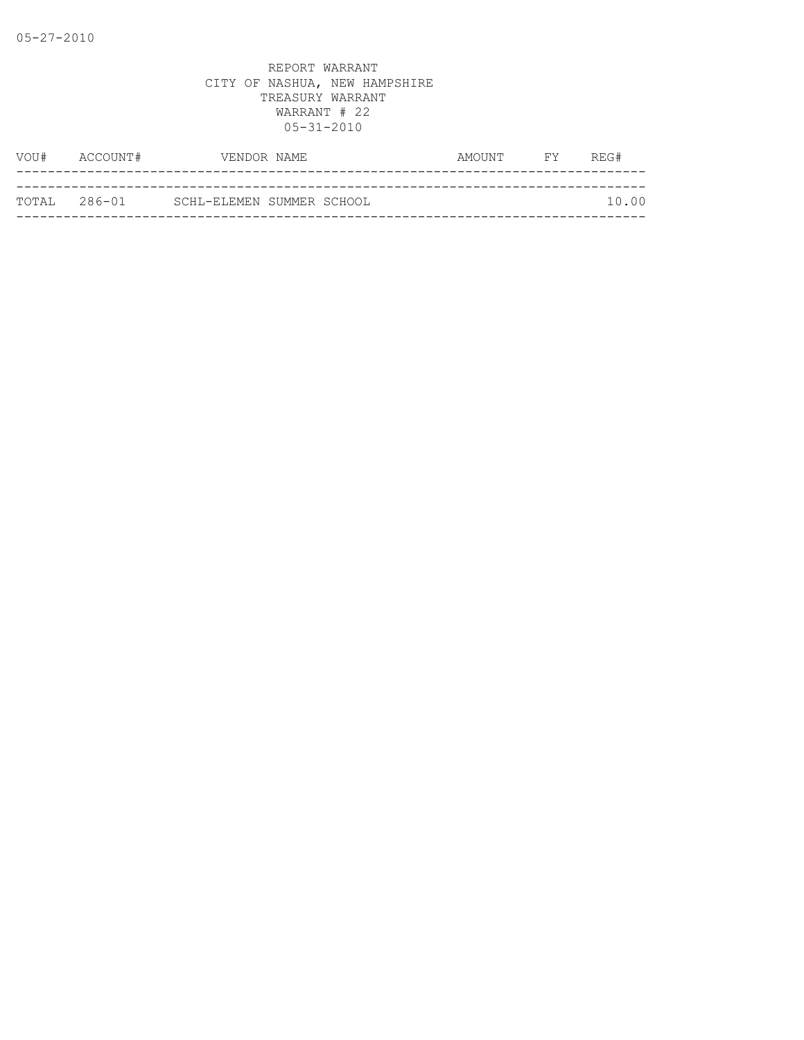| VOU# | ACCOUNT#      | VENDOR NAME               | AMOUNT | FY | REG#  |
|------|---------------|---------------------------|--------|----|-------|
|      |               |                           |        |    |       |
|      | ТОТАІ, 286-01 | SCHL-ELEMEN SUMMER SCHOOL |        |    | 10.00 |
|      |               |                           |        |    |       |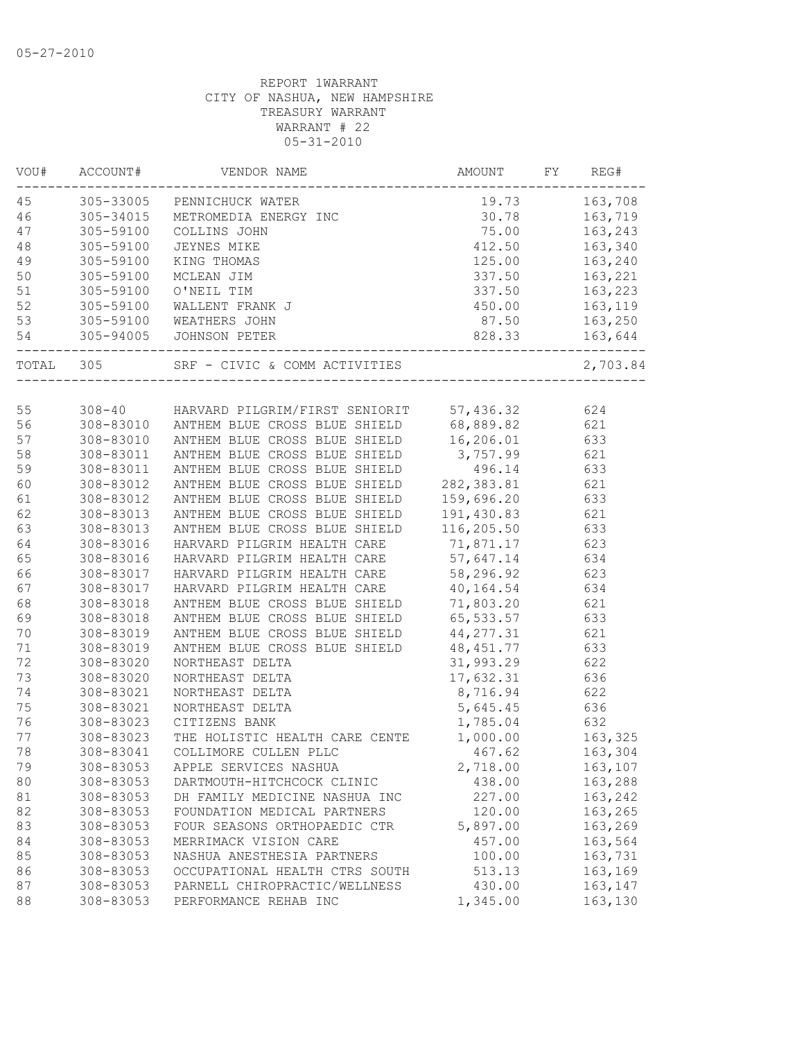| VOU#      | ACCOUNT#  | VENDOR NAME                                                                                                                                          | AMOUNT     | FY | REG#       |
|-----------|-----------|------------------------------------------------------------------------------------------------------------------------------------------------------|------------|----|------------|
| 45        |           | 305-33005 PENNICHUCK WATER                                                                                                                           | 19.73      |    | 163,708    |
| 46        | 305-34015 | PENNICHUCK WATER<br>METROMEDIA ENERGY INC<br>COLLINS JOHN<br>JEYNES MIKE<br>KING THOMAS<br>MCLEAN JIM<br>O'NEIL TIM<br>C'NEIL TIM<br>WALLENT FRANK J | 30.78      |    | 163,719    |
| 47        | 305-59100 |                                                                                                                                                      | 75.00      |    | 163,243    |
| 48        | 305-59100 |                                                                                                                                                      | 412.50     |    | 163,340    |
| 49        | 305-59100 |                                                                                                                                                      | 125.00     |    | 163,240    |
| 50        | 305-59100 |                                                                                                                                                      | 337.50     |    | 163,221    |
| 51        | 305-59100 |                                                                                                                                                      | 337.50     |    | 163,223    |
| 52        | 305-59100 |                                                                                                                                                      | 450.00     |    | 163,119    |
| 53        |           | 305-59100 WEATHERS JOHN                                                                                                                              | 87.50      |    | 163,250    |
| 54        |           | 305-94005 JOHNSON PETER                                                                                                                              | 828.33     |    | 163,644    |
| TOTAL 305 |           |                                                                                                                                                      |            |    | 2,703.84   |
|           |           |                                                                                                                                                      |            |    |            |
| 55<br>56  |           | 308-40 HARVARD PILGRIM/FIRST SENIORIT 57,436.32<br>308-83010 ANTHEM BLUE CROSS BLUE SHIELD 68,889.82                                                 |            |    | 624<br>621 |
| 57        |           | 308-83010 ANTHEM BLUE CROSS BLUE SHIELD                                                                                                              | 16,206.01  |    | 633        |
| 58        | 308-83011 |                                                                                                                                                      | 3,757.99   |    |            |
| 59        | 308-83011 | ANTHEM BLUE CROSS BLUE SHIELD<br>ANTHEM BLUE CROSS BLUE SHIELD                                                                                       | 496.14     |    | 621<br>633 |
| 60        | 308-83012 | ANTHEM BLUE CROSS BLUE SHIELD                                                                                                                        | 282,383.81 |    | 621        |
| 61        | 308-83012 | ANTHEM BLUE CROSS BLUE SHIELD                                                                                                                        | 159,696.20 |    | 633        |
| 62        | 308-83013 | ANTHEM BLUE CROSS BLUE SHIELD                                                                                                                        | 191,430.83 |    | 621        |
| 63        | 308-83013 | ANTHEM BLUE CROSS BLUE SHIELD                                                                                                                        | 116,205.50 |    | 633        |
| 64        | 308-83016 | HARVARD PILGRIM HEALTH CARE                                                                                                                          | 71,871.17  |    | 623        |
| 65        | 308-83016 | HARVARD PILGRIM HEALTH CARE                                                                                                                          | 57,647.14  |    | 634        |
| 66        | 308-83017 | HARVARD PILGRIM HEALTH CARE                                                                                                                          | 58,296.92  |    | 623        |
| 67        | 308-83017 | HARVARD PILGRIM HEALTH CARE                                                                                                                          | 40,164.54  |    | 634        |
| 68        | 308-83018 | ANTHEM BLUE CROSS BLUE SHIELD                                                                                                                        | 71,803.20  |    | 621        |
| 69        | 308-83018 | ANTHEM BLUE CROSS BLUE SHIELD                                                                                                                        | 65, 533.57 |    | 633        |
| 70        | 308-83019 | ANTHEM BLUE CROSS BLUE SHIELD                                                                                                                        | 44, 277.31 |    | 621        |
| 71        | 308-83019 | ANTHEM BLUE CROSS BLUE SHIELD                                                                                                                        | 48, 451.77 |    | 633        |
| 72        | 308-83020 | NORTHEAST DELTA                                                                                                                                      | 31,993.29  |    | 622        |
| 73        | 308-83020 | NORTHEAST DELTA                                                                                                                                      | 17,632.31  |    | 636        |
| 74        | 308-83021 | NORTHEAST DELTA                                                                                                                                      | 8,716.94   |    | 622        |
| 75        | 308-83021 | NORTHEAST DELTA                                                                                                                                      | 5,645.45   |    | 636        |
| 76        | 308-83023 | CITIZENS BANK                                                                                                                                        | 1,785.04   |    | 632        |
| 77        | 308-83023 | THE HOLISTIC HEALTH CARE CENTE                                                                                                                       | 1,000.00   |    | 163,325    |
| 78        | 308-83041 | COLLIMORE CULLEN PLLC                                                                                                                                | 467.62     |    | 163,304    |
| 79        | 308-83053 | APPLE SERVICES NASHUA                                                                                                                                | 2,718.00   |    | 163,107    |
| 80        | 308-83053 | DARTMOUTH-HITCHCOCK CLINIC                                                                                                                           | 438.00     |    | 163,288    |
| 81        | 308-83053 | DH FAMILY MEDICINE NASHUA INC                                                                                                                        | 227.00     |    | 163,242    |
| 82        | 308-83053 | FOUNDATION MEDICAL PARTNERS                                                                                                                          | 120.00     |    | 163,265    |
| 83        | 308-83053 | FOUR SEASONS ORTHOPAEDIC CTR                                                                                                                         | 5,897.00   |    | 163,269    |
| 84        | 308-83053 | MERRIMACK VISION CARE                                                                                                                                | 457.00     |    | 163,564    |
| 85        | 308-83053 | NASHUA ANESTHESIA PARTNERS                                                                                                                           | 100.00     |    | 163,731    |
| 86        | 308-83053 | OCCUPATIONAL HEALTH CTRS SOUTH                                                                                                                       | 513.13     |    | 163,169    |
| 87        | 308-83053 | PARNELL CHIROPRACTIC/WELLNESS                                                                                                                        | 430.00     |    | 163,147    |
| 88        | 308-83053 | PERFORMANCE REHAB INC                                                                                                                                | 1,345.00   |    | 163,130    |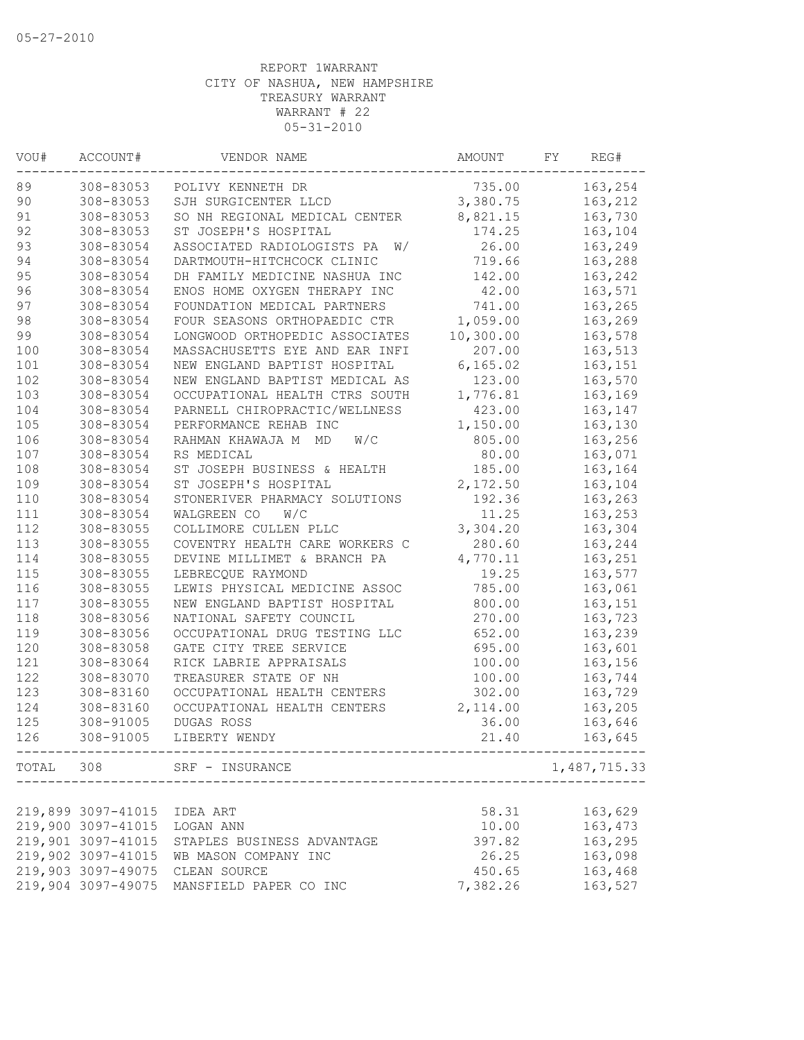| VOU# | ACCOUNT#           | VENDOR NAME                                                     | AMOUNT    | FY | REG#         |
|------|--------------------|-----------------------------------------------------------------|-----------|----|--------------|
| 89   | 308-83053          | POLIVY KENNETH DR                                               | 735.00    |    | 163,254      |
| 90   | 308-83053          | SJH SURGICENTER LLCD                                            | 3,380.75  |    | 163,212      |
| 91   | 308-83053          | SO NH REGIONAL MEDICAL CENTER                                   | 8,821.15  |    | 163,730      |
| 92   | 308-83053          | ST JOSEPH'S HOSPITAL                                            | 174.25    |    | 163,104      |
| 93   | 308-83054          | ASSOCIATED RADIOLOGISTS PA<br>W/                                | 26.00     |    | 163,249      |
| 94   | 308-83054          | DARTMOUTH-HITCHCOCK CLINIC                                      | 719.66    |    | 163,288      |
| 95   | 308-83054          | DH FAMILY MEDICINE NASHUA INC                                   | 142.00    |    | 163,242      |
| 96   | 308-83054          | ENOS HOME OXYGEN THERAPY INC                                    | 42.00     |    | 163,571      |
| 97   | 308-83054          | FOUNDATION MEDICAL PARTNERS                                     | 741.00    |    | 163,265      |
| 98   | 308-83054          | FOUR SEASONS ORTHOPAEDIC CTR                                    | 1,059.00  |    | 163,269      |
| 99   | 308-83054          | LONGWOOD ORTHOPEDIC ASSOCIATES                                  | 10,300.00 |    | 163,578      |
| 100  | 308-83054          | MASSACHUSETTS EYE AND EAR INFI                                  | 207.00    |    | 163,513      |
| 101  | 308-83054          | NEW ENGLAND BAPTIST HOSPITAL                                    | 6, 165.02 |    | 163,151      |
| 102  | 308-83054          | NEW ENGLAND BAPTIST MEDICAL AS                                  | 123.00    |    | 163,570      |
| 103  | 308-83054          | OCCUPATIONAL HEALTH CTRS SOUTH                                  | 1,776.81  |    | 163,169      |
| 104  | 308-83054          | PARNELL CHIROPRACTIC/WELLNESS                                   | 423.00    |    | 163,147      |
| 105  | 308-83054          | PERFORMANCE REHAB INC                                           | 1,150.00  |    | 163,130      |
| 106  | 308-83054          | RAHMAN KHAWAJA M<br>MD<br>W/C                                   | 805.00    |    | 163,256      |
| 107  | 308-83054          | RS MEDICAL                                                      | 80.00     |    | 163,071      |
| 108  | 308-83054          | ST JOSEPH BUSINESS & HEALTH                                     | 185.00    |    | 163,164      |
| 109  | 308-83054          | ST JOSEPH'S HOSPITAL                                            | 2,172.50  |    | 163,104      |
| 110  | 308-83054          | STONERIVER PHARMACY SOLUTIONS                                   | 192.36    |    | 163,263      |
| 111  | 308-83054          | W/C<br>WALGREEN CO                                              | 11.25     |    | 163,253      |
| 112  | 308-83055          | COLLIMORE CULLEN PLLC                                           | 3,304.20  |    | 163,304      |
| 113  | 308-83055          | COVENTRY HEALTH CARE WORKERS C                                  | 280.60    |    | 163,244      |
| 114  | 308-83055          | DEVINE MILLIMET & BRANCH PA                                     | 4,770.11  |    | 163,251      |
| 115  | 308-83055          | LEBRECQUE RAYMOND                                               | 19.25     |    | 163,577      |
| 116  | 308-83055          | LEWIS PHYSICAL MEDICINE ASSOC                                   | 785.00    |    | 163,061      |
| 117  | 308-83055          | NEW ENGLAND BAPTIST HOSPITAL                                    | 800.00    |    | 163,151      |
| 118  | 308-83056          | NATIONAL SAFETY COUNCIL                                         | 270.00    |    | 163,723      |
| 119  | 308-83056          | OCCUPATIONAL DRUG TESTING LLC                                   | 652.00    |    | 163,239      |
| 120  | 308-83058          | GATE CITY TREE SERVICE                                          | 695.00    |    | 163,601      |
| 121  | 308-83064          | RICK LABRIE APPRAISALS                                          | 100.00    |    | 163,156      |
| 122  | 308-83070          | TREASURER STATE OF NH                                           | 100.00    |    | 163,744      |
| 123  | 308-83160          | OCCUPATIONAL HEALTH CENTERS                                     | 302.00    |    | 163,729      |
| 124  | 308-83160          | OCCUPATIONAL HEALTH CENTERS                                     | 2,114.00  |    | 163,205      |
| 125  | 308-91005          | DUGAS ROSS                                                      | 36.00     |    | 163,646      |
| 126  | $308 - 91005$      | LIBERTY WENDY                                                   | 21.40     |    | 163,645      |
|      |                    | TOTAL 308 SRF - INSURANCE<br>---------------------------------- |           |    | 1,487,715.33 |
|      |                    |                                                                 |           |    |              |
|      | 219,899 3097-41015 | IDEA ART                                                        | 58.31     |    | 163,629      |
|      | 219,900 3097-41015 | LOGAN ANN                                                       | 10.00     |    | 163,473      |
|      | 219,901 3097-41015 | STAPLES BUSINESS ADVANTAGE                                      | 397.82    |    | 163,295      |
|      | 219,902 3097-41015 | WB MASON COMPANY INC                                            | 26.25     |    | 163,098      |
|      | 219,903 3097-49075 | CLEAN SOURCE                                                    | 450.65    |    | 163,468      |
|      | 219,904 3097-49075 | MANSFIELD PAPER CO INC                                          | 7,382.26  |    | 163,527      |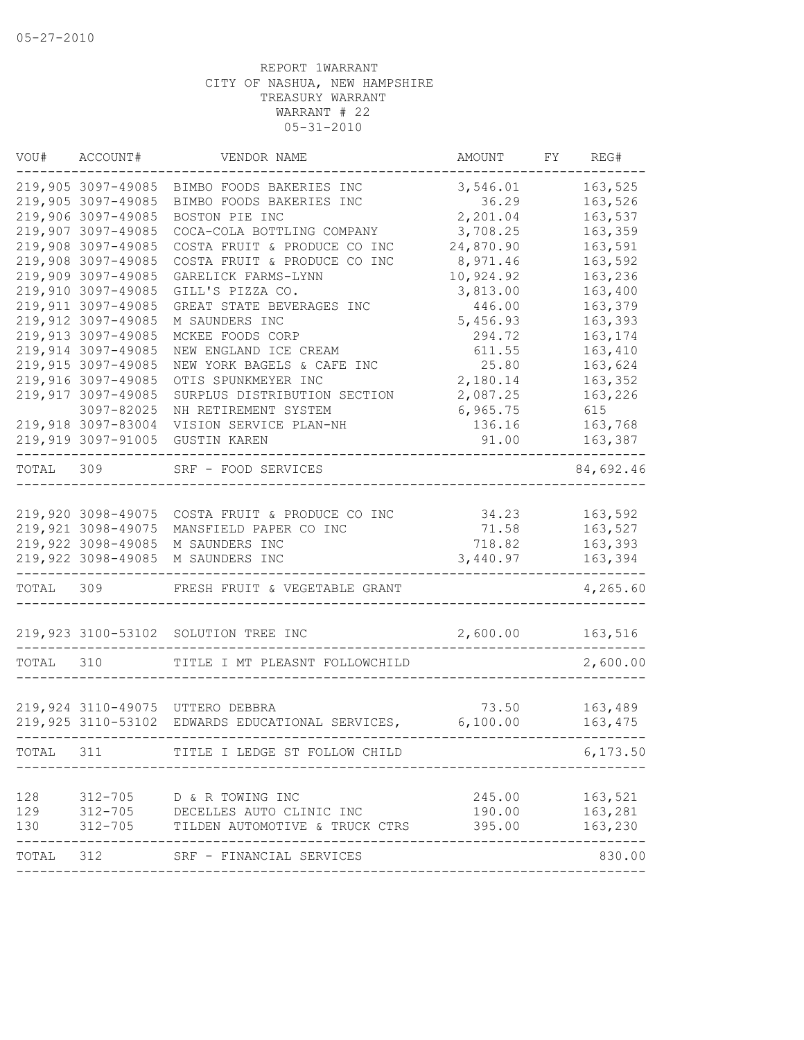| VOU#      | ACCOUNT#                                 | VENDOR NAME                                      | AMOUNT           | FY | REG#               |
|-----------|------------------------------------------|--------------------------------------------------|------------------|----|--------------------|
|           | 219,905 3097-49085                       | BIMBO FOODS BAKERIES INC                         | 3,546.01         |    | 163,525            |
|           | 219,905 3097-49085                       | BIMBO FOODS BAKERIES INC                         | 36.29            |    | 163,526            |
|           | 219,906 3097-49085                       | BOSTON PIE INC                                   | 2,201.04         |    | 163,537            |
|           | 219,907 3097-49085                       | COCA-COLA BOTTLING COMPANY                       | 3,708.25         |    | 163,359            |
|           | 219,908 3097-49085                       | COSTA FRUIT & PRODUCE CO INC                     | 24,870.90        |    | 163,591            |
|           | 219,908 3097-49085                       | COSTA FRUIT & PRODUCE CO INC                     | 8,971.46         |    | 163,592            |
|           | 219,909 3097-49085                       | GARELICK FARMS-LYNN                              | 10,924.92        |    | 163,236            |
|           | 219,910 3097-49085<br>219,911 3097-49085 | GILL'S PIZZA CO.                                 | 3,813.00         |    | 163,400            |
|           | 219,912 3097-49085                       | GREAT STATE BEVERAGES INC                        | 446.00           |    | 163,379            |
|           | 219,913 3097-49085                       | M SAUNDERS INC<br>MCKEE FOODS CORP               | 5,456.93         |    | 163,393<br>163,174 |
|           | 219,914 3097-49085                       | NEW ENGLAND ICE CREAM                            | 294.72<br>611.55 |    | 163,410            |
|           | 219,915 3097-49085                       | NEW YORK BAGELS & CAFE INC                       | 25.80            |    | 163,624            |
|           | 219,916 3097-49085                       | OTIS SPUNKMEYER INC                              | 2,180.14         |    | 163,352            |
|           | 219,917 3097-49085                       | SURPLUS DISTRIBUTION SECTION                     | 2,087.25         |    | 163,226            |
|           | 3097-82025                               | NH RETIREMENT SYSTEM                             | 6,965.75         |    | 615                |
|           | 219,918 3097-83004                       | VISION SERVICE PLAN-NH                           | 136.16           |    | 163,768            |
|           | 219,919 3097-91005                       | <b>GUSTIN KAREN</b>                              | 91.00            |    | 163,387            |
|           |                                          |                                                  |                  |    |                    |
| TOTAL 309 |                                          | SRF - FOOD SERVICES                              |                  |    | 84,692.46          |
|           |                                          |                                                  |                  |    |                    |
|           |                                          | 219,920 3098-49075 COSTA FRUIT & PRODUCE CO INC  | 34.23            |    | 163,592            |
|           | 219,921 3098-49075                       | MANSFIELD PAPER CO INC                           | 71.58            |    | 163,527            |
|           | 219,922 3098-49085                       | M SAUNDERS INC                                   | 718.82           |    | 163,393            |
|           | 219,922 3098-49085                       | M SAUNDERS INC                                   | 3,440.97         |    | 163,394            |
| TOTAL 309 |                                          | FRESH FRUIT & VEGETABLE GRANT                    |                  |    | 4,265.60           |
|           | 219,923 3100-53102                       | SOLUTION TREE INC                                | 2,600.00         |    | 163,516            |
| TOTAL     | 310                                      | TITLE I MT PLEASNT FOLLOWCHILD                   |                  |    | 2,600.00           |
|           |                                          |                                                  |                  |    |                    |
|           |                                          | 219,924 3110-49075 UTTERO DEBBRA                 | 73.50            |    | 163,489            |
|           |                                          | 219,925 3110-53102 EDWARDS EDUCATIONAL SERVICES, | 6,100.00         |    | 163,475            |
| TOTAL     | 311                                      | TITLE I LEDGE ST FOLLOW CHILD                    |                  |    | 6, 173.50          |
|           |                                          |                                                  |                  |    |                    |
| 128       |                                          | 312-705 D & R TOWING INC                         | 245.00           |    | 163,521            |
| 129       | $312 - 705$                              | DECELLES AUTO CLINIC INC                         | 190.00           |    | 163,281            |
| 130       | $312 - 705$                              | TILDEN AUTOMOTIVE & TRUCK CTRS                   | 395.00           |    | 163,230            |
| TOTAL     | 312                                      | SRF - FINANCIAL SERVICES                         |                  |    | 830.00             |
|           |                                          |                                                  |                  |    |                    |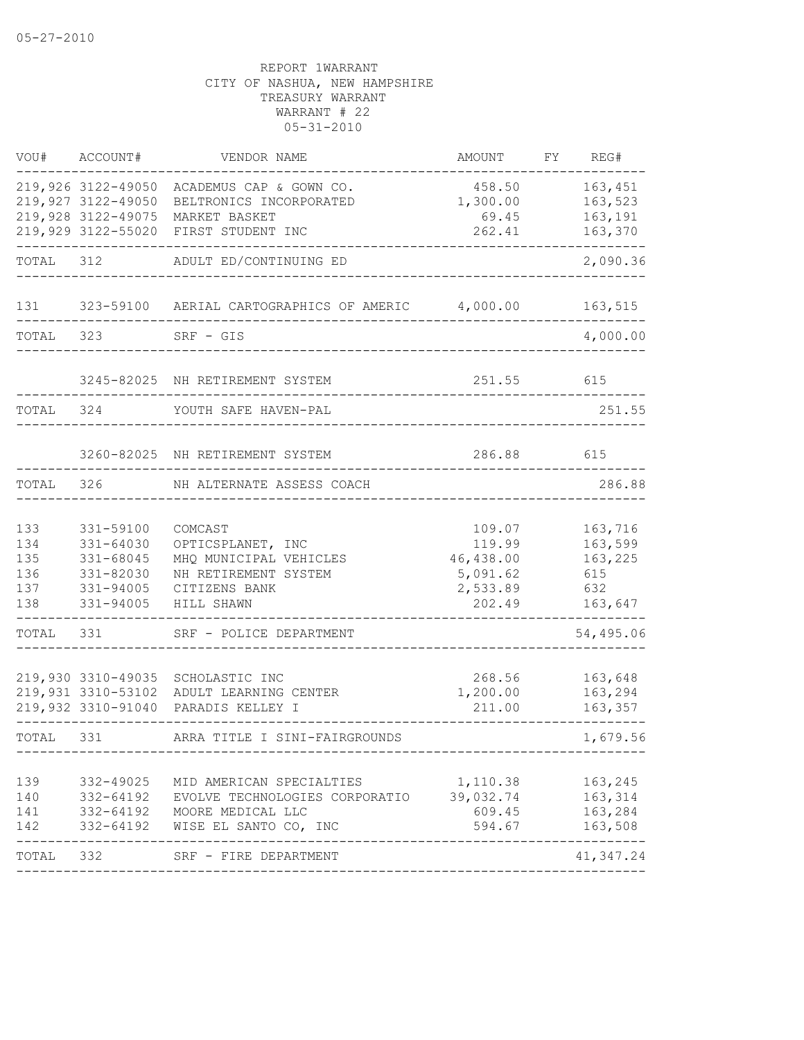| VOU#                                   | ACCOUNT#                                                                             | VENDOR NAME                                                                                                                                                            | AMOUNT                                                          | FY. | REG#                                                   |
|----------------------------------------|--------------------------------------------------------------------------------------|------------------------------------------------------------------------------------------------------------------------------------------------------------------------|-----------------------------------------------------------------|-----|--------------------------------------------------------|
|                                        | 219,926 3122-49050<br>219,927 3122-49050<br>219,928 3122-49075<br>219,929 3122-55020 | ACADEMUS CAP & GOWN CO.<br>BELTRONICS INCORPORATED<br>MARKET BASKET<br>FIRST STUDENT INC                                                                               | 458.50<br>1,300.00<br>69.45<br>262.41                           |     | 163,451<br>163,523<br>163,191<br>163,370               |
| TOTAL                                  | 312                                                                                  | ADULT ED/CONTINUING ED                                                                                                                                                 |                                                                 |     | 2,090.36                                               |
| 131                                    | 323-59100                                                                            | AERIAL CARTOGRAPHICS OF AMERIC 4,000.00                                                                                                                                |                                                                 |     | 163,515                                                |
| TOTAL                                  | 323                                                                                  | $SRF - GIS$                                                                                                                                                            |                                                                 |     | 4,000.00                                               |
|                                        |                                                                                      | 3245-82025 NH RETIREMENT SYSTEM                                                                                                                                        | 251.55                                                          |     | 615                                                    |
| TOTAL                                  | 324                                                                                  | YOUTH SAFE HAVEN-PAL                                                                                                                                                   |                                                                 |     | 251.55                                                 |
|                                        |                                                                                      | 3260-82025 NH RETIREMENT SYSTEM                                                                                                                                        | 286.88                                                          |     | 615                                                    |
| TOTAL                                  | 326                                                                                  | NH ALTERNATE ASSESS COACH                                                                                                                                              |                                                                 |     | 286.88                                                 |
| 133<br>134<br>135<br>136<br>137<br>138 | 331-59100<br>331-64030<br>331-68045<br>331-82030<br>331-94005<br>331-94005           | COMCAST<br>OPTICSPLANET, INC<br>MHQ MUNICIPAL VEHICLES<br>NH RETIREMENT SYSTEM<br>CITIZENS BANK<br>HILL SHAWN                                                          | 109.07<br>119.99<br>46,438.00<br>5,091.62<br>2,533.89<br>202.49 |     | 163,716<br>163,599<br>163,225<br>615<br>632<br>163,647 |
| TOTAL                                  | 331                                                                                  | SRF - POLICE DEPARTMENT                                                                                                                                                |                                                                 |     | 54,495.06                                              |
|                                        | 219,930 3310-49035<br>219,931 3310-53102<br>219,932 3310-91040                       | SCHOLASTIC INC<br>ADULT LEARNING CENTER<br>PARADIS KELLEY I                                                                                                            | 268.56<br>1,200.00<br>211.00                                    |     | 163,648<br>163,294<br>163,357                          |
| TOTAL                                  | 331                                                                                  | ARRA TITLE I SINI-FAIRGROUNDS                                                                                                                                          |                                                                 |     | 1,679.56                                               |
| 139<br>140<br>141<br>142               | 332-49025<br>332-64192                                                               | MID AMERICAN SPECIALTIES<br>EVOLVE TECHNOLOGIES CORPORATIO<br>332-64192 EVOLVE TEURNOLOGI<br>332-64192 MOORE MEDICAL LLC<br>332-64192 WISE EL SANTO CO, INC<br>------- | 1,110.38<br>39,032.74<br>609.45<br>594.67                       |     | 163,245<br>163,314<br>163,284<br>163,508<br>-------    |
| TOTAL 332                              |                                                                                      | SRF - FIRE DEPARTMENT                                                                                                                                                  |                                                                 |     | 41,347.24                                              |
|                                        |                                                                                      |                                                                                                                                                                        |                                                                 |     |                                                        |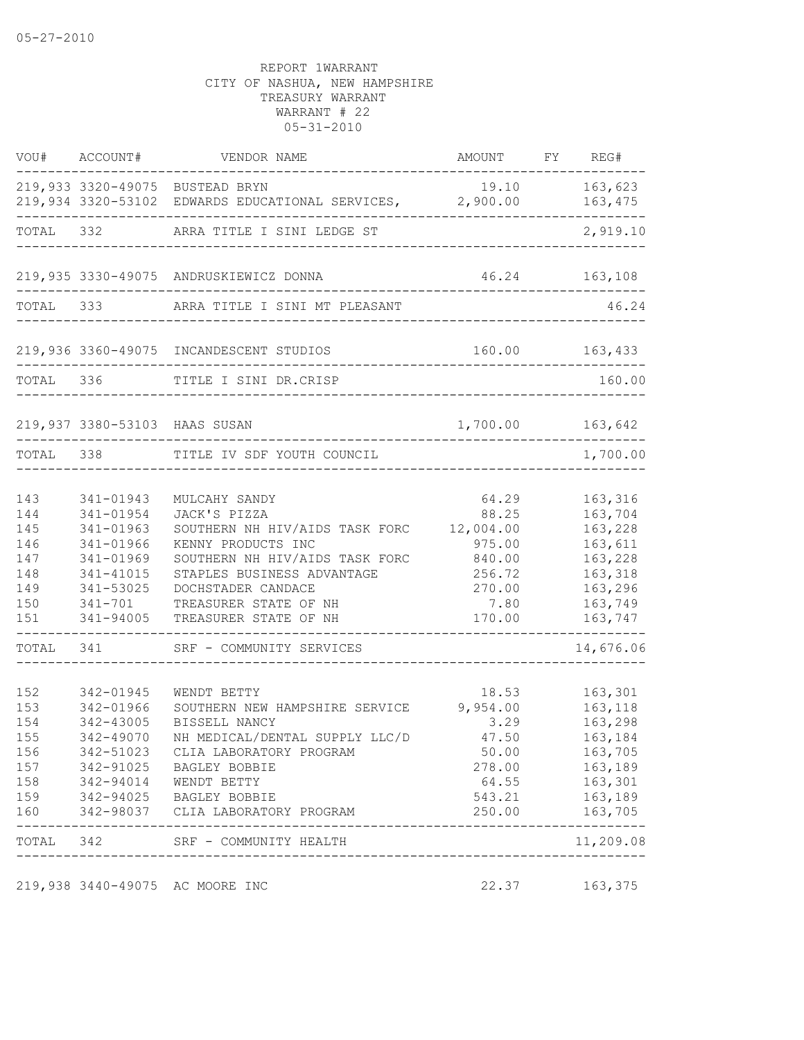|                   | VOU# ACCOUNT#                       | VENDOR NAME                                                                                  | AMOUNT FY REG#             |                               |
|-------------------|-------------------------------------|----------------------------------------------------------------------------------------------|----------------------------|-------------------------------|
|                   |                                     | 219,933 3320-49075 BUSTEAD BRYN<br>219,934 3320-53102 EDWARDS EDUCATIONAL SERVICES, 2,900.00 | 19.10                      | 163,623<br>163,475            |
| TOTAL 332         |                                     | ARRA TITLE I SINI LEDGE ST                                                                   |                            | 2,919.10                      |
|                   |                                     | 219,935 3330-49075 ANDRUSKIEWICZ DONNA                                                       |                            | 46.24 163,108                 |
| TOTAL             |                                     | ARRA TITLE I SINI MT PLEASANT                                                                |                            | 46.24                         |
|                   |                                     | 219,936 3360-49075 INCANDESCENT STUDIOS                                                      |                            | 160.00 163,433                |
| TOTAL             | 336                                 | TITLE I SINI DR.CRISP                                                                        |                            | 160.00                        |
|                   | 219,937 3380-53103 HAAS SUSAN       |                                                                                              | 1,700.00 163,642           |                               |
| TOTAL             | 338                                 | TITLE IV SDF YOUTH COUNCIL                                                                   |                            | 1,700.00                      |
| 143<br>144        | 341-01943<br>341-01954              | MULCAHY SANDY<br>JACK'S PIZZA                                                                | 64.29<br>88.25             | 163,316<br>163,704            |
| 145<br>146        | 341-01963<br>341-01966              | SOUTHERN NH HIV/AIDS TASK FORC<br>KENNY PRODUCTS INC                                         | 12,004.00<br>975.00        | 163,228<br>163,611            |
| 147<br>148<br>149 | 341-01969<br>341-41015<br>341-53025 | SOUTHERN NH HIV/AIDS TASK FORC<br>STAPLES BUSINESS ADVANTAGE<br>DOCHSTADER CANDACE           | 840.00<br>256.72<br>270.00 | 163,228<br>163,318<br>163,296 |
| 150<br>151        | 341-701<br>341-94005                | TREASURER STATE OF NH<br>TREASURER STATE OF NH                                               | 7.80<br>170.00             | 163,749<br>163,747            |
| TOTAL             | --------------<br>341               | SRF - COMMUNITY SERVICES                                                                     |                            | 14,676.06                     |
| 152               | 342-01945                           | WENDT BETTY                                                                                  | 18.53                      | 163,301                       |
| 153               | 342-01966                           | SOUTHERN NEW HAMPSHIRE SERVICE                                                               | 9,954.00                   | 163,118                       |
| 154               | 342-43005                           | BISSELL NANCY                                                                                | 3.29                       | 163,298                       |
| 155               | 342-49070                           | NH MEDICAL/DENTAL SUPPLY LLC/D                                                               | 47.50                      | 163,184                       |
| 156               | 342-51023                           | CLIA LABORATORY PROGRAM                                                                      | 50.00                      | 163,705                       |
| 157               | 342-91025                           | BAGLEY BOBBIE                                                                                | 278.00                     | 163,189                       |
| 158               |                                     | 342-94014 WENDT BETTY                                                                        | 64.55                      | 163,301                       |
| 159<br>160        |                                     | 342-94025 BAGLEY BOBBIE<br>342-98037 CLIA LABORATORY PROGRAM                                 | 543.21<br>250.00           | 163,189<br>163,705            |
|                   | TOTAL 342                           | SRF - COMMUNITY HEALTH<br>-------------------                                                |                            | $   -$<br>11,209.08           |
|                   |                                     | 219,938 3440-49075 AC MOORE INC                                                              | 22.37                      | 163,375                       |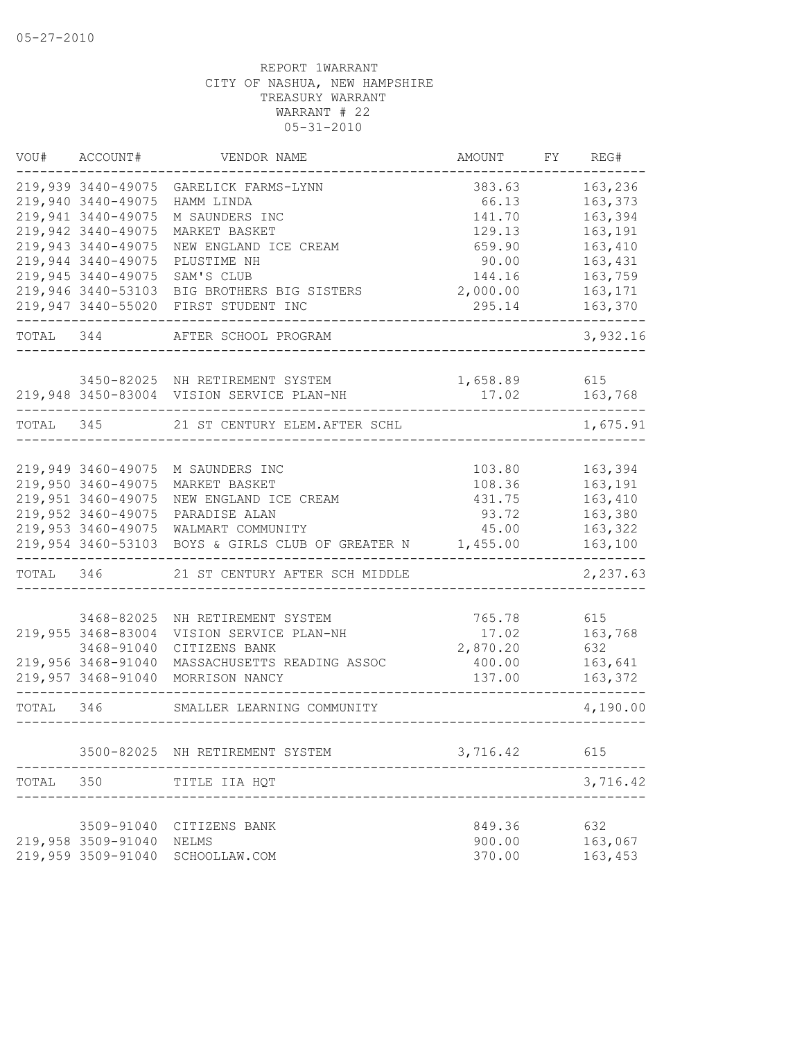| VOU#      | ACCOUNT#           | VENDOR NAME                               | AMOUNT   | FY | REG#     |
|-----------|--------------------|-------------------------------------------|----------|----|----------|
|           | 219,939 3440-49075 | GARELICK FARMS-LYNN                       | 383.63   |    | 163,236  |
|           | 219,940 3440-49075 | HAMM LINDA                                | 66.13    |    | 163,373  |
|           | 219,941 3440-49075 | M SAUNDERS INC                            | 141.70   |    | 163,394  |
|           | 219,942 3440-49075 | MARKET BASKET                             | 129.13   |    | 163,191  |
|           | 219,943 3440-49075 | NEW ENGLAND ICE CREAM                     | 659.90   |    | 163,410  |
|           | 219,944 3440-49075 | PLUSTIME NH                               | 90.00    |    | 163,431  |
|           | 219,945 3440-49075 | SAM'S CLUB                                | 144.16   |    | 163,759  |
|           | 219,946 3440-53103 | BIG BROTHERS BIG SISTERS                  | 2,000.00 |    | 163,171  |
|           | 219,947 3440-55020 | FIRST STUDENT INC                         | 295.14   |    | 163,370  |
| TOTAL 344 |                    | AFTER SCHOOL PROGRAM                      |          |    | 3,932.16 |
|           |                    | 3450-82025 NH RETIREMENT SYSTEM           | 1,658.89 |    | 615      |
|           |                    | 219,948 3450-83004 VISION SERVICE PLAN-NH | 17.02    |    | 163,768  |
| TOTAL 345 |                    | 21 ST CENTURY ELEM. AFTER SCHL            |          |    | 1,675.91 |
|           |                    |                                           |          |    |          |
|           | 219,949 3460-49075 | M SAUNDERS INC                            | 103.80   |    | 163,394  |
|           | 219,950 3460-49075 | MARKET BASKET                             | 108.36   |    | 163,191  |
|           | 219,951 3460-49075 | NEW ENGLAND ICE CREAM                     | 431.75   |    | 163,410  |
|           | 219,952 3460-49075 | PARADISE ALAN                             | 93.72    |    | 163,380  |
|           | 219,953 3460-49075 | WALMART COMMUNITY                         | 45.00    |    | 163,322  |
|           | 219,954 3460-53103 | BOYS & GIRLS CLUB OF GREATER N            | 1,455.00 |    | 163,100  |
| TOTAL 346 |                    | 21 ST CENTURY AFTER SCH MIDDLE            |          |    | 2,237.63 |
|           | 3468-82025         | NH RETIREMENT SYSTEM                      | 765.78   |    | 615      |
|           | 219,955 3468-83004 | VISION SERVICE PLAN-NH                    | 17.02    |    | 163,768  |
|           | 3468-91040         | CITIZENS BANK                             | 2,870.20 |    | 632      |
|           | 219,956 3468-91040 | MASSACHUSETTS READING ASSOC               | 400.00   |    | 163,641  |
|           | 219,957 3468-91040 | MORRISON NANCY                            | 137.00   |    | 163,372  |
|           |                    |                                           |          |    |          |
| TOTAL 346 |                    | SMALLER LEARNING COMMUNITY                |          |    | 4,190.00 |
|           |                    | 3500-82025 NH RETIREMENT SYSTEM           | 3,716.42 |    | 615      |
|           |                    |                                           |          |    |          |
| TOTAL     | 350                | TITLE IIA HQT                             |          |    | 3,716.42 |
|           | 3509-91040         | CITIZENS BANK                             | 849.36   |    | 632      |
|           | 219,958 3509-91040 | NELMS                                     | 900.00   |    | 163,067  |
|           | 219,959 3509-91040 | SCHOOLLAW.COM                             | 370.00   |    | 163,453  |
|           |                    |                                           |          |    |          |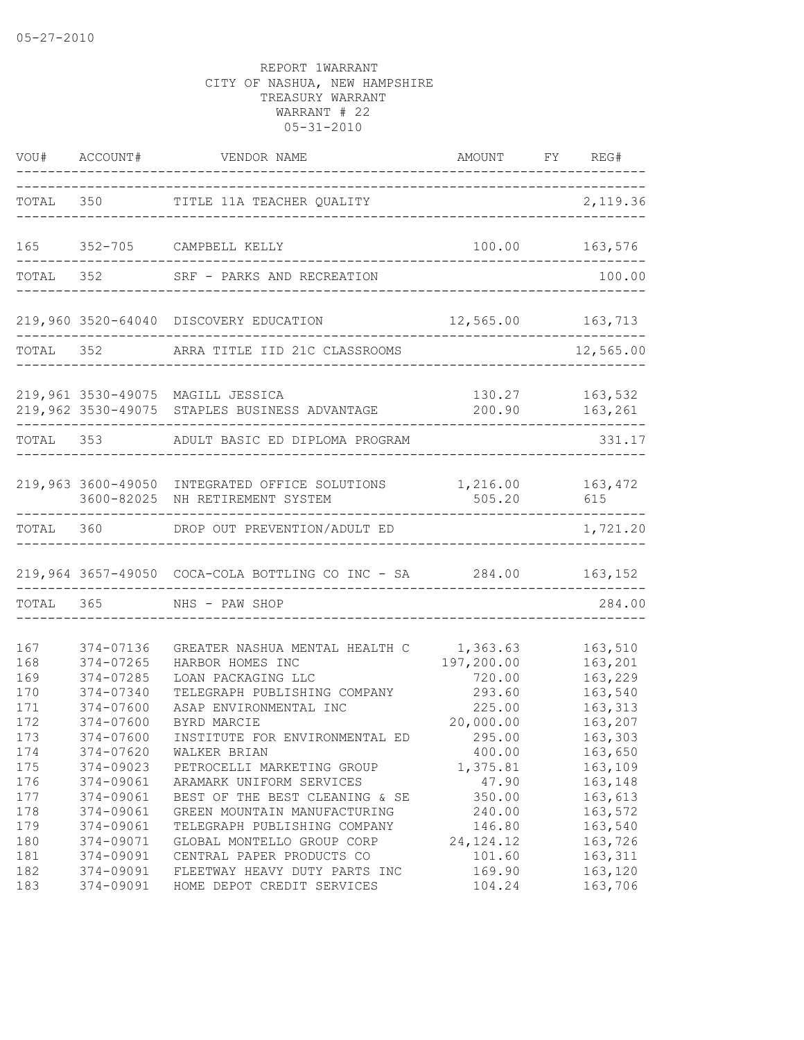|                   |                                     | VOU# ACCOUNT# VENDOR NAME                                                                          | AMOUNT FY REG#<br>___________   |                                     |
|-------------------|-------------------------------------|----------------------------------------------------------------------------------------------------|---------------------------------|-------------------------------------|
|                   |                                     | TOTAL 350 TITLE 11A TEACHER QUALITY                                                                | ---------------------------     | 2,119.36                            |
| 165               |                                     | 352-705 CAMPBELL KELLY                                                                             |                                 | 100.00    163,576                   |
|                   | TOTAL 352                           | SRF - PARKS AND RECREATION                                                                         |                                 | 100.00                              |
|                   |                                     | 219,960 3520-64040 DISCOVERY EDUCATION                                                             | 12,565.00 163,713               |                                     |
| TOTAL 352         |                                     | ARRA TITLE IID 21C CLASSROOMS                                                                      |                                 | 12,565.00                           |
|                   |                                     | 219,961 3530-49075 MAGILL JESSICA<br>219,962 3530-49075 STAPLES BUSINESS ADVANTAGE                 |                                 | 130.27 163,532<br>200.90    163,261 |
|                   |                                     | TOTAL 353 ADULT BASIC ED DIPLOMA PROGRAM                                                           |                                 | 331.17                              |
|                   |                                     | 219,963 3600-49050 INTEGRATED OFFICE SOLUTIONS 1,216.00 163,472<br>3600-82025 NH RETIREMENT SYSTEM | 505.20                          | 615                                 |
|                   |                                     | TOTAL 360 DROP OUT PREVENTION/ADULT ED                                                             |                                 | 1,721.20                            |
|                   |                                     | 219,964 3657-49050 COCA-COLA BOTTLING CO INC - SA 284.00 163,152                                   |                                 |                                     |
| TOTAL 365         |                                     | NHS - PAW SHOP                                                                                     |                                 | 284.00                              |
| 167<br>168        | 374-07136<br>374-07265              | GREATER NASHUA MENTAL HEALTH C<br>HARBOR HOMES INC                                                 | 1,363.63<br>197,200.00          | 163,510<br>163,201                  |
| 169<br>170<br>171 | 374-07285<br>374-07340<br>374-07600 | LOAN PACKAGING LLC<br>TELEGRAPH PUBLISHING COMPANY<br>ASAP ENVIRONMENTAL INC                       | 720.00<br>293.60<br>225.00      | 163,229<br>163,540<br>163,313       |
| 172<br>173<br>174 | 374-07600<br>374-07600<br>374-07620 | BYRD MARCIE<br>INSTITUTE FOR ENVIRONMENTAL ED<br>WALKER BRIAN                                      | 20,000.00<br>295.00<br>400.00   | 163,207<br>163,303<br>163,650       |
| 175<br>176<br>177 | 374-09023<br>374-09061<br>374-09061 | PETROCELLI MARKETING GROUP<br>ARAMARK UNIFORM SERVICES<br>BEST OF THE BEST CLEANING & SE           | 1,375.81<br>47.90<br>350.00     | 163,109<br>163,148<br>163,613       |
| 178<br>179<br>180 | 374-09061<br>374-09061<br>374-09071 | GREEN MOUNTAIN MANUFACTURING<br>TELEGRAPH PUBLISHING COMPANY<br>GLOBAL MONTELLO GROUP CORP         | 240.00<br>146.80<br>24, 124. 12 | 163,572<br>163,540<br>163,726       |
| 181<br>182<br>183 | 374-09091<br>374-09091<br>374-09091 | CENTRAL PAPER PRODUCTS CO<br>FLEETWAY HEAVY DUTY PARTS INC<br>HOME DEPOT CREDIT SERVICES           | 101.60<br>169.90<br>104.24      | 163,311<br>163,120<br>163,706       |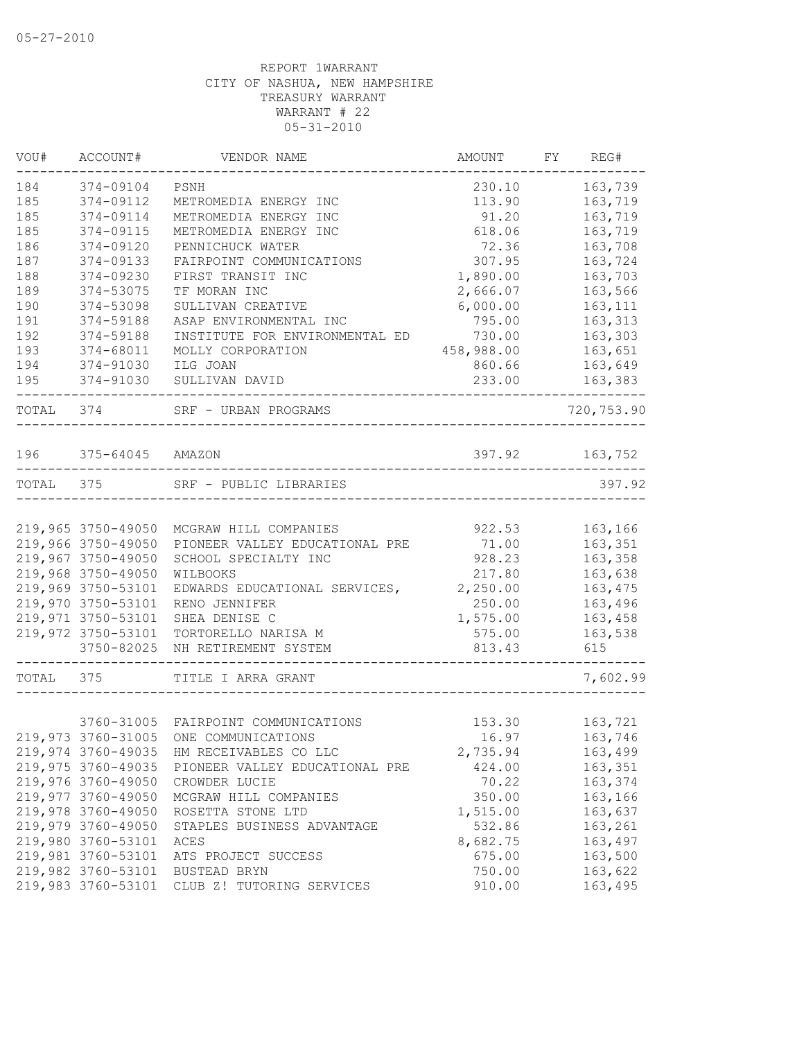| VOU#      | ACCOUNT#           | VENDOR NAME                              | AMOUNT     | FY | REG#       |
|-----------|--------------------|------------------------------------------|------------|----|------------|
| 184       | 374-09104          | PSNH                                     | 230.10     |    | 163,739    |
| 185       | 374-09112          | METROMEDIA ENERGY INC                    | 113.90     |    | 163,719    |
| 185       | 374-09114          | METROMEDIA ENERGY INC                    | 91.20      |    | 163,719    |
| 185       | 374-09115          | METROMEDIA ENERGY INC                    | 618.06     |    | 163,719    |
| 186       | 374-09120          | PENNICHUCK WATER                         | 72.36      |    | 163,708    |
| 187       | 374-09133          | FAIRPOINT COMMUNICATIONS                 | 307.95     |    | 163,724    |
| 188       | 374-09230          | FIRST TRANSIT INC                        | 1,890.00   |    | 163,703    |
| 189       | 374-53075          | TF MORAN INC                             | 2,666.07   |    | 163,566    |
| 190       | 374-53098          | SULLIVAN CREATIVE                        | 6,000.00   |    | 163,111    |
| 191       | 374-59188          | ASAP ENVIRONMENTAL INC                   | 795.00     |    | 163,313    |
| 192       | 374-59188          | INSTITUTE FOR ENVIRONMENTAL ED           | 730.00     |    | 163,303    |
| 193       | 374-68011          | MOLLY CORPORATION                        | 458,988.00 |    | 163,651    |
| 194       | 374-91030          | ILG JOAN                                 | 860.66     |    | 163,649    |
| 195       | 374-91030          | SULLIVAN DAVID                           | 233.00     |    | 163,383    |
| TOTAL 374 |                    | SRF - URBAN PROGRAMS                     |            |    | 720,753.90 |
| 196       | 375-64045          | AMAZON                                   | 397.92     |    | 163,752    |
| TOTAL 375 |                    | SRF - PUBLIC LIBRARIES                   |            |    | 397.92     |
|           |                    |                                          |            |    |            |
|           | 219,965 3750-49050 | MCGRAW HILL COMPANIES                    | 922.53     |    | 163,166    |
|           | 219,966 3750-49050 | PIONEER VALLEY EDUCATIONAL PRE           | 71.00      |    | 163,351    |
|           | 219,967 3750-49050 | SCHOOL SPECIALTY INC                     | 928.23     |    | 163,358    |
|           | 219,968 3750-49050 | WILBOOKS                                 | 217.80     |    | 163,638    |
|           | 219,969 3750-53101 | EDWARDS EDUCATIONAL SERVICES,            | 2,250.00   |    | 163,475    |
|           | 219,970 3750-53101 | RENO JENNIFER                            | 250.00     |    | 163,496    |
|           | 219,971 3750-53101 | SHEA DENISE C                            | 1,575.00   |    | 163,458    |
|           | 219,972 3750-53101 | TORTORELLO NARISA M                      | 575.00     |    | 163,538    |
|           | 3750-82025         | NH RETIREMENT SYSTEM                     | 813.43     |    | 615        |
| TOTAL     | 375                | TITLE I ARRA GRANT                       |            |    | 7,602.99   |
|           |                    |                                          |            |    |            |
|           | 3760-31005         | FAIRPOINT COMMUNICATIONS                 | 153.30     |    | 163,721    |
|           |                    | 219,973 3760-31005 ONE COMMUNICATIONS    | 16.97      |    | 163,746    |
|           |                    | 219,974 3760-49035 HM RECEIVABLES CO LLC | 2,735.94   |    | 163,499    |
|           | 219,975 3760-49035 | PIONEER VALLEY EDUCATIONAL PRE           | 424.00     |    | 163,351    |
|           | 219,976 3760-49050 | CROWDER LUCIE                            | 70.22      |    | 163,374    |
|           | 219,977 3760-49050 | MCGRAW HILL COMPANIES                    | 350.00     |    | 163,166    |
|           | 219,978 3760-49050 | ROSETTA STONE LTD                        | 1,515.00   |    | 163,637    |
|           | 219,979 3760-49050 | STAPLES BUSINESS ADVANTAGE               | 532.86     |    | 163,261    |
|           | 219,980 3760-53101 | ACES                                     | 8,682.75   |    | 163,497    |
|           | 219,981 3760-53101 | ATS PROJECT SUCCESS                      | 675.00     |    | 163,500    |
|           | 219,982 3760-53101 | BUSTEAD BRYN                             | 750.00     |    | 163,622    |
|           | 219,983 3760-53101 | CLUB Z! TUTORING SERVICES                | 910.00     |    | 163,495    |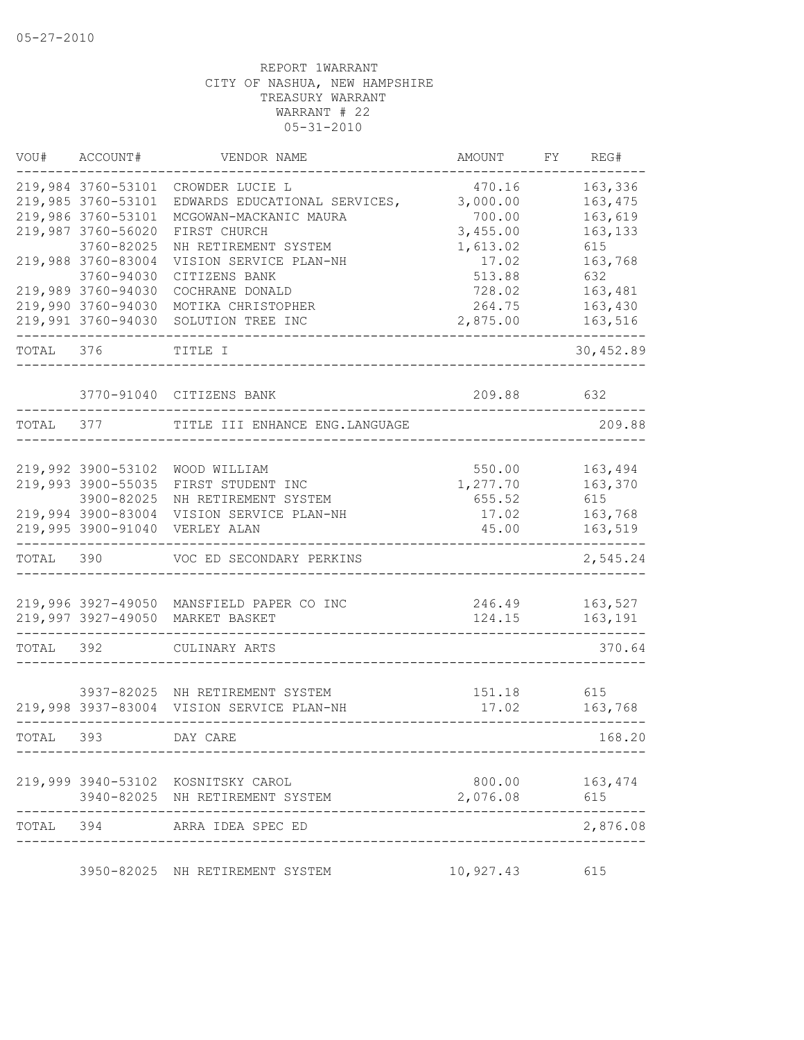| VOU#      | ACCOUNT#           | VENDOR NAME                               | AMOUNT    | FY. | REG#      |
|-----------|--------------------|-------------------------------------------|-----------|-----|-----------|
|           | 219,984 3760-53101 | CROWDER LUCIE L                           | 470.16    |     | 163,336   |
|           | 219,985 3760-53101 | EDWARDS EDUCATIONAL SERVICES,             | 3,000.00  |     | 163,475   |
|           | 219,986 3760-53101 | MCGOWAN-MACKANIC MAURA                    | 700.00    |     | 163,619   |
|           | 219,987 3760-56020 | FIRST CHURCH                              | 3,455.00  |     | 163,133   |
|           | 3760-82025         | NH RETIREMENT SYSTEM                      | 1,613.02  |     | 615       |
|           | 219,988 3760-83004 | VISION SERVICE PLAN-NH                    | 17.02     |     | 163,768   |
|           | 3760-94030         | CITIZENS BANK                             | 513.88    |     | 632       |
|           | 219,989 3760-94030 | COCHRANE DONALD                           | 728.02    |     | 163,481   |
|           | 219,990 3760-94030 | MOTIKA CHRISTOPHER                        | 264.75    |     | 163,430   |
|           | 219,991 3760-94030 | SOLUTION TREE INC                         | 2,875.00  |     | 163,516   |
| TOTAL     | 376                | TITLE I                                   |           |     | 30,452.89 |
|           |                    | 3770-91040 CITIZENS BANK                  | 209.88    |     | 632       |
| TOTAL     | 377                | TITLE III ENHANCE ENG. LANGUAGE           |           |     | 209.88    |
|           |                    |                                           |           |     |           |
|           | 219,992 3900-53102 | WOOD WILLIAM                              | 550.00    |     | 163,494   |
|           | 219,993 3900-55035 | FIRST STUDENT INC                         | 1,277.70  |     | 163,370   |
|           | 3900-82025         | NH RETIREMENT SYSTEM                      | 655.52    |     | 615       |
|           | 219,994 3900-83004 | VISION SERVICE PLAN-NH                    | 17.02     |     | 163,768   |
|           | 219,995 3900-91040 | VERLEY ALAN                               | 45.00     |     | 163,519   |
| TOTAL     | 390                | VOC ED SECONDARY PERKINS                  |           |     | 2,545.24  |
|           |                    |                                           |           |     |           |
|           |                    | 219,996 3927-49050 MANSFIELD PAPER CO INC | 246.49    |     | 163,527   |
|           | 219,997 3927-49050 | MARKET BASKET                             | 124.15    |     | 163,191   |
| TOTAL     | 392                | CULINARY ARTS                             |           |     | 370.64    |
|           |                    |                                           |           |     |           |
|           |                    | 3937-82025 NH RETIREMENT SYSTEM           | 151.18    |     | 615       |
|           | 219,998 3937-83004 | VISION SERVICE PLAN-NH                    | 17.02     |     | 163,768   |
| TOTAL     | 393                | DAY CARE                                  |           |     | 168.20    |
|           |                    | 219,999 3940-53102 KOSNITSKY CAROL        |           |     |           |
|           |                    | 3940-82025 NH RETIREMENT SYSTEM           | 2,076.08  |     | 615       |
| TOTAL 394 |                    | ARRA IDEA SPEC ED                         |           |     | 2,876.08  |
|           |                    |                                           |           |     |           |
|           |                    | 3950-82025 NH RETIREMENT SYSTEM           | 10,927.43 |     | 615       |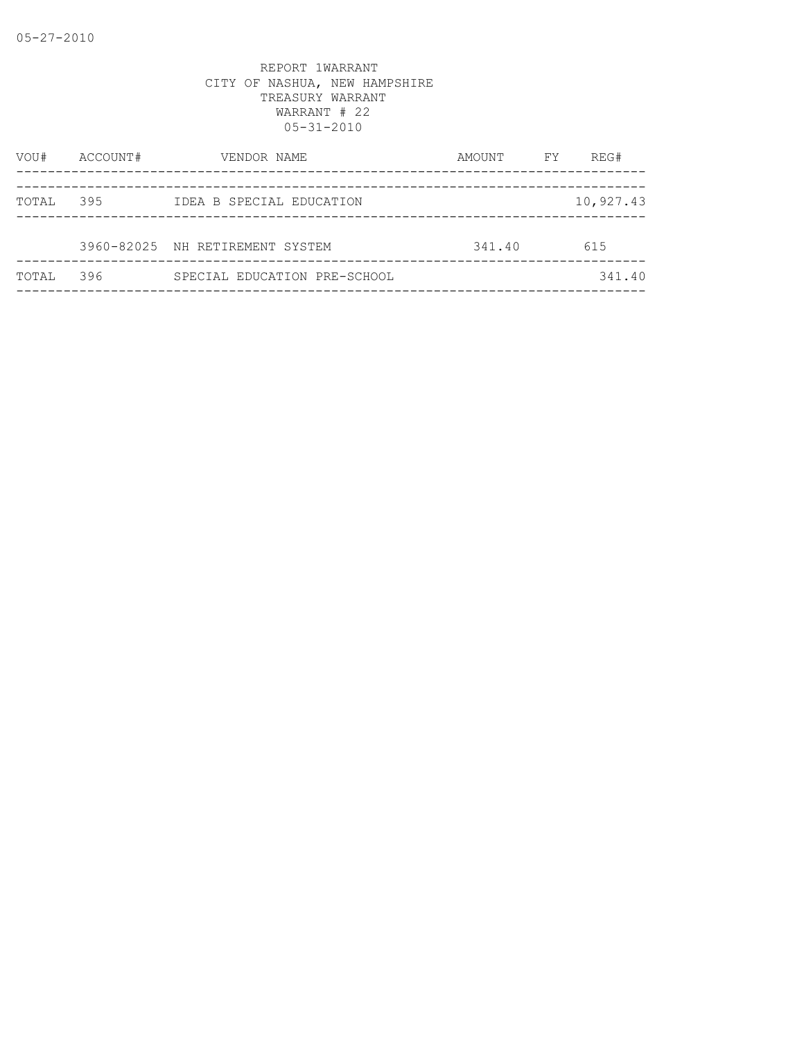| VOU#  | ACCOUNT# | VENDOR NAME                     | AMOUNT | REG#<br>FY. |  |
|-------|----------|---------------------------------|--------|-------------|--|
| TOTAL | 395      | IDEA B SPECIAL EDUCATION        |        | 10,927.43   |  |
|       |          | 3960-82025 NH RETIREMENT SYSTEM | 341.40 | 615         |  |
| TOTAL | 396      | SPECIAL EDUCATION PRE-SCHOOL    |        | 341.40      |  |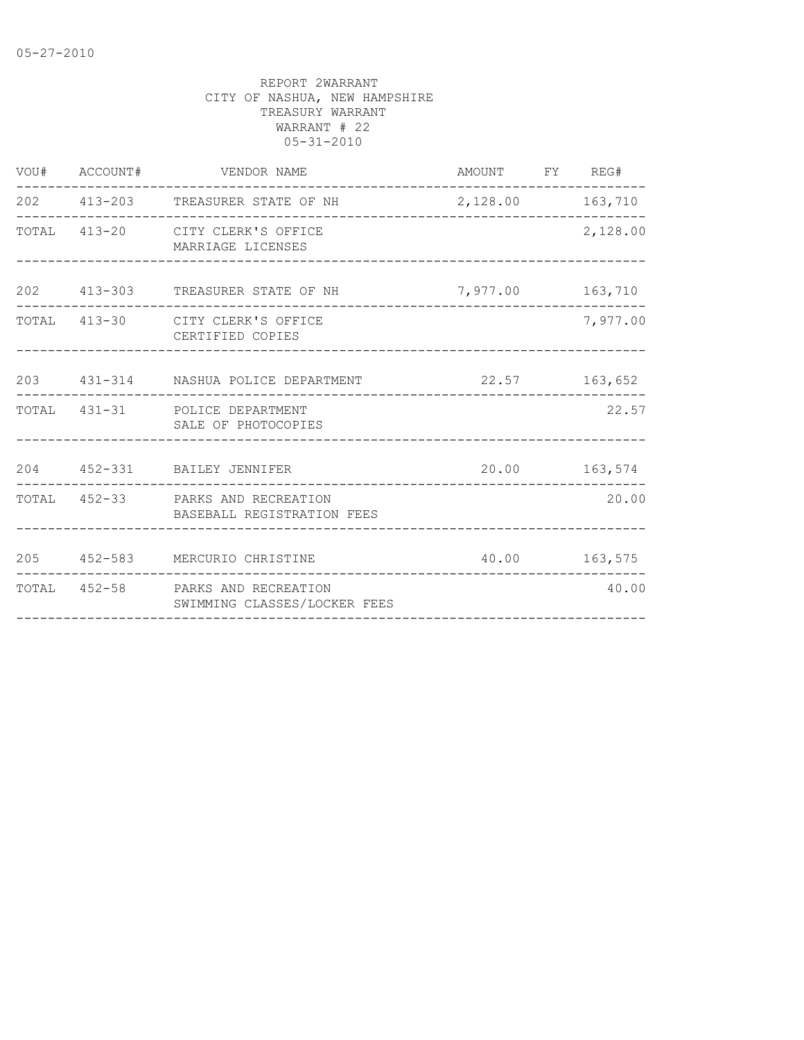| VOU# ACCOUNT# |                              |                                                                                                                                                                                                                                                                                                                                                                                           |                                                            |                                                                                                           |
|---------------|------------------------------|-------------------------------------------------------------------------------------------------------------------------------------------------------------------------------------------------------------------------------------------------------------------------------------------------------------------------------------------------------------------------------------------|------------------------------------------------------------|-----------------------------------------------------------------------------------------------------------|
|               |                              |                                                                                                                                                                                                                                                                                                                                                                                           |                                                            |                                                                                                           |
|               |                              |                                                                                                                                                                                                                                                                                                                                                                                           |                                                            | 2,128.00                                                                                                  |
|               |                              |                                                                                                                                                                                                                                                                                                                                                                                           |                                                            |                                                                                                           |
|               | CERTIFIED COPIES             |                                                                                                                                                                                                                                                                                                                                                                                           |                                                            | 7,977.00                                                                                                  |
|               |                              |                                                                                                                                                                                                                                                                                                                                                                                           |                                                            |                                                                                                           |
|               |                              |                                                                                                                                                                                                                                                                                                                                                                                           |                                                            | 22.57                                                                                                     |
|               |                              |                                                                                                                                                                                                                                                                                                                                                                                           |                                                            |                                                                                                           |
|               | BASEBALL REGISTRATION FEES   |                                                                                                                                                                                                                                                                                                                                                                                           |                                                            | 20.00                                                                                                     |
|               |                              |                                                                                                                                                                                                                                                                                                                                                                                           |                                                            |                                                                                                           |
|               | SWIMMING CLASSES/LOCKER FEES |                                                                                                                                                                                                                                                                                                                                                                                           |                                                            | 40.00                                                                                                     |
|               |                              | VENDOR NAME<br>202 413-203 TREASURER STATE OF NH<br>TOTAL 413-20 CITY CLERK'S OFFICE<br>MARRIAGE LICENSES<br>TOTAL 413-30 CITY CLERK'S OFFICE<br>203 431-314 NASHUA POLICE DEPARTMENT<br>TOTAL 431-31 POLICE DEPARTMENT<br>SALE OF PHOTOCOPIES<br>204 452-331 BAILEY JENNIFER<br>TOTAL 452-33 PARKS AND RECREATION<br>205 452-583 MERCURIO CHRISTINE<br>TOTAL 452-58 PARKS AND RECREATION | ---------------------<br>202 413-303 TREASURER STATE OF NH | AMOUNT FY REG#<br>2,128.00 163,710<br>7,977.00 163,710<br>22.57 163,652<br>20.00 163,574<br>40.00 163,575 |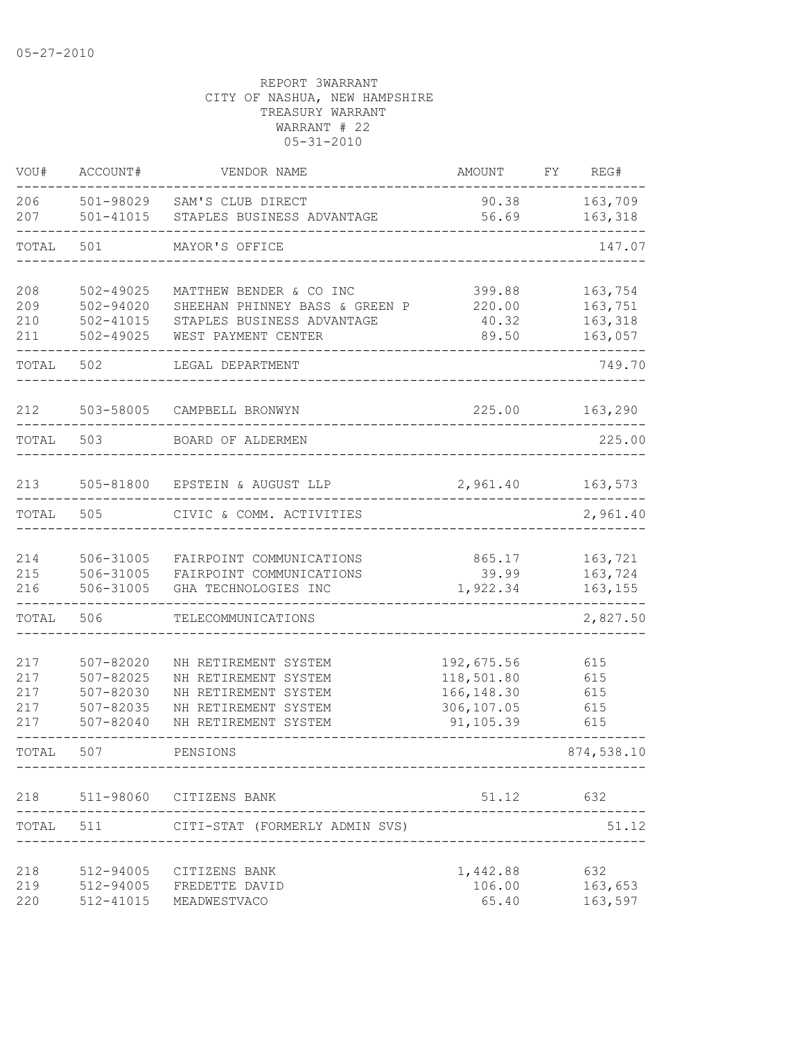| VOU#                            | ACCOUNT#                                                      | VENDOR NAME                                                                                                          | <b>AMOUNT</b>                                                      | FY<br>REG#                               |
|---------------------------------|---------------------------------------------------------------|----------------------------------------------------------------------------------------------------------------------|--------------------------------------------------------------------|------------------------------------------|
| 206<br>207                      | 501-98029<br>501-41015                                        | SAM'S CLUB DIRECT<br>STAPLES BUSINESS ADVANTAGE                                                                      | 90.38<br>56.69                                                     | 163,709<br>163,318                       |
| TOTAL                           | 501                                                           | MAYOR'S OFFICE                                                                                                       |                                                                    | 147.07                                   |
| 208<br>209<br>210<br>211        | 502-49025<br>502-94020<br>$502 - 41015$<br>$502 - 49025$      | MATTHEW BENDER & CO INC<br>SHEEHAN PHINNEY BASS & GREEN P<br>STAPLES BUSINESS ADVANTAGE<br>WEST PAYMENT CENTER       | 399.88<br>220.00<br>40.32<br>89.50                                 | 163,754<br>163,751<br>163,318<br>163,057 |
| TOTAL                           | 502                                                           | LEGAL DEPARTMENT                                                                                                     |                                                                    | 749.70                                   |
| 212                             | 503-58005                                                     | CAMPBELL BRONWYN                                                                                                     | 225.00                                                             | 163,290                                  |
| TOTAL                           | 503                                                           | BOARD OF ALDERMEN                                                                                                    |                                                                    | 225.00                                   |
| 213                             |                                                               | 505-81800 EPSTEIN & AUGUST LLP                                                                                       | 2,961.40                                                           | 163,573                                  |
| TOTAL                           | 505                                                           | CIVIC & COMM. ACTIVITIES                                                                                             |                                                                    | 2,961.40                                 |
| 214<br>215<br>216               | 506-31005<br>506-31005<br>506-31005                           | FAIRPOINT COMMUNICATIONS<br>FAIRPOINT COMMUNICATIONS<br>GHA TECHNOLOGIES INC                                         | 865.17<br>39.99<br>1,922.34                                        | 163,721<br>163,724<br>163,155            |
| TOTAL                           | 506                                                           | TELECOMMUNICATIONS                                                                                                   |                                                                    | 2,827.50                                 |
| 217<br>217<br>217<br>217<br>217 | 507-82020<br>507-82025<br>507-82030<br>507-82035<br>507-82040 | NH RETIREMENT SYSTEM<br>NH RETIREMENT SYSTEM<br>NH RETIREMENT SYSTEM<br>NH RETIREMENT SYSTEM<br>NH RETIREMENT SYSTEM | 192,675.56<br>118,501.80<br>166, 148.30<br>306,107.05<br>91,105.39 | 615<br>615<br>615<br>615<br>615          |
| TOTAL                           | 507                                                           | PENSIONS                                                                                                             |                                                                    | 874,538.10                               |
| 218                             |                                                               | 511-98060 CITIZENS BANK                                                                                              | 51.12                                                              | 632                                      |
|                                 |                                                               | TOTAL 511 CITI-STAT (FORMERLY ADMIN SVS)                                                                             |                                                                    | 51.12                                    |
| 218<br>219<br>220               | 512-94005                                                     | CITIZENS BANK<br>512-94005 FREDETTE DAVID<br>512-41015 MEADWESTVACO                                                  | 1,442.88<br>106.00<br>65.40                                        | 632<br>163,653<br>163,597                |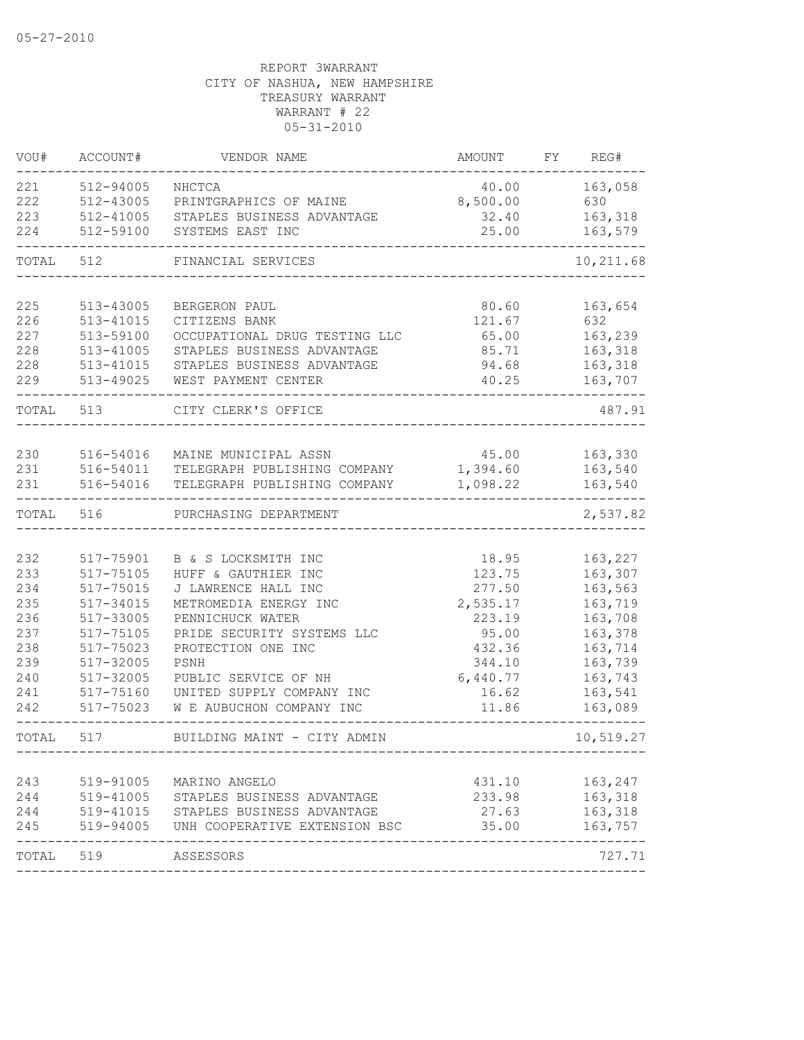| VOU#      | ACCOUNT#      | VENDOR NAME                                                                                                                         | AMOUNT   | FY | REG#      |
|-----------|---------------|-------------------------------------------------------------------------------------------------------------------------------------|----------|----|-----------|
| 221       | 512-94005     | NHCTCA                                                                                                                              | 40.00    |    | 163,058   |
| 222       | 512-43005     | PRINTGRAPHICS OF MAINE                                                                                                              | 8,500.00 |    | 630       |
| 223       | 512-41005     | STAPLES BUSINESS ADVANTAGE                                                                                                          | 32.40    |    | 163,318   |
| 224       | 512-59100     | SYSTEMS EAST INC                                                                                                                    | 25.00    |    | 163,579   |
| TOTAL     | 512           | FINANCIAL SERVICES                                                                                                                  |          |    | 10,211.68 |
| 225       | 513-43005     | BERGERON PAUL                                                                                                                       | 80.60    |    | 163,654   |
| 226       | 513-41015     | CITIZENS BANK                                                                                                                       | 121.67   |    | 632       |
| 227       | 513-59100     | OCCUPATIONAL DRUG TESTING LLC                                                                                                       | 65.00    |    | 163,239   |
| 228       | $513 - 41005$ | STAPLES BUSINESS ADVANTAGE                                                                                                          | 85.71    |    | 163,318   |
| 228       | 513-41015     | STAPLES BUSINESS ADVANTAGE                                                                                                          | 94.68    |    | 163,318   |
| 229       | 513-49025     | WEST PAYMENT CENTER                                                                                                                 | 40.25    |    | 163,707   |
| TOTAL 513 |               | CITY CLERK'S OFFICE                                                                                                                 |          |    | 487.91    |
|           |               |                                                                                                                                     |          |    |           |
| 230       | 516-54016     | MAINE MUNICIPAL ASSN                                                                                                                | 45.00    |    | 163,330   |
| 231       | 516-54011     | TELEGRAPH PUBLISHING COMPANY                                                                                                        | 1,394.60 |    | 163,540   |
| 231       | 516-54016     | TELEGRAPH PUBLISHING COMPANY                                                                                                        | 1,098.22 |    | 163,540   |
| TOTAL     | 516           | PURCHASING DEPARTMENT                                                                                                               |          |    | 2,537.82  |
|           |               |                                                                                                                                     |          |    |           |
| 232       | 517-75901     | B & S LOCKSMITH INC                                                                                                                 | 18.95    |    | 163,227   |
| 233       | 517-75105     | HUFF & GAUTHIER INC                                                                                                                 | 123.75   |    | 163,307   |
| 234       | 517-75015     | J LAWRENCE HALL INC                                                                                                                 | 277.50   |    | 163,563   |
| 235       | 517-34015     | METROMEDIA ENERGY INC                                                                                                               | 2,535.17 |    | 163,719   |
| 236       | 517-33005     | PENNICHUCK WATER                                                                                                                    | 223.19   |    | 163,708   |
| 237       | 517-75105     | PRIDE SECURITY SYSTEMS LLC                                                                                                          | 95.00    |    | 163,378   |
| 238       | 517-75023     | PROTECTION ONE INC                                                                                                                  | 432.36   |    | 163,714   |
| 239       | $517 - 32005$ | PSNH                                                                                                                                | 344.10   |    | 163,739   |
| 240       | 517-32005     | PUBLIC SERVICE OF NH                                                                                                                | 6,440.77 |    | 163,743   |
| 241       | 517-75160     | UNITED SUPPLY COMPANY INC                                                                                                           | 16.62    |    | 163,541   |
| 242       | 517-75023     | W E AUBUCHON COMPANY INC                                                                                                            | 11.86    |    | 163,089   |
| TOTAL     | 517           | BUILDING MAINT - CITY ADMIN                                                                                                         |          |    | 10,519.27 |
|           |               |                                                                                                                                     |          |    |           |
| 243       | 519-91005     | MARINO ANGELO                                                                                                                       | 431.10   |    | 163,247   |
|           |               |                                                                                                                                     | 233.98   |    | 163,318   |
|           |               | 244 519-41005 STAPLES BUSINESS ADVANTAGE<br>244 519-41015 STAPLES BUSINESS ADVANTAGE<br>245 519-94005 UNH COOPERATIVE EXTENSION BSC | 27.63    |    | 163,318   |
|           |               |                                                                                                                                     | 35.00    |    | 163,757   |
| TOTAL 519 |               | ASSESSORS                                                                                                                           |          |    | 727.71    |
|           |               |                                                                                                                                     |          |    |           |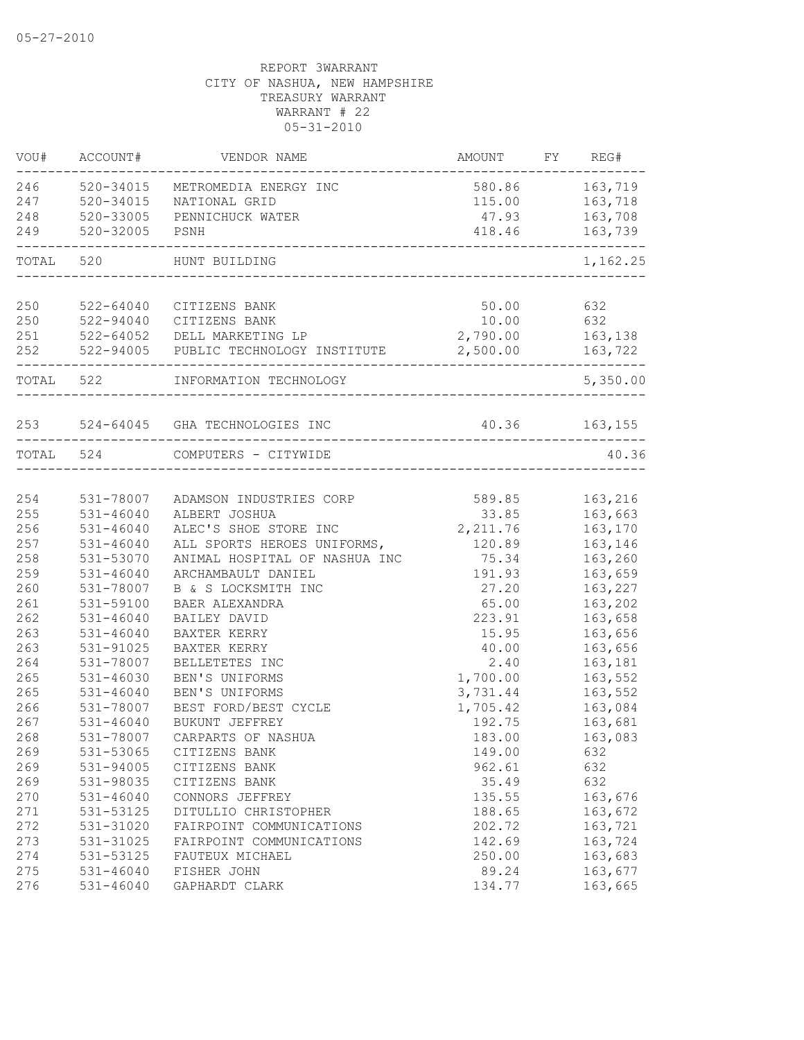| VOU#  | ACCOUNT#      | VENDOR NAME                                            | AMOUNT           | FY REG#        |
|-------|---------------|--------------------------------------------------------|------------------|----------------|
|       | 246 520-34015 | METROMEDIA ENERGY INC                                  |                  | 580.86 163,719 |
|       | 247 520-34015 | NATIONAL GRID                                          |                  | 115.00 163,718 |
| 248   | 520-33005     | PENNICHUCK WATER                                       | 47.93            | 163,708        |
| 249   | 520-32005     | PSNH                                                   | 418.46           | 163,739        |
| TOTAL | 520           | HUNT BUILDING                                          |                  | 1,162.25       |
| 250   | 522-64040     | CITIZENS BANK                                          | 50.00            | 632            |
| 250   |               | 522-94040 CITIZENS BANK                                | 10.00 632        |                |
| 251   |               | 522-64052 DELL MARKETING LP                            | 2,790.00 163,138 |                |
| 252   |               | 522-94005 PUBLIC TECHNOLOGY INSTITUTE 2,500.00 163,722 |                  |                |
|       | TOTAL 522     | INFORMATION TECHNOLOGY                                 |                  | 5,350.00       |
|       |               | 253 524-64045 GHA TECHNOLOGIES INC                     | 40.36 163,155    |                |
|       | TOTAL 524     | COMPUTERS - CITYWIDE                                   |                  | 40.36          |
|       |               |                                                        |                  |                |
| 254   | 531-78007     | ADAMSON INDUSTRIES CORP                                | 589.85           | 163,216        |
| 255   | $531 - 46040$ | ALBERT JOSHUA                                          | 33.85            | 163,663        |
| 256   | $531 - 46040$ | ALEC'S SHOE STORE INC                                  | 2, 211.76        | 163,170        |
| 257   | $531 - 46040$ | ALL SPORTS HEROES UNIFORMS,                            | 120.89           | 163,146        |
| 258   | 531-53070     | ANIMAL HOSPITAL OF NASHUA INC                          | 75.34            | 163,260        |
| 259   | $531 - 46040$ | ARCHAMBAULT DANIEL                                     | 191.93           | 163,659        |
| 260   | 531-78007     | B & S LOCKSMITH INC                                    | 27.20            | 163,227        |
| 261   | 531-59100     | BAER ALEXANDRA                                         | 65.00            | 163,202        |
| 262   | $531 - 46040$ | BAILEY DAVID                                           | 223.91           | 163,658        |
| 263   | $531 - 46040$ | BAXTER KERRY                                           | 15.95            | 163,656        |
| 263   | 531-91025     | BAXTER KERRY                                           | 40.00            | 163,656        |
| 264   | 531-78007     | BELLETETES INC                                         | 2.40             | 163,181        |
| 265   | $531 - 46030$ | BEN'S UNIFORMS                                         | 1,700.00         | 163,552        |
| 265   | $531 - 46040$ | BEN'S UNIFORMS                                         | 3,731.44         | 163,552        |
| 266   | 531-78007     | BEST FORD/BEST CYCLE                                   | 1,705.42         | 163,084        |
| 267   | $531 - 46040$ | BUKUNT JEFFREY                                         | 192.75           | 163,681        |
| 268   | 531-78007     | CARPARTS OF NASHUA                                     | 183.00           | 163,083        |
| 269   | 531-53065     | CITIZENS BANK                                          | 149.00           | 632            |
| 269   | 531-94005     | CITIZENS BANK                                          | 962.61           | 632            |
| 269   | 531-98035     | CITIZENS BANK                                          | 35.49            | 632            |
| 270   | $531 - 46040$ | CONNORS JEFFREY                                        | 135.55           | 163,676        |
| 271   | 531-53125     | DITULLIO CHRISTOPHER                                   | 188.65           | 163,672        |
| 272   | 531-31020     | FAIRPOINT COMMUNICATIONS                               | 202.72           | 163,721        |
| 273   | 531-31025     | FAIRPOINT COMMUNICATIONS                               | 142.69           | 163,724        |
| 274   | 531-53125     | FAUTEUX MICHAEL                                        | 250.00           | 163,683        |
| 275   | 531-46040     | FISHER JOHN                                            | 89.24            | 163,677        |
| 276   | $531 - 46040$ | GAPHARDT CLARK                                         | 134.77           | 163,665        |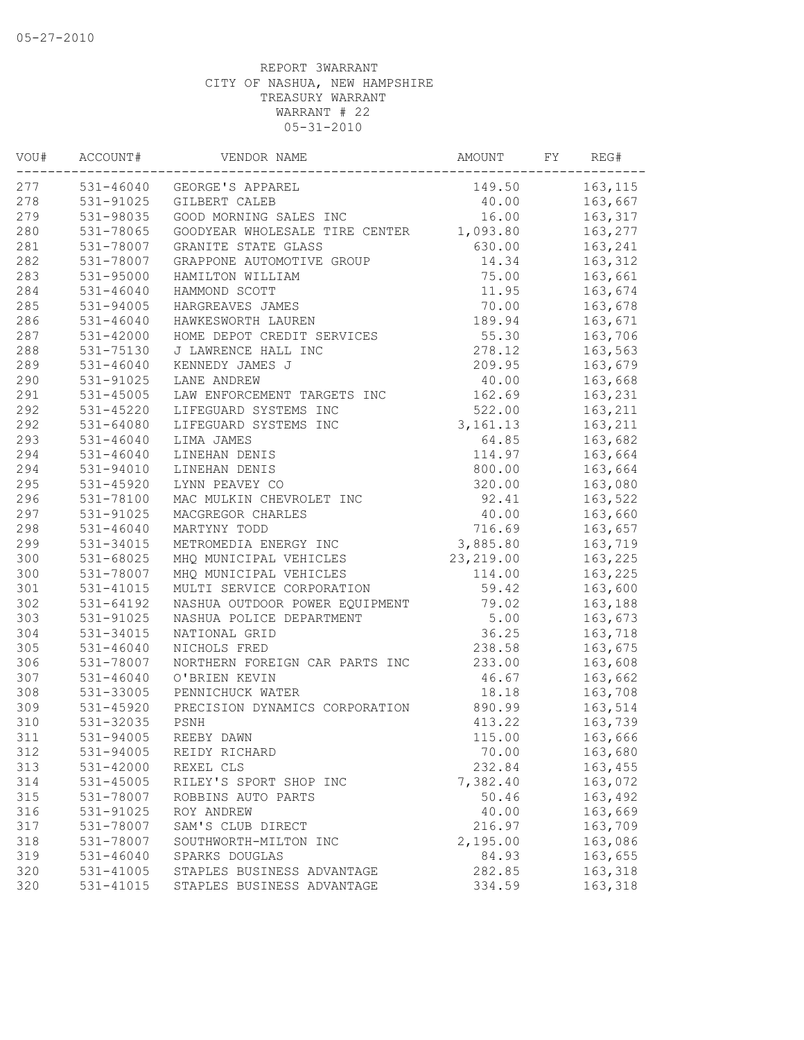| VOU# | ACCOUNT#      | VENDOR NAME                    | AMOUNT     | FΥ | REG#     |
|------|---------------|--------------------------------|------------|----|----------|
| 277  | 531-46040     | GEORGE'S APPAREL               | 149.50     |    | 163, 115 |
| 278  | 531-91025     | GILBERT CALEB                  | 40.00      |    | 163,667  |
| 279  | 531-98035     | GOOD MORNING SALES INC         | 16.00      |    | 163,317  |
| 280  | 531-78065     | GOODYEAR WHOLESALE TIRE CENTER | 1,093.80   |    | 163,277  |
| 281  | 531-78007     | GRANITE STATE GLASS            | 630.00     |    | 163,241  |
| 282  | 531-78007     | GRAPPONE AUTOMOTIVE GROUP      | 14.34      |    | 163,312  |
| 283  | 531-95000     | HAMILTON WILLIAM               | 75.00      |    | 163,661  |
| 284  | 531-46040     | HAMMOND SCOTT                  | 11.95      |    | 163,674  |
| 285  | 531-94005     | HARGREAVES JAMES               | 70.00      |    | 163,678  |
| 286  | $531 - 46040$ | HAWKESWORTH LAUREN             | 189.94     |    | 163,671  |
| 287  | 531-42000     | HOME DEPOT CREDIT SERVICES     | 55.30      |    | 163,706  |
| 288  | 531-75130     | J LAWRENCE HALL INC            | 278.12     |    | 163,563  |
| 289  | $531 - 46040$ | KENNEDY JAMES J                | 209.95     |    | 163,679  |
| 290  | 531-91025     | LANE ANDREW                    | 40.00      |    | 163,668  |
| 291  | $531 - 45005$ | LAW ENFORCEMENT TARGETS INC    | 162.69     |    | 163,231  |
| 292  | $531 - 45220$ | LIFEGUARD SYSTEMS INC          | 522.00     |    | 163,211  |
| 292  | 531-64080     | LIFEGUARD SYSTEMS INC          | 3, 161. 13 |    | 163,211  |
| 293  | $531 - 46040$ | LIMA JAMES                     | 64.85      |    | 163,682  |
| 294  | $531 - 46040$ | LINEHAN DENIS                  | 114.97     |    | 163,664  |
| 294  | 531-94010     | LINEHAN DENIS                  | 800.00     |    | 163,664  |
| 295  | 531-45920     | LYNN PEAVEY CO                 | 320.00     |    | 163,080  |
| 296  | 531-78100     | MAC MULKIN CHEVROLET INC       | 92.41      |    | 163,522  |
| 297  | 531-91025     | MACGREGOR CHARLES              | 40.00      |    | 163,660  |
| 298  | $531 - 46040$ | MARTYNY TODD                   | 716.69     |    | 163,657  |
| 299  | 531-34015     | METROMEDIA ENERGY INC          | 3,885.80   |    | 163,719  |
| 300  | 531-68025     | MHQ MUNICIPAL VEHICLES         | 23, 219.00 |    | 163,225  |
| 300  | 531-78007     | MHQ MUNICIPAL VEHICLES         | 114.00     |    | 163,225  |
| 301  | 531-41015     | MULTI SERVICE CORPORATION      | 59.42      |    | 163,600  |
| 302  | $531 - 64192$ | NASHUA OUTDOOR POWER EQUIPMENT | 79.02      |    | 163,188  |
| 303  | 531-91025     | NASHUA POLICE DEPARTMENT       | 5.00       |    | 163,673  |
| 304  | 531-34015     | NATIONAL GRID                  | 36.25      |    | 163,718  |
| 305  | $531 - 46040$ | NICHOLS FRED                   | 238.58     |    | 163,675  |
| 306  | 531-78007     | NORTHERN FOREIGN CAR PARTS INC | 233.00     |    | 163,608  |
| 307  | $531 - 46040$ | O'BRIEN KEVIN                  | 46.67      |    | 163,662  |
| 308  | 531-33005     | PENNICHUCK WATER               | 18.18      |    | 163,708  |
| 309  | $531 - 45920$ | PRECISION DYNAMICS CORPORATION | 890.99     |    | 163,514  |
| 310  | 531-32035     | PSNH                           | 413.22     |    | 163,739  |
| 311  | 531-94005     | REEBY DAWN                     | 115.00     |    | 163,666  |
| 312  | 531-94005     | REIDY RICHARD                  | 70.00      |    | 163,680  |
| 313  | 531-42000     | REXEL CLS                      | 232.84     |    | 163,455  |
| 314  | $531 - 45005$ | RILEY'S SPORT SHOP INC         | 7,382.40   |    | 163,072  |
| 315  | 531-78007     | ROBBINS AUTO PARTS             | 50.46      |    | 163,492  |
| 316  | 531-91025     | ROY ANDREW                     | 40.00      |    | 163,669  |
| 317  | 531-78007     | SAM'S CLUB DIRECT              | 216.97     |    | 163,709  |
| 318  | 531-78007     | SOUTHWORTH-MILTON INC          | 2,195.00   |    | 163,086  |
| 319  | $531 - 46040$ | SPARKS DOUGLAS                 | 84.93      |    | 163,655  |
| 320  | 531-41005     | STAPLES BUSINESS ADVANTAGE     | 282.85     |    | 163,318  |
| 320  | 531-41015     | STAPLES BUSINESS ADVANTAGE     | 334.59     |    | 163,318  |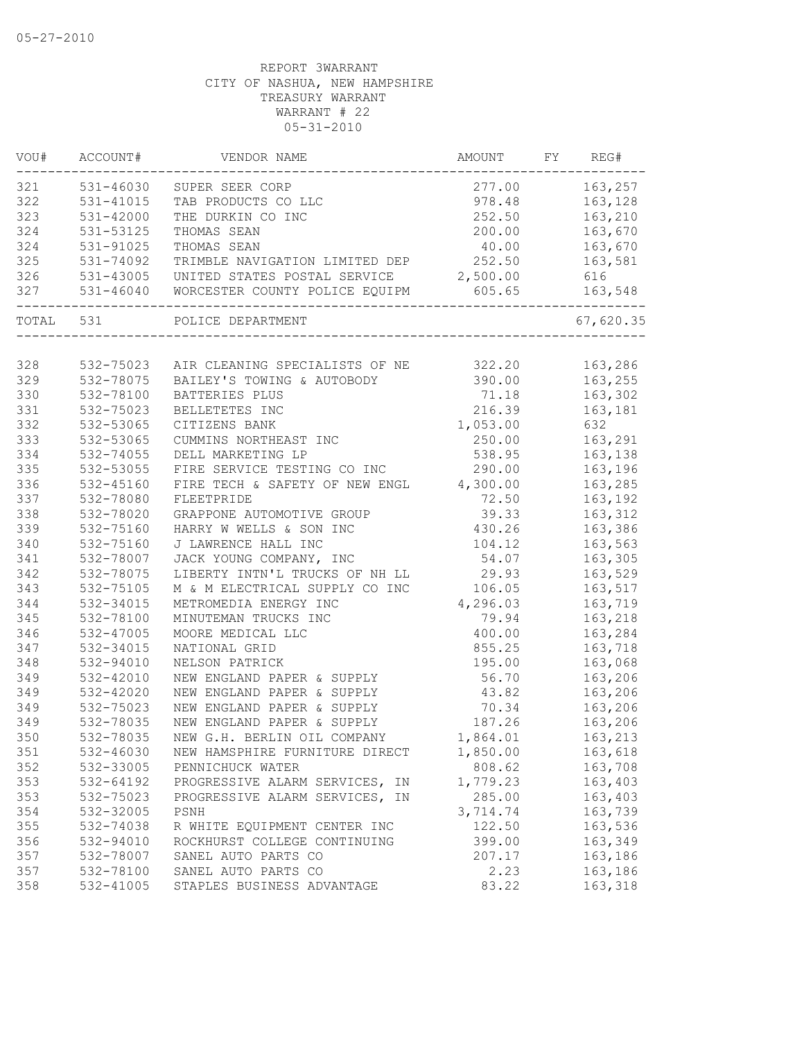| 321<br>531-46030<br>277.00<br>163,257<br>SUPER SEER CORP<br>322<br>531-41015<br>TAB PRODUCTS CO LLC<br>978.48<br>163,128<br>323<br>531-42000<br>THE DURKIN CO INC<br>252.50<br>163,210<br>324<br>200.00<br>163,670<br>531-53125<br>THOMAS SEAN<br>324<br>531-91025<br>163,670<br>THOMAS SEAN<br>40.00<br>325<br>531-74092<br>TRIMBLE NAVIGATION LIMITED DEP<br>252.50<br>163,581<br>326<br>2,500.00<br>531-43005<br>UNITED STATES POSTAL SERVICE<br>616<br>327<br>531-46040<br>605.65<br>163,548<br>WORCESTER COUNTY POLICE EQUIPM<br>TOTAL 531<br>POLICE DEPARTMENT<br>328<br>532-75023<br>AIR CLEANING SPECIALISTS OF NE 322.20<br>163,286<br>329<br>532-78075<br>BAILEY'S TOWING & AUTOBODY<br>390.00<br>163,255<br>330<br>163,302<br>532-78100<br>71.18<br>BATTERIES PLUS<br>331<br>216.39<br>532-75023<br>BELLETETES INC<br>163,181<br>332<br>532-53065<br>1,053.00<br>632<br>CITIZENS BANK<br>333<br>250.00<br>163,291<br>532-53065<br>CUMMINS NORTHEAST INC<br>334<br>532-74055<br>DELL MARKETING LP<br>538.95<br>163,138<br>335<br>532-53055<br>FIRE SERVICE TESTING CO INC<br>290.00<br>163,196<br>336<br>532-45160<br>FIRE TECH & SAFETY OF NEW ENGL 4,300.00<br>163,285<br>337<br>532-78080<br>FLEETPRIDE<br>72.50<br>163,192<br>338<br>532-78020<br>39.33<br>GRAPPONE AUTOMOTIVE GROUP<br>163,312<br>339<br>532-75160<br>HARRY W WELLS & SON INC<br>430.26<br>163,386<br>340<br>532-75160<br>J LAWRENCE HALL INC<br>104.12<br>163,563<br>341<br>532-78007<br>JACK YOUNG COMPANY, INC<br>54.07<br>163,305<br>342<br>532-78075<br>LIBERTY INTN'L TRUCKS OF NH LL<br>29.93<br>163,529<br>343<br>532-75105<br>M & M ELECTRICAL SUPPLY CO INC<br>163,517<br>106.05<br>344<br>532-34015<br>METROMEDIA ENERGY INC<br>4,296.03<br>163,719<br>345<br>532-78100<br>MINUTEMAN TRUCKS INC<br>163,218<br>79.94<br>346<br>532-47005<br>MOORE MEDICAL LLC<br>400.00<br>163,284<br>347<br>855.25<br>163,718<br>532-34015<br>NATIONAL GRID<br>348<br>195.00<br>163,068<br>532-94010<br>NELSON PATRICK<br>349<br>163,206<br>532-42010<br>NEW ENGLAND PAPER & SUPPLY<br>56.70<br>349<br>532-42020<br>43.82<br>163,206<br>NEW ENGLAND PAPER & SUPPLY<br>349<br>532-75023<br>NEW ENGLAND PAPER & SUPPLY<br>70.34<br>163,206<br>349<br>532-78035<br>NEW ENGLAND PAPER & SUPPLY<br>187.26<br>163,206<br>350<br>532-78035<br>NEW G.H. BERLIN OIL COMPANY<br>1,864.01<br>163,213<br>532-46030<br>351<br>NEW HAMSPHIRE FURNITURE DIRECT<br>1,850.00<br>163,618<br>352<br>808.62<br>532-33005<br>PENNICHUCK WATER<br>163,708<br>353<br>1,779.23<br>532-64192<br>163,403<br>PROGRESSIVE ALARM SERVICES, IN<br>353<br>285.00<br>532-75023<br>PROGRESSIVE ALARM SERVICES, IN<br>163,403<br>163,739<br>354<br>532-32005<br>3,714.74<br>PSNH<br>355<br>122.50<br>163,536<br>532-74038<br>R WHITE EQUIPMENT CENTER INC<br>356<br>532-94010<br>ROCKHURST COLLEGE CONTINUING<br>399.00<br>163,349<br>357<br>532-78007<br>SANEL AUTO PARTS CO<br>207.17<br>163,186<br>357<br>532-78100<br>SANEL AUTO PARTS CO<br>2.23<br>163,186<br>358<br>532-41005<br>STAPLES BUSINESS ADVANTAGE<br>83.22<br>163,318 | VOU#<br>--------- | ACCOUNT# | VENDOR NAME | AMOUNT | FY | REG#      |
|--------------------------------------------------------------------------------------------------------------------------------------------------------------------------------------------------------------------------------------------------------------------------------------------------------------------------------------------------------------------------------------------------------------------------------------------------------------------------------------------------------------------------------------------------------------------------------------------------------------------------------------------------------------------------------------------------------------------------------------------------------------------------------------------------------------------------------------------------------------------------------------------------------------------------------------------------------------------------------------------------------------------------------------------------------------------------------------------------------------------------------------------------------------------------------------------------------------------------------------------------------------------------------------------------------------------------------------------------------------------------------------------------------------------------------------------------------------------------------------------------------------------------------------------------------------------------------------------------------------------------------------------------------------------------------------------------------------------------------------------------------------------------------------------------------------------------------------------------------------------------------------------------------------------------------------------------------------------------------------------------------------------------------------------------------------------------------------------------------------------------------------------------------------------------------------------------------------------------------------------------------------------------------------------------------------------------------------------------------------------------------------------------------------------------------------------------------------------------------------------------------------------------------------------------------------------------------------------------------------------------------------------------------------------------------------------------------------------------------------------------------------------------------------------------------------------------------------------------------------------------------------------------------------------------------------------------------------------------------------------------------------------------------------------------------------------------------|-------------------|----------|-------------|--------|----|-----------|
|                                                                                                                                                                                                                                                                                                                                                                                                                                                                                                                                                                                                                                                                                                                                                                                                                                                                                                                                                                                                                                                                                                                                                                                                                                                                                                                                                                                                                                                                                                                                                                                                                                                                                                                                                                                                                                                                                                                                                                                                                                                                                                                                                                                                                                                                                                                                                                                                                                                                                                                                                                                                                                                                                                                                                                                                                                                                                                                                                                                                                                                                                |                   |          |             |        |    |           |
|                                                                                                                                                                                                                                                                                                                                                                                                                                                                                                                                                                                                                                                                                                                                                                                                                                                                                                                                                                                                                                                                                                                                                                                                                                                                                                                                                                                                                                                                                                                                                                                                                                                                                                                                                                                                                                                                                                                                                                                                                                                                                                                                                                                                                                                                                                                                                                                                                                                                                                                                                                                                                                                                                                                                                                                                                                                                                                                                                                                                                                                                                |                   |          |             |        |    |           |
|                                                                                                                                                                                                                                                                                                                                                                                                                                                                                                                                                                                                                                                                                                                                                                                                                                                                                                                                                                                                                                                                                                                                                                                                                                                                                                                                                                                                                                                                                                                                                                                                                                                                                                                                                                                                                                                                                                                                                                                                                                                                                                                                                                                                                                                                                                                                                                                                                                                                                                                                                                                                                                                                                                                                                                                                                                                                                                                                                                                                                                                                                |                   |          |             |        |    |           |
|                                                                                                                                                                                                                                                                                                                                                                                                                                                                                                                                                                                                                                                                                                                                                                                                                                                                                                                                                                                                                                                                                                                                                                                                                                                                                                                                                                                                                                                                                                                                                                                                                                                                                                                                                                                                                                                                                                                                                                                                                                                                                                                                                                                                                                                                                                                                                                                                                                                                                                                                                                                                                                                                                                                                                                                                                                                                                                                                                                                                                                                                                |                   |          |             |        |    |           |
|                                                                                                                                                                                                                                                                                                                                                                                                                                                                                                                                                                                                                                                                                                                                                                                                                                                                                                                                                                                                                                                                                                                                                                                                                                                                                                                                                                                                                                                                                                                                                                                                                                                                                                                                                                                                                                                                                                                                                                                                                                                                                                                                                                                                                                                                                                                                                                                                                                                                                                                                                                                                                                                                                                                                                                                                                                                                                                                                                                                                                                                                                |                   |          |             |        |    |           |
|                                                                                                                                                                                                                                                                                                                                                                                                                                                                                                                                                                                                                                                                                                                                                                                                                                                                                                                                                                                                                                                                                                                                                                                                                                                                                                                                                                                                                                                                                                                                                                                                                                                                                                                                                                                                                                                                                                                                                                                                                                                                                                                                                                                                                                                                                                                                                                                                                                                                                                                                                                                                                                                                                                                                                                                                                                                                                                                                                                                                                                                                                |                   |          |             |        |    |           |
|                                                                                                                                                                                                                                                                                                                                                                                                                                                                                                                                                                                                                                                                                                                                                                                                                                                                                                                                                                                                                                                                                                                                                                                                                                                                                                                                                                                                                                                                                                                                                                                                                                                                                                                                                                                                                                                                                                                                                                                                                                                                                                                                                                                                                                                                                                                                                                                                                                                                                                                                                                                                                                                                                                                                                                                                                                                                                                                                                                                                                                                                                |                   |          |             |        |    |           |
|                                                                                                                                                                                                                                                                                                                                                                                                                                                                                                                                                                                                                                                                                                                                                                                                                                                                                                                                                                                                                                                                                                                                                                                                                                                                                                                                                                                                                                                                                                                                                                                                                                                                                                                                                                                                                                                                                                                                                                                                                                                                                                                                                                                                                                                                                                                                                                                                                                                                                                                                                                                                                                                                                                                                                                                                                                                                                                                                                                                                                                                                                |                   |          |             |        |    |           |
|                                                                                                                                                                                                                                                                                                                                                                                                                                                                                                                                                                                                                                                                                                                                                                                                                                                                                                                                                                                                                                                                                                                                                                                                                                                                                                                                                                                                                                                                                                                                                                                                                                                                                                                                                                                                                                                                                                                                                                                                                                                                                                                                                                                                                                                                                                                                                                                                                                                                                                                                                                                                                                                                                                                                                                                                                                                                                                                                                                                                                                                                                |                   |          |             |        |    | 67,620.35 |
|                                                                                                                                                                                                                                                                                                                                                                                                                                                                                                                                                                                                                                                                                                                                                                                                                                                                                                                                                                                                                                                                                                                                                                                                                                                                                                                                                                                                                                                                                                                                                                                                                                                                                                                                                                                                                                                                                                                                                                                                                                                                                                                                                                                                                                                                                                                                                                                                                                                                                                                                                                                                                                                                                                                                                                                                                                                                                                                                                                                                                                                                                |                   |          |             |        |    |           |
|                                                                                                                                                                                                                                                                                                                                                                                                                                                                                                                                                                                                                                                                                                                                                                                                                                                                                                                                                                                                                                                                                                                                                                                                                                                                                                                                                                                                                                                                                                                                                                                                                                                                                                                                                                                                                                                                                                                                                                                                                                                                                                                                                                                                                                                                                                                                                                                                                                                                                                                                                                                                                                                                                                                                                                                                                                                                                                                                                                                                                                                                                |                   |          |             |        |    |           |
|                                                                                                                                                                                                                                                                                                                                                                                                                                                                                                                                                                                                                                                                                                                                                                                                                                                                                                                                                                                                                                                                                                                                                                                                                                                                                                                                                                                                                                                                                                                                                                                                                                                                                                                                                                                                                                                                                                                                                                                                                                                                                                                                                                                                                                                                                                                                                                                                                                                                                                                                                                                                                                                                                                                                                                                                                                                                                                                                                                                                                                                                                |                   |          |             |        |    |           |
|                                                                                                                                                                                                                                                                                                                                                                                                                                                                                                                                                                                                                                                                                                                                                                                                                                                                                                                                                                                                                                                                                                                                                                                                                                                                                                                                                                                                                                                                                                                                                                                                                                                                                                                                                                                                                                                                                                                                                                                                                                                                                                                                                                                                                                                                                                                                                                                                                                                                                                                                                                                                                                                                                                                                                                                                                                                                                                                                                                                                                                                                                |                   |          |             |        |    |           |
|                                                                                                                                                                                                                                                                                                                                                                                                                                                                                                                                                                                                                                                                                                                                                                                                                                                                                                                                                                                                                                                                                                                                                                                                                                                                                                                                                                                                                                                                                                                                                                                                                                                                                                                                                                                                                                                                                                                                                                                                                                                                                                                                                                                                                                                                                                                                                                                                                                                                                                                                                                                                                                                                                                                                                                                                                                                                                                                                                                                                                                                                                |                   |          |             |        |    |           |
|                                                                                                                                                                                                                                                                                                                                                                                                                                                                                                                                                                                                                                                                                                                                                                                                                                                                                                                                                                                                                                                                                                                                                                                                                                                                                                                                                                                                                                                                                                                                                                                                                                                                                                                                                                                                                                                                                                                                                                                                                                                                                                                                                                                                                                                                                                                                                                                                                                                                                                                                                                                                                                                                                                                                                                                                                                                                                                                                                                                                                                                                                |                   |          |             |        |    |           |
|                                                                                                                                                                                                                                                                                                                                                                                                                                                                                                                                                                                                                                                                                                                                                                                                                                                                                                                                                                                                                                                                                                                                                                                                                                                                                                                                                                                                                                                                                                                                                                                                                                                                                                                                                                                                                                                                                                                                                                                                                                                                                                                                                                                                                                                                                                                                                                                                                                                                                                                                                                                                                                                                                                                                                                                                                                                                                                                                                                                                                                                                                |                   |          |             |        |    |           |
|                                                                                                                                                                                                                                                                                                                                                                                                                                                                                                                                                                                                                                                                                                                                                                                                                                                                                                                                                                                                                                                                                                                                                                                                                                                                                                                                                                                                                                                                                                                                                                                                                                                                                                                                                                                                                                                                                                                                                                                                                                                                                                                                                                                                                                                                                                                                                                                                                                                                                                                                                                                                                                                                                                                                                                                                                                                                                                                                                                                                                                                                                |                   |          |             |        |    |           |
|                                                                                                                                                                                                                                                                                                                                                                                                                                                                                                                                                                                                                                                                                                                                                                                                                                                                                                                                                                                                                                                                                                                                                                                                                                                                                                                                                                                                                                                                                                                                                                                                                                                                                                                                                                                                                                                                                                                                                                                                                                                                                                                                                                                                                                                                                                                                                                                                                                                                                                                                                                                                                                                                                                                                                                                                                                                                                                                                                                                                                                                                                |                   |          |             |        |    |           |
|                                                                                                                                                                                                                                                                                                                                                                                                                                                                                                                                                                                                                                                                                                                                                                                                                                                                                                                                                                                                                                                                                                                                                                                                                                                                                                                                                                                                                                                                                                                                                                                                                                                                                                                                                                                                                                                                                                                                                                                                                                                                                                                                                                                                                                                                                                                                                                                                                                                                                                                                                                                                                                                                                                                                                                                                                                                                                                                                                                                                                                                                                |                   |          |             |        |    |           |
|                                                                                                                                                                                                                                                                                                                                                                                                                                                                                                                                                                                                                                                                                                                                                                                                                                                                                                                                                                                                                                                                                                                                                                                                                                                                                                                                                                                                                                                                                                                                                                                                                                                                                                                                                                                                                                                                                                                                                                                                                                                                                                                                                                                                                                                                                                                                                                                                                                                                                                                                                                                                                                                                                                                                                                                                                                                                                                                                                                                                                                                                                |                   |          |             |        |    |           |
|                                                                                                                                                                                                                                                                                                                                                                                                                                                                                                                                                                                                                                                                                                                                                                                                                                                                                                                                                                                                                                                                                                                                                                                                                                                                                                                                                                                                                                                                                                                                                                                                                                                                                                                                                                                                                                                                                                                                                                                                                                                                                                                                                                                                                                                                                                                                                                                                                                                                                                                                                                                                                                                                                                                                                                                                                                                                                                                                                                                                                                                                                |                   |          |             |        |    |           |
|                                                                                                                                                                                                                                                                                                                                                                                                                                                                                                                                                                                                                                                                                                                                                                                                                                                                                                                                                                                                                                                                                                                                                                                                                                                                                                                                                                                                                                                                                                                                                                                                                                                                                                                                                                                                                                                                                                                                                                                                                                                                                                                                                                                                                                                                                                                                                                                                                                                                                                                                                                                                                                                                                                                                                                                                                                                                                                                                                                                                                                                                                |                   |          |             |        |    |           |
|                                                                                                                                                                                                                                                                                                                                                                                                                                                                                                                                                                                                                                                                                                                                                                                                                                                                                                                                                                                                                                                                                                                                                                                                                                                                                                                                                                                                                                                                                                                                                                                                                                                                                                                                                                                                                                                                                                                                                                                                                                                                                                                                                                                                                                                                                                                                                                                                                                                                                                                                                                                                                                                                                                                                                                                                                                                                                                                                                                                                                                                                                |                   |          |             |        |    |           |
|                                                                                                                                                                                                                                                                                                                                                                                                                                                                                                                                                                                                                                                                                                                                                                                                                                                                                                                                                                                                                                                                                                                                                                                                                                                                                                                                                                                                                                                                                                                                                                                                                                                                                                                                                                                                                                                                                                                                                                                                                                                                                                                                                                                                                                                                                                                                                                                                                                                                                                                                                                                                                                                                                                                                                                                                                                                                                                                                                                                                                                                                                |                   |          |             |        |    |           |
|                                                                                                                                                                                                                                                                                                                                                                                                                                                                                                                                                                                                                                                                                                                                                                                                                                                                                                                                                                                                                                                                                                                                                                                                                                                                                                                                                                                                                                                                                                                                                                                                                                                                                                                                                                                                                                                                                                                                                                                                                                                                                                                                                                                                                                                                                                                                                                                                                                                                                                                                                                                                                                                                                                                                                                                                                                                                                                                                                                                                                                                                                |                   |          |             |        |    |           |
|                                                                                                                                                                                                                                                                                                                                                                                                                                                                                                                                                                                                                                                                                                                                                                                                                                                                                                                                                                                                                                                                                                                                                                                                                                                                                                                                                                                                                                                                                                                                                                                                                                                                                                                                                                                                                                                                                                                                                                                                                                                                                                                                                                                                                                                                                                                                                                                                                                                                                                                                                                                                                                                                                                                                                                                                                                                                                                                                                                                                                                                                                |                   |          |             |        |    |           |
|                                                                                                                                                                                                                                                                                                                                                                                                                                                                                                                                                                                                                                                                                                                                                                                                                                                                                                                                                                                                                                                                                                                                                                                                                                                                                                                                                                                                                                                                                                                                                                                                                                                                                                                                                                                                                                                                                                                                                                                                                                                                                                                                                                                                                                                                                                                                                                                                                                                                                                                                                                                                                                                                                                                                                                                                                                                                                                                                                                                                                                                                                |                   |          |             |        |    |           |
|                                                                                                                                                                                                                                                                                                                                                                                                                                                                                                                                                                                                                                                                                                                                                                                                                                                                                                                                                                                                                                                                                                                                                                                                                                                                                                                                                                                                                                                                                                                                                                                                                                                                                                                                                                                                                                                                                                                                                                                                                                                                                                                                                                                                                                                                                                                                                                                                                                                                                                                                                                                                                                                                                                                                                                                                                                                                                                                                                                                                                                                                                |                   |          |             |        |    |           |
|                                                                                                                                                                                                                                                                                                                                                                                                                                                                                                                                                                                                                                                                                                                                                                                                                                                                                                                                                                                                                                                                                                                                                                                                                                                                                                                                                                                                                                                                                                                                                                                                                                                                                                                                                                                                                                                                                                                                                                                                                                                                                                                                                                                                                                                                                                                                                                                                                                                                                                                                                                                                                                                                                                                                                                                                                                                                                                                                                                                                                                                                                |                   |          |             |        |    |           |
|                                                                                                                                                                                                                                                                                                                                                                                                                                                                                                                                                                                                                                                                                                                                                                                                                                                                                                                                                                                                                                                                                                                                                                                                                                                                                                                                                                                                                                                                                                                                                                                                                                                                                                                                                                                                                                                                                                                                                                                                                                                                                                                                                                                                                                                                                                                                                                                                                                                                                                                                                                                                                                                                                                                                                                                                                                                                                                                                                                                                                                                                                |                   |          |             |        |    |           |
|                                                                                                                                                                                                                                                                                                                                                                                                                                                                                                                                                                                                                                                                                                                                                                                                                                                                                                                                                                                                                                                                                                                                                                                                                                                                                                                                                                                                                                                                                                                                                                                                                                                                                                                                                                                                                                                                                                                                                                                                                                                                                                                                                                                                                                                                                                                                                                                                                                                                                                                                                                                                                                                                                                                                                                                                                                                                                                                                                                                                                                                                                |                   |          |             |        |    |           |
|                                                                                                                                                                                                                                                                                                                                                                                                                                                                                                                                                                                                                                                                                                                                                                                                                                                                                                                                                                                                                                                                                                                                                                                                                                                                                                                                                                                                                                                                                                                                                                                                                                                                                                                                                                                                                                                                                                                                                                                                                                                                                                                                                                                                                                                                                                                                                                                                                                                                                                                                                                                                                                                                                                                                                                                                                                                                                                                                                                                                                                                                                |                   |          |             |        |    |           |
|                                                                                                                                                                                                                                                                                                                                                                                                                                                                                                                                                                                                                                                                                                                                                                                                                                                                                                                                                                                                                                                                                                                                                                                                                                                                                                                                                                                                                                                                                                                                                                                                                                                                                                                                                                                                                                                                                                                                                                                                                                                                                                                                                                                                                                                                                                                                                                                                                                                                                                                                                                                                                                                                                                                                                                                                                                                                                                                                                                                                                                                                                |                   |          |             |        |    |           |
|                                                                                                                                                                                                                                                                                                                                                                                                                                                                                                                                                                                                                                                                                                                                                                                                                                                                                                                                                                                                                                                                                                                                                                                                                                                                                                                                                                                                                                                                                                                                                                                                                                                                                                                                                                                                                                                                                                                                                                                                                                                                                                                                                                                                                                                                                                                                                                                                                                                                                                                                                                                                                                                                                                                                                                                                                                                                                                                                                                                                                                                                                |                   |          |             |        |    |           |
|                                                                                                                                                                                                                                                                                                                                                                                                                                                                                                                                                                                                                                                                                                                                                                                                                                                                                                                                                                                                                                                                                                                                                                                                                                                                                                                                                                                                                                                                                                                                                                                                                                                                                                                                                                                                                                                                                                                                                                                                                                                                                                                                                                                                                                                                                                                                                                                                                                                                                                                                                                                                                                                                                                                                                                                                                                                                                                                                                                                                                                                                                |                   |          |             |        |    |           |
|                                                                                                                                                                                                                                                                                                                                                                                                                                                                                                                                                                                                                                                                                                                                                                                                                                                                                                                                                                                                                                                                                                                                                                                                                                                                                                                                                                                                                                                                                                                                                                                                                                                                                                                                                                                                                                                                                                                                                                                                                                                                                                                                                                                                                                                                                                                                                                                                                                                                                                                                                                                                                                                                                                                                                                                                                                                                                                                                                                                                                                                                                |                   |          |             |        |    |           |
|                                                                                                                                                                                                                                                                                                                                                                                                                                                                                                                                                                                                                                                                                                                                                                                                                                                                                                                                                                                                                                                                                                                                                                                                                                                                                                                                                                                                                                                                                                                                                                                                                                                                                                                                                                                                                                                                                                                                                                                                                                                                                                                                                                                                                                                                                                                                                                                                                                                                                                                                                                                                                                                                                                                                                                                                                                                                                                                                                                                                                                                                                |                   |          |             |        |    |           |
|                                                                                                                                                                                                                                                                                                                                                                                                                                                                                                                                                                                                                                                                                                                                                                                                                                                                                                                                                                                                                                                                                                                                                                                                                                                                                                                                                                                                                                                                                                                                                                                                                                                                                                                                                                                                                                                                                                                                                                                                                                                                                                                                                                                                                                                                                                                                                                                                                                                                                                                                                                                                                                                                                                                                                                                                                                                                                                                                                                                                                                                                                |                   |          |             |        |    |           |
|                                                                                                                                                                                                                                                                                                                                                                                                                                                                                                                                                                                                                                                                                                                                                                                                                                                                                                                                                                                                                                                                                                                                                                                                                                                                                                                                                                                                                                                                                                                                                                                                                                                                                                                                                                                                                                                                                                                                                                                                                                                                                                                                                                                                                                                                                                                                                                                                                                                                                                                                                                                                                                                                                                                                                                                                                                                                                                                                                                                                                                                                                |                   |          |             |        |    |           |
|                                                                                                                                                                                                                                                                                                                                                                                                                                                                                                                                                                                                                                                                                                                                                                                                                                                                                                                                                                                                                                                                                                                                                                                                                                                                                                                                                                                                                                                                                                                                                                                                                                                                                                                                                                                                                                                                                                                                                                                                                                                                                                                                                                                                                                                                                                                                                                                                                                                                                                                                                                                                                                                                                                                                                                                                                                                                                                                                                                                                                                                                                |                   |          |             |        |    |           |
|                                                                                                                                                                                                                                                                                                                                                                                                                                                                                                                                                                                                                                                                                                                                                                                                                                                                                                                                                                                                                                                                                                                                                                                                                                                                                                                                                                                                                                                                                                                                                                                                                                                                                                                                                                                                                                                                                                                                                                                                                                                                                                                                                                                                                                                                                                                                                                                                                                                                                                                                                                                                                                                                                                                                                                                                                                                                                                                                                                                                                                                                                |                   |          |             |        |    |           |
|                                                                                                                                                                                                                                                                                                                                                                                                                                                                                                                                                                                                                                                                                                                                                                                                                                                                                                                                                                                                                                                                                                                                                                                                                                                                                                                                                                                                                                                                                                                                                                                                                                                                                                                                                                                                                                                                                                                                                                                                                                                                                                                                                                                                                                                                                                                                                                                                                                                                                                                                                                                                                                                                                                                                                                                                                                                                                                                                                                                                                                                                                |                   |          |             |        |    |           |
|                                                                                                                                                                                                                                                                                                                                                                                                                                                                                                                                                                                                                                                                                                                                                                                                                                                                                                                                                                                                                                                                                                                                                                                                                                                                                                                                                                                                                                                                                                                                                                                                                                                                                                                                                                                                                                                                                                                                                                                                                                                                                                                                                                                                                                                                                                                                                                                                                                                                                                                                                                                                                                                                                                                                                                                                                                                                                                                                                                                                                                                                                |                   |          |             |        |    |           |
|                                                                                                                                                                                                                                                                                                                                                                                                                                                                                                                                                                                                                                                                                                                                                                                                                                                                                                                                                                                                                                                                                                                                                                                                                                                                                                                                                                                                                                                                                                                                                                                                                                                                                                                                                                                                                                                                                                                                                                                                                                                                                                                                                                                                                                                                                                                                                                                                                                                                                                                                                                                                                                                                                                                                                                                                                                                                                                                                                                                                                                                                                |                   |          |             |        |    |           |
|                                                                                                                                                                                                                                                                                                                                                                                                                                                                                                                                                                                                                                                                                                                                                                                                                                                                                                                                                                                                                                                                                                                                                                                                                                                                                                                                                                                                                                                                                                                                                                                                                                                                                                                                                                                                                                                                                                                                                                                                                                                                                                                                                                                                                                                                                                                                                                                                                                                                                                                                                                                                                                                                                                                                                                                                                                                                                                                                                                                                                                                                                |                   |          |             |        |    |           |
|                                                                                                                                                                                                                                                                                                                                                                                                                                                                                                                                                                                                                                                                                                                                                                                                                                                                                                                                                                                                                                                                                                                                                                                                                                                                                                                                                                                                                                                                                                                                                                                                                                                                                                                                                                                                                                                                                                                                                                                                                                                                                                                                                                                                                                                                                                                                                                                                                                                                                                                                                                                                                                                                                                                                                                                                                                                                                                                                                                                                                                                                                |                   |          |             |        |    |           |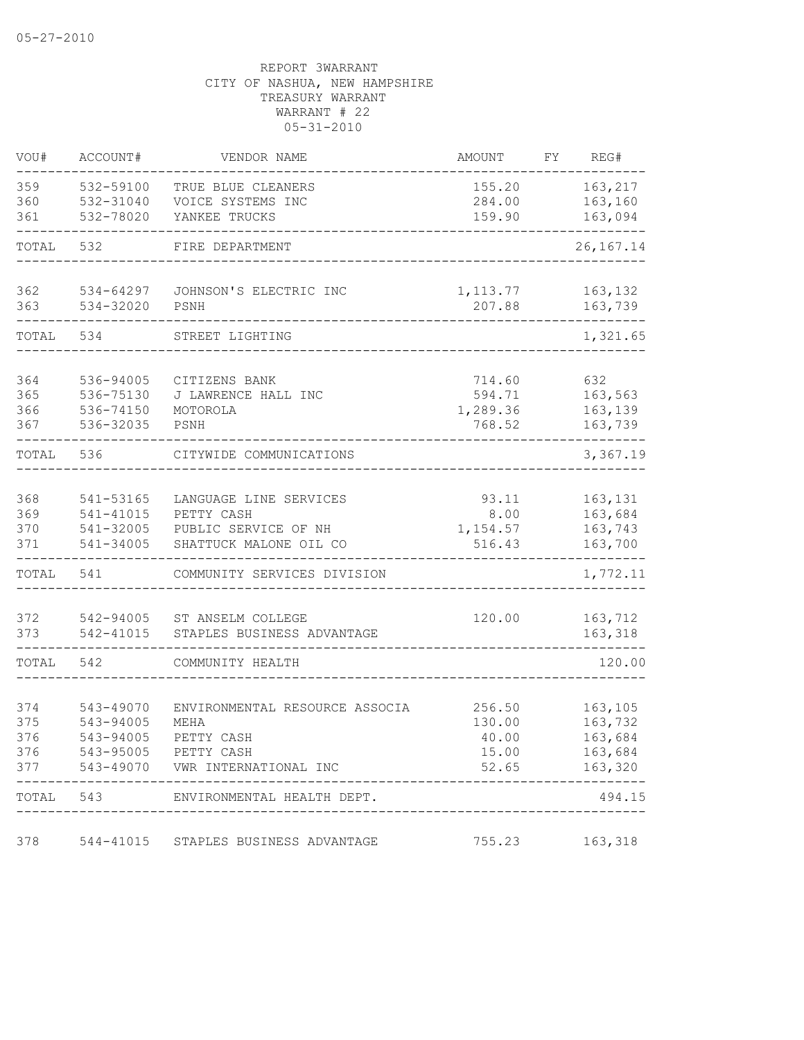| VOU#       | ACCOUNT#               | VENDOR NAME                                    | <b>AMOUNT</b>      | FΥ | REG#               |
|------------|------------------------|------------------------------------------------|--------------------|----|--------------------|
| 359        | 532-59100              | TRUE BLUE CLEANERS                             | 155.20             |    | 163,217            |
| 360        | 532-31040              | VOICE SYSTEMS INC                              | 284.00             |    | 163,160            |
| 361        | 532-78020              | YANKEE TRUCKS                                  | 159.90             |    | 163,094            |
| TOTAL      | 532                    | FIRE DEPARTMENT                                |                    |    | 26, 167. 14        |
| 362        | 534-64297              | JOHNSON'S ELECTRIC INC                         | 1, 113.77          |    | 163,132            |
| 363        | 534-32020              | PSNH                                           | 207.88             |    | 163,739            |
| TOTAL      | 534                    | STREET LIGHTING                                |                    |    | 1,321.65           |
| 364        | 536-94005              | CITIZENS BANK                                  | 714.60             |    | 632                |
| 365        | 536-75130              | J LAWRENCE HALL INC                            | 594.71             |    | 163,563            |
| 366        | 536-74150              | MOTOROLA                                       | 1,289.36           |    | 163,139            |
| 367        | 536-32035              | PSNH                                           | 768.52             |    | 163,739            |
| TOTAL      | 536                    | CITYWIDE COMMUNICATIONS                        |                    |    | 3,367.19           |
|            |                        |                                                |                    |    |                    |
| 368        | 541-53165              | LANGUAGE LINE SERVICES                         | 93.11              |    | 163,131            |
| 369        | 541-41015              | PETTY CASH                                     | 8.00               |    | 163,684            |
| 370<br>371 | 541-32005<br>541-34005 | PUBLIC SERVICE OF NH<br>SHATTUCK MALONE OIL CO | 1,154.57<br>516.43 |    | 163,743<br>163,700 |
|            |                        |                                                |                    |    |                    |
| TOTAL      | 541                    | COMMUNITY SERVICES DIVISION                    |                    |    | 1,772.11           |
| 372        | 542-94005              | ST ANSELM COLLEGE                              | 120.00             |    | 163,712            |
| 373        | 542-41015              | STAPLES BUSINESS ADVANTAGE                     |                    |    | 163,318            |
| TOTAL      | 542                    | COMMUNITY HEALTH                               |                    |    | 120.00             |
|            |                        |                                                |                    |    |                    |
| 374<br>375 | 543-49070<br>543-94005 | ENVIRONMENTAL RESOURCE ASSOCIA<br>MEHA         | 256.50<br>130.00   |    | 163,105<br>163,732 |
| 376        | 543-94005              | PETTY CASH                                     | 40.00              |    | 163,684            |
| 376        |                        | 543-95005 PETTY CASH                           | 15.00              |    | 163,684            |
| 377        |                        | 543-49070 VWR INTERNATIONAL INC                | 52.65              |    | 163,320            |
| TOTAL      | 543                    | ENVIRONMENTAL HEALTH DEPT.                     |                    |    | 494.15             |
| 378        |                        | 544-41015 STAPLES BUSINESS ADVANTAGE           | 755.23             |    | 163,318            |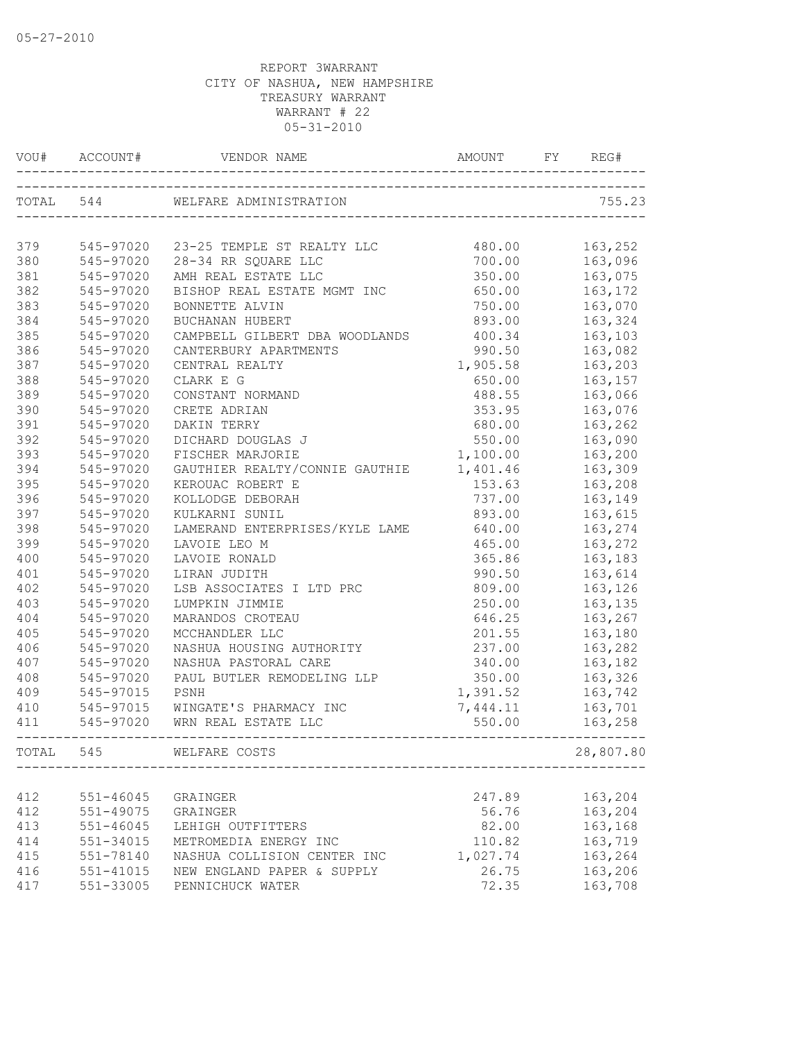| VOU#       | ACCOUNT#               | VENDOR NAME                                                | AMOUNT             | REG#               |
|------------|------------------------|------------------------------------------------------------|--------------------|--------------------|
| TOTAL 544  |                        | WELFARE ADMINISTRATION                                     |                    | 755.23             |
|            |                        |                                                            |                    |                    |
| 379        | 545-97020              | 23-25 TEMPLE ST REALTY LLC                                 | 480.00             | 163,252            |
| 380        | 545-97020              | 28-34 RR SQUARE LLC                                        | 700.00             | 163,096            |
| 381<br>382 | 545-97020<br>545-97020 | AMH REAL ESTATE LLC<br>BISHOP REAL ESTATE MGMT INC         | 350.00             | 163,075            |
| 383        | 545-97020              |                                                            | 650.00<br>750.00   | 163,172            |
| 384        | 545-97020              | BONNETTE ALVIN                                             | 893.00             | 163,070<br>163,324 |
| 385        | 545-97020              | BUCHANAN HUBERT<br>CAMPBELL GILBERT DBA WOODLANDS          | 400.34             |                    |
|            |                        |                                                            |                    | 163,103            |
| 386<br>387 | 545-97020              | CANTERBURY APARTMENTS                                      | 990.50             | 163,082            |
|            | 545-97020              | CENTRAL REALTY                                             | 1,905.58           | 163,203            |
| 388        | 545-97020              | CLARK E G                                                  | 650.00             | 163,157            |
| 389        | 545-97020              | CONSTANT NORMAND                                           | 488.55             | 163,066            |
| 390        | 545-97020              | CRETE ADRIAN                                               | 353.95             | 163,076            |
| 391        | 545-97020              | DAKIN TERRY                                                | 680.00             | 163,262            |
| 392        | 545-97020              | DICHARD DOUGLAS J                                          | 550.00             | 163,090            |
| 393        | $545 - 97020$          | FISCHER MARJORIE                                           | 1,100.00           | 163,200            |
| 394        | $545 - 97020$          | GAUTHIER REALTY/CONNIE GAUTHIE                             | 1,401.46           | 163,309            |
| 395        | 545-97020              | KEROUAC ROBERT E                                           | 153.63             | 163,208            |
| 396        | 545-97020              | KOLLODGE DEBORAH                                           | 737.00             | 163,149            |
| 397        | 545-97020              | KULKARNI SUNIL                                             | 893.00             | 163,615            |
| 398        | 545-97020              | LAMERAND ENTERPRISES/KYLE LAME                             | 640.00             | 163,274            |
| 399        | 545-97020              | LAVOIE LEO M                                               | 465.00             | 163,272            |
| 400        | 545-97020              | LAVOIE RONALD                                              | 365.86             | 163,183            |
| 401        | 545-97020              | LIRAN JUDITH                                               | 990.50             | 163,614            |
| 402        | 545-97020              | LSB ASSOCIATES I LTD PRC                                   | 809.00             | 163,126            |
| 403        | 545-97020              | LUMPKIN JIMMIE                                             | 250.00             | 163,135            |
| 404        | 545-97020              | MARANDOS CROTEAU                                           | 646.25             | 163,267            |
| 405        | 545-97020              | MCCHANDLER LLC                                             | 201.55             | 163,180            |
| 406        | 545-97020              | NASHUA HOUSING AUTHORITY                                   | 237.00             | 163,282            |
| 407        | 545-97020              | NASHUA PASTORAL CARE                                       | 340.00             | 163,182            |
| 408        | 545-97020              | PAUL BUTLER REMODELING LLP                                 | 350.00             | 163,326            |
| 409        | 545-97015              | PSNH                                                       | 1,391.52           | 163,742            |
| 410        | 545-97015              | WINGATE'S PHARMACY INC                                     | 7,444.11           | 163,701            |
| 411        | 545-97020              | WRN REAL ESTATE LLC<br>----------------------------------- | 550.00             | 163,258            |
| TOTAL      | 545                    | WELFARE COSTS                                              |                    | 28,807.80          |
| 412        | $551 - 46045$          |                                                            | 247.89             | 163,204            |
| 412        | 551-49075              | GRAINGER<br>GRAINGER                                       | 56.76              | 163,204            |
|            | $551 - 46045$          |                                                            | 82.00              | 163,168            |
| 413        |                        | LEHIGH OUTFITTERS<br>METROMEDIA ENERGY INC                 |                    | 163,719            |
| 414<br>415 | 551-34015<br>551-78140 | NASHUA COLLISION CENTER INC                                | 110.82<br>1,027.74 | 163,264            |
| 416        | 551-41015              | NEW ENGLAND PAPER & SUPPLY                                 | 26.75              | 163,206            |
| 417        | 551-33005              | PENNICHUCK WATER                                           | 72.35              | 163,708            |
|            |                        |                                                            |                    |                    |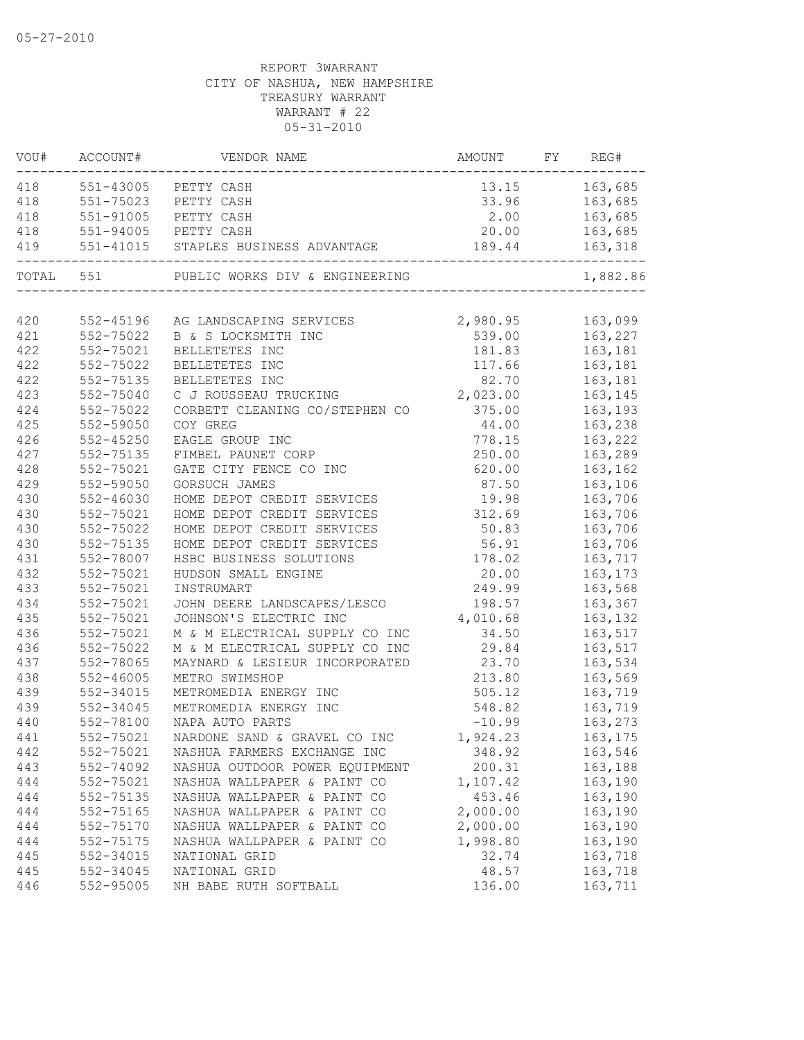| VOU# | ACCOUNT#             | VENDOR NAME                          | AMOUNT FY REG#   |                    |
|------|----------------------|--------------------------------------|------------------|--------------------|
| 418  |                      | 551-43005 PETTY CASH                 |                  | 13.15 163,685      |
| 418  | 551-75023 PETTY CASH |                                      |                  | 33.96 163,685      |
| 418  | 551-91005 PETTY CASH |                                      |                  | 2.00 163,685       |
| 418  | 551-94005 PETTY CASH |                                      |                  | 20.00 163,685      |
| 419  |                      | 551-41015 STAPLES BUSINESS ADVANTAGE | 189.44           | 163,318<br>------- |
|      | TOTAL 551            | PUBLIC WORKS DIV & ENGINEERING       |                  | 1,882.86           |
|      |                      |                                      |                  |                    |
| 420  | 552-45196            | AG LANDSCAPING SERVICES              | 2,980.95 163,099 |                    |
| 421  | 552-75022            | B & S LOCKSMITH INC                  |                  | 539.00 163,227     |
| 422  | 552-75021            | BELLETETES INC                       |                  | 181.83    163,181  |
| 422  | 552-75022            | BELLETETES INC                       | 117.66           | 163,181            |
| 422  | 552-75135            | BELLETETES INC                       | 82.70            | 163,181            |
| 423  | 552-75040            | C J ROUSSEAU TRUCKING                | 2,023.00         | 163,145            |
| 424  | 552-75022            | CORBETT CLEANING CO/STEPHEN CO       | 375.00           | 163,193            |
| 425  | 552-59050            | COY GREG                             | 44.00            | 163,238            |
| 426  | $552 - 45250$        | EAGLE GROUP INC                      | 778.15           | 163,222            |
| 427  | 552-75135            | FIMBEL PAUNET CORP                   | 250.00           | 163,289            |
| 428  | 552-75021            | GATE CITY FENCE CO INC               | 620.00           | 163,162            |
| 429  | 552-59050            | GORSUCH JAMES                        | 87.50            | 163,106            |
| 430  | $552 - 46030$        | HOME DEPOT CREDIT SERVICES           | 19.98            | 163,706            |
| 430  | 552-75021            | HOME DEPOT CREDIT SERVICES           | 312.69           | 163,706            |
| 430  | 552-75022            | HOME DEPOT CREDIT SERVICES           | 50.83            | 163,706            |
| 430  | 552-75135            | HOME DEPOT CREDIT SERVICES           | 56.91            | 163,706            |
| 431  | 552-78007            | HSBC BUSINESS SOLUTIONS              | 178.02           | 163,717            |
| 432  | 552-75021            | HUDSON SMALL ENGINE                  | 20.00            | 163,173            |
| 433  | 552-75021            | INSTRUMART                           | 249.99           | 163,568            |
| 434  | 552-75021            | JOHN DEERE LANDSCAPES/LESCO          | 198.57           | 163,367            |
| 435  | 552-75021            | JOHNSON'S ELECTRIC INC               | 4,010.68         | 163,132            |
| 436  | 552-75021            | M & M ELECTRICAL SUPPLY CO INC       | 34.50            | 163,517            |
| 436  | 552-75022            | M & M ELECTRICAL SUPPLY CO INC       | 29.84            | 163,517            |
| 437  | 552-78065            | MAYNARD & LESIEUR INCORPORATED       | 23.70            | 163,534            |
| 438  | $552 - 46005$        | METRO SWIMSHOP                       | 213.80           | 163,569            |
| 439  | 552-34015            | METROMEDIA ENERGY INC                | 505.12           | 163,719            |
| 439  | 552-34045            | METROMEDIA ENERGY INC                | 548.82           | 163,719            |
| 440  | 552-78100            | NAPA AUTO PARTS                      | $-10.99$         | 163,273            |
| 441  | 552-75021            | NARDONE SAND & GRAVEL CO INC         | 1,924.23         | 163, 175           |
| 442  | 552-75021            | NASHUA FARMERS EXCHANGE INC          | 348.92           | 163,546            |
| 443  | 552-74092            | NASHUA OUTDOOR POWER EQUIPMENT       | 200.31           | 163,188            |
| 444  | 552-75021            | NASHUA WALLPAPER & PAINT CO          | 1,107.42         | 163,190            |
| 444  | 552-75135            | NASHUA WALLPAPER & PAINT CO          | 453.46           | 163,190            |
| 444  | 552-75165            | NASHUA WALLPAPER & PAINT CO          | 2,000.00         | 163,190            |
| 444  | 552-75170            | NASHUA WALLPAPER & PAINT CO          | 2,000.00         | 163,190            |
| 444  | 552-75175            | NASHUA WALLPAPER & PAINT CO          | 1,998.80         | 163,190            |
| 445  | 552-34015            | NATIONAL GRID                        | 32.74            | 163,718            |
| 445  | 552-34045            | NATIONAL GRID                        | 48.57            | 163,718            |
| 446  | 552-95005            | NH BABE RUTH SOFTBALL                | 136.00           | 163,711            |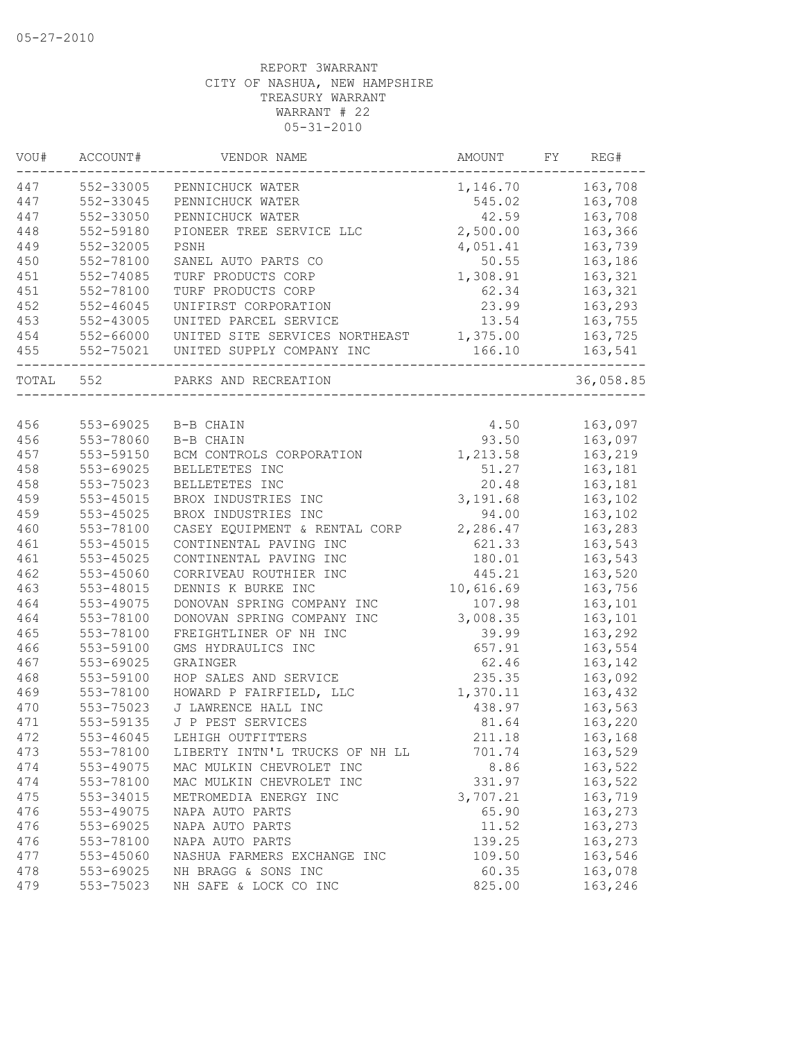| WOU#  | ACCOUNT#      | VENDOR NAME                    | AMOUNT    | FY | REG#      |
|-------|---------------|--------------------------------|-----------|----|-----------|
| 447   | 552-33005     | PENNICHUCK WATER               | 1,146.70  |    | 163,708   |
| 447   | 552-33045     | PENNICHUCK WATER               | 545.02    |    | 163,708   |
| 447   | 552-33050     | PENNICHUCK WATER               | 42.59     |    | 163,708   |
| 448   | 552-59180     | PIONEER TREE SERVICE LLC       | 2,500.00  |    | 163,366   |
| 449   | 552-32005     | PSNH                           | 4,051.41  |    | 163,739   |
| 450   | 552-78100     | SANEL AUTO PARTS CO            | 50.55     |    | 163,186   |
| 451   | 552-74085     | TURF PRODUCTS CORP             | 1,308.91  |    | 163,321   |
| 451   | 552-78100     | TURF PRODUCTS CORP             | 62.34     |    | 163,321   |
| 452   | $552 - 46045$ | UNIFIRST CORPORATION           | 23.99     |    | 163,293   |
| 453   | 552-43005     | UNITED PARCEL SERVICE          | 13.54     |    | 163,755   |
| 454   | 552-66000     | UNITED SITE SERVICES NORTHEAST | 1,375.00  |    | 163,725   |
| 455   | 552-75021     | UNITED SUPPLY COMPANY INC      | 166.10    |    | 163,541   |
| TOTAL | 552           | PARKS AND RECREATION           |           |    | 36,058.85 |
|       |               |                                |           |    |           |
| 456   | 553-69025     | B-B CHAIN                      | 4.50      |    | 163,097   |
| 456   | 553-78060     | B-B CHAIN                      | 93.50     |    | 163,097   |
| 457   | 553-59150     | BCM CONTROLS CORPORATION       | 1,213.58  |    | 163,219   |
| 458   | 553-69025     | BELLETETES INC                 | 51.27     |    | 163,181   |
| 458   | 553-75023     | BELLETETES INC                 | 20.48     |    | 163,181   |
| 459   | 553-45015     | BROX INDUSTRIES INC            | 3,191.68  |    | 163,102   |
| 459   | 553-45025     | BROX INDUSTRIES INC            | 94.00     |    | 163,102   |
| 460   | 553-78100     | CASEY EQUIPMENT & RENTAL CORP  | 2,286.47  |    | 163,283   |
| 461   | 553-45015     | CONTINENTAL PAVING INC         | 621.33    |    | 163,543   |
| 461   | 553-45025     | CONTINENTAL PAVING INC         | 180.01    |    | 163,543   |
| 462   | 553-45060     | CORRIVEAU ROUTHIER INC         | 445.21    |    | 163,520   |
| 463   | 553-48015     | DENNIS K BURKE INC             | 10,616.69 |    | 163,756   |
| 464   | 553-49075     | DONOVAN SPRING COMPANY INC     | 107.98    |    | 163,101   |
| 464   | 553-78100     | DONOVAN SPRING COMPANY INC     | 3,008.35  |    | 163,101   |
| 465   | 553-78100     | FREIGHTLINER OF NH INC         | 39.99     |    | 163,292   |
| 466   | 553-59100     | GMS HYDRAULICS INC             | 657.91    |    | 163,554   |
| 467   | 553-69025     | GRAINGER                       | 62.46     |    | 163,142   |
| 468   | 553-59100     | HOP SALES AND SERVICE          | 235.35    |    | 163,092   |
| 469   | 553-78100     | HOWARD P FAIRFIELD, LLC        | 1,370.11  |    | 163,432   |
| 470   | 553-75023     | J LAWRENCE HALL INC            | 438.97    |    | 163,563   |
| 471   | 553-59135     | J P PEST SERVICES              | 81.64     |    | 163,220   |
| 472   | 553-46045     | LEHIGH OUTFITTERS              | 211.18    |    | 163,168   |
| 473   | 553-78100     | LIBERTY INTN'L TRUCKS OF NH LL | 701.74    |    | 163,529   |
| 474   | 553-49075     | MAC MULKIN CHEVROLET INC       | 8.86      |    | 163,522   |
| 474   | 553-78100     | MAC MULKIN CHEVROLET INC       | 331.97    |    | 163,522   |
| 475   | 553-34015     | METROMEDIA ENERGY INC          | 3,707.21  |    | 163,719   |
| 476   | 553-49075     | NAPA AUTO PARTS                | 65.90     |    | 163,273   |
| 476   | 553-69025     | NAPA AUTO PARTS                | 11.52     |    | 163,273   |
| 476   | 553-78100     | NAPA AUTO PARTS                | 139.25    |    | 163,273   |
| 477   | 553-45060     | NASHUA FARMERS EXCHANGE INC    | 109.50    |    | 163,546   |
| 478   | 553-69025     | NH BRAGG & SONS INC            | 60.35     |    | 163,078   |
| 479   | 553-75023     | NH SAFE & LOCK CO INC          | 825.00    |    | 163,246   |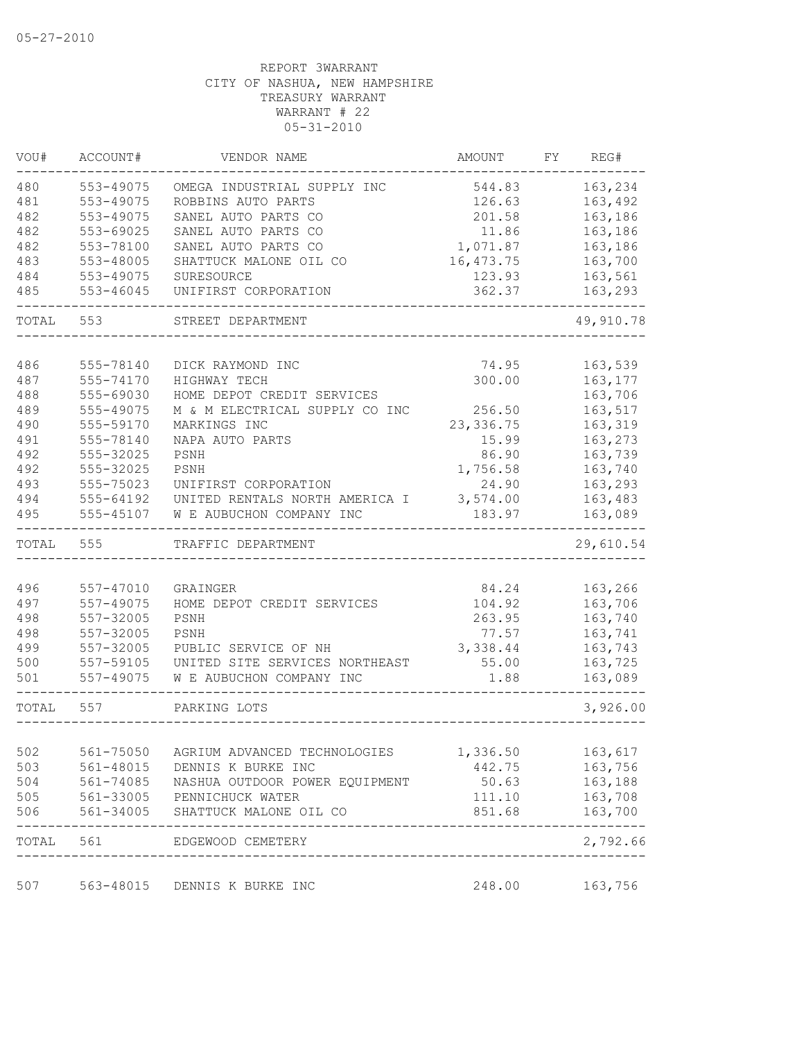| VOU#  | ACCOUNT#  | VENDOR NAME                    | AMOUNT     | FΥ | REG#               |
|-------|-----------|--------------------------------|------------|----|--------------------|
| 480   | 553-49075 | OMEGA INDUSTRIAL SUPPLY INC    | 544.83     |    | 163,234            |
| 481   | 553-49075 | ROBBINS AUTO PARTS             | 126.63     |    | 163,492            |
| 482   | 553-49075 | SANEL AUTO PARTS CO            | 201.58     |    | 163,186            |
| 482   | 553-69025 | SANEL AUTO PARTS CO            | 11.86      |    | 163,186            |
| 482   | 553-78100 | SANEL AUTO PARTS CO            | 1,071.87   |    | 163,186            |
| 483   | 553-48005 | SHATTUCK MALONE OIL CO         | 16, 473.75 |    | 163,700            |
| 484   | 553-49075 | SURESOURCE                     | 123.93     |    | 163,561            |
| 485   | 553-46045 | UNIFIRST CORPORATION           | 362.37     |    | 163,293            |
| TOTAL | 553       | STREET DEPARTMENT              |            |    | 49,910.78          |
|       |           |                                |            |    |                    |
| 486   | 555-78140 | DICK RAYMOND INC               | 74.95      |    | 163,539            |
| 487   | 555-74170 | HIGHWAY TECH                   | 300.00     |    | 163, 177           |
| 488   | 555-69030 | HOME DEPOT CREDIT SERVICES     |            |    | 163,706            |
| 489   | 555-49075 | M & M ELECTRICAL SUPPLY CO INC | 256.50     |    | 163,517            |
| 490   | 555-59170 | MARKINGS INC                   | 23, 336.75 |    | 163,319            |
| 491   | 555-78140 | NAPA AUTO PARTS                | 15.99      |    | 163,273            |
| 492   | 555-32025 | PSNH                           | 86.90      |    | 163,739            |
| 492   | 555-32025 | PSNH                           | 1,756.58   |    | 163,740            |
| 493   | 555-75023 | UNIFIRST CORPORATION           | 24.90      |    | 163,293            |
| 494   | 555-64192 | UNITED RENTALS NORTH AMERICA I | 3,574.00   |    | 163,483            |
| 495   | 555-45107 | W E AUBUCHON COMPANY INC       | 183.97     |    | 163,089            |
| TOTAL | 555       | TRAFFIC DEPARTMENT             |            |    | 29,610.54          |
|       |           |                                |            |    |                    |
| 496   | 557-47010 | GRAINGER                       | 84.24      |    | 163,266            |
| 497   | 557-49075 | HOME DEPOT CREDIT SERVICES     | 104.92     |    | 163,706            |
| 498   | 557-32005 | PSNH                           | 263.95     |    | 163,740            |
| 498   | 557-32005 | PSNH                           | 77.57      |    | 163,741            |
| 499   | 557-32005 | PUBLIC SERVICE OF NH           | 3,338.44   |    | 163,743            |
| 500   | 557-59105 | UNITED SITE SERVICES NORTHEAST | 55.00      |    | 163,725            |
| 501   | 557-49075 | W E AUBUCHON COMPANY INC       | 1.88       |    | 163,089            |
| TOTAL | 557       | PARKING LOTS                   |            |    | 3,926.00           |
|       |           |                                |            |    |                    |
| 502   | 561-75050 | AGRIUM ADVANCED TECHNOLOGIES   | 1,336.50   |    | 163,617            |
| 503   | 561-48015 | DENNIS K BURKE INC             | 442.75     |    | 163,756            |
| 504   | 561-74085 | NASHUA OUTDOOR POWER EQUIPMENT | 50.63      |    | 163,188            |
| 505   | 561-33005 | PENNICHUCK WATER               | 111.10     |    | 163,708            |
| 506   | 561-34005 | SHATTUCK MALONE OIL CO         | 851.68     |    | 163,700<br>------- |
|       |           | TOTAL 561 EDGEWOOD CEMETERY    |            |    | 2,792.66           |
| 507   | 563-48015 | DENNIS K BURKE INC             | 248.00     |    | 163,756            |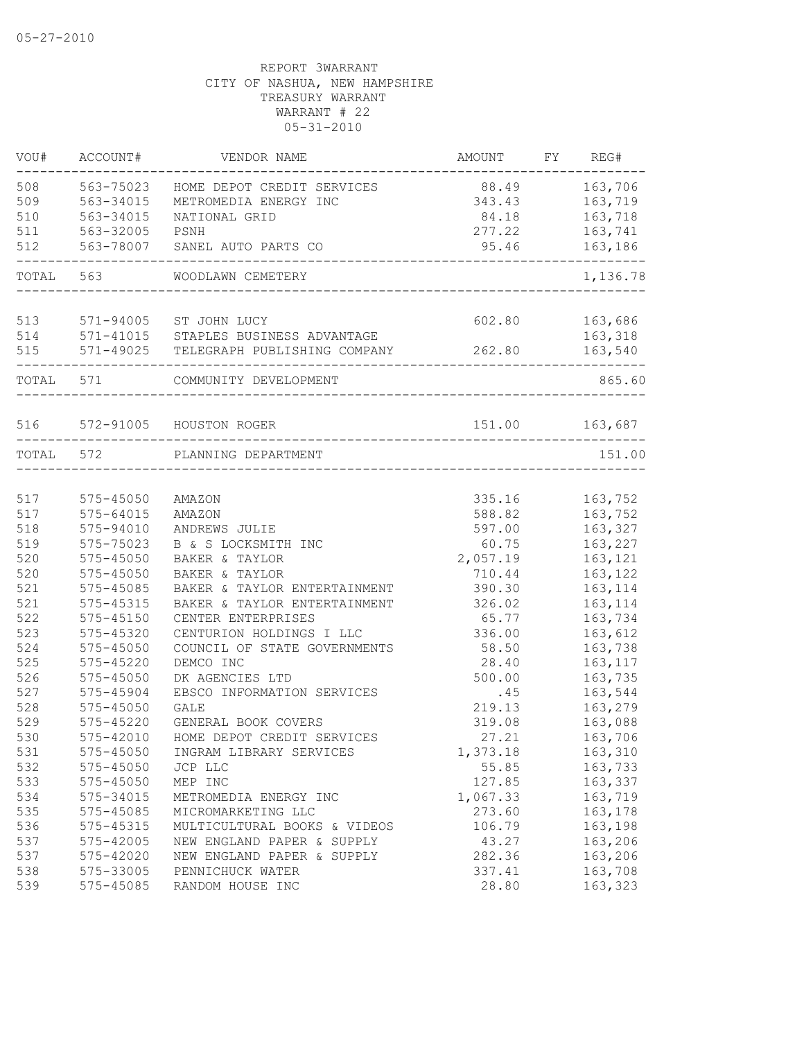| VOU#      | ACCOUNT#                   | VENDOR NAME                          | AMOUNT                                  | FY REG#            |
|-----------|----------------------------|--------------------------------------|-----------------------------------------|--------------------|
| 508       | 563-75023                  | HOME DEPOT CREDIT SERVICES           | 88.49                                   | 163,706            |
| 509       | 563-34015                  | METROMEDIA ENERGY INC                | 343.43                                  | 163,719            |
| 510       | 563-34015                  | NATIONAL GRID                        | 84.18                                   | 163,718            |
| 511       | 563-32005                  | PSNH                                 | 277.22                                  | 163,741            |
| 512       |                            | 563-78007 SANEL AUTO PARTS CO        | 95.46<br>------------------------------ | 163,186            |
|           | TOTAL 563                  | WOODLAWN CEMETERY                    |                                         | 1,136.78           |
| 513       |                            | 571-94005 ST JOHN LUCY               | 602.80                                  | 163,686            |
| 514       |                            | 571-41015 STAPLES BUSINESS ADVANTAGE |                                         | 163,318            |
| 515       | 571-49025                  | TELEGRAPH PUBLISHING COMPANY         | 262.80                                  | 163,540            |
| TOTAL 571 |                            | COMMUNITY DEVELOPMENT                |                                         | 865.60             |
|           |                            |                                      |                                         |                    |
|           |                            | 516 572-91005 HOUSTON ROGER          |                                         | 151.00 163,687     |
|           | TOTAL 572                  | PLANNING DEPARTMENT                  |                                         | 151.00             |
| 517       |                            |                                      |                                         |                    |
| 517       | 575-45050<br>$575 - 64015$ | AMAZON<br>AMAZON                     | 335.16<br>588.82                        | 163,752<br>163,752 |
| 518       | 575-94010                  | ANDREWS JULIE                        | 597.00                                  | 163,327            |
| 519       | 575-75023                  | B & S LOCKSMITH INC                  | 60.75                                   | 163,227            |
| 520       | $575 - 45050$              | BAKER & TAYLOR                       | 2,057.19                                | 163,121            |
| 520       | $575 - 45050$              | BAKER & TAYLOR                       | 710.44                                  | 163,122            |
| 521       | 575-45085                  | BAKER & TAYLOR ENTERTAINMENT         | 390.30                                  | 163, 114           |
| 521       | 575-45315                  | BAKER & TAYLOR ENTERTAINMENT         | 326.02                                  | 163, 114           |
| 522       | $575 - 45150$              | CENTER ENTERPRISES                   | 65.77                                   | 163,734            |
| 523       | 575-45320                  | CENTURION HOLDINGS I LLC             | 336.00                                  | 163,612            |
| 524       | 575-45050                  | COUNCIL OF STATE GOVERNMENTS         | 58.50                                   | 163,738            |
| 525       | 575-45220                  | DEMCO INC                            | 28.40                                   | 163, 117           |
| 526       | 575-45050                  | DK AGENCIES LTD                      | 500.00                                  | 163,735            |
| 527       | 575-45904                  | EBSCO INFORMATION SERVICES           | .45                                     | 163,544            |
| 528       | 575-45050                  | GALE                                 | 219.13                                  | 163,279            |
| 529       | $575 - 45220$              | GENERAL BOOK COVERS                  | 319.08                                  | 163,088            |
| 530       | 575-42010                  | HOME DEPOT CREDIT SERVICES           | 27.21                                   | 163,706            |
| 531       | 575-45050                  | INGRAM LIBRARY SERVICES              | 1,373.18                                | 163,310            |
| 532       | 575-45050                  | JCP LLC                              | 55.85                                   | 163,733            |
| 533       | 575-45050                  | MEP INC                              | 127.85                                  | 163,337            |
| 534       | 575-34015                  | METROMEDIA ENERGY INC                | 1,067.33                                | 163,719            |
| 535       | 575-45085                  | MICROMARKETING LLC                   | 273.60                                  | 163,178            |
| 536       | 575-45315                  | MULTICULTURAL BOOKS & VIDEOS         | 106.79                                  | 163,198            |
| 537       | 575-42005                  | NEW ENGLAND PAPER & SUPPLY           | 43.27                                   | 163,206            |
| 537       | 575-42020                  | NEW ENGLAND PAPER & SUPPLY           | 282.36                                  | 163,206            |
| 538       | 575-33005                  | PENNICHUCK WATER                     | 337.41                                  | 163,708            |
| 539       | 575-45085                  | RANDOM HOUSE INC                     | 28.80                                   | 163,323            |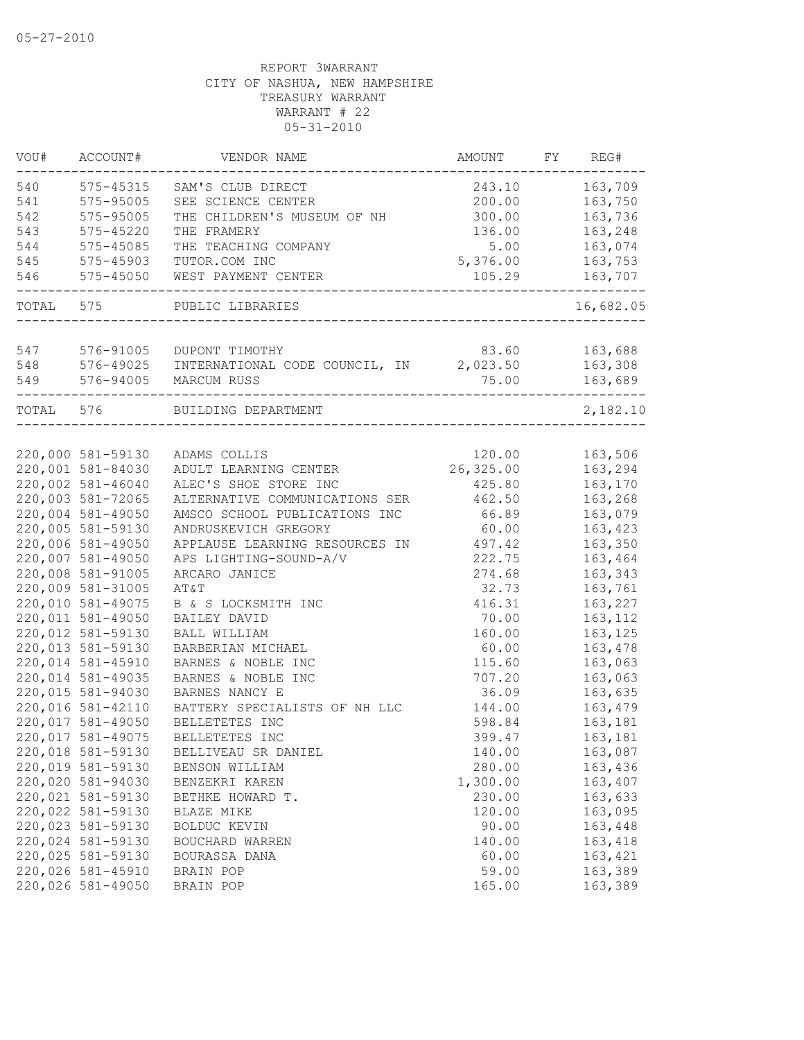| VOU#      | ACCOUNT#          | VENDOR NAME                             | AMOUNT                          | FY | REG#      |
|-----------|-------------------|-----------------------------------------|---------------------------------|----|-----------|
| 540       | 575-45315         | SAM'S CLUB DIRECT                       | 243.10                          |    | 163,709   |
| 541       | 575-95005         | SEE SCIENCE CENTER                      | 200.00                          |    | 163,750   |
| 542       | 575-95005         | THE CHILDREN'S MUSEUM OF NH             | 300.00                          |    | 163,736   |
| 543       | 575-45220         | THE FRAMERY                             | 136.00                          |    | 163,248   |
| 544       | 575-45085         | THE TEACHING COMPANY                    | 5.00                            |    | 163,074   |
| 545       | 575-45903         | TUTOR.COM INC                           | 5,376.00                        |    | 163,753   |
| 546       | $575 - 45050$     | WEST PAYMENT CENTER                     | 105.29<br>. _ _ _ _ _ _ _ _ _ _ |    | 163,707   |
| TOTAL 575 |                   | PUBLIC LIBRARIES                        |                                 |    | 16,682.05 |
|           |                   |                                         |                                 |    |           |
| 547       | 576-91005         | DUPONT TIMOTHY                          | 83.60                           |    | 163,688   |
| 548       | 576-49025         | INTERNATIONAL CODE COUNCIL, IN 2,023.50 |                                 |    | 163,308   |
| 549       | 576-94005         | MARCUM RUSS                             | 75.00                           |    | 163,689   |
| TOTAL 576 |                   | BUILDING DEPARTMENT                     |                                 |    | 2,182.10  |
|           |                   |                                         |                                 |    |           |
|           | 220,000 581-59130 | ADAMS COLLIS                            | 120.00                          |    | 163,506   |
|           | 220,001 581-84030 | ADULT LEARNING CENTER                   | 26,325.00                       |    | 163,294   |
|           | 220,002 581-46040 | ALEC'S SHOE STORE INC                   | 425.80                          |    | 163,170   |
|           | 220,003 581-72065 | ALTERNATIVE COMMUNICATIONS SER          | 462.50                          |    | 163,268   |
|           | 220,004 581-49050 | AMSCO SCHOOL PUBLICATIONS INC           | 66.89                           |    | 163,079   |
|           | 220,005 581-59130 | ANDRUSKEVICH GREGORY                    | 60.00                           |    | 163,423   |
|           | 220,006 581-49050 | APPLAUSE LEARNING RESOURCES IN          | 497.42                          |    | 163,350   |
|           | 220,007 581-49050 | APS LIGHTING-SOUND-A/V                  | 222.75                          |    | 163,464   |
|           | 220,008 581-91005 | ARCARO JANICE                           | 274.68                          |    | 163,343   |
|           | 220,009 581-31005 | AT&T                                    | 32.73                           |    | 163,761   |
|           | 220,010 581-49075 | B & S LOCKSMITH INC                     | 416.31                          |    | 163,227   |
|           | 220,011 581-49050 | BAILEY DAVID                            | 70.00                           |    | 163,112   |
|           | 220,012 581-59130 | BALL WILLIAM                            | 160.00                          |    | 163,125   |
|           | 220,013 581-59130 | BARBERIAN MICHAEL                       | 60.00                           |    | 163,478   |
|           | 220,014 581-45910 | BARNES & NOBLE INC                      | 115.60                          |    | 163,063   |
|           | 220,014 581-49035 | BARNES & NOBLE INC                      | 707.20                          |    | 163,063   |
|           | 220,015 581-94030 | BARNES NANCY E                          | 36.09                           |    | 163,635   |
|           | 220,016 581-42110 | BATTERY SPECIALISTS OF NH LLC           | 144.00                          |    | 163,479   |
|           | 220,017 581-49050 | BELLETETES INC                          | 598.84                          |    | 163,181   |
|           | 220,017 581-49075 | BELLETETES INC                          | 399.47                          |    | 163,181   |
|           | 220,018 581-59130 | BELLIVEAU SR DANIEL                     | 140.00                          |    | 163,087   |
|           | 220,019 581-59130 | BENSON WILLIAM                          | 280.00                          |    | 163,436   |
|           | 220,020 581-94030 | BENZEKRI KAREN                          | 1,300.00                        |    | 163,407   |
|           | 220,021 581-59130 | BETHKE HOWARD T.                        | 230.00                          |    | 163,633   |
|           | 220,022 581-59130 | BLAZE MIKE                              | 120.00                          |    | 163,095   |
|           | 220,023 581-59130 | BOLDUC KEVIN                            | 90.00                           |    | 163,448   |
|           | 220,024 581-59130 | BOUCHARD WARREN                         | 140.00                          |    | 163,418   |
|           | 220,025 581-59130 | BOURASSA DANA                           | 60.00                           |    | 163,421   |
|           | 220,026 581-45910 | BRAIN POP                               | 59.00                           |    | 163,389   |
|           | 220,026 581-49050 | BRAIN POP                               | 165.00                          |    | 163,389   |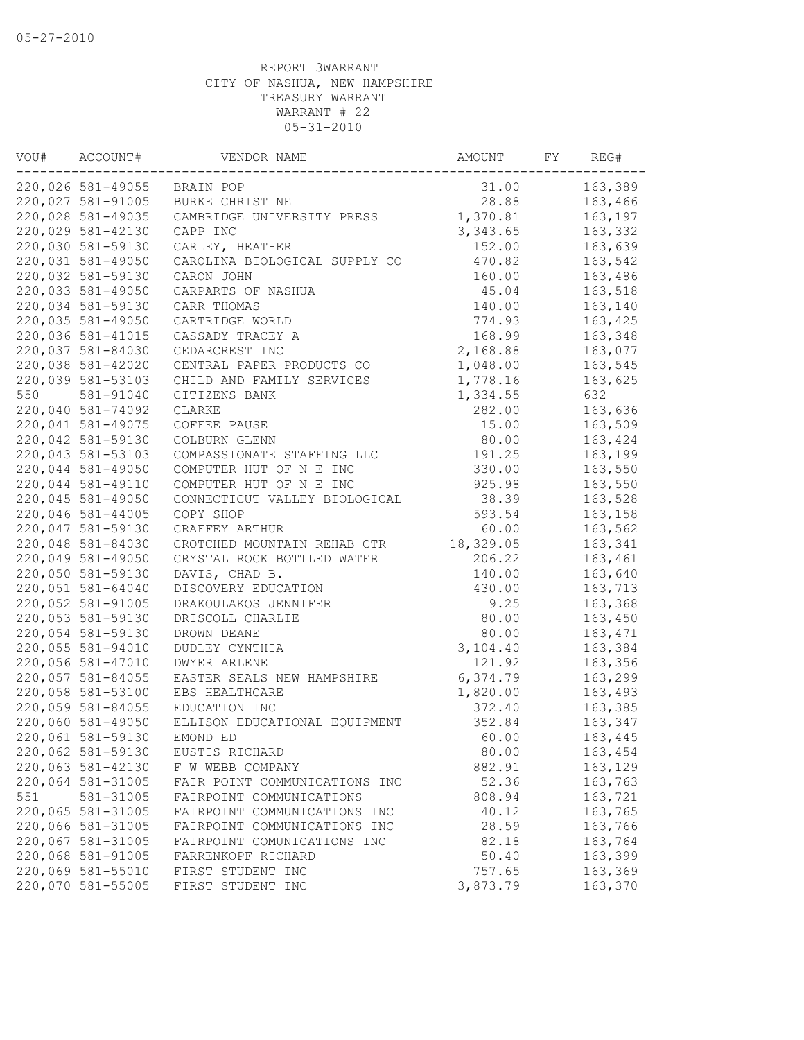| VOU# | ACCOUNT#          | VENDOR NAME                   | AMOUNT    | FY | REG#    |
|------|-------------------|-------------------------------|-----------|----|---------|
|      | 220,026 581-49055 | BRAIN POP                     | 31.00     |    | 163,389 |
|      | 220,027 581-91005 | BURKE CHRISTINE               | 28.88     |    | 163,466 |
|      | 220,028 581-49035 | CAMBRIDGE UNIVERSITY PRESS    | 1,370.81  |    | 163,197 |
|      | 220,029 581-42130 | CAPP INC                      | 3,343.65  |    | 163,332 |
|      | 220,030 581-59130 | CARLEY, HEATHER               | 152.00    |    | 163,639 |
|      | 220,031 581-49050 | CAROLINA BIOLOGICAL SUPPLY CO | 470.82    |    | 163,542 |
|      | 220,032 581-59130 | CARON JOHN                    | 160.00    |    | 163,486 |
|      | 220,033 581-49050 | CARPARTS OF NASHUA            | 45.04     |    | 163,518 |
|      | 220,034 581-59130 | CARR THOMAS                   | 140.00    |    | 163,140 |
|      | 220,035 581-49050 | CARTRIDGE WORLD               | 774.93    |    | 163,425 |
|      | 220,036 581-41015 | CASSADY TRACEY A              | 168.99    |    | 163,348 |
|      | 220,037 581-84030 | CEDARCREST INC                | 2,168.88  |    | 163,077 |
|      | 220,038 581-42020 | CENTRAL PAPER PRODUCTS CO     | 1,048.00  |    | 163,545 |
|      | 220,039 581-53103 | CHILD AND FAMILY SERVICES     | 1,778.16  |    | 163,625 |
| 550  | 581-91040         | CITIZENS BANK                 | 1,334.55  |    | 632     |
|      | 220,040 581-74092 | CLARKE                        | 282.00    |    | 163,636 |
|      | 220,041 581-49075 | COFFEE PAUSE                  | 15.00     |    | 163,509 |
|      | 220,042 581-59130 | COLBURN GLENN                 | 80.00     |    | 163,424 |
|      | 220,043 581-53103 | COMPASSIONATE STAFFING LLC    | 191.25    |    | 163,199 |
|      | 220,044 581-49050 | COMPUTER HUT OF N E INC       | 330.00    |    | 163,550 |
|      | 220,044 581-49110 | COMPUTER HUT OF N E INC       | 925.98    |    | 163,550 |
|      | 220,045 581-49050 | CONNECTICUT VALLEY BIOLOGICAL | 38.39     |    | 163,528 |
|      | 220,046 581-44005 | COPY SHOP                     | 593.54    |    | 163,158 |
|      | 220,047 581-59130 | CRAFFEY ARTHUR                | 60.00     |    | 163,562 |
|      | 220,048 581-84030 | CROTCHED MOUNTAIN REHAB CTR   | 18,329.05 |    | 163,341 |
|      | 220,049 581-49050 | CRYSTAL ROCK BOTTLED WATER    | 206.22    |    | 163,461 |
|      | 220,050 581-59130 | DAVIS, CHAD B.                | 140.00    |    | 163,640 |
|      | 220,051 581-64040 | DISCOVERY EDUCATION           | 430.00    |    | 163,713 |
|      | 220,052 581-91005 | DRAKOULAKOS JENNIFER          | 9.25      |    | 163,368 |
|      | 220,053 581-59130 | DRISCOLL CHARLIE              | 80.00     |    | 163,450 |
|      | 220,054 581-59130 | DROWN DEANE                   | 80.00     |    | 163,471 |
|      | 220,055 581-94010 | DUDLEY CYNTHIA                | 3,104.40  |    | 163,384 |
|      | 220,056 581-47010 | <b>DWYER ARLENE</b>           | 121.92    |    | 163,356 |
|      | 220,057 581-84055 | EASTER SEALS NEW HAMPSHIRE    | 6,374.79  |    | 163,299 |
|      | 220,058 581-53100 | EBS HEALTHCARE                | 1,820.00  |    | 163,493 |
|      | 220,059 581-84055 | EDUCATION INC                 | 372.40    |    | 163,385 |
|      | 220,060 581-49050 | ELLISON EDUCATIONAL EQUIPMENT | 352.84    |    | 163,347 |
|      | 220,061 581-59130 | EMOND ED                      | 60.00     |    | 163,445 |
|      | 220,062 581-59130 | EUSTIS RICHARD                | 80.00     |    | 163,454 |
|      | 220,063 581-42130 | F W WEBB COMPANY              | 882.91    |    | 163,129 |
|      | 220,064 581-31005 | FAIR POINT COMMUNICATIONS INC | 52.36     |    | 163,763 |
| 551  | 581-31005         | FAIRPOINT COMMUNICATIONS      | 808.94    |    | 163,721 |
|      | 220,065 581-31005 | FAIRPOINT COMMUNICATIONS INC  | 40.12     |    | 163,765 |
|      | 220,066 581-31005 | FAIRPOINT COMMUNICATIONS INC  | 28.59     |    | 163,766 |
|      | 220,067 581-31005 | FAIRPOINT COMUNICATIONS INC   | 82.18     |    | 163,764 |
|      | 220,068 581-91005 | FARRENKOPF RICHARD            | 50.40     |    | 163,399 |
|      | 220,069 581-55010 | FIRST STUDENT INC             | 757.65    |    | 163,369 |
|      | 220,070 581-55005 |                               | 3,873.79  |    |         |
|      |                   | FIRST STUDENT INC             |           |    | 163,370 |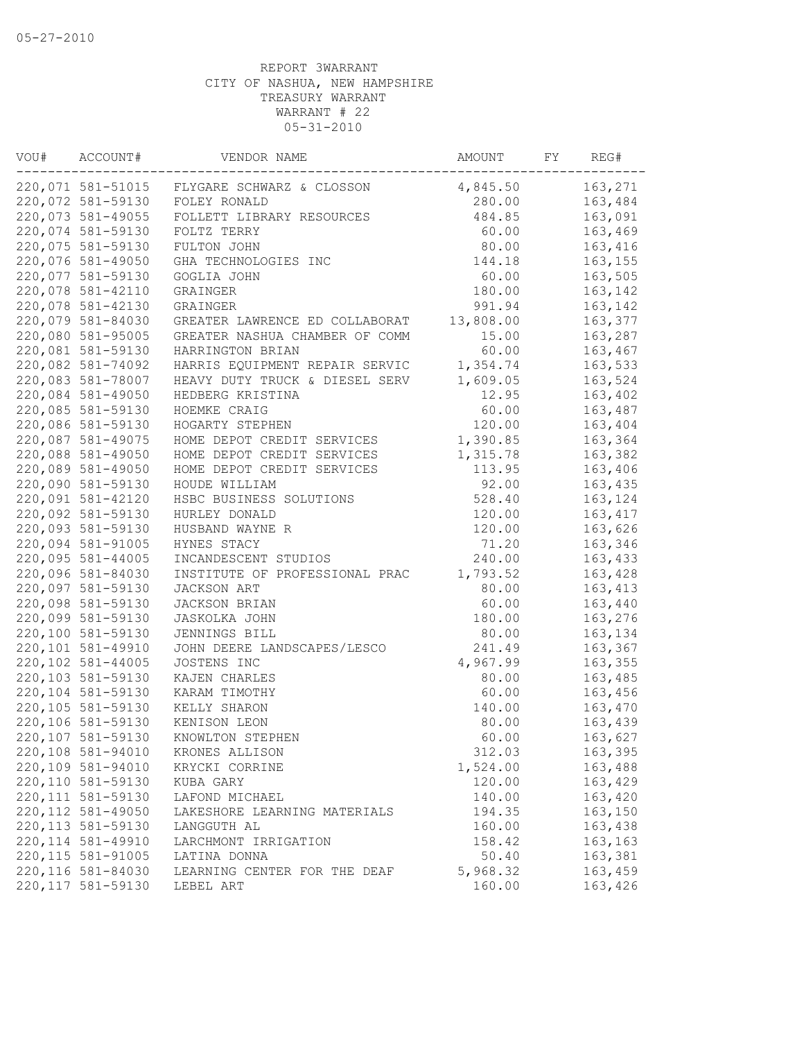| VOU# | ACCOUNT#           | VENDOR NAME                                 | AMOUNT    | FY | REG#     |
|------|--------------------|---------------------------------------------|-----------|----|----------|
|      |                    | 220,071 581-51015 FLYGARE SCHWARZ & CLOSSON | 4,845.50  |    | 163,271  |
|      | 220,072 581-59130  | FOLEY RONALD                                | 280.00    |    | 163,484  |
|      | 220,073 581-49055  | FOLLETT LIBRARY RESOURCES                   | 484.85    |    | 163,091  |
|      | 220,074 581-59130  | FOLTZ TERRY                                 | 60.00     |    | 163,469  |
|      | 220,075 581-59130  | FULTON JOHN                                 | 80.00     |    | 163,416  |
|      | 220,076 581-49050  | GHA TECHNOLOGIES INC                        | 144.18    |    | 163,155  |
|      | 220,077 581-59130  | GOGLIA JOHN                                 | 60.00     |    | 163,505  |
|      | 220,078 581-42110  | GRAINGER                                    | 180.00    |    | 163,142  |
|      | 220,078 581-42130  | GRAINGER                                    | 991.94    |    | 163,142  |
|      | 220,079 581-84030  | GREATER LAWRENCE ED COLLABORAT              | 13,808.00 |    | 163,377  |
|      | 220,080 581-95005  | GREATER NASHUA CHAMBER OF COMM              | 15.00     |    | 163,287  |
|      | 220,081 581-59130  | HARRINGTON BRIAN                            | 60.00     |    | 163,467  |
|      | 220,082 581-74092  | HARRIS EQUIPMENT REPAIR SERVIC              | 1,354.74  |    | 163,533  |
|      | 220,083 581-78007  | HEAVY DUTY TRUCK & DIESEL SERV              | 1,609.05  |    | 163,524  |
|      | 220,084 581-49050  | HEDBERG KRISTINA                            | 12.95     |    | 163,402  |
|      | 220,085 581-59130  | HOEMKE CRAIG                                | 60.00     |    | 163,487  |
|      | 220,086 581-59130  | HOGARTY STEPHEN                             | 120.00    |    | 163,404  |
|      | 220,087 581-49075  | HOME DEPOT CREDIT SERVICES                  | 1,390.85  |    | 163,364  |
|      | 220,088 581-49050  | HOME DEPOT CREDIT SERVICES                  | 1,315.78  |    | 163,382  |
|      | 220,089 581-49050  | HOME DEPOT CREDIT SERVICES                  | 113.95    |    | 163,406  |
|      | 220,090 581-59130  | HOUDE WILLIAM                               | 92.00     |    | 163,435  |
|      | 220,091 581-42120  | HSBC BUSINESS SOLUTIONS                     | 528.40    |    | 163,124  |
|      | 220,092 581-59130  | HURLEY DONALD                               | 120.00    |    | 163, 417 |
|      | 220,093 581-59130  | HUSBAND WAYNE R                             | 120.00    |    | 163,626  |
|      | 220,094 581-91005  | HYNES STACY                                 | 71.20     |    | 163,346  |
|      | 220,095 581-44005  | INCANDESCENT STUDIOS                        | 240.00    |    | 163,433  |
|      | 220,096 581-84030  | INSTITUTE OF PROFESSIONAL PRAC              | 1,793.52  |    | 163,428  |
|      | 220,097 581-59130  | JACKSON ART                                 | 80.00     |    | 163, 413 |
|      | 220,098 581-59130  | JACKSON BRIAN                               | 60.00     |    | 163,440  |
|      | 220,099 581-59130  | JASKOLKA JOHN                               | 180.00    |    | 163,276  |
|      | 220,100 581-59130  | JENNINGS BILL                               | 80.00     |    | 163,134  |
|      | 220,101 581-49910  | JOHN DEERE LANDSCAPES/LESCO                 | 241.49    |    | 163,367  |
|      | 220,102 581-44005  | JOSTENS INC                                 | 4,967.99  |    | 163,355  |
|      | 220,103 581-59130  | KAJEN CHARLES                               | 80.00     |    | 163,485  |
|      | 220,104 581-59130  | KARAM TIMOTHY                               | 60.00     |    | 163,456  |
|      | 220,105 581-59130  | KELLY SHARON                                | 140.00    |    | 163,470  |
|      | 220,106 581-59130  | KENISON LEON                                | 80.00     |    | 163,439  |
|      | 220,107 581-59130  | KNOWLTON STEPHEN                            | 60.00     |    | 163,627  |
|      | 220,108 581-94010  | KRONES ALLISON                              | 312.03    |    | 163,395  |
|      | 220,109 581-94010  | KRYCKI CORRINE                              | 1,524.00  |    | 163,488  |
|      | 220,110 581-59130  | KUBA GARY                                   | 120.00    |    | 163,429  |
|      | 220, 111 581-59130 | LAFOND MICHAEL                              | 140.00    |    | 163,420  |
|      | 220, 112 581-49050 | LAKESHORE LEARNING MATERIALS                | 194.35    |    | 163,150  |
|      | 220, 113 581-59130 | LANGGUTH AL                                 | 160.00    |    | 163,438  |
|      | 220, 114 581-49910 | LARCHMONT IRRIGATION                        | 158.42    |    | 163,163  |
|      | 220, 115 581-91005 | LATINA DONNA                                | 50.40     |    | 163,381  |
|      | 220, 116 581-84030 | LEARNING CENTER FOR THE DEAF                | 5,968.32  |    | 163,459  |
|      | 220, 117 581-59130 | LEBEL ART                                   | 160.00    |    | 163,426  |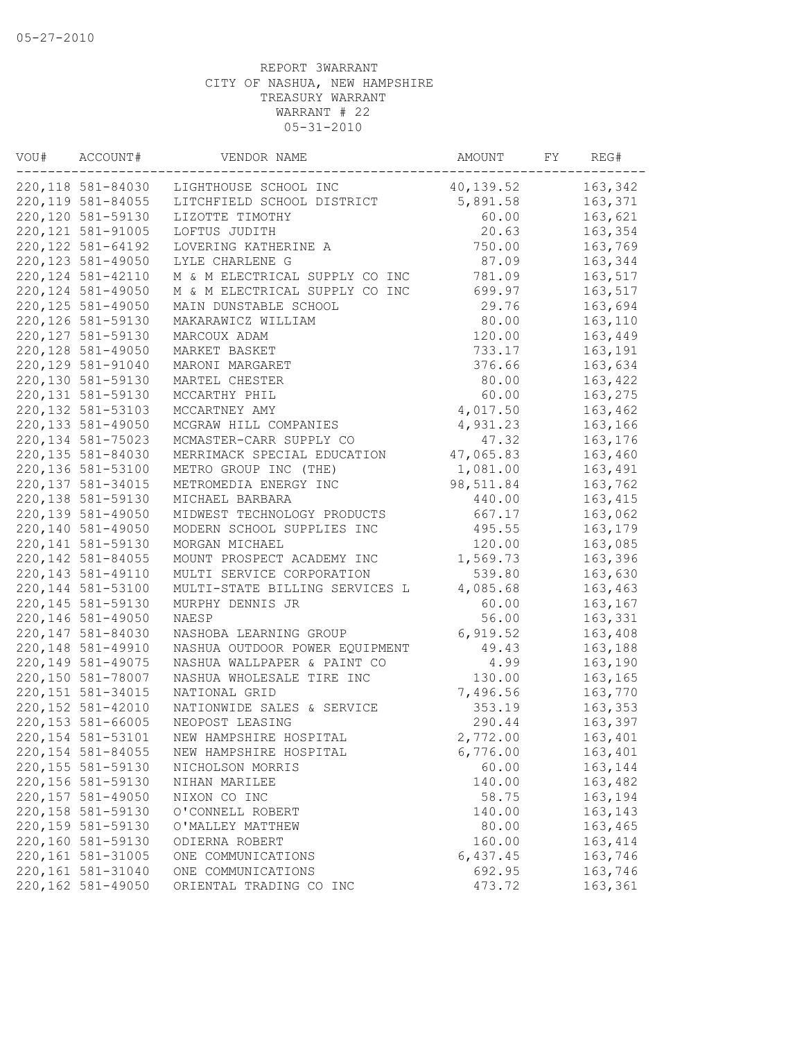| VOU# | ACCOUNT#           | VENDOR NAME                    | AMOUNT    | FY | REG#     |
|------|--------------------|--------------------------------|-----------|----|----------|
|      | 220,118 581-84030  | LIGHTHOUSE SCHOOL INC          | 40,139.52 |    | 163,342  |
|      | 220, 119 581-84055 | LITCHFIELD SCHOOL DISTRICT     | 5,891.58  |    | 163,371  |
|      | 220,120 581-59130  | LIZOTTE TIMOTHY                | 60.00     |    | 163,621  |
|      | 220, 121 581-91005 | LOFTUS JUDITH                  | 20.63     |    | 163,354  |
|      | 220, 122 581-64192 | LOVERING KATHERINE A           | 750.00    |    | 163,769  |
|      | 220, 123 581-49050 | LYLE CHARLENE G                | 87.09     |    | 163,344  |
|      | 220, 124 581-42110 | M & M ELECTRICAL SUPPLY CO INC | 781.09    |    | 163,517  |
|      | 220, 124 581-49050 | M & M ELECTRICAL SUPPLY CO INC | 699.97    |    | 163,517  |
|      | 220, 125 581-49050 | MAIN DUNSTABLE SCHOOL          | 29.76     |    | 163,694  |
|      | 220, 126 581-59130 | MAKARAWICZ WILLIAM             | 80.00     |    | 163,110  |
|      | 220, 127 581-59130 | MARCOUX ADAM                   | 120.00    |    | 163,449  |
|      | 220, 128 581-49050 | MARKET BASKET                  | 733.17    |    | 163,191  |
|      | 220, 129 581-91040 | MARONI MARGARET                | 376.66    |    | 163,634  |
|      | 220,130 581-59130  | MARTEL CHESTER                 | 80.00     |    | 163,422  |
|      | 220, 131 581-59130 | MCCARTHY PHIL                  | 60.00     |    | 163,275  |
|      | 220, 132 581-53103 | MCCARTNEY AMY                  | 4,017.50  |    | 163,462  |
|      | 220, 133 581-49050 | MCGRAW HILL COMPANIES          | 4,931.23  |    | 163,166  |
|      | 220, 134 581-75023 | MCMASTER-CARR SUPPLY CO        | 47.32     |    | 163,176  |
|      | 220, 135 581-84030 | MERRIMACK SPECIAL EDUCATION    | 47,065.83 |    | 163,460  |
|      | 220,136 581-53100  | METRO GROUP INC (THE)          | 1,081.00  |    | 163,491  |
|      | 220, 137 581-34015 | METROMEDIA ENERGY INC          | 98,511.84 |    | 163,762  |
|      | 220,138 581-59130  | MICHAEL BARBARA                | 440.00    |    | 163, 415 |
|      | 220, 139 581-49050 | MIDWEST TECHNOLOGY PRODUCTS    | 667.17    |    | 163,062  |
|      | 220,140 581-49050  | MODERN SCHOOL SUPPLIES INC     | 495.55    |    | 163,179  |
|      | 220, 141 581-59130 | MORGAN MICHAEL                 | 120.00    |    | 163,085  |
|      | 220, 142 581-84055 | MOUNT PROSPECT ACADEMY INC     | 1,569.73  |    | 163,396  |
|      | 220, 143 581-49110 | MULTI SERVICE CORPORATION      | 539.80    |    | 163,630  |
|      | 220, 144 581-53100 | MULTI-STATE BILLING SERVICES L | 4,085.68  |    | 163,463  |
|      | 220, 145 581-59130 | MURPHY DENNIS JR               | 60.00     |    | 163,167  |
|      | 220, 146 581-49050 | NAESP                          | 56.00     |    | 163,331  |
|      | 220, 147 581-84030 | NASHOBA LEARNING GROUP         | 6,919.52  |    | 163,408  |
|      | 220, 148 581-49910 | NASHUA OUTDOOR POWER EQUIPMENT | 49.43     |    | 163,188  |
|      | 220, 149 581-49075 | NASHUA WALLPAPER & PAINT CO    | 4.99      |    | 163,190  |
|      | 220,150 581-78007  | NASHUA WHOLESALE TIRE INC      | 130.00    |    | 163,165  |
|      | 220, 151 581-34015 | NATIONAL GRID                  | 7,496.56  |    | 163,770  |
|      | 220, 152 581-42010 | NATIONWIDE SALES & SERVICE     | 353.19    |    | 163,353  |
|      | 220, 153 581-66005 | NEOPOST LEASING                | 290.44    |    | 163,397  |
|      | 220, 154 581-53101 | NEW HAMPSHIRE HOSPITAL         | 2,772.00  |    | 163,401  |
|      | 220, 154 581-84055 | NEW HAMPSHIRE HOSPITAL         | 6,776.00  |    | 163,401  |
|      | 220,155 581-59130  | NICHOLSON MORRIS               | 60.00     |    | 163,144  |
|      | 220,156 581-59130  | NIHAN MARILEE                  | 140.00    |    | 163,482  |
|      | 220, 157 581-49050 | NIXON CO INC                   | 58.75     |    | 163,194  |
|      | 220,158 581-59130  | O'CONNELL ROBERT               | 140.00    |    | 163,143  |
|      | 220,159 581-59130  | O'MALLEY MATTHEW               | 80.00     |    | 163,465  |
|      | 220,160 581-59130  | ODIERNA ROBERT                 | 160.00    |    | 163,414  |
|      | 220,161 581-31005  | ONE COMMUNICATIONS             | 6,437.45  |    | 163,746  |
|      | 220,161 581-31040  | ONE COMMUNICATIONS             | 692.95    |    | 163,746  |
|      | 220,162 581-49050  | ORIENTAL TRADING CO INC        | 473.72    |    | 163,361  |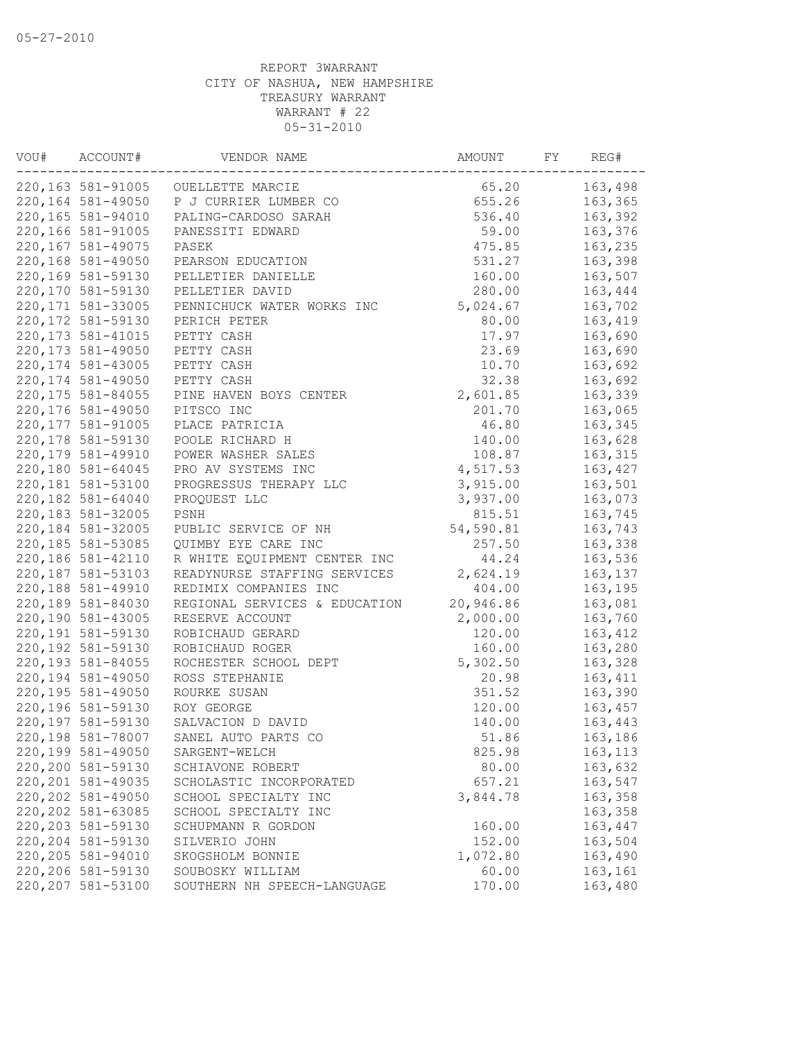| VOU# | ACCOUNT#           | VENDOR NAME                       | AMOUNT          | FY | REG#     |
|------|--------------------|-----------------------------------|-----------------|----|----------|
|      | 220,163 581-91005  | OUELLETTE MARCIE                  | 65.20           |    | 163,498  |
|      | 220, 164 581-49050 | P J CURRIER LUMBER CO             | 655.26          |    | 163,365  |
|      | 220,165 581-94010  | PALING-CARDOSO SARAH              | 536.40          |    | 163,392  |
|      | 220,166 581-91005  | PANESSITI EDWARD                  | 59.00           |    | 163,376  |
|      | 220, 167 581-49075 | PASEK                             | 475.85          |    | 163,235  |
|      | 220,168 581-49050  | PEARSON EDUCATION                 | 531.27          |    | 163,398  |
|      | 220,169 581-59130  | PELLETIER DANIELLE                | 160.00          |    | 163,507  |
|      | 220,170 581-59130  | PELLETIER DAVID                   | 280.00          |    | 163,444  |
|      | 220, 171 581-33005 | PENNICHUCK WATER WORKS INC        | 5,024.67        |    | 163,702  |
|      | 220, 172 581-59130 | PERICH PETER                      | 80.00           |    | 163,419  |
|      | 220, 173 581-41015 | PETTY CASH                        | 17.97           |    | 163,690  |
|      | 220, 173 581-49050 | PETTY CASH                        | 23.69           |    | 163,690  |
|      | 220, 174 581-43005 | PETTY CASH                        | 10.70           |    | 163,692  |
|      | 220, 174 581-49050 | PETTY CASH                        | 32.38           |    | 163,692  |
|      | 220, 175 581-84055 | PINE HAVEN BOYS CENTER            | 2,601.85        |    | 163,339  |
|      | 220,176 581-49050  | PITSCO INC                        | 201.70          |    | 163,065  |
|      | 220, 177 581-91005 | PLACE PATRICIA                    | 46.80           |    | 163,345  |
|      | 220, 178 581-59130 | POOLE RICHARD H                   | 140.00          |    | 163,628  |
|      | 220, 179 581-49910 | POWER WASHER SALES                | 108.87          |    | 163, 315 |
|      | 220,180 581-64045  | PRO AV SYSTEMS INC                | 4,517.53        |    | 163,427  |
|      | 220,181 581-53100  | PROGRESSUS THERAPY LLC            | 3,915.00        |    | 163,501  |
|      | 220,182 581-64040  | PROQUEST LLC                      | 3,937.00        |    | 163,073  |
|      | 220, 183 581-32005 | PSNH                              | 815.51          |    | 163,745  |
|      | 220, 184 581-32005 | PUBLIC SERVICE OF NH              | 54,590.81       |    | 163,743  |
|      | 220, 185 581-53085 | QUIMBY EYE CARE INC               | 257.50          |    | 163,338  |
|      | 220,186 581-42110  | R WHITE EQUIPMENT CENTER INC      | 44.24           |    | 163,536  |
|      | 220, 187 581-53103 | READYNURSE STAFFING SERVICES      | 2,624.19        |    | 163,137  |
|      | 220,188 581-49910  | REDIMIX COMPANIES INC             | 404.00          |    | 163,195  |
|      | 220,189 581-84030  | REGIONAL SERVICES & EDUCATION     | 20,946.86       |    | 163,081  |
|      | 220,190 581-43005  | RESERVE ACCOUNT                   | 2,000.00        |    | 163,760  |
|      | 220, 191 581-59130 | ROBICHAUD GERARD                  | 120.00          |    | 163,412  |
|      | 220,192 581-59130  | ROBICHAUD ROGER                   | 160.00          |    | 163,280  |
|      | 220, 193 581-84055 | ROCHESTER SCHOOL DEPT             | 5,302.50        |    | 163,328  |
|      | 220,194 581-49050  | ROSS STEPHANIE                    | 20.98           |    | 163,411  |
|      | 220, 195 581-49050 | ROURKE SUSAN                      | 351.52          |    | 163,390  |
|      | 220,196 581-59130  | ROY GEORGE                        | 120.00          |    | 163,457  |
|      | 220,197 581-59130  | SALVACION D DAVID                 | 140.00          |    | 163,443  |
|      | 220,198 581-78007  | SANEL AUTO PARTS CO               | 51.86           |    | 163,186  |
|      | 220,199 581-49050  |                                   |                 |    | 163, 113 |
|      | 220,200 581-59130  | SARGENT-WELCH<br>SCHIAVONE ROBERT | 825.98<br>80.00 |    | 163,632  |
|      | 220, 201 581-49035 |                                   |                 |    |          |
|      | 220, 202 581-49050 | SCHOLASTIC INCORPORATED           | 657.21          |    | 163,547  |
|      |                    | SCHOOL SPECIALTY INC              | 3,844.78        |    | 163,358  |
|      | 220, 202 581-63085 | SCHOOL SPECIALTY INC              |                 |    | 163,358  |
|      | 220, 203 581-59130 | SCHUPMANN R GORDON                | 160.00          |    | 163,447  |
|      | 220, 204 581-59130 | SILVERIO JOHN                     | 152.00          |    | 163,504  |
|      | 220, 205 581-94010 | SKOGSHOLM BONNIE                  | 1,072.80        |    | 163,490  |
|      | 220,206 581-59130  | SOUBOSKY WILLIAM                  | 60.00           |    | 163,161  |
|      | 220, 207 581-53100 | SOUTHERN NH SPEECH-LANGUAGE       | 170.00          |    | 163,480  |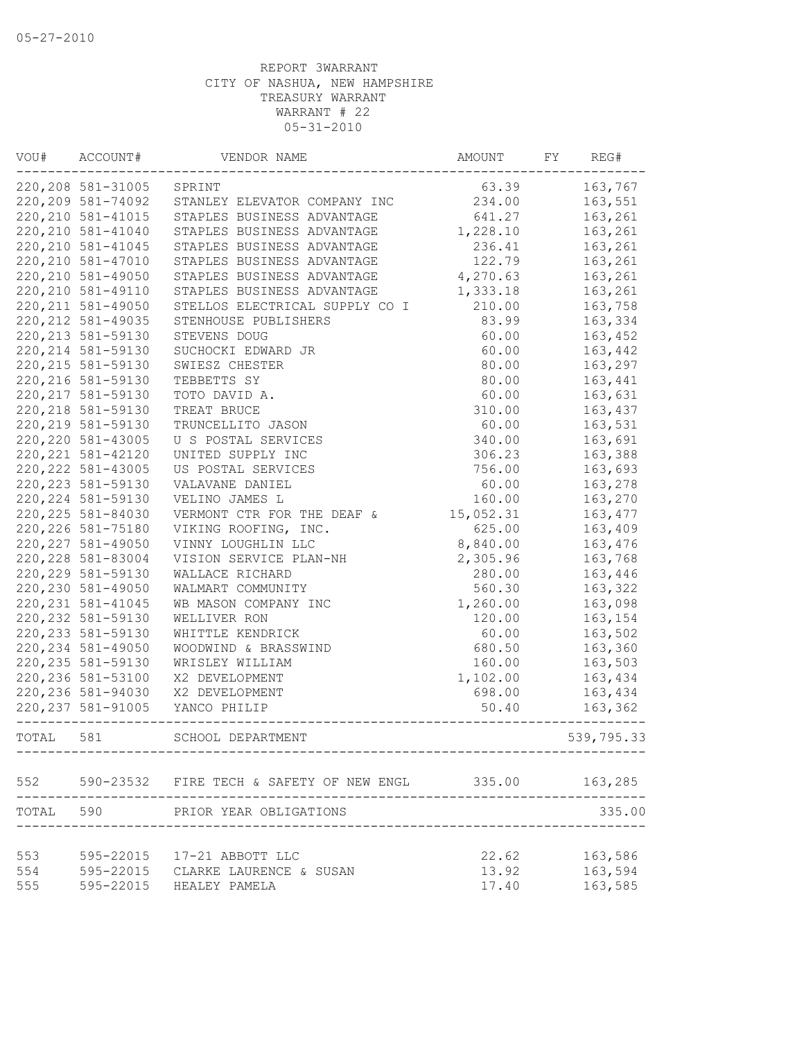| VOU#  | ACCOUNT#           | VENDOR NAME                                  | AMOUNT                         | FY | REG#       |
|-------|--------------------|----------------------------------------------|--------------------------------|----|------------|
|       | 220, 208 581-31005 | SPRINT                                       | 63.39                          |    | 163,767    |
|       | 220, 209 581-74092 | STANLEY ELEVATOR COMPANY INC                 | 234.00                         |    | 163,551    |
|       | 220, 210 581-41015 | STAPLES BUSINESS ADVANTAGE                   | 641.27                         |    | 163,261    |
|       | 220, 210 581-41040 | STAPLES BUSINESS ADVANTAGE                   | 1,228.10                       |    | 163,261    |
|       | 220, 210 581-41045 | STAPLES BUSINESS ADVANTAGE                   | 236.41                         |    | 163,261    |
|       | 220, 210 581-47010 | STAPLES BUSINESS ADVANTAGE                   | 122.79                         |    | 163,261    |
|       | 220, 210 581-49050 | STAPLES BUSINESS ADVANTAGE                   | 4,270.63                       |    | 163,261    |
|       | 220, 210 581-49110 | STAPLES BUSINESS ADVANTAGE                   | 1,333.18                       |    | 163,261    |
|       | 220, 211 581-49050 | STELLOS ELECTRICAL SUPPLY CO I               | 210.00                         |    | 163,758    |
|       | 220, 212 581-49035 | STENHOUSE PUBLISHERS                         | 83.99                          |    | 163,334    |
|       | 220, 213 581-59130 | STEVENS DOUG                                 | 60.00                          |    | 163,452    |
|       | 220, 214 581-59130 | SUCHOCKI EDWARD JR                           | 60.00                          |    | 163,442    |
|       | 220, 215 581-59130 | SWIESZ CHESTER                               | 80.00                          |    | 163,297    |
|       | 220, 216 581-59130 | TEBBETTS SY                                  | 80.00                          |    | 163,441    |
|       | 220, 217 581-59130 | TOTO DAVID A.                                | 60.00                          |    | 163,631    |
|       | 220, 218 581-59130 | TREAT BRUCE                                  | 310.00                         |    | 163,437    |
|       | 220, 219 581-59130 | TRUNCELLITO JASON                            | 60.00                          |    | 163,531    |
|       | 220, 220 581-43005 | U S POSTAL SERVICES                          | 340.00                         |    | 163,691    |
|       | 220, 221 581-42120 | UNITED SUPPLY INC                            | 306.23                         |    | 163,388    |
|       | 220, 222 581-43005 | US POSTAL SERVICES                           | 756.00                         |    | 163,693    |
|       | 220, 223 581-59130 | VALAVANE DANIEL                              | 60.00                          |    | 163,278    |
|       | 220, 224 581-59130 | VELINO JAMES L                               | 160.00                         |    | 163,270    |
|       | 220, 225 581-84030 | VERMONT CTR FOR THE DEAF &                   | 15,052.31                      |    | 163, 477   |
|       | 220, 226 581-75180 | VIKING ROOFING, INC.                         | 625.00                         |    | 163,409    |
|       | 220, 227 581-49050 | VINNY LOUGHLIN LLC                           | 8,840.00                       |    | 163,476    |
|       | 220, 228 581-83004 | VISION SERVICE PLAN-NH                       | 2,305.96                       |    | 163,768    |
|       | 220, 229 581-59130 | WALLACE RICHARD                              | 280.00                         |    | 163,446    |
|       | 220, 230 581-49050 | WALMART COMMUNITY                            | 560.30                         |    | 163,322    |
|       | 220, 231 581-41045 | WB MASON COMPANY INC                         | 1,260.00                       |    | 163,098    |
|       | 220, 232 581-59130 | WELLIVER RON                                 | 120.00                         |    | 163,154    |
|       | 220, 233 581-59130 | WHITTLE KENDRICK                             | 60.00                          |    | 163,502    |
|       | 220, 234 581-49050 | WOODWIND & BRASSWIND                         | 680.50                         |    | 163,360    |
|       | 220, 235 581-59130 | WRISLEY WILLIAM                              | 160.00                         |    | 163,503    |
|       | 220, 236 581-53100 | X2 DEVELOPMENT                               | 1,102.00                       |    | 163,434    |
|       | 220, 236 581-94030 | X2 DEVELOPMENT                               | 698.00                         |    | 163,434    |
|       | 220, 237 581-91005 | YANCO PHILIP                                 | 50.40                          |    | 163,362    |
|       |                    |                                              |                                |    |            |
| TOTAL | 581                | SCHOOL DEPARTMENT                            |                                |    | 539,795.33 |
|       |                    | 552 590-23532 FIRE TECH & SAFETY OF NEW ENGL | 335.00                         |    | 163,285    |
|       |                    | TOTAL 590 PRIOR YEAR OBLIGATIONS             |                                |    | 335.00     |
|       |                    |                                              | ------------------------------ |    |            |
| 553   |                    | 595-22015 17-21 ABBOTT LLC                   | 22.62                          |    | 163,586    |
| 554   |                    | 595-22015 CLARKE LAURENCE & SUSAN            | 13.92                          |    | 163,594    |
| 555   |                    | 595-22015 HEALEY PAMELA                      | 17.40                          |    | 163,585    |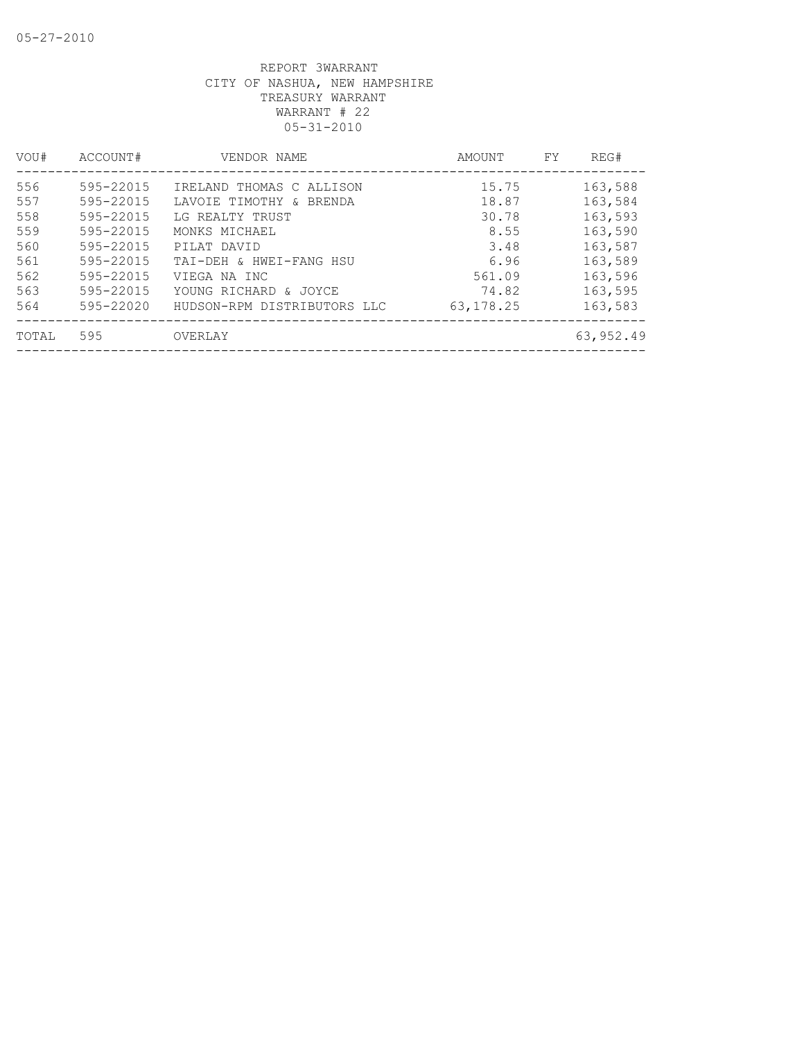| VOU#  | ACCOUNT#  | VENDOR NAME                 | AMOUNT      | FY. | REG#      |
|-------|-----------|-----------------------------|-------------|-----|-----------|
| 556   | 595-22015 | IRELAND THOMAS C ALLISON    | 15.75       |     | 163,588   |
| 557   | 595-22015 | LAVOIE TIMOTHY & BRENDA     | 18.87       |     | 163,584   |
| 558   | 595-22015 | LG REALTY TRUST             | 30.78       |     | 163,593   |
| 559   | 595-22015 | MONKS MICHAEL               | 8.55        |     | 163,590   |
| 560   | 595-22015 | PILAT DAVID                 | 3.48        |     | 163,587   |
| 561   | 595-22015 | TAI-DEH & HWEI-FANG HSU     | 6.96        |     | 163,589   |
| 562   | 595-22015 | VIEGA NA INC                | 561.09      |     | 163,596   |
| 563   | 595-22015 | YOUNG RICHARD & JOYCE       | 74.82       |     | 163,595   |
| 564   | 595-22020 | HUDSON-RPM DISTRIBUTORS LLC | 63, 178. 25 |     | 163,583   |
| TOTAL | 595       | OVERLAY                     |             |     | 63,952.49 |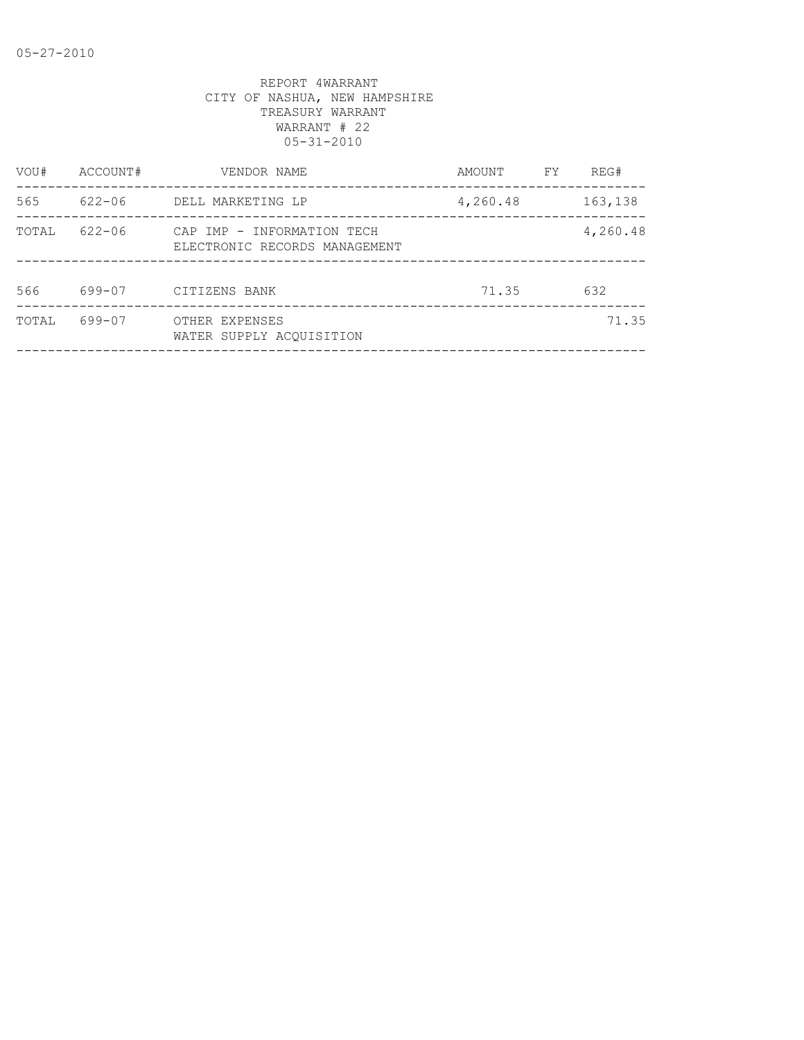| VOU#  | ACCOUNT#   | VENDOR NAME                                                 | AMOUNT   | FY | REG#     |
|-------|------------|-------------------------------------------------------------|----------|----|----------|
| 565   | 622-06     | DELL MARKETING LP                                           | 4,260.48 |    | 163,138  |
| TOTAL | $622 - 06$ | CAP IMP - INFORMATION TECH<br>ELECTRONIC RECORDS MANAGEMENT |          |    | 4,260.48 |
| 566   | 699-07     | CITIZENS BANK                                               | 71.35    |    | 632      |
| TOTAL | 699-07     | OTHER EXPENSES<br>WATER SUPPLY ACOUISITION                  |          |    | 71.35    |
|       |            |                                                             |          |    |          |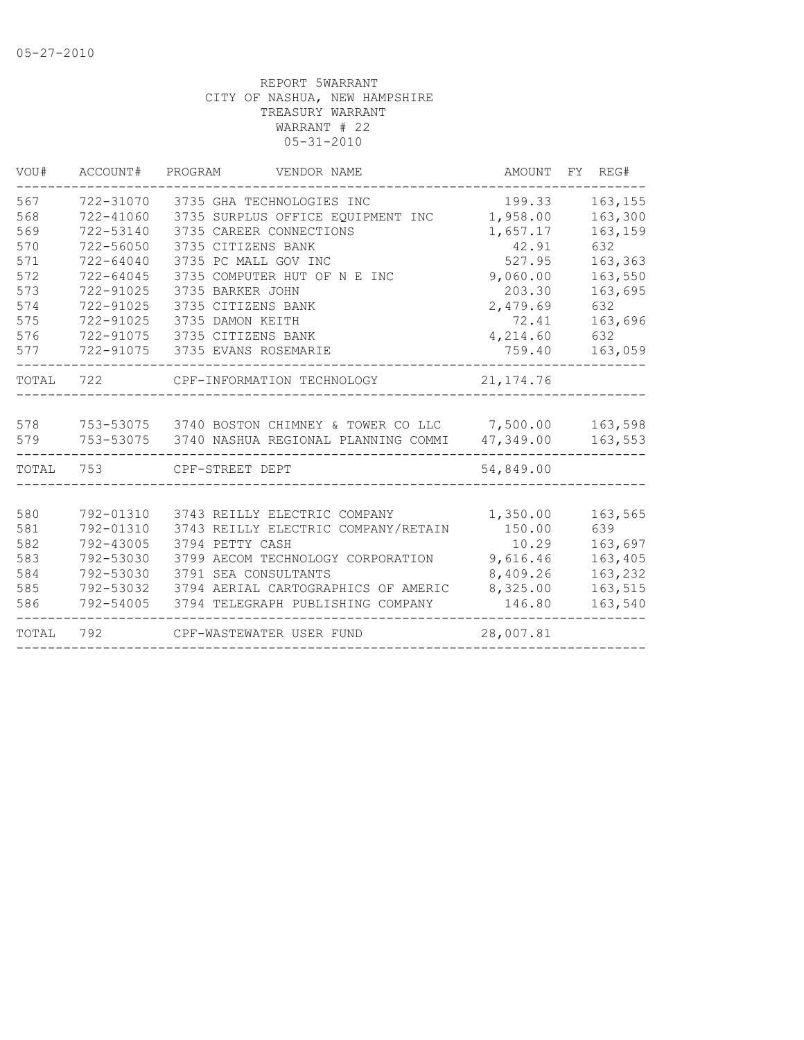| VOU#  | ACCOUNT#      | PROGRAM<br>VENDOR NAME                                  | AMOUNT     | FY REG# |
|-------|---------------|---------------------------------------------------------|------------|---------|
| 567   | 722-31070     | 3735 GHA TECHNOLOGIES INC                               | 199.33     | 163,155 |
| 568   | 722-41060     | 3735 SURPLUS OFFICE EQUIPMENT INC                       | 1,958.00   | 163,300 |
| 569   | 722-53140     | 3735 CAREER CONNECTIONS                                 | 1,657.17   | 163,159 |
| 570   | 722-56050     | 3735 CITIZENS BANK                                      | 42.91      | 632     |
| 571   | $722 - 64040$ | 3735 PC MALL GOV INC                                    | 527.95     | 163,363 |
| 572   | $722 - 64045$ | 3735 COMPUTER HUT OF N E INC                            | 9,060.00   | 163,550 |
| 573   | 722-91025     | 3735 BARKER JOHN                                        | 203.30     | 163,695 |
| 574   | 722-91025     | 3735 CITIZENS BANK                                      | 2,479.69   | 632     |
| 575   | 722-91025     | 3735 DAMON KEITH                                        | 72.41      | 163,696 |
| 576   | 722-91075     | 3735 CITIZENS BANK                                      | 4,214.60   | 632     |
| 577   | 722-91075     | 3735 EVANS ROSEMARIE                                    | 759.40     | 163,059 |
| TOTAL | 722           | CPF-INFORMATION TECHNOLOGY                              | 21, 174.76 |         |
|       |               |                                                         |            |         |
| 578   |               | 753-53075 3740 BOSTON CHIMNEY & TOWER CO LLC 7,500.00   |            | 163,598 |
| 579   |               | 753-53075 3740 NASHUA REGIONAL PLANNING COMMI 47,349.00 |            | 163,553 |
| TOTAL | 753           | CPF-STREET DEPT                                         | 54,849.00  |         |
|       |               |                                                         |            |         |
| 580   | 792-01310     | 3743 REILLY ELECTRIC COMPANY                            | 1,350.00   | 163,565 |
| 581   | 792-01310     | 3743 REILLY ELECTRIC COMPANY/RETAIN                     | 150.00     | 639     |
| 582   | 792-43005     | 3794 PETTY CASH                                         | 10.29      | 163,697 |
| 583   | 792-53030     | 3799 AECOM TECHNOLOGY CORPORATION                       | 9,616.46   | 163,405 |
| 584   | 792-53030     | 3791 SEA CONSULTANTS                                    | 8,409.26   | 163,232 |
| 585   | 792-53032     | 3794 AERIAL CARTOGRAPHICS OF AMERIC                     | 8,325.00   | 163,515 |
| 586   | 792-54005     | 3794 TELEGRAPH PUBLISHING COMPANY                       | 146.80     | 163,540 |
| TOTAL | 792           | CPF-WASTEWATER USER FUND                                | 28,007.81  |         |
|       |               |                                                         |            |         |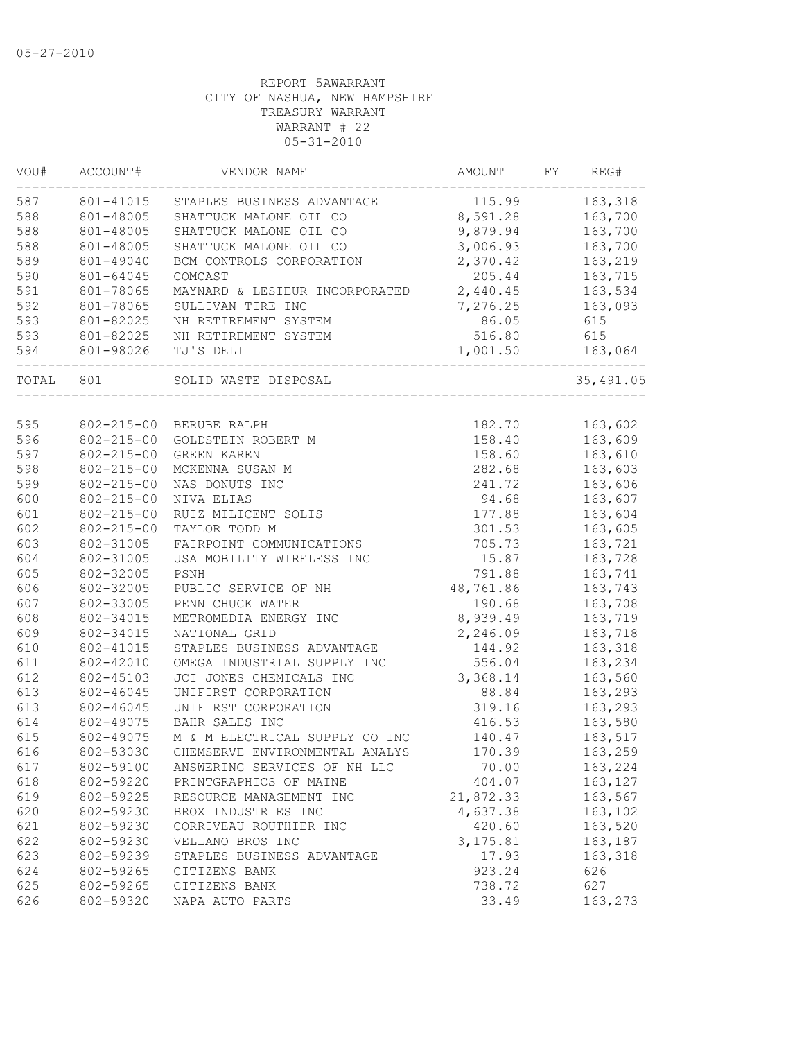| VOU#  | ACCOUNT#         | VENDOR NAME                    | AMOUNT    | FY | REG#       |
|-------|------------------|--------------------------------|-----------|----|------------|
| 587   | 801-41015        | STAPLES BUSINESS ADVANTAGE     | 115.99    |    | 163,318    |
| 588   | 801-48005        | SHATTUCK MALONE OIL CO         | 8,591.28  |    | 163,700    |
| 588   | 801-48005        | SHATTUCK MALONE OIL CO         | 9,879.94  |    | 163,700    |
| 588   | 801-48005        | SHATTUCK MALONE OIL CO         | 3,006.93  |    | 163,700    |
| 589   | 801-49040        | BCM CONTROLS CORPORATION       | 2,370.42  |    | 163,219    |
| 590   | 801-64045        | COMCAST                        | 205.44    |    | 163,715    |
| 591   | 801-78065        | MAYNARD & LESIEUR INCORPORATED | 2,440.45  |    | 163,534    |
| 592   | 801-78065        | SULLIVAN TIRE INC              | 7,276.25  |    | 163,093    |
| 593   | 801-82025        | NH RETIREMENT SYSTEM           | 86.05     |    | 615        |
| 593   | 801-82025        | NH RETIREMENT SYSTEM           | 516.80    |    | 615        |
| 594   | 801-98026        | TJ'S DELI                      | 1,001.50  |    | 163,064    |
| TOTAL | 801              | SOLID WASTE DISPOSAL           |           |    | 35, 491.05 |
|       |                  |                                |           |    |            |
| 595   | $802 - 215 - 00$ | BERUBE RALPH                   | 182.70    |    | 163,602    |
| 596   | $802 - 215 - 00$ | GOLDSTEIN ROBERT M             | 158.40    |    | 163,609    |
| 597   | $802 - 215 - 00$ | <b>GREEN KAREN</b>             | 158.60    |    | 163,610    |
| 598   | $802 - 215 - 00$ | MCKENNA SUSAN M                | 282.68    |    | 163,603    |
| 599   | $802 - 215 - 00$ | NAS DONUTS INC                 | 241.72    |    | 163,606    |
| 600   | $802 - 215 - 00$ | NIVA ELIAS                     | 94.68     |    | 163,607    |
| 601   | $802 - 215 - 00$ | RUIZ MILICENT SOLIS            | 177.88    |    | 163,604    |
| 602   | $802 - 215 - 00$ | TAYLOR TODD M                  | 301.53    |    | 163,605    |
| 603   | 802-31005        | FAIRPOINT COMMUNICATIONS       | 705.73    |    | 163,721    |
| 604   | 802-31005        | USA MOBILITY WIRELESS INC      | 15.87     |    | 163,728    |
| 605   | 802-32005        | PSNH                           | 791.88    |    | 163,741    |
| 606   | 802-32005        | PUBLIC SERVICE OF NH           | 48,761.86 |    | 163,743    |
| 607   | 802-33005        | PENNICHUCK WATER               | 190.68    |    | 163,708    |
| 608   | 802-34015        | METROMEDIA ENERGY INC          | 8,939.49  |    | 163,719    |
| 609   | 802-34015        | NATIONAL GRID                  | 2,246.09  |    | 163,718    |
| 610   | 802-41015        | STAPLES BUSINESS ADVANTAGE     | 144.92    |    | 163,318    |
| 611   | 802-42010        | OMEGA INDUSTRIAL SUPPLY INC    | 556.04    |    | 163,234    |
| 612   | 802-45103        | JCI JONES CHEMICALS INC        | 3,368.14  |    | 163,560    |
| 613   | 802-46045        | UNIFIRST CORPORATION           | 88.84     |    | 163,293    |
| 613   | 802-46045        | UNIFIRST CORPORATION           | 319.16    |    | 163,293    |
| 614   | 802-49075        | BAHR SALES INC                 | 416.53    |    | 163,580    |
| 615   | 802-49075        | M & M ELECTRICAL SUPPLY CO INC | 140.47    |    | 163,517    |
| 616   | 802-53030        | CHEMSERVE ENVIRONMENTAL ANALYS | 170.39    |    | 163,259    |
| 617   | 802-59100        | ANSWERING SERVICES OF NH LLC   | 70.00     |    | 163,224    |
| 618   | 802-59220        | PRINTGRAPHICS OF MAINE         | 404.07    |    | 163, 127   |
| 619   | 802-59225        | RESOURCE MANAGEMENT INC        | 21,872.33 |    | 163,567    |
| 620   | 802-59230        | BROX INDUSTRIES INC            | 4,637.38  |    | 163,102    |
| 621   | 802-59230        | CORRIVEAU ROUTHIER INC         | 420.60    |    | 163,520    |
| 622   | 802-59230        | VELLANO BROS INC               | 3, 175.81 |    | 163,187    |
| 623   | 802-59239        | STAPLES BUSINESS ADVANTAGE     | 17.93     |    | 163,318    |
| 624   | 802-59265        | CITIZENS BANK                  | 923.24    |    | 626        |
| 625   | 802-59265        | CITIZENS BANK                  | 738.72    |    | 627        |
| 626   | 802-59320        | NAPA AUTO PARTS                | 33.49     |    | 163,273    |
|       |                  |                                |           |    |            |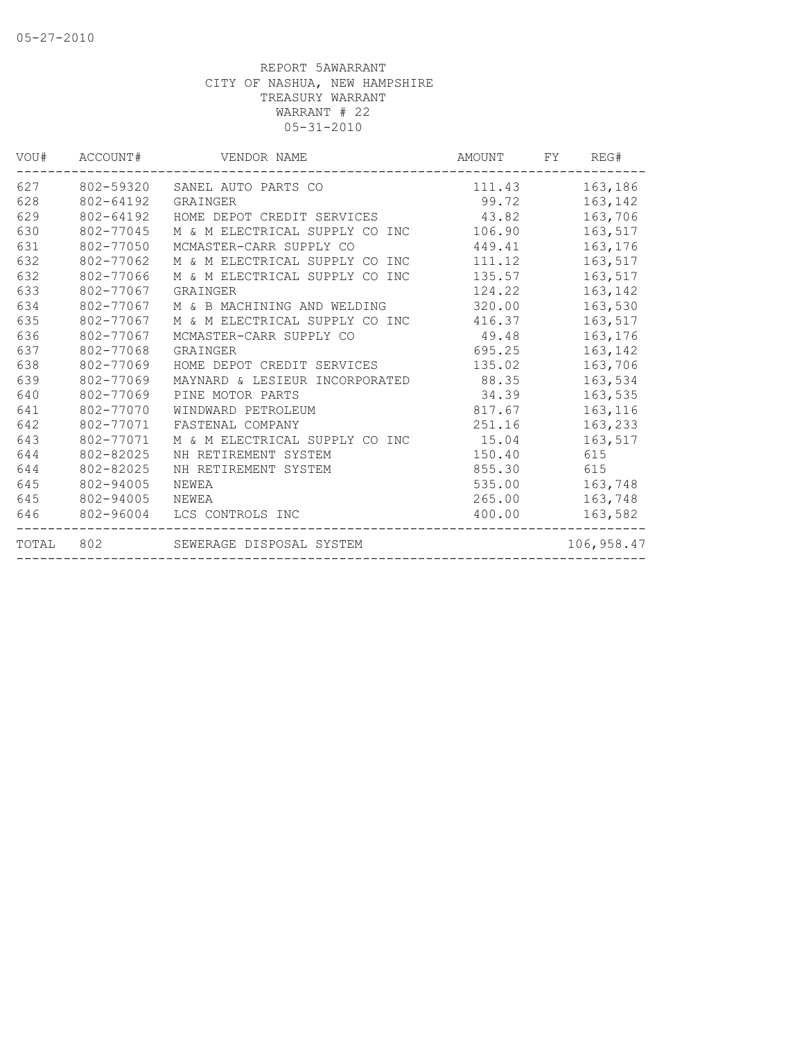| VOU#  | ACCOUNT#  | VENDOR NAME                    | AMOUNT | FY. | REG#       |
|-------|-----------|--------------------------------|--------|-----|------------|
| 627   | 802-59320 | SANEL AUTO PARTS CO            | 111.43 |     | 163,186    |
| 628   | 802-64192 | GRAINGER                       | 99.72  |     | 163,142    |
| 629   | 802-64192 | HOME DEPOT CREDIT SERVICES     | 43.82  |     | 163,706    |
| 630   | 802-77045 | M & M ELECTRICAL SUPPLY CO INC | 106.90 |     | 163,517    |
| 631   | 802-77050 | MCMASTER-CARR SUPPLY CO        | 449.41 |     | 163,176    |
| 632   | 802-77062 | M & M ELECTRICAL SUPPLY CO INC | 111.12 |     | 163,517    |
| 632   | 802-77066 | M & M ELECTRICAL SUPPLY CO INC | 135.57 |     | 163,517    |
| 633   | 802-77067 | GRAINGER                       | 124.22 |     | 163,142    |
| 634   | 802-77067 | M & B MACHINING AND WELDING    | 320.00 |     | 163,530    |
| 635   | 802-77067 | M & M ELECTRICAL SUPPLY CO INC | 416.37 |     | 163,517    |
| 636   | 802-77067 | MCMASTER-CARR SUPPLY CO        | 49.48  |     | 163,176    |
| 637   | 802-77068 | GRAINGER                       | 695.25 |     | 163,142    |
| 638   | 802-77069 | HOME DEPOT CREDIT SERVICES     | 135.02 |     | 163,706    |
| 639   | 802-77069 | MAYNARD & LESIEUR INCORPORATED | 88.35  |     | 163,534    |
| 640   | 802-77069 | PINE MOTOR PARTS               | 34.39  |     | 163,535    |
| 641   | 802-77070 | WINDWARD PETROLEUM             | 817.67 |     | 163,116    |
| 642   | 802-77071 | FASTENAL COMPANY               | 251.16 |     | 163,233    |
| 643   | 802-77071 | M & M ELECTRICAL SUPPLY CO INC | 15.04  |     | 163,517    |
| 644   | 802-82025 | NH RETIREMENT SYSTEM           | 150.40 |     | 615        |
| 644   | 802-82025 | NH RETIREMENT SYSTEM           | 855.30 |     | 615        |
| 645   | 802-94005 | NEWEA                          | 535.00 |     | 163,748    |
| 645   | 802-94005 | NEWEA                          | 265.00 |     | 163,748    |
| 646   | 802-96004 | LCS CONTROLS INC               | 400.00 |     | 163,582    |
| TOTAL | 802       | SEWERAGE DISPOSAL SYSTEM       |        |     | 106,958.47 |
|       |           |                                |        |     |            |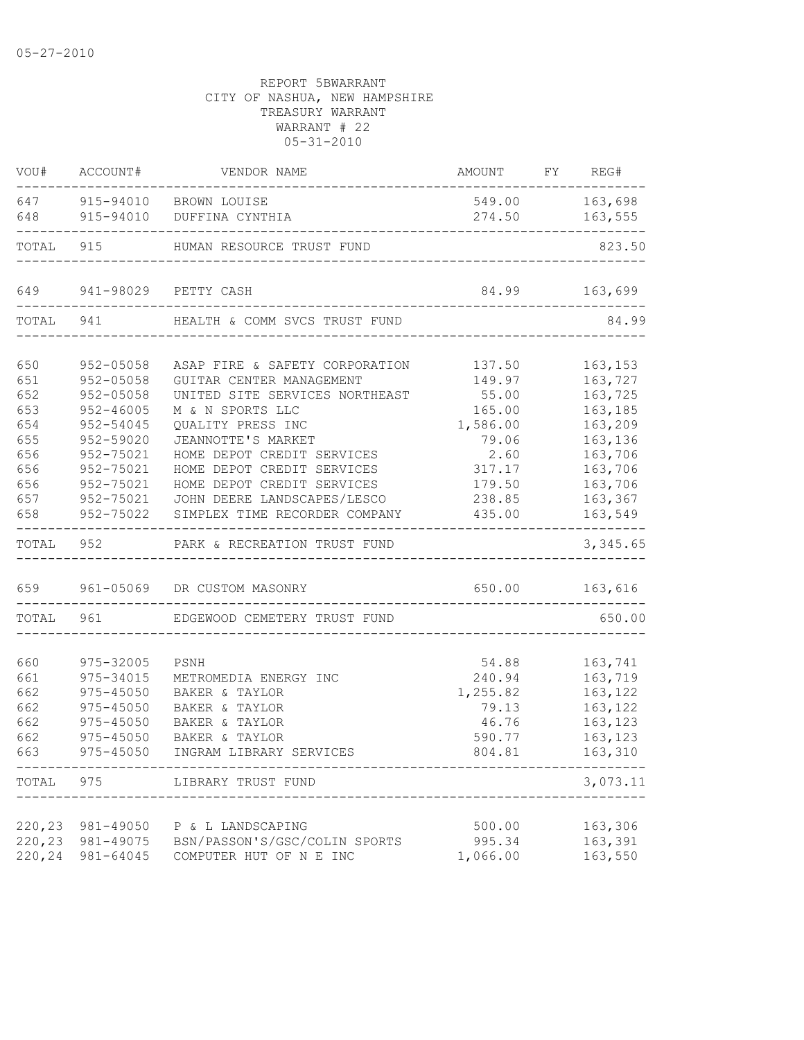|                  | VOU# ACCOUNT#          | VENDOR NAME                                              | AMOUNT FY REG#     |                    |
|------------------|------------------------|----------------------------------------------------------|--------------------|--------------------|
|                  |                        | 647 915-94010 BROWN LOUISE                               |                    | 549.00 163,698     |
| 648              | ---------------------  | 915-94010 DUFFINA CYNTHIA                                |                    | 274.50 163,555     |
| TOTAL            |                        | 915 HUMAN RESOURCE TRUST FUND                            |                    | 823.50             |
| 649              |                        | 941-98029 PETTY CASH                                     |                    | 84.99 163,699      |
| TOTAL            | 941                    | HEALTH & COMM SVCS TRUST FUND                            |                    | 84.99              |
| 650              | 952-05058              | ASAP FIRE & SAFETY CORPORATION                           | 137.50             | 163,153            |
| 651              | $952 - 05058$          | GUITAR CENTER MANAGEMENT                                 | 149.97             | 163,727            |
| 652              | $952 - 05058$          | UNITED SITE SERVICES NORTHEAST                           | 55.00              | 163,725            |
| 653              | $952 - 46005$          | M & N SPORTS LLC                                         | 165.00             | 163,185            |
| 654              | 952-54045              | QUALITY PRESS INC                                        | 1,586.00           | 163,209            |
| 655              | 952-59020              | JEANNOTTE'S MARKET                                       | 79.06              | 163,136            |
| 656              | 952-75021              | HOME DEPOT CREDIT SERVICES                               | 2.60               | 163,706            |
| 656              | 952-75021              | HOME DEPOT CREDIT SERVICES                               | 317.17             | 163,706            |
| 656              | 952-75021              | HOME DEPOT CREDIT SERVICES                               | 179.50             | 163,706            |
| 657              | 952-75021              | JOHN DEERE LANDSCAPES/LESCO                              | 238.85             | 163,367            |
| 658              | 952-75022              | SIMPLEX TIME RECORDER COMPANY                            | 435.00             | 163,549            |
|                  | TOTAL 952              | PARK & RECREATION TRUST FUND                             |                    | 3,345.65           |
|                  |                        |                                                          |                    |                    |
|                  |                        | 659 961-05069 DR CUSTOM MASONRY                          | 650.00 163,616     |                    |
| TOTAL            | 961                    | EDGEWOOD CEMETERY TRUST FUND                             |                    | 650.00             |
|                  |                        |                                                          |                    |                    |
| 660              | 975-32005              | PSNH                                                     | 54.88              | 163,741            |
| 661              | 975-34015              | METROMEDIA ENERGY INC                                    | 240.94             | 163,719            |
| 662              | 975-45050              | BAKER & TAYLOR                                           | 1,255.82           | 163,122            |
| 662              | 975-45050              | BAKER & TAYLOR                                           | 79.13              | 163,122            |
| 662              | 975-45050              | BAKER & TAYLOR                                           | 46.76              | 163,123            |
| 662              | 975-45050              | BAKER & TAYLOR                                           | 590.77             | 163, 123           |
| 663              | $975 - 45050$          | INGRAM LIBRARY SERVICES                                  | 804.81             | 163,310            |
|                  |                        | TOTAL 975 LIBRARY TRUST FUND                             |                    | 3,073.11           |
|                  |                        |                                                          |                    |                    |
| 220,23<br>220,23 | 981-49050<br>981-49075 | P & L LANDSCAPING                                        | 500.00             | 163,306<br>163,391 |
| 220,24           | 981-64045              | BSN/PASSON'S/GSC/COLIN SPORTS<br>COMPUTER HUT OF N E INC | 995.34<br>1,066.00 | 163,550            |
|                  |                        |                                                          |                    |                    |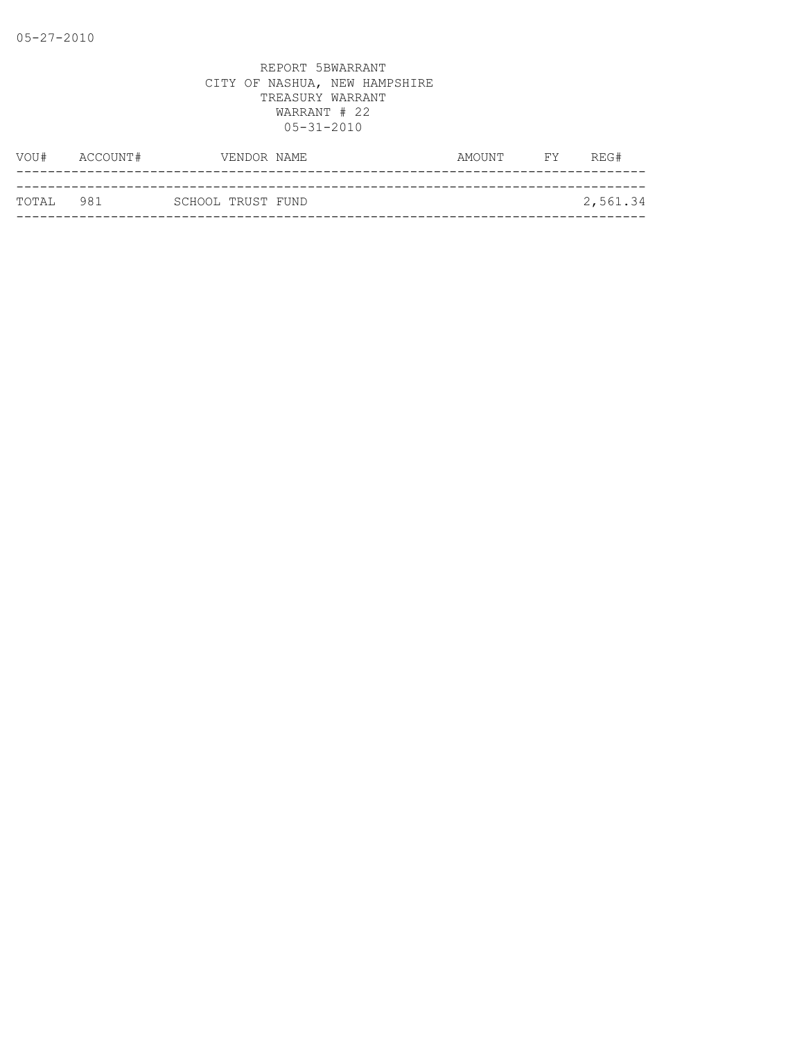|            | VOU# ACCOUNT# |                   | VENDOR NAME | AMOUNT | <b>EXECUTE</b> | REG#     |
|------------|---------------|-------------------|-------------|--------|----------------|----------|
|            |               |                   |             |        |                |          |
| ТОТАТ. 981 |               | SCHOOL TRUST FUND |             |        |                | 2,561.34 |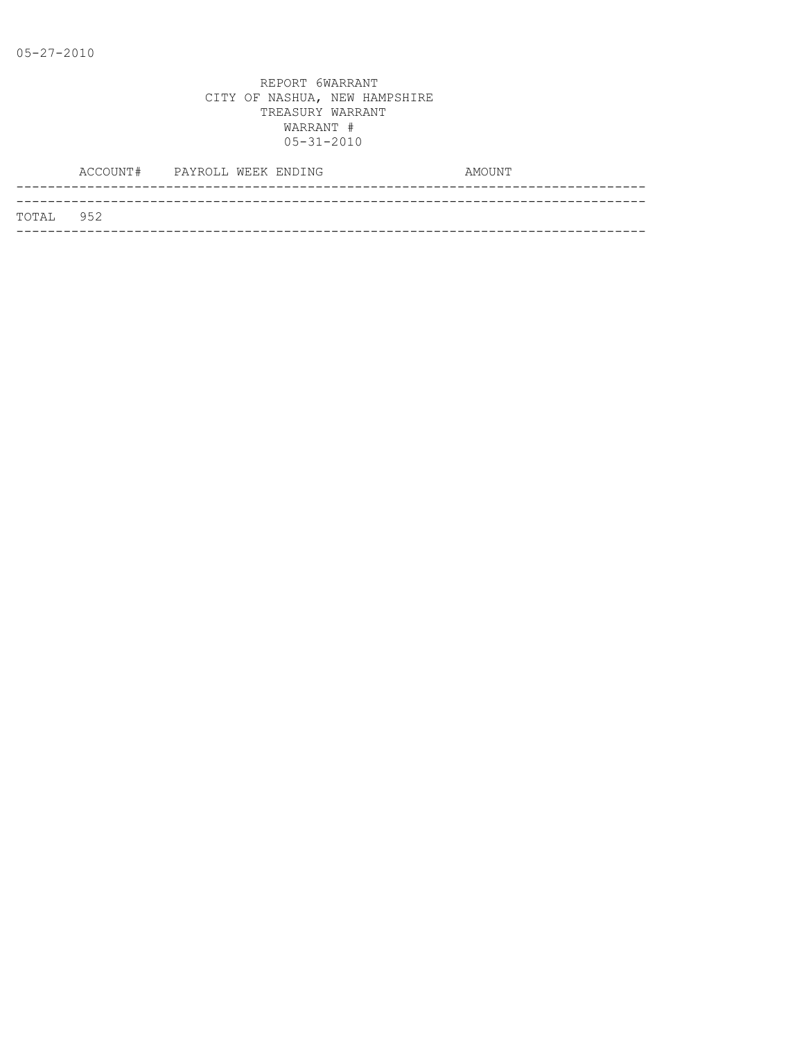|           | ACCOUNT# PAYROLL WEEK ENDING |  |  | AMOUNT |
|-----------|------------------------------|--|--|--------|
|           |                              |  |  |        |
| TOTAL 952 |                              |  |  |        |
|           |                              |  |  |        |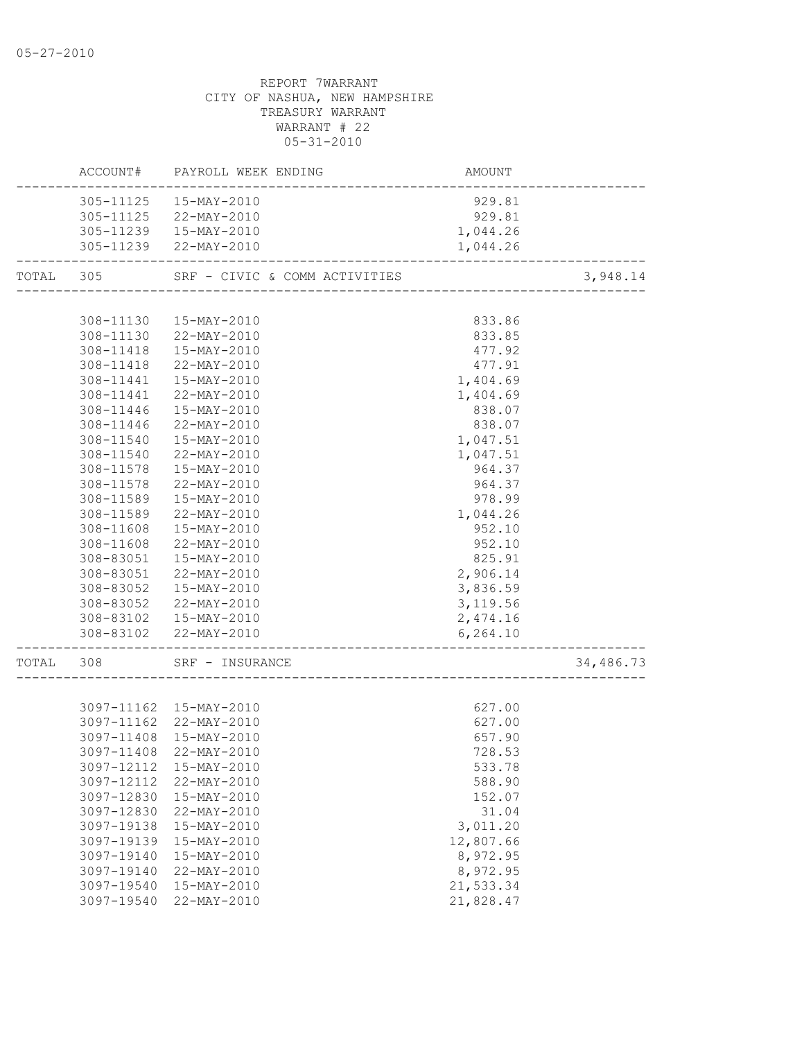# REPORT 7WARRANT CITY OF NASHUA, NEW HAMPSHIRE TREASURY WARRANT WARRANT # 22 05-31-2010 ACCOUNT# PAYROLL WEEK ENDING AMOUNT

| 305-11125  15-MAY-2010<br>929.81<br>305-11125 22-MAY-2010<br>929.81<br>305-11239  15-MAY-2010<br>1,044.26<br>305-11239 22-MAY-2010<br>1,044.26<br>TOTAL 305 SRF - CIVIC & COMM ACTIVITIES<br>3,948.14<br>308-11130  15-MAY-2010<br>833.86<br>308-11130 22-MAY-2010<br>833.85<br>308-11418  15-MAY-2010<br>477.92<br>308-11418 22-MAY-2010<br>477.91<br>308-11441  15-MAY-2010<br>1,404.69<br>308-11441 22-MAY-2010<br>1,404.69<br>308-11446<br>$15 - \text{MAX} - 2010$<br>838.07<br>308-11446 22-MAY-2010<br>838.07<br>308-11540<br>15-MAY-2010<br>1,047.51<br>1,047.51<br>308-11540<br>22-MAY-2010<br>308-11578  15-MAY-2010<br>964.37<br>22-MAY-2010<br>308-11578<br>964.37<br>308-11589  15-MAY-2010<br>978.99<br>308-11589 22-MAY-2010<br>1,044.26<br>308-11608<br>15-MAY-2010<br>952.10<br>952.10<br>308-11608<br>22-MAY-2010<br>825.91<br>308-83051<br>15-MAY-2010<br>2,906.14<br>308-83051<br>22-MAY-2010<br>3,836.59<br>308-83052<br>15-MAY-2010<br>$22 - \text{MAX} - 2010$<br>3,119.56<br>308-83052<br>308-83102  15-MAY-2010<br>2,474.16<br>308-83102 22-MAY-2010<br>6, 264.10<br>---------------<br>34,486.73<br>TOTAL 308 SRF - INSURANCE<br>627.00<br>3097-11162 15-MAY-2010<br>627.00<br>3097-11162 22-MAY-2010<br>3097-11408 15-MAY-2010<br>657.90<br>3097-11408 22-MAY-2010<br>728.53<br>3097-12112<br>15-MAY-2010<br>533.78<br>3097-12112<br>22-MAY-2010<br>588.90<br>3097-12830<br>152.07<br>15-MAY-2010<br>3097-12830<br>22-MAY-2010<br>31.04<br>3,011.20<br>3097-19138<br>15-MAY-2010<br>15-MAY-2010<br>12,807.66<br>3097-19139 | HUUUUI#    | LUIVOTT MEEV EMNIMA | L <i>V</i> IJU UN T |  |
|-------------------------------------------------------------------------------------------------------------------------------------------------------------------------------------------------------------------------------------------------------------------------------------------------------------------------------------------------------------------------------------------------------------------------------------------------------------------------------------------------------------------------------------------------------------------------------------------------------------------------------------------------------------------------------------------------------------------------------------------------------------------------------------------------------------------------------------------------------------------------------------------------------------------------------------------------------------------------------------------------------------------------------------------------------------------------------------------------------------------------------------------------------------------------------------------------------------------------------------------------------------------------------------------------------------------------------------------------------------------------------------------------------------------------------------------------------------------------------------------------------------------------------------------------------|------------|---------------------|---------------------|--|
|                                                                                                                                                                                                                                                                                                                                                                                                                                                                                                                                                                                                                                                                                                                                                                                                                                                                                                                                                                                                                                                                                                                                                                                                                                                                                                                                                                                                                                                                                                                                                       |            |                     |                     |  |
|                                                                                                                                                                                                                                                                                                                                                                                                                                                                                                                                                                                                                                                                                                                                                                                                                                                                                                                                                                                                                                                                                                                                                                                                                                                                                                                                                                                                                                                                                                                                                       |            |                     |                     |  |
|                                                                                                                                                                                                                                                                                                                                                                                                                                                                                                                                                                                                                                                                                                                                                                                                                                                                                                                                                                                                                                                                                                                                                                                                                                                                                                                                                                                                                                                                                                                                                       |            |                     |                     |  |
|                                                                                                                                                                                                                                                                                                                                                                                                                                                                                                                                                                                                                                                                                                                                                                                                                                                                                                                                                                                                                                                                                                                                                                                                                                                                                                                                                                                                                                                                                                                                                       |            |                     |                     |  |
|                                                                                                                                                                                                                                                                                                                                                                                                                                                                                                                                                                                                                                                                                                                                                                                                                                                                                                                                                                                                                                                                                                                                                                                                                                                                                                                                                                                                                                                                                                                                                       |            |                     |                     |  |
|                                                                                                                                                                                                                                                                                                                                                                                                                                                                                                                                                                                                                                                                                                                                                                                                                                                                                                                                                                                                                                                                                                                                                                                                                                                                                                                                                                                                                                                                                                                                                       |            |                     |                     |  |
|                                                                                                                                                                                                                                                                                                                                                                                                                                                                                                                                                                                                                                                                                                                                                                                                                                                                                                                                                                                                                                                                                                                                                                                                                                                                                                                                                                                                                                                                                                                                                       |            |                     |                     |  |
|                                                                                                                                                                                                                                                                                                                                                                                                                                                                                                                                                                                                                                                                                                                                                                                                                                                                                                                                                                                                                                                                                                                                                                                                                                                                                                                                                                                                                                                                                                                                                       |            |                     |                     |  |
|                                                                                                                                                                                                                                                                                                                                                                                                                                                                                                                                                                                                                                                                                                                                                                                                                                                                                                                                                                                                                                                                                                                                                                                                                                                                                                                                                                                                                                                                                                                                                       |            |                     |                     |  |
|                                                                                                                                                                                                                                                                                                                                                                                                                                                                                                                                                                                                                                                                                                                                                                                                                                                                                                                                                                                                                                                                                                                                                                                                                                                                                                                                                                                                                                                                                                                                                       |            |                     |                     |  |
|                                                                                                                                                                                                                                                                                                                                                                                                                                                                                                                                                                                                                                                                                                                                                                                                                                                                                                                                                                                                                                                                                                                                                                                                                                                                                                                                                                                                                                                                                                                                                       |            |                     |                     |  |
|                                                                                                                                                                                                                                                                                                                                                                                                                                                                                                                                                                                                                                                                                                                                                                                                                                                                                                                                                                                                                                                                                                                                                                                                                                                                                                                                                                                                                                                                                                                                                       |            |                     |                     |  |
|                                                                                                                                                                                                                                                                                                                                                                                                                                                                                                                                                                                                                                                                                                                                                                                                                                                                                                                                                                                                                                                                                                                                                                                                                                                                                                                                                                                                                                                                                                                                                       |            |                     |                     |  |
|                                                                                                                                                                                                                                                                                                                                                                                                                                                                                                                                                                                                                                                                                                                                                                                                                                                                                                                                                                                                                                                                                                                                                                                                                                                                                                                                                                                                                                                                                                                                                       |            |                     |                     |  |
|                                                                                                                                                                                                                                                                                                                                                                                                                                                                                                                                                                                                                                                                                                                                                                                                                                                                                                                                                                                                                                                                                                                                                                                                                                                                                                                                                                                                                                                                                                                                                       |            |                     |                     |  |
|                                                                                                                                                                                                                                                                                                                                                                                                                                                                                                                                                                                                                                                                                                                                                                                                                                                                                                                                                                                                                                                                                                                                                                                                                                                                                                                                                                                                                                                                                                                                                       |            |                     |                     |  |
|                                                                                                                                                                                                                                                                                                                                                                                                                                                                                                                                                                                                                                                                                                                                                                                                                                                                                                                                                                                                                                                                                                                                                                                                                                                                                                                                                                                                                                                                                                                                                       |            |                     |                     |  |
|                                                                                                                                                                                                                                                                                                                                                                                                                                                                                                                                                                                                                                                                                                                                                                                                                                                                                                                                                                                                                                                                                                                                                                                                                                                                                                                                                                                                                                                                                                                                                       |            |                     |                     |  |
|                                                                                                                                                                                                                                                                                                                                                                                                                                                                                                                                                                                                                                                                                                                                                                                                                                                                                                                                                                                                                                                                                                                                                                                                                                                                                                                                                                                                                                                                                                                                                       |            |                     |                     |  |
|                                                                                                                                                                                                                                                                                                                                                                                                                                                                                                                                                                                                                                                                                                                                                                                                                                                                                                                                                                                                                                                                                                                                                                                                                                                                                                                                                                                                                                                                                                                                                       |            |                     |                     |  |
|                                                                                                                                                                                                                                                                                                                                                                                                                                                                                                                                                                                                                                                                                                                                                                                                                                                                                                                                                                                                                                                                                                                                                                                                                                                                                                                                                                                                                                                                                                                                                       |            |                     |                     |  |
|                                                                                                                                                                                                                                                                                                                                                                                                                                                                                                                                                                                                                                                                                                                                                                                                                                                                                                                                                                                                                                                                                                                                                                                                                                                                                                                                                                                                                                                                                                                                                       |            |                     |                     |  |
|                                                                                                                                                                                                                                                                                                                                                                                                                                                                                                                                                                                                                                                                                                                                                                                                                                                                                                                                                                                                                                                                                                                                                                                                                                                                                                                                                                                                                                                                                                                                                       |            |                     |                     |  |
|                                                                                                                                                                                                                                                                                                                                                                                                                                                                                                                                                                                                                                                                                                                                                                                                                                                                                                                                                                                                                                                                                                                                                                                                                                                                                                                                                                                                                                                                                                                                                       |            |                     |                     |  |
|                                                                                                                                                                                                                                                                                                                                                                                                                                                                                                                                                                                                                                                                                                                                                                                                                                                                                                                                                                                                                                                                                                                                                                                                                                                                                                                                                                                                                                                                                                                                                       |            |                     |                     |  |
|                                                                                                                                                                                                                                                                                                                                                                                                                                                                                                                                                                                                                                                                                                                                                                                                                                                                                                                                                                                                                                                                                                                                                                                                                                                                                                                                                                                                                                                                                                                                                       |            |                     |                     |  |
|                                                                                                                                                                                                                                                                                                                                                                                                                                                                                                                                                                                                                                                                                                                                                                                                                                                                                                                                                                                                                                                                                                                                                                                                                                                                                                                                                                                                                                                                                                                                                       |            |                     |                     |  |
|                                                                                                                                                                                                                                                                                                                                                                                                                                                                                                                                                                                                                                                                                                                                                                                                                                                                                                                                                                                                                                                                                                                                                                                                                                                                                                                                                                                                                                                                                                                                                       |            |                     |                     |  |
|                                                                                                                                                                                                                                                                                                                                                                                                                                                                                                                                                                                                                                                                                                                                                                                                                                                                                                                                                                                                                                                                                                                                                                                                                                                                                                                                                                                                                                                                                                                                                       |            |                     |                     |  |
|                                                                                                                                                                                                                                                                                                                                                                                                                                                                                                                                                                                                                                                                                                                                                                                                                                                                                                                                                                                                                                                                                                                                                                                                                                                                                                                                                                                                                                                                                                                                                       |            |                     |                     |  |
|                                                                                                                                                                                                                                                                                                                                                                                                                                                                                                                                                                                                                                                                                                                                                                                                                                                                                                                                                                                                                                                                                                                                                                                                                                                                                                                                                                                                                                                                                                                                                       |            |                     |                     |  |
|                                                                                                                                                                                                                                                                                                                                                                                                                                                                                                                                                                                                                                                                                                                                                                                                                                                                                                                                                                                                                                                                                                                                                                                                                                                                                                                                                                                                                                                                                                                                                       |            |                     |                     |  |
|                                                                                                                                                                                                                                                                                                                                                                                                                                                                                                                                                                                                                                                                                                                                                                                                                                                                                                                                                                                                                                                                                                                                                                                                                                                                                                                                                                                                                                                                                                                                                       |            |                     |                     |  |
|                                                                                                                                                                                                                                                                                                                                                                                                                                                                                                                                                                                                                                                                                                                                                                                                                                                                                                                                                                                                                                                                                                                                                                                                                                                                                                                                                                                                                                                                                                                                                       |            |                     |                     |  |
|                                                                                                                                                                                                                                                                                                                                                                                                                                                                                                                                                                                                                                                                                                                                                                                                                                                                                                                                                                                                                                                                                                                                                                                                                                                                                                                                                                                                                                                                                                                                                       |            |                     |                     |  |
|                                                                                                                                                                                                                                                                                                                                                                                                                                                                                                                                                                                                                                                                                                                                                                                                                                                                                                                                                                                                                                                                                                                                                                                                                                                                                                                                                                                                                                                                                                                                                       |            |                     |                     |  |
|                                                                                                                                                                                                                                                                                                                                                                                                                                                                                                                                                                                                                                                                                                                                                                                                                                                                                                                                                                                                                                                                                                                                                                                                                                                                                                                                                                                                                                                                                                                                                       |            |                     |                     |  |
|                                                                                                                                                                                                                                                                                                                                                                                                                                                                                                                                                                                                                                                                                                                                                                                                                                                                                                                                                                                                                                                                                                                                                                                                                                                                                                                                                                                                                                                                                                                                                       |            |                     |                     |  |
|                                                                                                                                                                                                                                                                                                                                                                                                                                                                                                                                                                                                                                                                                                                                                                                                                                                                                                                                                                                                                                                                                                                                                                                                                                                                                                                                                                                                                                                                                                                                                       |            |                     |                     |  |
|                                                                                                                                                                                                                                                                                                                                                                                                                                                                                                                                                                                                                                                                                                                                                                                                                                                                                                                                                                                                                                                                                                                                                                                                                                                                                                                                                                                                                                                                                                                                                       |            |                     |                     |  |
|                                                                                                                                                                                                                                                                                                                                                                                                                                                                                                                                                                                                                                                                                                                                                                                                                                                                                                                                                                                                                                                                                                                                                                                                                                                                                                                                                                                                                                                                                                                                                       |            |                     |                     |  |
|                                                                                                                                                                                                                                                                                                                                                                                                                                                                                                                                                                                                                                                                                                                                                                                                                                                                                                                                                                                                                                                                                                                                                                                                                                                                                                                                                                                                                                                                                                                                                       | 3097-19140 | $15 - MAX - 2010$   | 8,972.95            |  |
| 8,972.95<br>3097-19140<br>22-MAY-2010                                                                                                                                                                                                                                                                                                                                                                                                                                                                                                                                                                                                                                                                                                                                                                                                                                                                                                                                                                                                                                                                                                                                                                                                                                                                                                                                                                                                                                                                                                                 |            |                     |                     |  |
| 3097-19540<br>15-MAY-2010<br>21,533.34                                                                                                                                                                                                                                                                                                                                                                                                                                                                                                                                                                                                                                                                                                                                                                                                                                                                                                                                                                                                                                                                                                                                                                                                                                                                                                                                                                                                                                                                                                                |            |                     |                     |  |
| 3097-19540<br>22-MAY-2010<br>21,828.47                                                                                                                                                                                                                                                                                                                                                                                                                                                                                                                                                                                                                                                                                                                                                                                                                                                                                                                                                                                                                                                                                                                                                                                                                                                                                                                                                                                                                                                                                                                |            |                     |                     |  |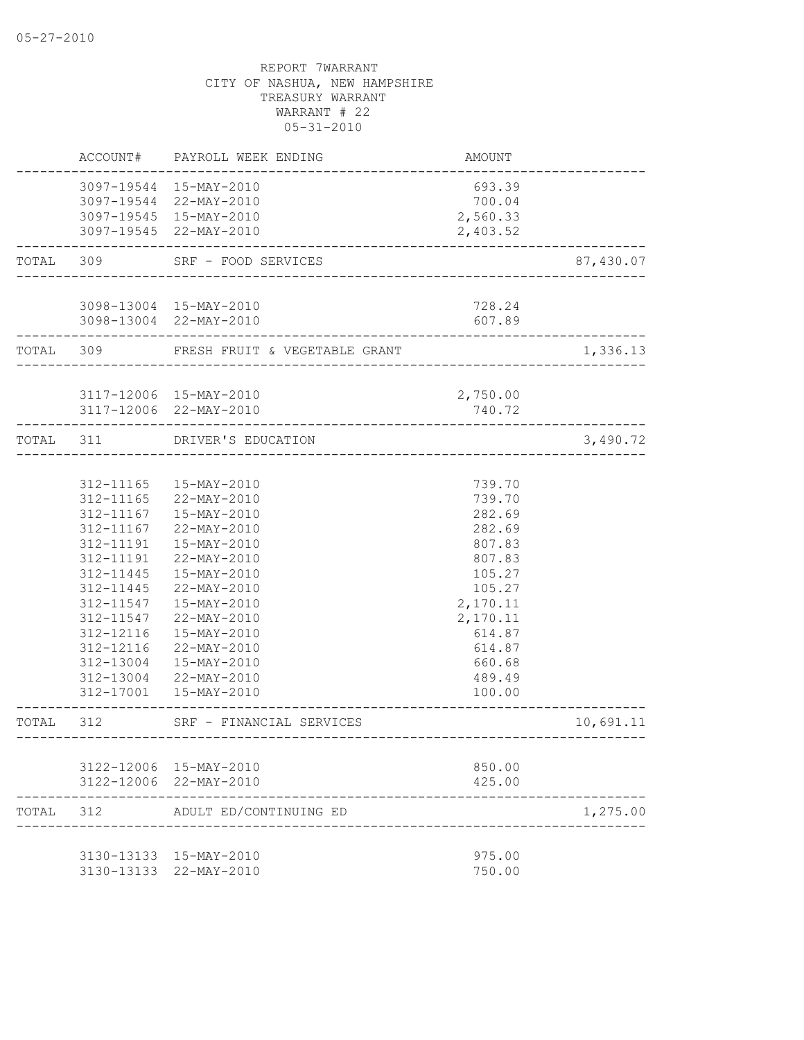|           | ACCOUNT#  | PAYROLL WEEK ENDING                              | AMOUNT             |           |
|-----------|-----------|--------------------------------------------------|--------------------|-----------|
|           |           | 3097-19544 15-MAY-2010                           | 693.39             |           |
|           |           | 3097-19544 22-MAY-2010                           | 700.04             |           |
|           |           | 3097-19545 15-MAY-2010                           | 2,560.33           |           |
|           |           | 3097-19545 22-MAY-2010                           | 2,403.52           |           |
| TOTAL 309 |           | SRF - FOOD SERVICES                              |                    | 87,430.07 |
|           |           | 3098-13004 15-MAY-2010                           | 728.24             |           |
|           |           | 3098-13004 22-MAY-2010                           | 607.89             |           |
|           |           | TOTAL 309 FRESH FRUIT & VEGETABLE GRANT          |                    | 1,336.13  |
|           |           |                                                  |                    |           |
|           |           | 3117-12006 15-MAY-2010<br>3117-12006 22-MAY-2010 | 2,750.00<br>740.72 |           |
| TOTAL 311 |           | DRIVER'S EDUCATION                               |                    | 3,490.72  |
|           |           |                                                  |                    |           |
|           |           | 312-11165  15-MAY-2010                           | 739.70             |           |
|           |           | 312-11165 22-MAY-2010                            | 739.70             |           |
|           | 312-11167 | 15-MAY-2010                                      | 282.69             |           |
|           | 312-11167 | 22-MAY-2010                                      | 282.69             |           |
|           | 312-11191 | 15-MAY-2010                                      | 807.83             |           |
|           | 312-11191 | 22-MAY-2010                                      | 807.83             |           |
|           | 312-11445 | 15-MAY-2010                                      | 105.27             |           |
|           | 312-11445 | 22-MAY-2010                                      | 105.27             |           |
|           | 312-11547 | 15-MAY-2010                                      | 2,170.11           |           |
|           | 312-11547 | 22-MAY-2010                                      | 2,170.11           |           |
|           | 312-12116 | 15-MAY-2010                                      | 614.87             |           |
|           | 312-12116 | 22-MAY-2010                                      | 614.87             |           |
|           | 312-13004 | 15-MAY-2010                                      | 660.68             |           |
|           | 312-13004 | 22-MAY-2010                                      | 489.49             |           |
|           |           | 312-17001  15-MAY-2010                           | 100.00             |           |
| TOTAL     | 312       | SRF - FINANCIAL SERVICES                         |                    | 10,691.11 |
|           |           |                                                  |                    |           |
|           |           | 3122-12006 15-MAY-2010<br>3122-12006 22-MAY-2010 | 850.00<br>425.00   |           |
| TOTAL     | 312       | ADULT ED/CONTINUING ED                           |                    | 1,275.00  |
|           |           |                                                  |                    |           |
|           |           | 3130-13133 15-MAY-2010                           | 975.00             |           |
|           |           | 3130-13133 22-MAY-2010                           | 750.00             |           |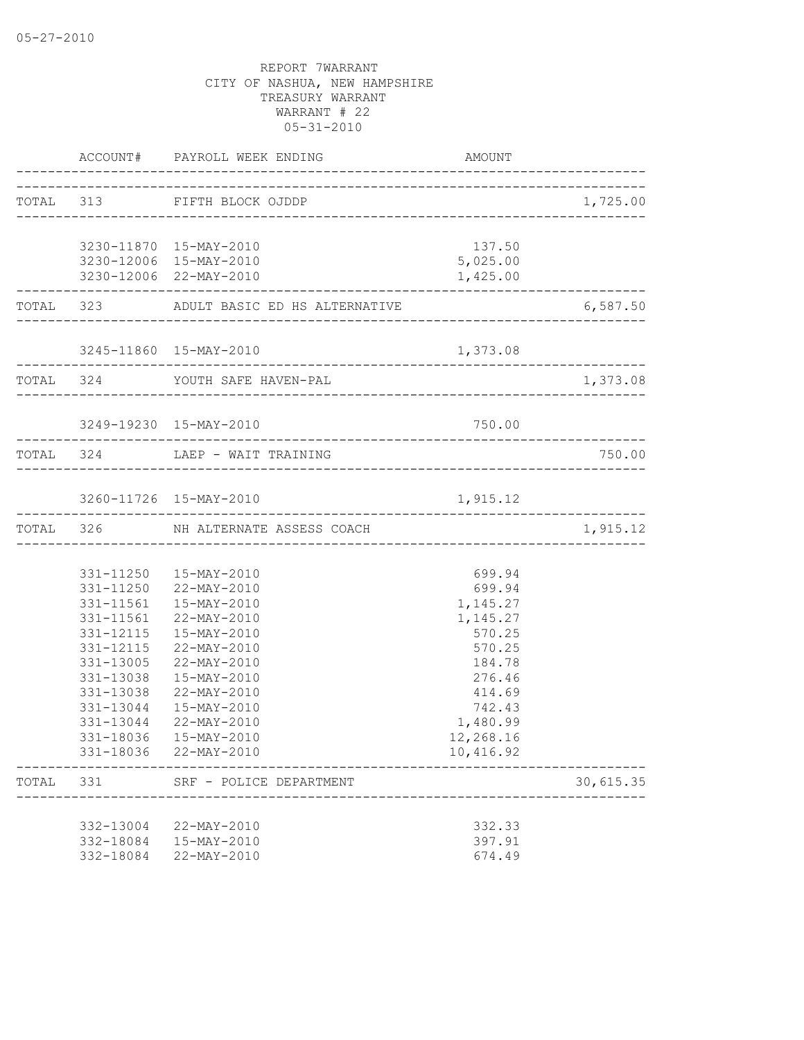|       |           | ACCOUNT# PAYROLL WEEK ENDING                             | AMOUNT    |                   |
|-------|-----------|----------------------------------------------------------|-----------|-------------------|
|       |           | TOTAL 313 FIFTH BLOCK OJDDP                              |           | 1,725.00          |
|       |           |                                                          |           |                   |
|       |           | 3230-11870 15-MAY-2010                                   | 137.50    |                   |
|       |           | 3230-12006 15-MAY-2010                                   | 5,025.00  |                   |
|       |           | 3230-12006 22-MAY-2010<br>______________________________ | 1,425.00  |                   |
|       |           | TOTAL 323 ADULT BASIC ED HS ALTERNATIVE                  |           | 6,587.50          |
|       |           | 3245-11860 15-MAY-2010                                   | 1,373.08  |                   |
|       |           |                                                          |           |                   |
|       |           | TOTAL 324 YOUTH SAFE HAVEN-PAL                           |           | 1,373.08          |
|       |           | 3249-19230 15-MAY-2010                                   | 750.00    |                   |
|       |           |                                                          |           |                   |
|       |           | TOTAL 324 LAEP - WAIT TRAINING                           |           | 750.00            |
|       |           | 3260-11726 15-MAY-2010                                   | 1,915.12  |                   |
|       |           | . _ _ _ _ _ _ _ _ _ _ _ .                                |           | _________________ |
|       |           | TOTAL 326 NH ALTERNATE ASSESS COACH                      |           | 1,915.12          |
|       |           |                                                          |           |                   |
|       |           | 331-11250  15-MAY-2010                                   | 699.94    |                   |
|       |           | 331-11250 22-MAY-2010                                    | 699.94    |                   |
|       |           | 331-11561  15-MAY-2010                                   | 1,145.27  |                   |
|       |           | 331-11561 22-MAY-2010                                    | 1,145.27  |                   |
|       |           | 331-12115  15-MAY-2010                                   | 570.25    |                   |
|       | 331-12115 | 22-MAY-2010                                              | 570.25    |                   |
|       | 331-13005 | 22-MAY-2010                                              | 184.78    |                   |
|       | 331-13038 | 15-MAY-2010                                              | 276.46    |                   |
|       | 331-13038 | 22-MAY-2010                                              | 414.69    |                   |
|       | 331-13044 | 15-MAY-2010                                              | 742.43    |                   |
|       | 331-13044 | 22-MAY-2010                                              | 1,480.99  |                   |
|       |           | 331-18036 15-MAY-2010                                    | 12,268.16 |                   |
|       |           | 331-18036 22-MAY-2010                                    | 10,416.92 |                   |
| TOTAL | 331       | SRF - POLICE DEPARTMENT                                  |           | 30,615.35         |
|       |           | 332-13004 22-MAY-2010                                    | 332.33    |                   |
|       | 332-18084 | 15-MAY-2010                                              | 397.91    |                   |
|       | 332-18084 | 22-MAY-2010                                              | 674.49    |                   |
|       |           |                                                          |           |                   |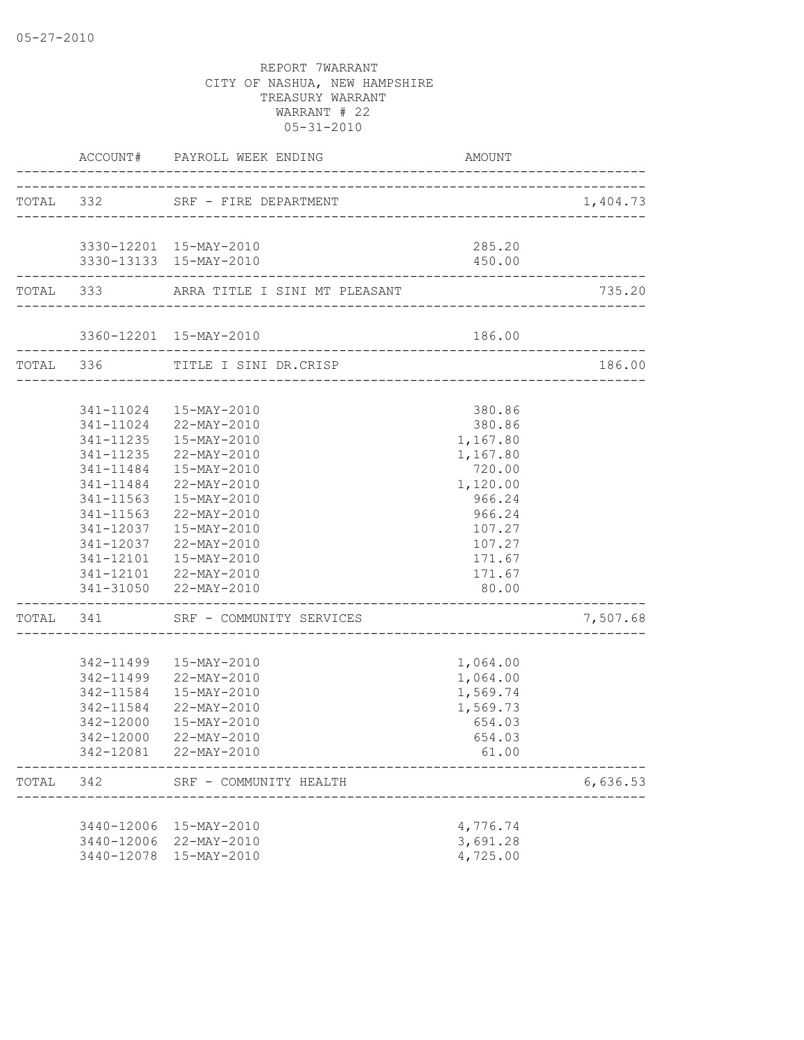|           |           | ACCOUNT# PAYROLL WEEK ENDING                                   | AMOUNT               |          |
|-----------|-----------|----------------------------------------------------------------|----------------------|----------|
| TOTAL 332 |           | SRF - FIRE DEPARTMENT                                          |                      | 1,404.73 |
|           |           |                                                                |                      |          |
|           |           | 3330-12201 15-MAY-2010                                         | 285.20               |          |
|           |           | 3330-13133 15-MAY-2010                                         | 450.00               |          |
|           |           | TOTAL 333 ARRA TITLE I SINI MT PLEASANT                        |                      | 735.20   |
|           |           | 3360-12201 15-MAY-2010                                         | 186.00               |          |
|           |           | ---------------------------<br>TOTAL 336 TITLE I SINI DR.CRISP |                      | 186.00   |
|           |           |                                                                |                      |          |
|           |           | 341-11024  15-MAY-2010                                         | 380.86               |          |
|           |           | 341-11024 22-MAY-2010                                          | 380.86               |          |
|           |           | 341-11235  15-MAY-2010                                         | 1,167.80             |          |
|           |           | 341-11235 22-MAY-2010                                          | 1,167.80             |          |
|           |           | 341-11484  15-MAY-2010                                         | 720.00               |          |
|           |           | 341-11484 22-MAY-2010                                          | 1,120.00             |          |
|           |           | 341-11563  15-MAY-2010                                         | 966.24               |          |
|           |           | 341-11563 22-MAY-2010                                          | 966.24               |          |
|           |           | 341-12037  15-MAY-2010                                         | 107.27               |          |
|           |           | 341-12037 22-MAY-2010                                          | 107.27               |          |
|           |           | 341-12101  15-MAY-2010<br>341-12101 22-MAY-2010                | 171.67               |          |
|           |           | 341-31050 22-MAY-2010                                          | 171.67<br>80.00      |          |
|           |           | TOTAL 341 SRF - COMMUNITY SERVICES                             |                      | 7,507.68 |
|           |           |                                                                |                      |          |
|           |           | 342-11499  15-MAY-2010                                         | 1,064.00             |          |
|           |           | 342-11499 22-MAY-2010                                          | 1,064.00             |          |
|           | 342-11584 | 15-MAY-2010                                                    | 1,569.74             |          |
|           |           | 342-11584 22-MAY-2010                                          | 1,569.73             |          |
|           | 342-12000 | 15-MAY-2010                                                    | 654.03               |          |
|           |           | 342-12000 22-MAY-2010                                          | 654.03               |          |
|           |           | 342-12081 22-MAY-2010                                          | 61.00                |          |
| TOTAL     | 342       | SRF - COMMUNITY HEALTH                                         |                      | 6,636.53 |
|           |           |                                                                |                      |          |
|           |           | 3440-12006 15-MAY-2010                                         | 4,776.74             |          |
|           |           | 3440-12006 22-MAY-2010                                         | 3,691.28<br>4,725.00 |          |
|           |           | 3440-12078 15-MAY-2010                                         |                      |          |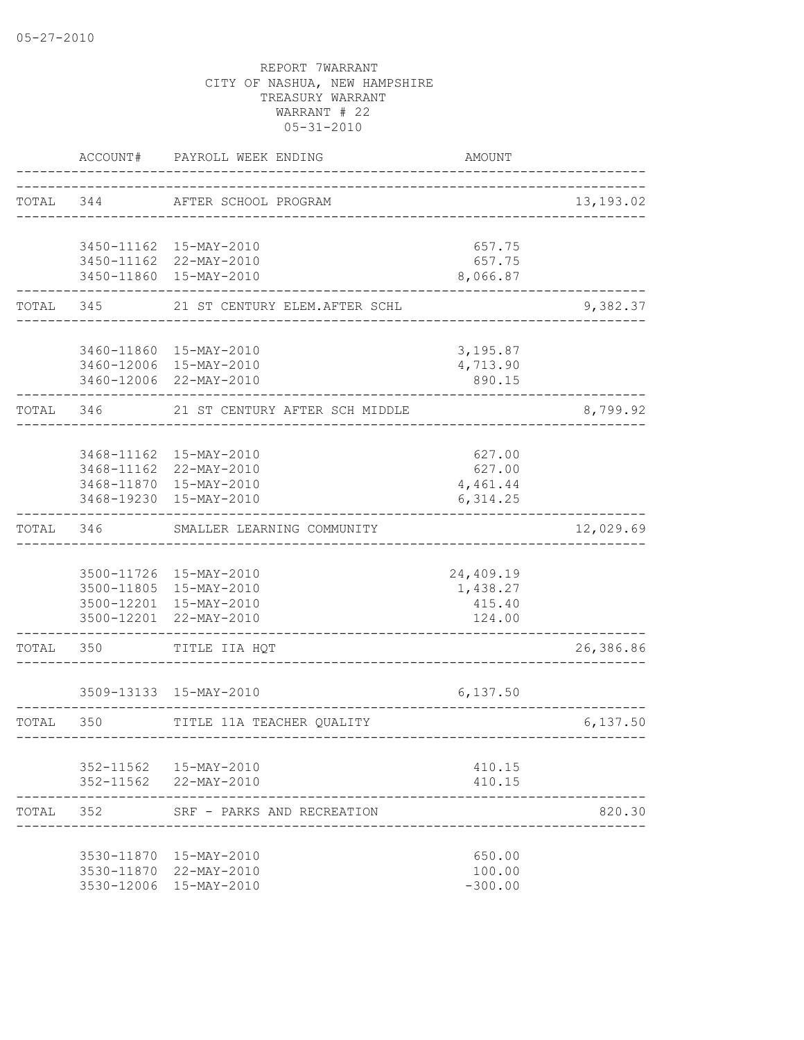|           | ACCOUNT#  | PAYROLL WEEK ENDING                              | <b>AMOUNT</b>                 |            |
|-----------|-----------|--------------------------------------------------|-------------------------------|------------|
| TOTAL 344 |           | AFTER SCHOOL PROGRAM                             |                               | 13, 193.02 |
|           |           | 3450-11162 15-MAY-2010                           | 657.75                        |            |
|           |           | 3450-11162 22-MAY-2010                           | 657.75                        |            |
|           |           | 3450-11860 15-MAY-2010                           | 8,066.87                      |            |
| TOTAL     | 345       | 21 ST CENTURY ELEM.AFTER SCHL                    |                               | 9,382.37   |
|           |           | 3460-11860 15-MAY-2010                           | 3,195.87                      |            |
|           |           | 3460-12006 15-MAY-2010                           | 4,713.90                      |            |
|           |           | 3460-12006 22-MAY-2010                           | 890.15                        |            |
|           | TOTAL 346 | 21 ST CENTURY AFTER SCH MIDDLE                   |                               | 8,799.92   |
|           |           |                                                  |                               |            |
|           |           | 3468-11162 15-MAY-2010                           | 627.00                        |            |
|           |           | 3468-11162 22-MAY-2010<br>3468-11870 15-MAY-2010 | 627.00                        |            |
|           |           | 3468-19230 15-MAY-2010                           | 4,461.44<br>6,314.25          |            |
| TOTAL     | 346       | SMALLER LEARNING COMMUNITY                       |                               | 12,029.69  |
|           |           |                                                  |                               |            |
|           |           | 3500-11726 15-MAY-2010                           | 24,409.19                     |            |
|           |           | 3500-11805 15-MAY-2010                           | 1,438.27                      |            |
|           |           | 3500-12201 15-MAY-2010<br>3500-12201 22-MAY-2010 | 415.40<br>124.00              |            |
| TOTAL     | 350       | TITLE IIA HQT                                    |                               | 26,386.86  |
|           |           | 3509-13133 15-MAY-2010                           | 6,137.50                      |            |
| TOTAL     | 350       | TITLE 11A TEACHER QUALITY                        |                               | 6,137.50   |
|           |           |                                                  | ----------------------------- |            |
|           |           | 352-11562  15-MAY-2010                           | 410.15                        |            |
|           |           | 352-11562 22-MAY-2010                            | 410.15                        |            |
| TOTAL 352 |           | SRF - PARKS AND RECREATION                       |                               | 820.30     |
|           |           | 3530-11870 15-MAY-2010                           | 650.00                        |            |
|           |           | 3530-11870 22-MAY-2010                           | 100.00                        |            |
|           |           | 3530-12006 15-MAY-2010                           | $-300.00$                     |            |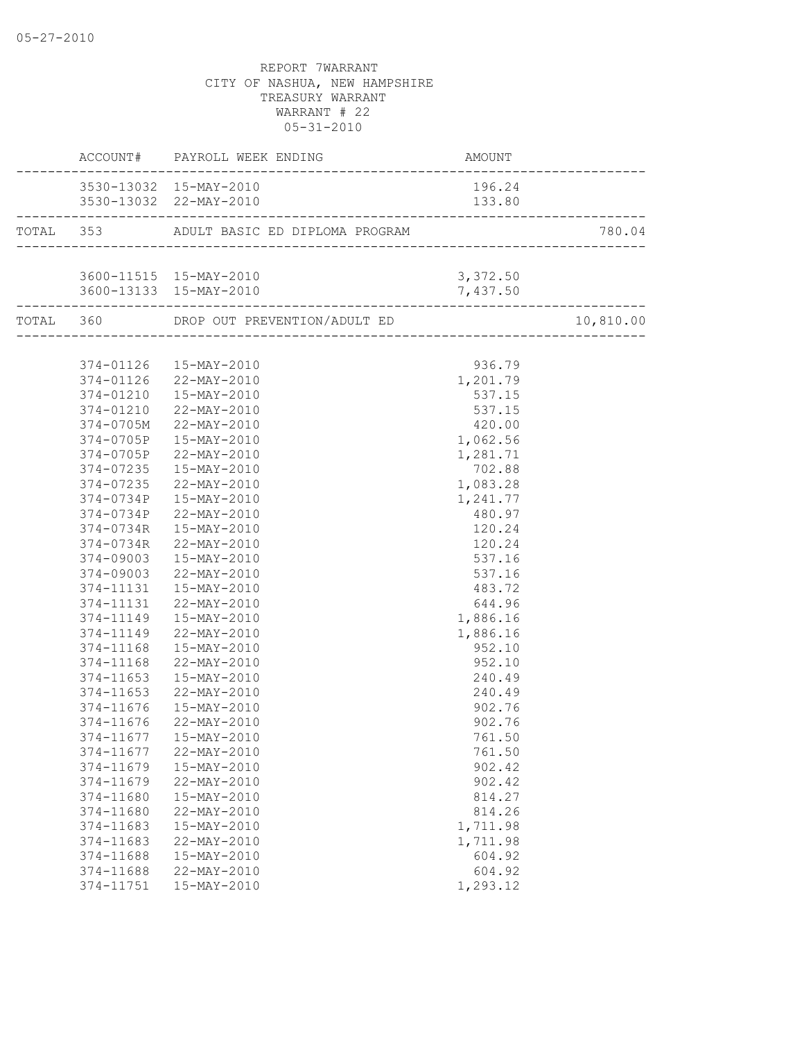|           | ACCOUNT# PAYROLL WEEK ENDING             | AMOUNT   |           |
|-----------|------------------------------------------|----------|-----------|
|           | 3530-13032 15-MAY-2010                   | 196.24   |           |
|           | 3530-13032 22-MAY-2010                   | 133.80   |           |
|           | TOTAL 353 ADULT BASIC ED DIPLOMA PROGRAM |          | 780.04    |
|           |                                          |          |           |
|           | 3600-11515 15-MAY-2010<br>3, 372.50      |          |           |
|           | 3600-13133 15-MAY-2010                   | 7,437.50 |           |
|           |                                          |          | 10,810.00 |
|           |                                          |          |           |
|           | 374-01126  15-MAY-2010                   | 936.79   |           |
|           | 374-01126 22-MAY-2010                    | 1,201.79 |           |
|           | 374-01210  15-MAY-2010                   | 537.15   |           |
|           | 374-01210 22-MAY-2010                    | 537.15   |           |
|           | 374-0705M 22-MAY-2010                    | 420.00   |           |
|           | 374-0705P 15-MAY-2010                    | 1,062.56 |           |
|           | 374-0705P 22-MAY-2010                    | 1,281.71 |           |
| 374-07235 | $15 - \text{MAX} - 2010$                 | 702.88   |           |
| 374-07235 | 22-MAY-2010                              | 1,083.28 |           |
| 374-0734P | 15-MAY-2010                              | 1,241.77 |           |
| 374-0734P | 22-MAY-2010                              | 480.97   |           |
| 374-0734R | 15-MAY-2010                              | 120.24   |           |
| 374-0734R | 22-MAY-2010                              | 120.24   |           |
|           | 374-09003  15-MAY-2010                   | 537.16   |           |
|           | 374-09003 22-MAY-2010                    | 537.16   |           |
|           | 374-11131  15-MAY-2010                   | 483.72   |           |
| 374-11131 | 22-MAY-2010                              | 644.96   |           |
| 374-11149 | 15-MAY-2010                              | 1,886.16 |           |
| 374-11149 | 22-MAY-2010                              | 1,886.16 |           |
| 374-11168 | 15-MAY-2010                              | 952.10   |           |
|           | 374-11168 22-MAY-2010                    | 952.10   |           |
|           | 374-11653  15-MAY-2010                   | 240.49   |           |
|           | 374-11653 22-MAY-2010                    | 240.49   |           |
|           | 374-11676  15-MAY-2010                   | 902.76   |           |
| 374-11676 | 22-MAY-2010                              | 902.76   |           |
|           | 374-11677   15-MAY-2010                  | 761.50   |           |
| 374-11677 | 22-MAY-2010                              | 761.50   |           |
| 374-11679 | 15-MAY-2010                              | 902.42   |           |
| 374-11679 | 22-MAY-2010                              | 902.42   |           |
| 374-11680 | 15-MAY-2010                              | 814.27   |           |
| 374-11680 | 22-MAY-2010                              | 814.26   |           |
| 374-11683 | 15-MAY-2010                              | 1,711.98 |           |
| 374-11683 | 22-MAY-2010                              | 1,711.98 |           |
| 374-11688 | 15-MAY-2010                              | 604.92   |           |
| 374-11688 | 22-MAY-2010                              | 604.92   |           |
| 374-11751 | 15-MAY-2010                              | 1,293.12 |           |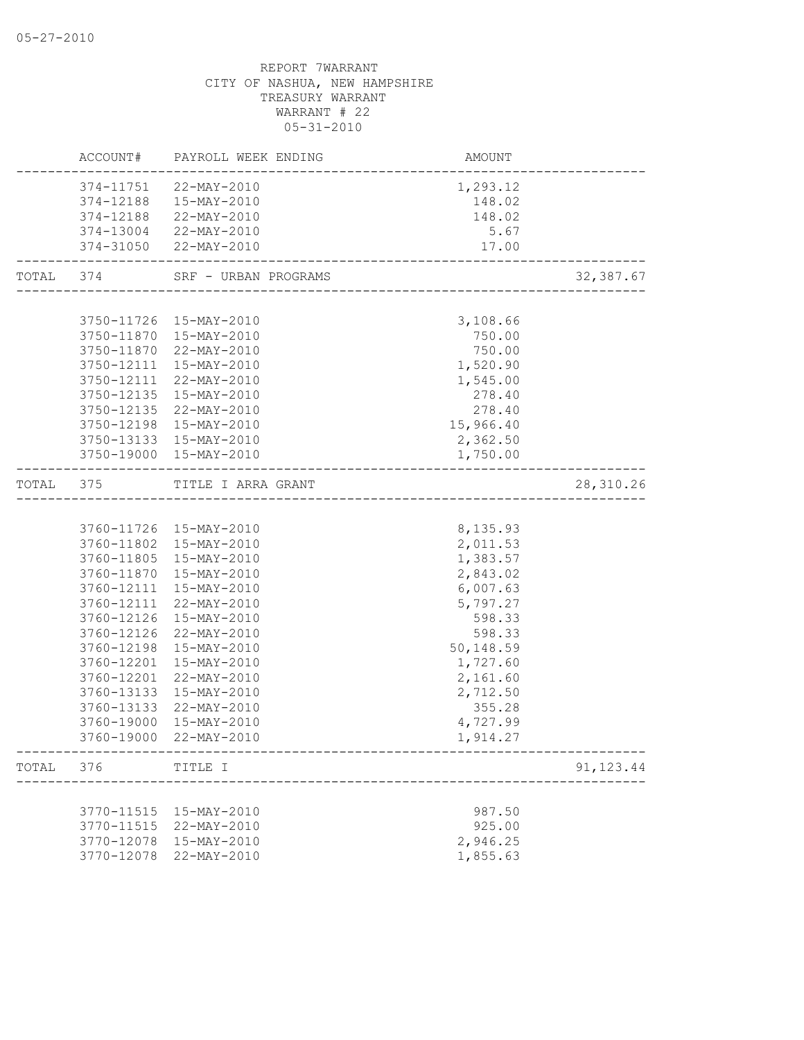|       |            | ACCOUNT# PAYROLL WEEK ENDING          | AMOUNT                               |            |
|-------|------------|---------------------------------------|--------------------------------------|------------|
|       | 374-11751  | 22-MAY-2010                           | 1,293.12                             |            |
|       | 374-12188  | $15 - \text{MAY} - 2010$              | 148.02                               |            |
|       |            | 374-12188 22-MAY-2010                 | 148.02                               |            |
|       |            | 374-13004 22-MAY-2010                 | 5.67                                 |            |
|       |            | 374-31050 22-MAY-2010                 | 17.00<br>_______________________     |            |
|       |            | TOTAL 374 SRF - URBAN PROGRAMS        |                                      | 32, 387.67 |
|       |            |                                       |                                      |            |
|       |            | 3750-11726 15-MAY-2010                | 3,108.66                             |            |
|       |            | 3750-11870 15-MAY-2010                | 750.00                               |            |
|       |            | 3750-11870 22-MAY-2010                | 750.00                               |            |
|       |            | 3750-12111 15-MAY-2010                | 1,520.90                             |            |
|       | 3750-12111 | 22-MAY-2010                           | 1,545.00                             |            |
|       | 3750-12135 | 15-MAY-2010                           | 278.40                               |            |
|       |            | 3750-12135 22-MAY-2010                | 278.40                               |            |
|       | 3750-12198 | 15-MAY-2010                           | 15,966.40                            |            |
|       |            | 3750-13133 15-MAY-2010                | 2,362.50                             |            |
|       |            | 3750-19000 15-MAY-2010                | 1,750.00                             |            |
| TOTAL | 375        | TITLE I ARRA GRANT                    | ____________________________________ | 28, 310.26 |
|       |            |                                       |                                      |            |
|       |            | 3760-11726 15-MAY-2010                | 8,135.93                             |            |
|       |            | 3760-11802 15-MAY-2010                | 2,011.53                             |            |
|       |            | 3760-11805 15-MAY-2010                | 1,383.57                             |            |
|       | 3760-11870 | 15-MAY-2010                           | 2,843.02                             |            |
|       | 3760-12111 | 15-MAY-2010                           | 6,007.63                             |            |
|       | 3760-12111 | 22-MAY-2010                           | 5,797.27                             |            |
|       | 3760-12126 | 15-MAY-2010                           | 598.33                               |            |
|       | 3760-12126 | 22-MAY-2010                           | 598.33                               |            |
|       | 3760-12198 |                                       |                                      |            |
|       |            | 15-MAY-2010                           | 50,148.59                            |            |
|       | 3760-12201 | 15-MAY-2010                           | 1,727.60                             |            |
|       | 3760-12201 | 22-MAY-2010                           | 2,161.60                             |            |
|       | 3760-13133 | 15-MAY-2010                           | 2,712.50                             |            |
|       | 3760-13133 | 22-MAY-2010                           | 355.28                               |            |
|       | 3760-19000 | 15-MAY-2010<br>3760-19000 22-MAY-2010 | 4,727.99<br>1,914.27                 |            |
|       |            |                                       |                                      |            |
|       | TOTAL 376  | TITLE I                               |                                      | 91, 123.44 |
|       |            |                                       |                                      |            |
|       |            | 3770-11515 15-MAY-2010                | 987.50                               |            |
|       | 3770-11515 | 22-MAY-2010                           | 925.00                               |            |
|       | 3770-12078 | 15-MAY-2010                           | 2,946.25                             |            |
|       | 3770-12078 | 22-MAY-2010                           | 1,855.63                             |            |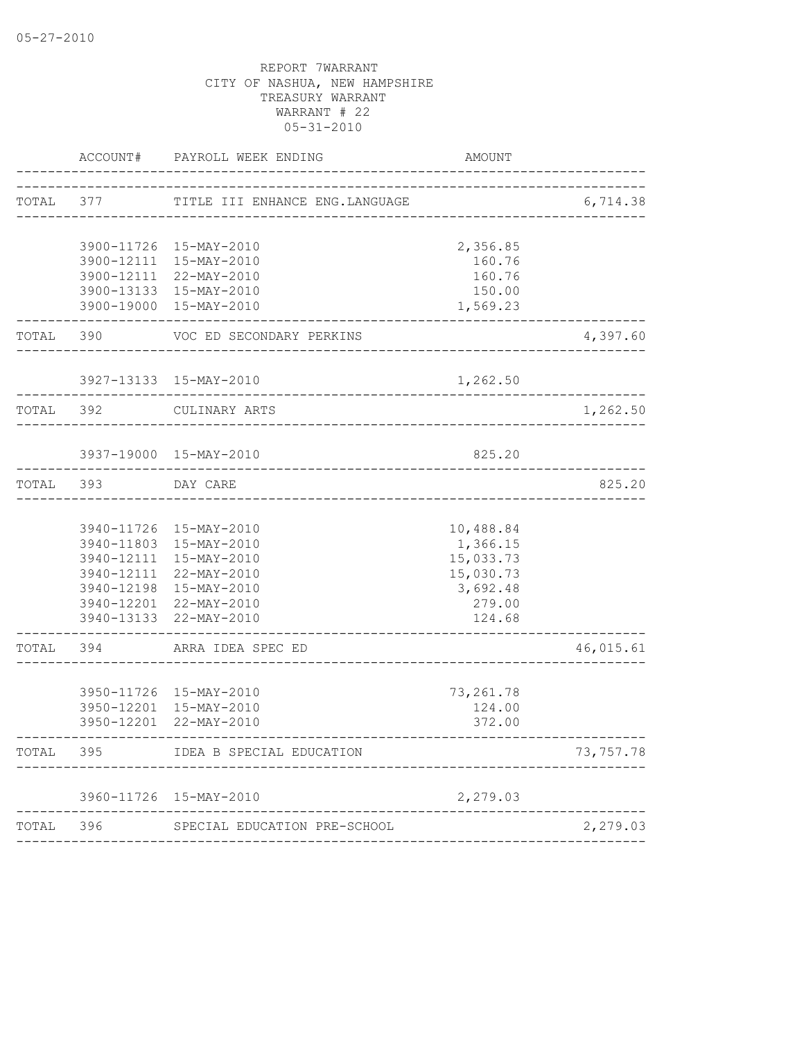|           | ACCOUNT# | PAYROLL WEEK ENDING                              | AMOUNT                |           |
|-----------|----------|--------------------------------------------------|-----------------------|-----------|
| TOTAL 377 |          | TITLE III ENHANCE ENG.LANGUAGE                   |                       | 6,714.38  |
|           |          | 3900-11726 15-MAY-2010                           | 2,356.85              |           |
|           |          | 3900-12111 15-MAY-2010                           | 160.76                |           |
|           |          | 3900-12111 22-MAY-2010                           | 160.76                |           |
|           |          | 3900-13133 15-MAY-2010                           | 150.00                |           |
|           |          | 3900-19000 15-MAY-2010                           | 1,569.23              |           |
| TOTAL 390 |          | VOC ED SECONDARY PERKINS                         |                       | 4,397.60  |
|           |          | 3927-13133 15-MAY-2010                           | 1,262.50              |           |
| TOTAL 392 |          | CULINARY ARTS                                    |                       | 1,262.50  |
|           |          |                                                  |                       |           |
|           |          | 3937-19000 15-MAY-2010                           | 825.20                |           |
| TOTAL 393 |          | DAY CARE                                         |                       | 825.20    |
|           |          |                                                  |                       |           |
|           |          | 3940-11726 15-MAY-2010                           | 10,488.84             |           |
|           |          | 3940-11803 15-MAY-2010<br>3940-12111 15-MAY-2010 | 1,366.15<br>15,033.73 |           |
|           |          | 3940-12111 22-MAY-2010                           | 15,030.73             |           |
|           |          | 3940-12198 15-MAY-2010                           | 3,692.48              |           |
|           |          | 3940-12201 22-MAY-2010                           | 279.00                |           |
|           |          | 3940-13133 22-MAY-2010                           | 124.68                |           |
| TOTAL     | 394      | ARRA IDEA SPEC ED                                |                       | 46,015.61 |
|           |          |                                                  |                       |           |
|           |          | 3950-11726 15-MAY-2010<br>3950-12201 15-MAY-2010 | 73, 261.78<br>124.00  |           |
|           |          | 3950-12201 22-MAY-2010                           | 372.00                |           |
| TOTAL     | 395      | IDEA B SPECIAL EDUCATION                         |                       | 73,757.78 |
|           |          | 3960-11726 15-MAY-2010                           | 2,279.03              |           |
| TOTAL     |          | 396 SPECIAL EDUCATION PRE-SCHOOL                 |                       | 2,279.03  |
|           |          |                                                  |                       |           |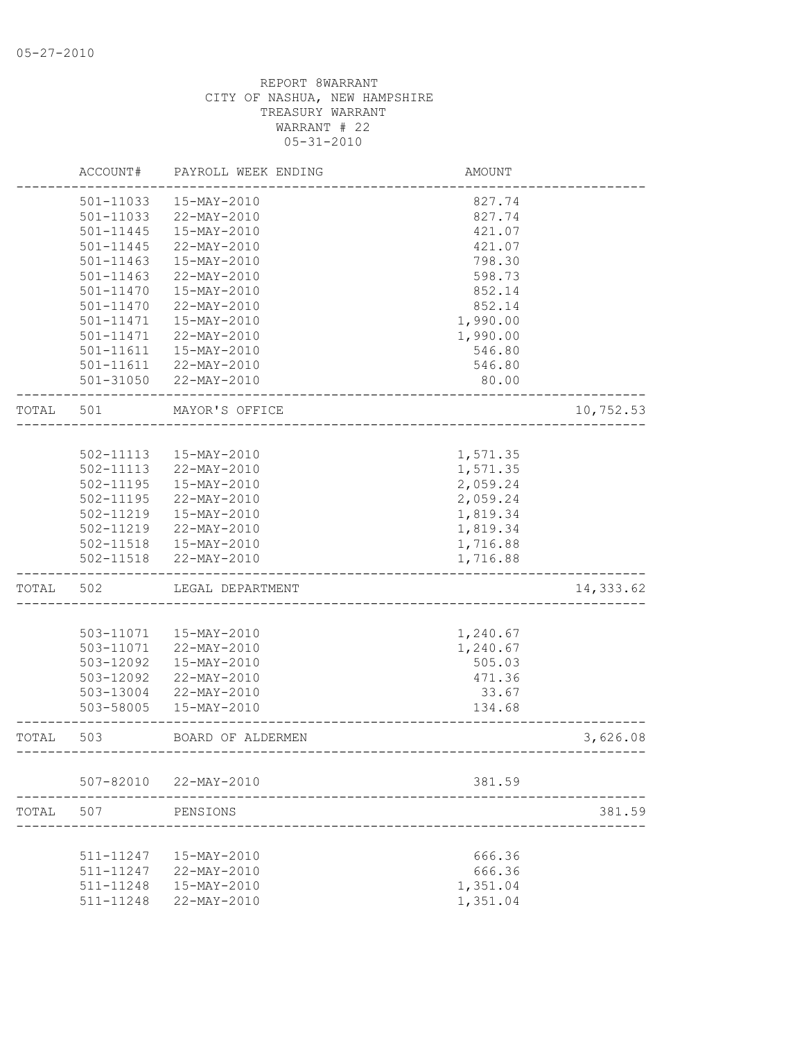|       | ACCOUNT#      | PAYROLL WEEK ENDING    | <b>AMOUNT</b>                      |           |
|-------|---------------|------------------------|------------------------------------|-----------|
|       | 501-11033     | 15-MAY-2010            | 827.74                             |           |
|       | 501-11033     | 22-MAY-2010            | 827.74                             |           |
|       | 501-11445     | 15-MAY-2010            | 421.07                             |           |
|       | 501-11445     | 22-MAY-2010            | 421.07                             |           |
|       | 501-11463     | 15-MAY-2010            | 798.30                             |           |
|       | $501 - 11463$ | 22-MAY-2010            | 598.73                             |           |
|       | 501-11470     | 15-MAY-2010            | 852.14                             |           |
|       | 501-11470     | 22-MAY-2010            | 852.14                             |           |
|       | $501 - 11471$ | 15-MAY-2010            | 1,990.00                           |           |
|       | $501 - 11471$ | 22-MAY-2010            | 1,990.00                           |           |
|       | 501-11611     | 15-MAY-2010            | 546.80                             |           |
|       |               | 501-11611 22-MAY-2010  | 546.80                             |           |
|       |               | 501-31050 22-MAY-2010  | 80.00                              |           |
| TOTAL | 501           | MAYOR'S OFFICE         |                                    | 10,752.53 |
|       |               |                        |                                    |           |
|       |               | 502-11113  15-MAY-2010 | 1,571.35                           |           |
|       | $502 - 11113$ | 22-MAY-2010            | 1,571.35                           |           |
|       | 502-11195     | 15-MAY-2010            | 2,059.24                           |           |
|       | 502-11195     | 22-MAY-2010            | 2,059.24                           |           |
|       | 502-11219     | 15-MAY-2010            | 1,819.34                           |           |
|       | 502-11219     | 22-MAY-2010            | 1,819.34                           |           |
|       |               | 502-11518  15-MAY-2010 | 1,716.88                           |           |
|       | 502-11518     | 22-MAY-2010            | 1,716.88                           |           |
| TOTAL | 502           | LEGAL DEPARTMENT       |                                    | 14,333.62 |
|       |               |                        |                                    |           |
|       | 503-11071     | 15-MAY-2010            | 1,240.67                           |           |
|       | 503-11071     | 22-MAY-2010            | 1,240.67                           |           |
|       | 503-12092     | 15-MAY-2010            | 505.03                             |           |
|       | 503-12092     | 22-MAY-2010            | 471.36                             |           |
|       | 503-13004     | 22-MAY-2010            | 33.67                              |           |
|       | 503-58005     | 15-MAY-2010            | 134.68                             |           |
| TOTAL | 503           | BOARD OF ALDERMEN      | ---------------------------------- | 3,626.08  |
|       |               |                        |                                    |           |
|       |               | 507-82010 22-MAY-2010  | 381.59                             |           |
| TOTAL | 507           | PENSIONS               |                                    | 381.59    |
|       |               |                        |                                    |           |
|       | 511-11247     | 15-MAY-2010            | 666.36                             |           |
|       | 511-11247     | 22-MAY-2010            | 666.36                             |           |
|       | 511-11248     | 15-MAY-2010            | 1,351.04                           |           |
|       | 511-11248     | 22-MAY-2010            | 1,351.04                           |           |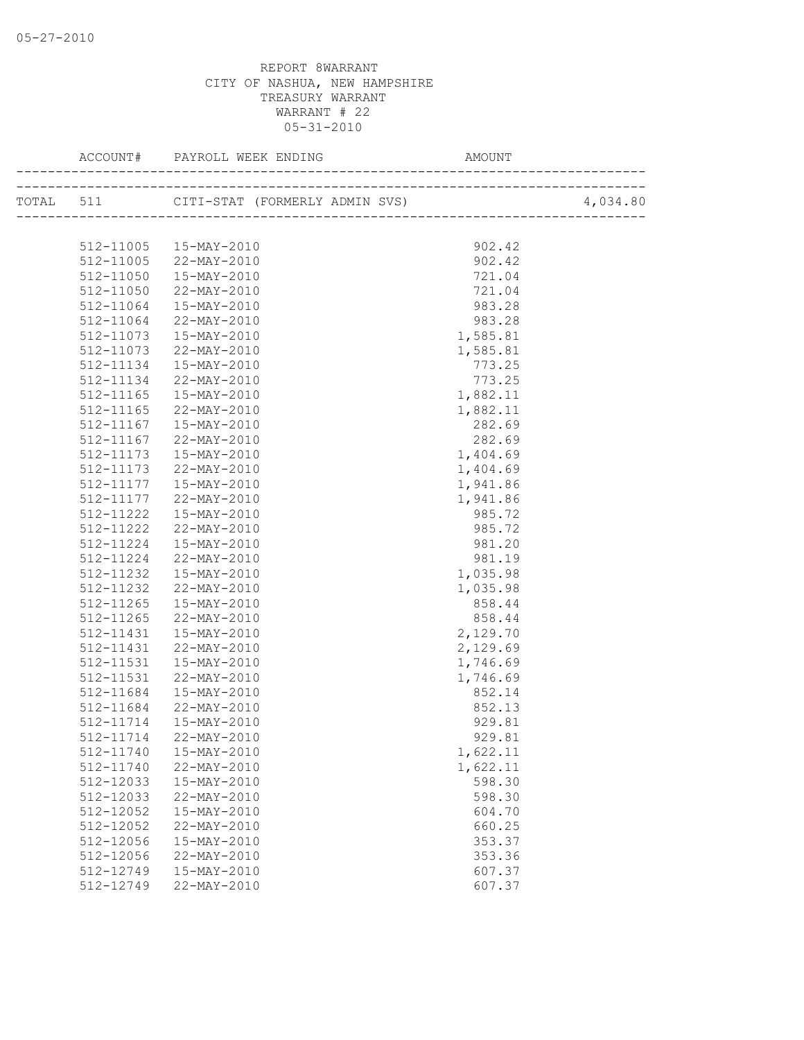|               |                                                   | AMOUNT   |  |
|---------------|---------------------------------------------------|----------|--|
|               | TOTAL 511 CITI-STAT (FORMERLY ADMIN SVS) 4,034.80 |          |  |
|               |                                                   |          |  |
|               | 512-11005  15-MAY-2010                            | 902.42   |  |
|               | 512-11005 22-MAY-2010                             | 902.42   |  |
| 512-11050     | $15 - \text{MAX} - 2010$                          | 721.04   |  |
| 512-11050     | 22-MAY-2010                                       | 721.04   |  |
| 512-11064     | 15-MAY-2010                                       | 983.28   |  |
| 512-11064     | $22-MAY-2010$                                     | 983.28   |  |
| 512-11073     | $15 - \text{MAX} - 2010$                          | 1,585.81 |  |
| 512-11073     | 22-MAY-2010                                       | 1,585.81 |  |
| 512-11134     | 15-MAY-2010                                       | 773.25   |  |
| 512-11134     | 22-MAY-2010                                       | 773.25   |  |
| 512-11165     | $15 - \text{MAX} - 2010$                          | 1,882.11 |  |
| 512-11165     | 22-MAY-2010                                       | 1,882.11 |  |
| 512-11167     | 15-MAY-2010                                       | 282.69   |  |
| 512-11167     | 22-MAY-2010                                       | 282.69   |  |
| 512-11173     | 15-MAY-2010                                       | 1,404.69 |  |
| 512-11173     | 22-MAY-2010                                       | 1,404.69 |  |
|               | 512-11177   15-MAY-2010                           | 1,941.86 |  |
| 512-11177     | 22-MAY-2010                                       | 1,941.86 |  |
|               | 512-11222  15-MAY-2010                            | 985.72   |  |
| 512-11222     | $22 - \text{MAX} - 2010$                          | 985.72   |  |
| 512-11224     | 15-MAY-2010                                       | 981.20   |  |
| 512-11224     | 22-MAY-2010                                       | 981.19   |  |
| 512-11232     | 15-MAY-2010                                       | 1,035.98 |  |
| 512-11232     | $22 - \text{MAX} - 2010$                          | 1,035.98 |  |
| $512 - 11265$ | $15 - \text{MAX} - 2010$                          | 858.44   |  |
| 512-11265     | 22-MAY-2010                                       | 858.44   |  |
|               | 512-11431  15-MAY-2010                            | 2,129.70 |  |
| 512-11431     | 22-MAY-2010                                       | 2,129.69 |  |
| 512-11531     | 15-MAY-2010                                       | 1,746.69 |  |
| 512-11531     | 22-MAY-2010                                       | 1,746.69 |  |
| 512-11684     | 15-MAY-2010                                       | 852.14   |  |
| 512-11684     | 22-MAY-2010                                       | 852.13   |  |
| 512-11714     | $15 - \text{MAX} - 2010$                          | 929.81   |  |
|               | $512 - 11714$ 22-MAY-2010                         | 929.81   |  |
| 512-11740     | 15-MAY-2010                                       | 1,622.11 |  |
| 512-11740     | 22-MAY-2010                                       | 1,622.11 |  |
| 512-12033     | 15-MAY-2010                                       | 598.30   |  |
| 512-12033     | 22-MAY-2010                                       | 598.30   |  |
| 512-12052     | 15-MAY-2010                                       | 604.70   |  |
| 512-12052     | 22-MAY-2010                                       | 660.25   |  |
| 512-12056     | 15-MAY-2010                                       | 353.37   |  |
| 512-12056     | 22-MAY-2010                                       | 353.36   |  |
| 512-12749     | 15-MAY-2010                                       | 607.37   |  |
| 512-12749     | 22-MAY-2010                                       | 607.37   |  |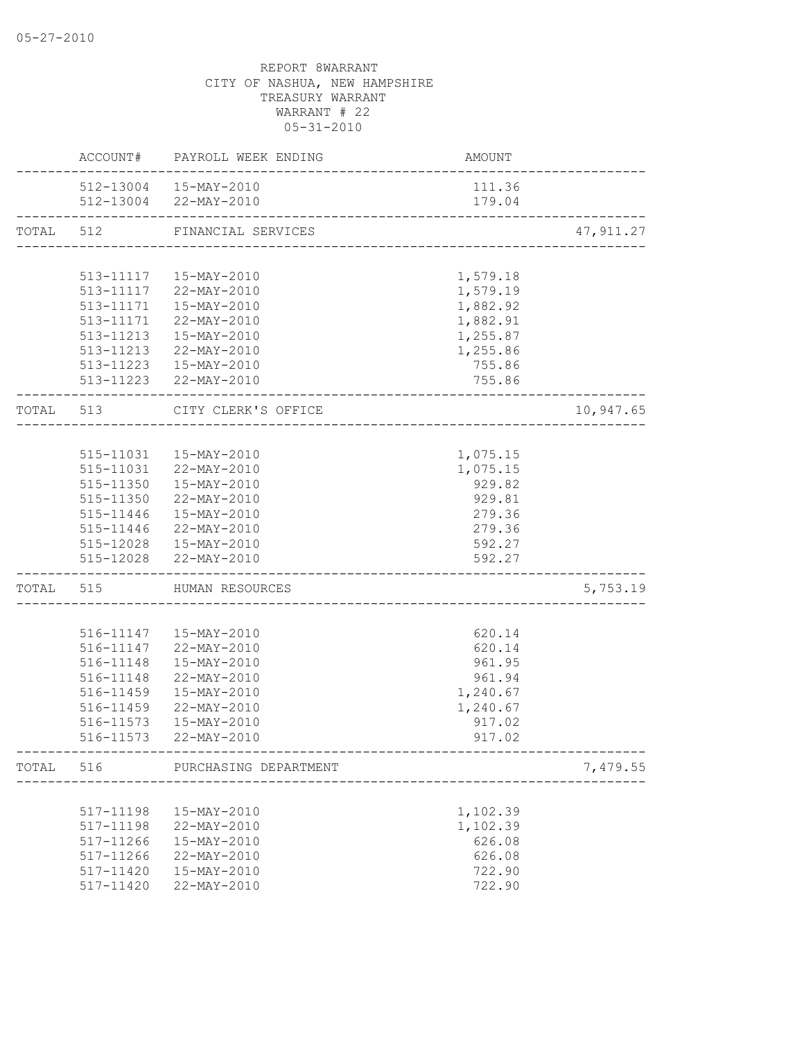|           |           | ACCOUNT# PAYROLL WEEK ENDING | AMOUNT                         |            |
|-----------|-----------|------------------------------|--------------------------------|------------|
|           |           | 512-13004  15-MAY-2010       | 111.36                         |            |
|           |           | 512-13004 22-MAY-2010        | 179.04                         |            |
| TOTAL 512 |           | FINANCIAL SERVICES           |                                | 47, 911.27 |
|           |           |                              |                                |            |
|           |           | 513-11117  15-MAY-2010       | 1,579.18                       |            |
|           |           | 513-11117 22-MAY-2010        | 1,579.19                       |            |
|           |           | 513-11171  15-MAY-2010       | 1,882.92                       |            |
|           |           | 513-11171 22-MAY-2010        | 1,882.91                       |            |
|           |           | 513-11213  15-MAY-2010       | 1,255.87                       |            |
|           |           | 513-11213 22-MAY-2010        | 1,255.86                       |            |
|           |           | 513-11223  15-MAY-2010       | 755.86                         |            |
|           |           | 513-11223 22-MAY-2010        | 755.86                         |            |
|           | TOTAL 513 | CITY CLERK'S OFFICE          | _______________________        | 10,947.65  |
|           |           |                              |                                |            |
|           |           | 515-11031  15-MAY-2010       | 1,075.15                       |            |
|           |           | 515-11031 22-MAY-2010        | 1,075.15                       |            |
|           |           | 515-11350  15-MAY-2010       | 929.82                         |            |
|           |           | 515-11350 22-MAY-2010        | 929.81                         |            |
|           |           | 515-11446  15-MAY-2010       | 279.36                         |            |
|           |           | 515-11446 22-MAY-2010        | 279.36                         |            |
|           |           | 515-12028  15-MAY-2010       | 592.27                         |            |
|           |           | 515-12028 22-MAY-2010        | 592.27                         |            |
|           |           | TOTAL 515 HUMAN RESOURCES    | ______________________________ | 5,753.19   |
|           |           |                              |                                |            |
|           |           | 516-11147   15-MAY-2010      | 620.14                         |            |
|           |           | 516-11147 22-MAY-2010        | 620.14                         |            |
|           | 516-11148 | 15-MAY-2010                  | 961.95                         |            |
|           | 516-11148 | 22-MAY-2010                  | 961.94                         |            |
|           | 516-11459 | 15-MAY-2010                  | 1,240.67                       |            |
|           | 516-11459 | 22-MAY-2010                  | 1,240.67                       |            |
|           | 516-11573 | 15-MAY-2010                  | 917.02                         |            |
|           |           | 516-11573 22-MAY-2010        | 917.02                         |            |
| TOTAL     | 516       | PURCHASING DEPARTMENT        | ---------------------          | 7,479.55   |
|           |           |                              |                                |            |
|           | 517-11198 | 15-MAY-2010                  | 1,102.39                       |            |
|           | 517-11198 | 22-MAY-2010                  | 1,102.39                       |            |
|           | 517-11266 | 15-MAY-2010                  | 626.08                         |            |
|           | 517-11266 | 22-MAY-2010                  | 626.08                         |            |
|           | 517-11420 | 15-MAY-2010                  | 722.90                         |            |
|           | 517-11420 | 22-MAY-2010                  | 722.90                         |            |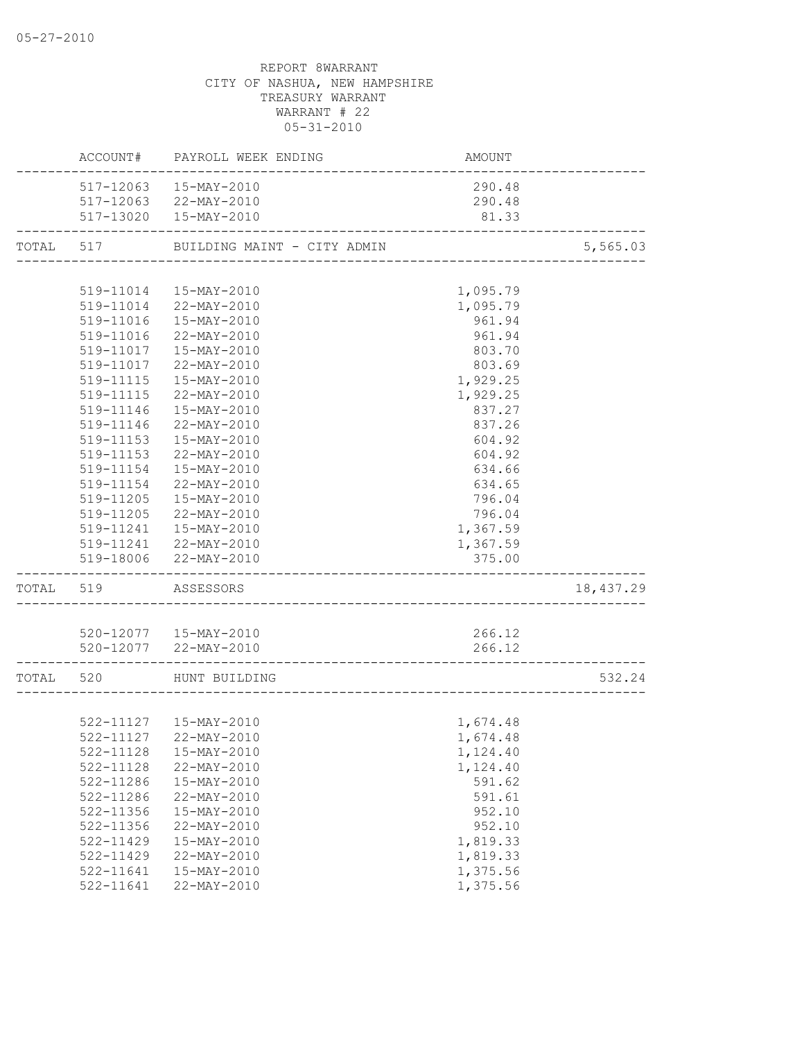|                     | ACCOUNT# PAYROLL WEEK ENDING          | AMOUNT<br>--------------------- |           |
|---------------------|---------------------------------------|---------------------------------|-----------|
|                     | 517-12063  15-MAY-2010                | 290.48                          |           |
|                     | 517-12063 22-MAY-2010                 | 290.48                          |           |
|                     | 517-13020  15-MAY-2010                | 81.33                           |           |
|                     | TOTAL 517 BUILDING MAINT - CITY ADMIN |                                 | 5,565.03  |
|                     |                                       |                                 |           |
|                     | 519-11014  15-MAY-2010                | 1,095.79                        |           |
| 519-11014           | 22-MAY-2010                           | 1,095.79                        |           |
| 519-11016           | 15-MAY-2010                           | 961.94                          |           |
| 519-11016           | 22-MAY-2010                           | 961.94                          |           |
|                     | 519-11017  15-MAY-2010                | 803.70                          |           |
|                     | 519-11017 22-MAY-2010                 | 803.69                          |           |
|                     | 519-11115  15-MAY-2010                | 1,929.25                        |           |
| 519-11115           | 22-MAY-2010                           | 1,929.25                        |           |
| 519-11146           | 15-MAY-2010                           | 837.27                          |           |
| 519-11146           | 22-MAY-2010                           | 837.26                          |           |
| 519-11153           | 15-MAY-2010                           | 604.92                          |           |
| 519-11153           | 22-MAY-2010                           | 604.92                          |           |
| 519-11154           | 15-MAY-2010                           | 634.66                          |           |
| 519-11154           | 22-MAY-2010                           | 634.65                          |           |
| 519-11205           | 15-MAY-2010                           | 796.04                          |           |
|                     | 519-11205 22-MAY-2010                 | 796.04                          |           |
|                     | 519-11241  15-MAY-2010                | 1,367.59                        |           |
|                     | 519-11241 22-MAY-2010                 | 1,367.59                        |           |
|                     | 519-18006 22-MAY-2010                 | 375.00                          |           |
| TOTAL 519 ASSESSORS |                                       |                                 | 18,437.29 |
|                     |                                       |                                 |           |
|                     | 520-12077  15-MAY-2010                | 266.12                          |           |
|                     | 520-12077 22-MAY-2010                 | 266.12                          |           |
|                     | TOTAL 520 HUNT BUILDING               |                                 | 532.24    |
|                     |                                       |                                 |           |
|                     | 522-11127  15-MAY-2010                | 1,674.48                        |           |
|                     | 522-11127 22-MAY-2010                 | 1,674.48                        |           |
| 522-11128           | 15-MAY-2010                           | 1,124.40                        |           |
| $522 - 11128$       | 22-MAY-2010                           | 1,124.40                        |           |
| 522-11286           | 15-MAY-2010                           | 591.62                          |           |
| 522-11286           | 22-MAY-2010                           | 591.61                          |           |
| 522-11356           | 15-MAY-2010                           | 952.10                          |           |
| $522 - 11356$       | 22-MAY-2010                           | 952.10                          |           |
| 522-11429           | 15-MAY-2010                           | 1,819.33                        |           |
| 522-11429           | 22-MAY-2010                           | 1,819.33                        |           |
| 522-11641           | 15-MAY-2010                           | 1,375.56                        |           |
| 522-11641           | 22-MAY-2010                           | 1,375.56                        |           |
|                     |                                       |                                 |           |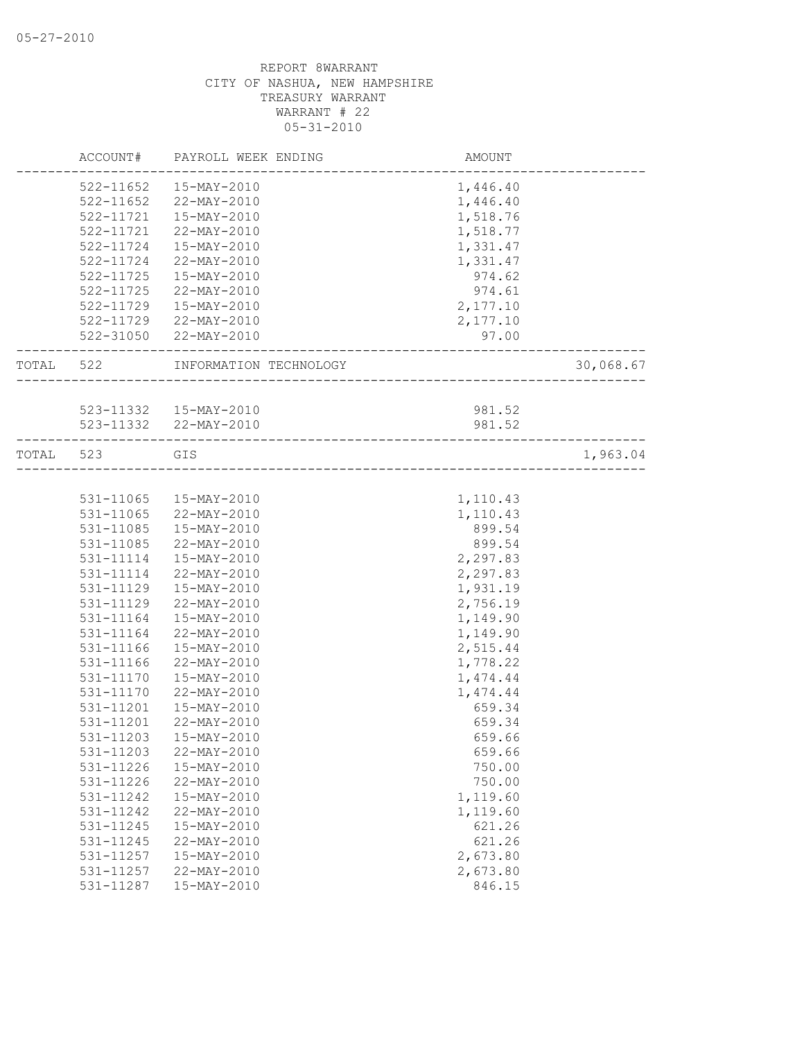|           | ACCOUNT#  | PAYROLL WEEK ENDING                             | AMOUNT               |           |
|-----------|-----------|-------------------------------------------------|----------------------|-----------|
|           | 522-11652 | 15-MAY-2010                                     | 1,446.40             |           |
|           | 522-11652 | 22-MAY-2010                                     | 1,446.40             |           |
|           | 522-11721 | 15-MAY-2010                                     | 1,518.76             |           |
|           | 522-11721 | 22-MAY-2010                                     | 1,518.77             |           |
|           | 522-11724 | 15-MAY-2010                                     | 1,331.47             |           |
|           | 522-11724 | 22-MAY-2010                                     | 1,331.47             |           |
|           | 522-11725 | 15-MAY-2010                                     | 974.62               |           |
|           | 522-11725 | 22-MAY-2010                                     | 974.61               |           |
|           |           | 522-11729  15-MAY-2010                          | 2,177.10             |           |
|           |           | 522-11729 22-MAY-2010                           | 2,177.10             |           |
|           |           | 522-31050 22-MAY-2010                           | 97.00                |           |
|           |           |                                                 |                      |           |
| TOTAL 522 |           | INFORMATION TECHNOLOGY                          | ____________________ | 30,068.67 |
|           |           |                                                 | 981.52               |           |
|           |           | 523-11332  15-MAY-2010<br>523-11332 22-MAY-2010 | 981.52               |           |
| TOTAL 523 |           | GIS                                             |                      | 1,963.04  |
|           |           |                                                 |                      |           |
|           | 531-11065 | 15-MAY-2010                                     | 1,110.43             |           |
|           | 531-11065 | 22-MAY-2010                                     | 1,110.43             |           |
|           | 531-11085 | 15-MAY-2010                                     | 899.54               |           |
|           | 531-11085 | 22-MAY-2010                                     | 899.54               |           |
|           | 531-11114 | 15-MAY-2010                                     | 2,297.83             |           |
|           | 531-11114 | 22-MAY-2010                                     | 2,297.83             |           |
|           | 531-11129 | 15-MAY-2010                                     | 1,931.19             |           |
|           | 531-11129 | 22-MAY-2010                                     | 2,756.19             |           |
|           | 531-11164 | 15-MAY-2010                                     | 1,149.90             |           |
|           | 531-11164 | 22-MAY-2010                                     | 1,149.90             |           |
|           | 531-11166 | 15-MAY-2010                                     | 2,515.44             |           |
|           | 531-11166 | 22-MAY-2010                                     | 1,778.22             |           |
|           | 531-11170 | 15-MAY-2010                                     | 1,474.44             |           |
|           | 531-11170 | 22-MAY-2010                                     | 1,474.44             |           |
|           | 531-11201 | 15-MAY-2010                                     | 659.34               |           |
|           | 531-11201 | 22-MAY-2010                                     | 659.34               |           |
|           | 531-11203 |                                                 | 659.66               |           |
|           |           | 15-MAY-2010                                     |                      |           |
|           | 531-11203 | 22-MAY-2010                                     | 659.66               |           |
|           | 531-11226 | 15-MAY-2010                                     | 750.00               |           |
|           | 531-11226 | 22-MAY-2010                                     | 750.00               |           |
|           | 531-11242 | 15-MAY-2010                                     | 1,119.60             |           |
|           | 531-11242 | 22-MAY-2010                                     | 1,119.60             |           |
|           | 531-11245 | 15-MAY-2010                                     | 621.26               |           |
|           | 531-11245 | 22-MAY-2010                                     | 621.26               |           |
|           | 531-11257 | 15-MAY-2010                                     | 2,673.80             |           |
|           | 531-11257 | 22-MAY-2010                                     | 2,673.80             |           |
|           | 531-11287 | 15-MAY-2010                                     | 846.15               |           |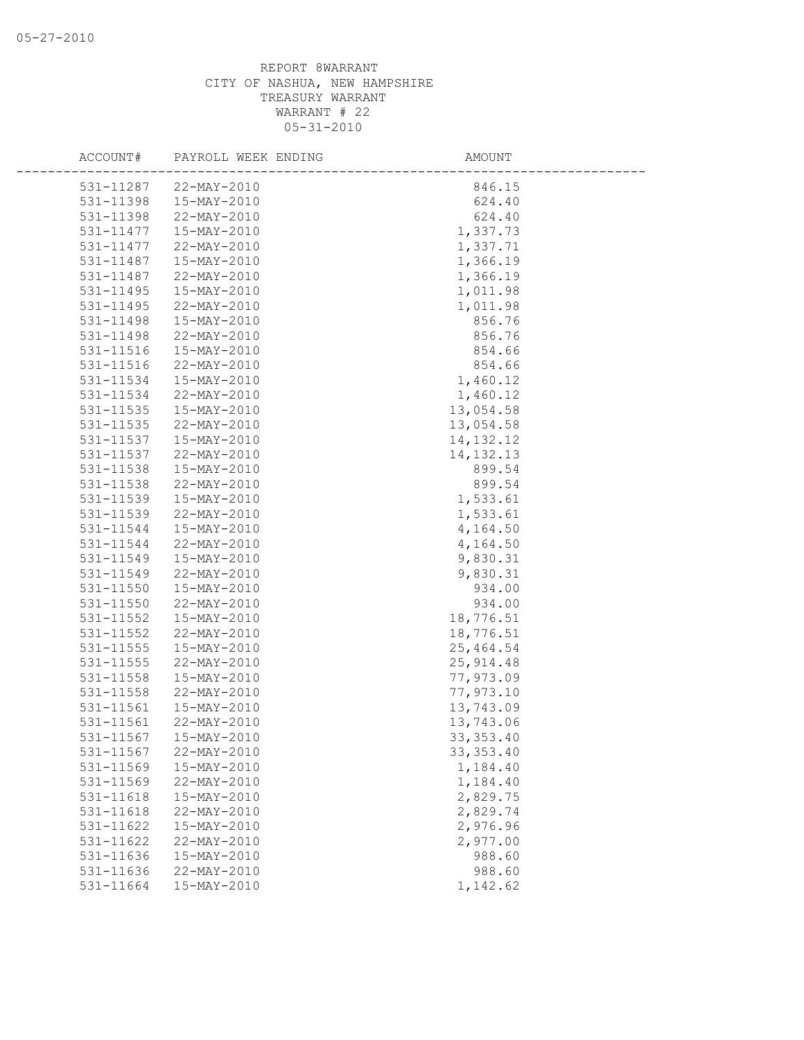| ACCOUNT#  | PAYROLL WEEK ENDING | AMOUNT      |
|-----------|---------------------|-------------|
| 531-11287 | 22-MAY-2010         | 846.15      |
| 531-11398 | 15-MAY-2010         | 624.40      |
| 531-11398 | 22-MAY-2010         | 624.40      |
| 531-11477 | 15-MAY-2010         | 1,337.73    |
| 531-11477 | 22-MAY-2010         | 1,337.71    |
| 531-11487 | 15-MAY-2010         | 1,366.19    |
| 531-11487 | 22-MAY-2010         | 1,366.19    |
| 531-11495 | 15-MAY-2010         | 1,011.98    |
| 531-11495 | 22-MAY-2010         | 1,011.98    |
| 531-11498 | 15-MAY-2010         | 856.76      |
| 531-11498 | 22-MAY-2010         | 856.76      |
| 531-11516 | 15-MAY-2010         | 854.66      |
| 531-11516 | 22-MAY-2010         | 854.66      |
| 531-11534 | 15-MAY-2010         | 1,460.12    |
| 531-11534 | 22-MAY-2010         | 1,460.12    |
| 531-11535 | 15-MAY-2010         | 13,054.58   |
| 531-11535 | 22-MAY-2010         | 13,054.58   |
| 531-11537 | 15-MAY-2010         | 14, 132. 12 |
| 531-11537 | 22-MAY-2010         | 14, 132. 13 |
| 531-11538 | 15-MAY-2010         | 899.54      |
| 531-11538 | 22-MAY-2010         | 899.54      |
| 531-11539 | 15-MAY-2010         | 1,533.61    |
| 531-11539 | 22-MAY-2010         | 1,533.61    |
| 531-11544 | 15-MAY-2010         | 4,164.50    |
| 531-11544 | 22-MAY-2010         | 4,164.50    |
| 531-11549 | 15-MAY-2010         | 9,830.31    |
| 531-11549 | 22-MAY-2010         | 9,830.31    |
| 531-11550 | 15-MAY-2010         | 934.00      |
| 531-11550 | 22-MAY-2010         | 934.00      |
| 531-11552 | 15-MAY-2010         | 18,776.51   |
| 531-11552 | 22-MAY-2010         | 18,776.51   |
| 531-11555 | 15-MAY-2010         | 25, 464.54  |
| 531-11555 | 22-MAY-2010         | 25, 914.48  |
| 531-11558 | 15-MAY-2010         | 77,973.09   |
| 531-11558 | 22-MAY-2010         | 77,973.10   |
| 531-11561 | 15-MAY-2010         | 13,743.09   |
| 531-11561 | 22-MAY-2010         | 13,743.06   |
| 531-11567 | 15-MAY-2010         | 33, 353.40  |
| 531-11567 | 22-MAY-2010         | 33, 353.40  |
| 531-11569 | 15-MAY-2010         | 1,184.40    |
| 531-11569 | 22-MAY-2010         | 1,184.40    |
| 531-11618 | 15-MAY-2010         | 2,829.75    |
| 531-11618 | 22-MAY-2010         | 2,829.74    |
| 531-11622 | 15-MAY-2010         | 2,976.96    |
| 531-11622 | 22-MAY-2010         | 2,977.00    |
| 531-11636 | 15-MAY-2010         | 988.60      |
| 531-11636 | 22-MAY-2010         | 988.60      |
| 531-11664 | 15-MAY-2010         | 1,142.62    |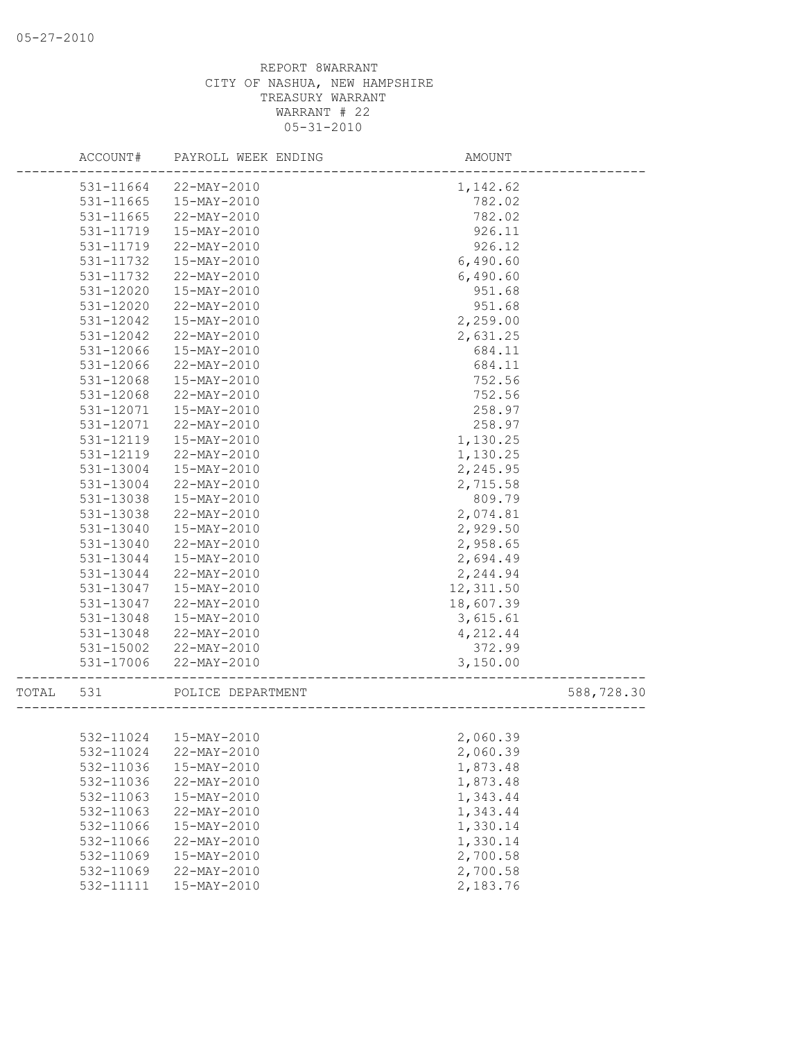|       | ACCOUNT#  | PAYROLL WEEK ENDING    | AMOUNT    |            |
|-------|-----------|------------------------|-----------|------------|
|       | 531-11664 | 22-MAY-2010            | 1,142.62  |            |
|       | 531-11665 | 15-MAY-2010            | 782.02    |            |
|       | 531-11665 | 22-MAY-2010            | 782.02    |            |
|       | 531-11719 | 15-MAY-2010            | 926.11    |            |
|       | 531-11719 | 22-MAY-2010            | 926.12    |            |
|       | 531-11732 | 15-MAY-2010            | 6,490.60  |            |
|       | 531-11732 | 22-MAY-2010            | 6,490.60  |            |
|       | 531-12020 | 15-MAY-2010            | 951.68    |            |
|       | 531-12020 | 22-MAY-2010            | 951.68    |            |
|       | 531-12042 | 15-MAY-2010            | 2,259.00  |            |
|       | 531-12042 | 22-MAY-2010            | 2,631.25  |            |
|       | 531-12066 | 15-MAY-2010            | 684.11    |            |
|       | 531-12066 | 22-MAY-2010            | 684.11    |            |
|       | 531-12068 | 15-MAY-2010            | 752.56    |            |
|       | 531-12068 | 22-MAY-2010            | 752.56    |            |
|       | 531-12071 | 15-MAY-2010            | 258.97    |            |
|       | 531-12071 | 22-MAY-2010            | 258.97    |            |
|       | 531-12119 | 15-MAY-2010            | 1,130.25  |            |
|       | 531-12119 | 22-MAY-2010            | 1,130.25  |            |
|       | 531-13004 | 15-MAY-2010            | 2,245.95  |            |
|       | 531-13004 | 22-MAY-2010            | 2,715.58  |            |
|       | 531-13038 | 15-MAY-2010            | 809.79    |            |
|       | 531-13038 | 22-MAY-2010            | 2,074.81  |            |
|       | 531-13040 | 15-MAY-2010            | 2,929.50  |            |
|       | 531-13040 | 22-MAY-2010            | 2,958.65  |            |
|       | 531-13044 | 15-MAY-2010            | 2,694.49  |            |
|       | 531-13044 | 22-MAY-2010            | 2,244.94  |            |
|       | 531-13047 | 15-MAY-2010            | 12,311.50 |            |
|       | 531-13047 | 22-MAY-2010            | 18,607.39 |            |
|       | 531-13048 | 15-MAY-2010            | 3,615.61  |            |
|       | 531-13048 | 22-MAY-2010            | 4,212.44  |            |
|       | 531-15002 | 22-MAY-2010            | 372.99    |            |
|       | 531-17006 | 22-MAY-2010            | 3,150.00  |            |
| TOTAL | 531       | POLICE DEPARTMENT      |           | 588,728.30 |
|       |           |                        |           |            |
|       |           | 532-11024  15-MAY-2010 | 2,060.39  |            |
|       | 532-11024 | 22-MAY-2010            | 2,060.39  |            |
|       | 532-11036 | 15-MAY-2010            | 1,873.48  |            |
|       | 532-11036 | 22-MAY-2010            | 1,873.48  |            |
|       | 532-11063 | 15-MAY-2010            | 1,343.44  |            |
|       | 532-11063 | 22-MAY-2010            | 1,343.44  |            |
|       | 532-11066 | $15 - MAX - 2010$      | 1,330.14  |            |
|       | 532-11066 | 22-MAY-2010            | 1,330.14  |            |
|       | 532-11069 | 15-MAY-2010            | 2,700.58  |            |
|       | 532-11069 | $22 - MAX - 2010$      | 2,700.58  |            |
|       | 532-11111 | 15-MAY-2010            | 2,183.76  |            |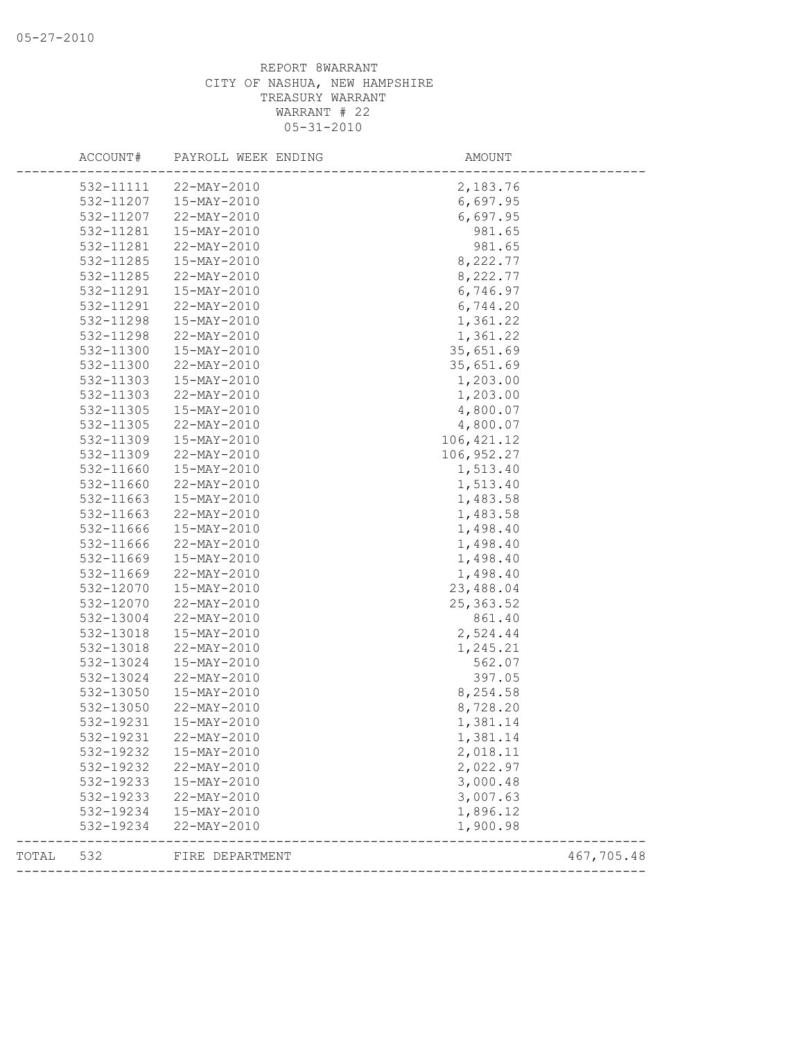|       | 532-11111 | 22-MAY-2010     | 2,183.76    |            |
|-------|-----------|-----------------|-------------|------------|
|       | 532-11207 | 15-MAY-2010     | 6,697.95    |            |
|       | 532-11207 | 22-MAY-2010     | 6,697.95    |            |
|       | 532-11281 | 15-MAY-2010     | 981.65      |            |
|       | 532-11281 | 22-MAY-2010     | 981.65      |            |
|       | 532-11285 | 15-MAY-2010     | 8,222.77    |            |
|       | 532-11285 | 22-MAY-2010     | 8,222.77    |            |
|       | 532-11291 | 15-MAY-2010     | 6,746.97    |            |
|       | 532-11291 | 22-MAY-2010     | 6,744.20    |            |
|       | 532-11298 | 15-MAY-2010     | 1,361.22    |            |
|       | 532-11298 | 22-MAY-2010     | 1,361.22    |            |
|       | 532-11300 | 15-MAY-2010     | 35,651.69   |            |
|       | 532-11300 | 22-MAY-2010     | 35,651.69   |            |
|       | 532-11303 | 15-MAY-2010     | 1,203.00    |            |
|       | 532-11303 | 22-MAY-2010     | 1,203.00    |            |
|       | 532-11305 | 15-MAY-2010     | 4,800.07    |            |
|       | 532-11305 | 22-MAY-2010     | 4,800.07    |            |
|       | 532-11309 | 15-MAY-2010     | 106, 421.12 |            |
|       | 532-11309 | 22-MAY-2010     | 106, 952.27 |            |
|       | 532-11660 | 15-MAY-2010     | 1,513.40    |            |
|       | 532-11660 | 22-MAY-2010     | 1,513.40    |            |
|       | 532-11663 | 15-MAY-2010     | 1,483.58    |            |
|       | 532-11663 | 22-MAY-2010     | 1,483.58    |            |
|       | 532-11666 | 15-MAY-2010     | 1,498.40    |            |
|       | 532-11666 | 22-MAY-2010     | 1,498.40    |            |
|       | 532-11669 | 15-MAY-2010     | 1,498.40    |            |
|       | 532-11669 | 22-MAY-2010     | 1,498.40    |            |
|       | 532-12070 | 15-MAY-2010     | 23,488.04   |            |
|       | 532-12070 | 22-MAY-2010     | 25, 363.52  |            |
|       | 532-13004 | 22-MAY-2010     | 861.40      |            |
|       | 532-13018 | 15-MAY-2010     | 2,524.44    |            |
|       | 532-13018 | 22-MAY-2010     | 1,245.21    |            |
|       | 532-13024 | 15-MAY-2010     | 562.07      |            |
|       | 532-13024 | 22-MAY-2010     | 397.05      |            |
|       | 532-13050 | 15-MAY-2010     | 8,254.58    |            |
|       | 532-13050 | 22-MAY-2010     | 8,728.20    |            |
|       | 532-19231 | 15-MAY-2010     | 1,381.14    |            |
|       | 532-19231 | 22-MAY-2010     | 1,381.14    |            |
|       | 532-19232 | 15-MAY-2010     | 2,018.11    |            |
|       | 532-19232 | 22-MAY-2010     | 2,022.97    |            |
|       | 532-19233 | 15-MAY-2010     | 3,000.48    |            |
|       | 532-19233 | 22-MAY-2010     | 3,007.63    |            |
|       | 532-19234 | 15-MAY-2010     | 1,896.12    |            |
|       | 532-19234 | 22-MAY-2010     | 1,900.98    |            |
| TOTAL | 532       | FIRE DEPARTMENT |             | 467,705.48 |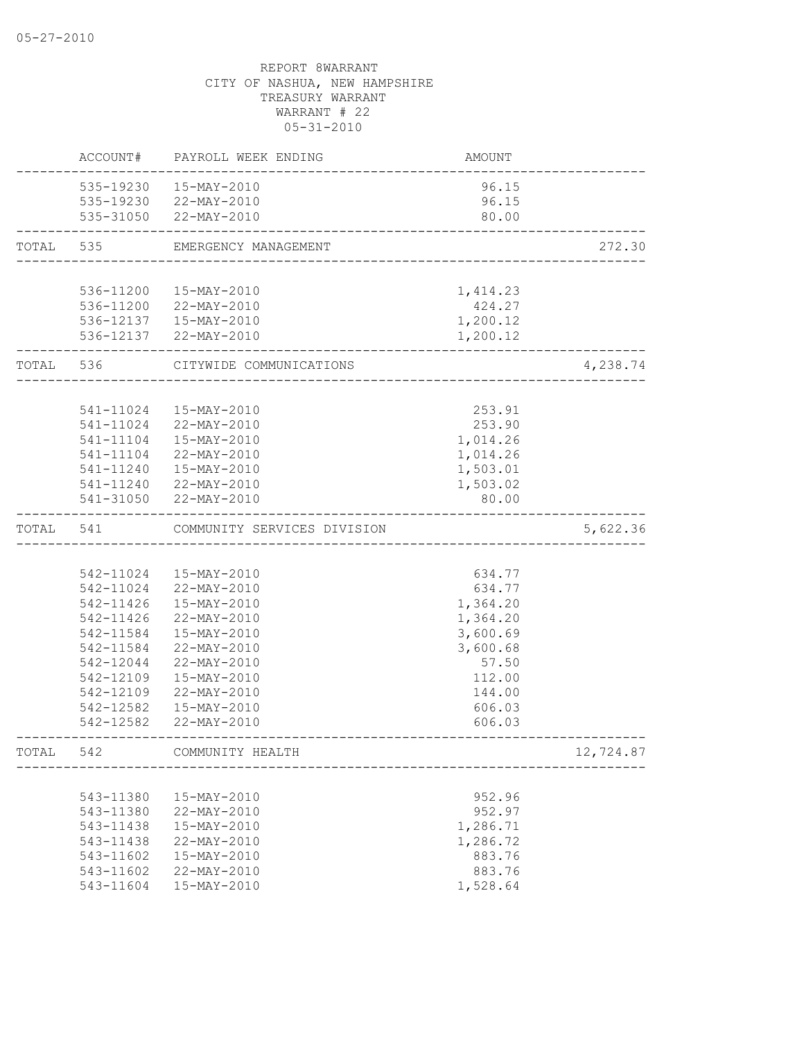|           | ACCOUNT#  | PAYROLL WEEK ENDING         | AMOUNT   |           |
|-----------|-----------|-----------------------------|----------|-----------|
|           |           | 535-19230  15-MAY-2010      | 96.15    |           |
|           |           | 535-19230 22-MAY-2010       | 96.15    |           |
|           |           | 535-31050 22-MAY-2010       | 80.00    |           |
| TOTAL     | 535       | EMERGENCY MANAGEMENT        |          | 272.30    |
|           |           |                             |          |           |
|           | 536-11200 | 15-MAY-2010                 | 1,414.23 |           |
|           |           | 536-11200 22-MAY-2010       | 424.27   |           |
|           |           | 536-12137  15-MAY-2010      | 1,200.12 |           |
|           |           | 536-12137 22-MAY-2010       | 1,200.12 |           |
| TOTAL 536 |           | CITYWIDE COMMUNICATIONS     |          | 4,238.74  |
|           |           |                             |          |           |
|           | 541-11024 | 15-MAY-2010                 | 253.91   |           |
|           | 541-11024 | 22-MAY-2010                 | 253.90   |           |
|           | 541-11104 | 15-MAY-2010                 | 1,014.26 |           |
|           | 541-11104 | 22-MAY-2010                 | 1,014.26 |           |
|           |           | 541-11240  15-MAY-2010      | 1,503.01 |           |
|           |           | 541-11240 22-MAY-2010       | 1,503.02 |           |
|           |           | 541-31050 22-MAY-2010       | 80.00    |           |
| TOTAL     | 541       | COMMUNITY SERVICES DIVISION |          | 5,622.36  |
|           |           |                             |          |           |
|           |           | 542-11024  15-MAY-2010      | 634.77   |           |
|           |           | 542-11024 22-MAY-2010       | 634.77   |           |
|           | 542-11426 | 15-MAY-2010                 | 1,364.20 |           |
|           | 542-11426 | 22-MAY-2010                 | 1,364.20 |           |
|           | 542-11584 | 15-MAY-2010                 | 3,600.69 |           |
|           | 542-11584 | 22-MAY-2010                 | 3,600.68 |           |
|           | 542-12044 | 22-MAY-2010                 | 57.50    |           |
|           | 542-12109 | 15-MAY-2010                 | 112.00   |           |
|           | 542-12109 | 22-MAY-2010                 | 144.00   |           |
|           | 542-12582 | 15-MAY-2010                 | 606.03   |           |
|           | 542-12582 | 22-MAY-2010                 | 606.03   |           |
| TOTAL     | 542       | COMMUNITY HEALTH            |          | 12,724.87 |
|           |           |                             |          |           |
|           | 543-11380 | 15-MAY-2010                 | 952.96   |           |
|           | 543-11380 | 22-MAY-2010                 | 952.97   |           |
|           | 543-11438 | 15-MAY-2010                 | 1,286.71 |           |
|           | 543-11438 | 22-MAY-2010                 | 1,286.72 |           |
|           | 543-11602 | 15-MAY-2010                 | 883.76   |           |
|           | 543-11602 | 22-MAY-2010                 | 883.76   |           |
|           | 543-11604 | 15-MAY-2010                 | 1,528.64 |           |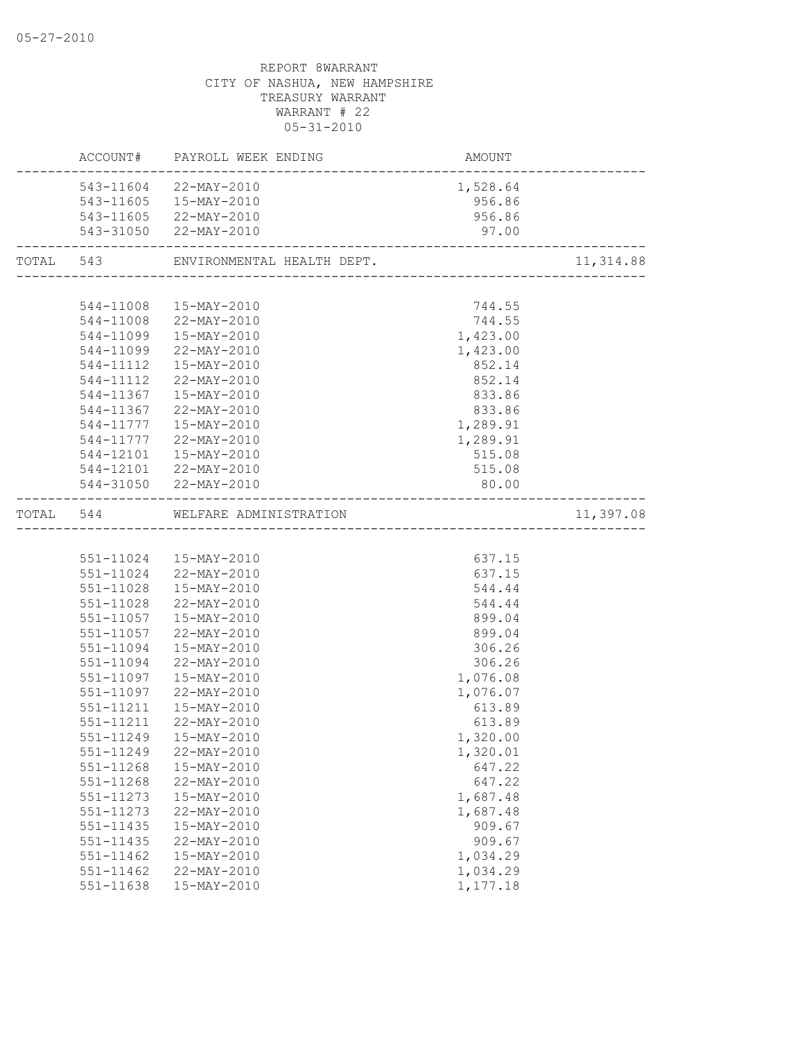|               | ACCOUNT# PAYROLL WEEK ENDING     | AMOUNT<br>------------------------ |           |
|---------------|----------------------------------|------------------------------------|-----------|
|               | 543-11604 22-MAY-2010            | 1,528.64                           |           |
|               | 543-11605  15-MAY-2010           | 956.86                             |           |
|               | 543-11605 22-MAY-2010            | 956.86                             |           |
|               | 543-31050 22-MAY-2010            | 97.00                              |           |
|               |                                  |                                    | 11,314.88 |
|               |                                  |                                    |           |
|               | 544-11008  15-MAY-2010           | 744.55                             |           |
|               | 544-11008 22-MAY-2010            | 744.55                             |           |
|               | 544-11099  15-MAY-2010           | 1,423.00                           |           |
|               | 544-11099 22-MAY-2010            | 1,423.00                           |           |
|               | 544-11112  15-MAY-2010           | 852.14                             |           |
|               | 544-11112 22-MAY-2010            | 852.14                             |           |
|               | 544-11367  15-MAY-2010           | 833.86                             |           |
|               | 544-11367 22-MAY-2010            | 833.86                             |           |
|               | 544-11777   15-MAY-2010          | 1,289.91                           |           |
|               | 544-11777 22-MAY-2010            | 1,289.91                           |           |
|               | 544-12101  15-MAY-2010           | 515.08                             |           |
|               | 544-12101 22-MAY-2010            | 515.08                             |           |
|               | 544-31050 22-MAY-2010            | 80.00                              |           |
|               | TOTAL 544 WELFARE ADMINISTRATION |                                    | 11,397.08 |
|               |                                  |                                    |           |
|               | 551-11024  15-MAY-2010           | 637.15                             |           |
|               | 551-11024 22-MAY-2010            | 637.15                             |           |
|               | 551-11028  15-MAY-2010           | 544.44                             |           |
|               | 551-11028 22-MAY-2010            | 544.44                             |           |
|               | 551-11057  15-MAY-2010           | 899.04                             |           |
|               | 551-11057 22-MAY-2010            | 899.04                             |           |
|               | 551-11094  15-MAY-2010           | 306.26                             |           |
|               | 551-11094 22-MAY-2010            | 306.26                             |           |
|               | 551-11097  15-MAY-2010           | 1,076.08                           |           |
|               | 551-11097 22-MAY-2010            | 1,076.07                           |           |
| 551-11211     | 15-MAY-2010                      | 613.89                             |           |
| 551-11211     | 22-MAY-2010                      | 613.89                             |           |
|               | 551-11249  15-MAY-2010           | 1,320.00                           |           |
| 551-11249     | 22-MAY-2010                      | 1,320.01                           |           |
| 551-11268     | 15-MAY-2010                      | 647.22                             |           |
| 551-11268     | 22-MAY-2010                      | 647.22                             |           |
| 551-11273     | 15-MAY-2010                      | 1,687.48                           |           |
| 551-11273     | 22-MAY-2010                      | 1,687.48                           |           |
| 551-11435     | 15-MAY-2010                      | 909.67                             |           |
| 551-11435     | 22-MAY-2010                      | 909.67                             |           |
| $551 - 11462$ | 15-MAY-2010                      | 1,034.29                           |           |
| 551-11462     | 22-MAY-2010                      | 1,034.29                           |           |
| 551-11638     | 15-MAY-2010                      | 1,177.18                           |           |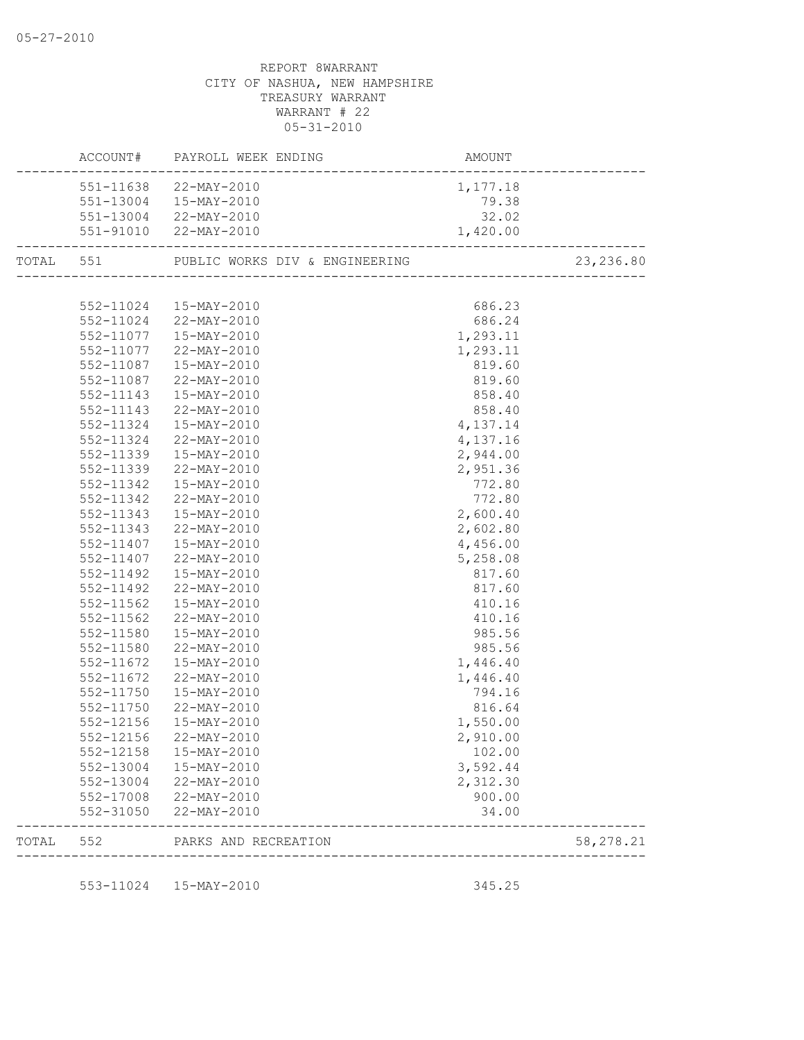|       |           | ACCOUNT# PAYROLL WEEK ENDING             | AMOUNT   |            |
|-------|-----------|------------------------------------------|----------|------------|
|       |           | 551-11638 22-MAY-2010                    | 1,177.18 |            |
|       |           | 551-13004  15-MAY-2010                   | 79.38    |            |
|       |           | 551-13004 22-MAY-2010                    | 32.02    |            |
|       |           | 551-91010 22-MAY-2010                    | 1,420.00 |            |
|       |           | TOTAL 551 PUBLIC WORKS DIV & ENGINEERING |          | 23, 236.80 |
|       |           |                                          |          |            |
|       |           | 552-11024  15-MAY-2010                   | 686.23   |            |
|       |           | 552-11024 22-MAY-2010                    | 686.24   |            |
|       |           | 552-11077  15-MAY-2010                   | 1,293.11 |            |
|       |           | 552-11077 22-MAY-2010                    | 1,293.11 |            |
|       | 552-11087 | 15-MAY-2010                              | 819.60   |            |
|       | 552-11087 | 22-MAY-2010                              | 819.60   |            |
|       | 552-11143 | 15-MAY-2010                              | 858.40   |            |
|       | 552-11143 | 22-MAY-2010                              | 858.40   |            |
|       | 552-11324 | 15-MAY-2010                              | 4,137.14 |            |
|       | 552-11324 | 22-MAY-2010                              | 4,137.16 |            |
|       | 552-11339 | 15-MAY-2010                              | 2,944.00 |            |
|       | 552-11339 | 22-MAY-2010                              | 2,951.36 |            |
|       | 552-11342 | 15-MAY-2010                              | 772.80   |            |
|       | 552-11342 | 22-MAY-2010                              | 772.80   |            |
|       | 552-11343 | 15-MAY-2010                              | 2,600.40 |            |
|       | 552-11343 | 22-MAY-2010                              | 2,602.80 |            |
|       | 552-11407 | 15-MAY-2010                              | 4,456.00 |            |
|       | 552-11407 | 22-MAY-2010                              | 5,258.08 |            |
|       | 552-11492 | 15-MAY-2010                              | 817.60   |            |
|       | 552-11492 | 22-MAY-2010                              | 817.60   |            |
|       | 552-11562 | 15-MAY-2010                              | 410.16   |            |
|       | 552-11562 | 22-MAY-2010                              | 410.16   |            |
|       | 552-11580 | 15-MAY-2010                              | 985.56   |            |
|       | 552-11580 | 22-MAY-2010                              | 985.56   |            |
|       | 552-11672 | 15-MAY-2010                              | 1,446.40 |            |
|       | 552-11672 | 22-MAY-2010                              | 1,446.40 |            |
|       | 552-11750 | 15-MAY-2010                              | 794.16   |            |
|       |           | 552-11750 22-MAY-2010                    | 816.64   |            |
|       | 552-12156 | 15-MAY-2010                              | 1,550.00 |            |
|       | 552-12156 | 22-MAY-2010                              | 2,910.00 |            |
|       | 552-12158 | 15-MAY-2010                              | 102.00   |            |
|       | 552-13004 | 15-MAY-2010                              | 3,592.44 |            |
|       | 552-13004 | 22-MAY-2010                              | 2,312.30 |            |
|       | 552-17008 | 22-MAY-2010                              | 900.00   |            |
|       | 552-31050 | 22-MAY-2010                              | 34.00    |            |
| TOTAL | 552       | PARKS AND RECREATION                     |          | 58,278.21  |
|       |           |                                          |          |            |
|       |           | 553-11024  15-MAY-2010                   | 345.25   |            |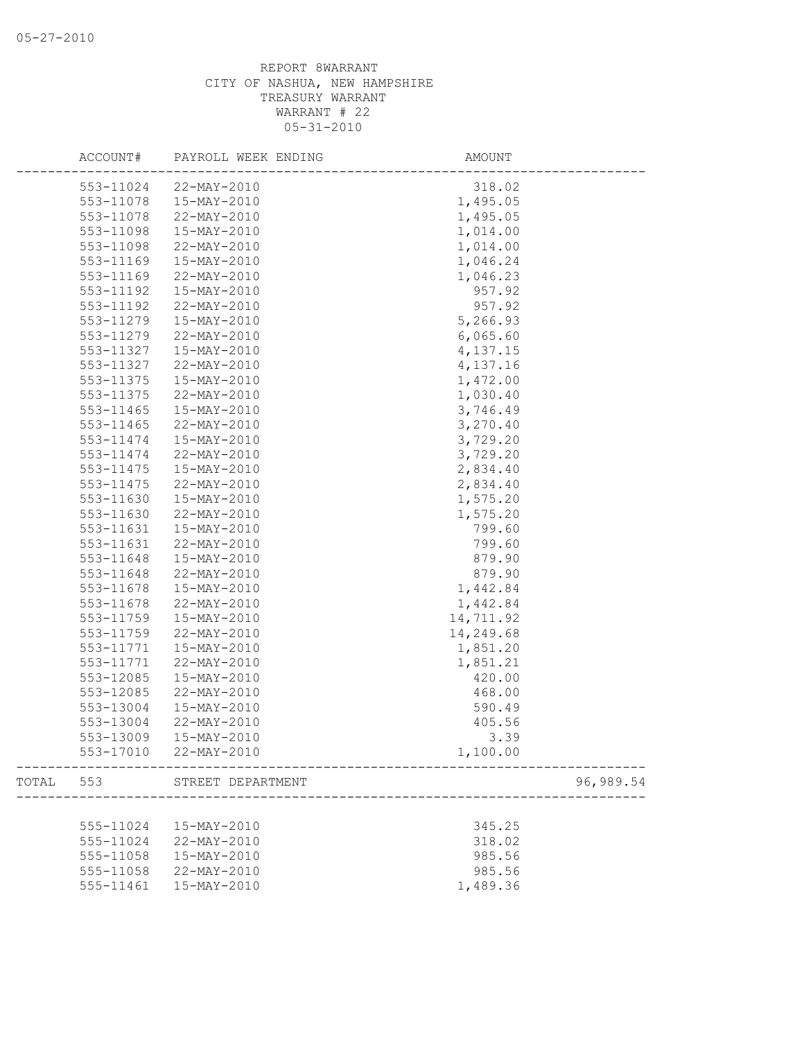|       | ACCOUNT#  | PAYROLL WEEK ENDING   | AMOUNT                            |
|-------|-----------|-----------------------|-----------------------------------|
|       | 553-11024 | 22-MAY-2010           | 318.02                            |
|       | 553-11078 | 15-MAY-2010           | 1,495.05                          |
|       | 553-11078 | 22-MAY-2010           | 1,495.05                          |
|       | 553-11098 | 15-MAY-2010           | 1,014.00                          |
|       | 553-11098 | 22-MAY-2010           | 1,014.00                          |
|       | 553-11169 | 15-MAY-2010           | 1,046.24                          |
|       | 553-11169 | 22-MAY-2010           | 1,046.23                          |
|       | 553-11192 | 15-MAY-2010           | 957.92                            |
|       | 553-11192 | 22-MAY-2010           | 957.92                            |
|       | 553-11279 | 15-MAY-2010           | 5,266.93                          |
|       | 553-11279 | 22-MAY-2010           | 6,065.60                          |
|       | 553-11327 | 15-MAY-2010           | 4,137.15                          |
|       | 553-11327 | 22-MAY-2010           | 4,137.16                          |
|       | 553-11375 | 15-MAY-2010           | 1,472.00                          |
|       | 553-11375 | 22-MAY-2010           | 1,030.40                          |
|       | 553-11465 | 15-MAY-2010           | 3,746.49                          |
|       | 553-11465 | 22-MAY-2010           | 3,270.40                          |
|       | 553-11474 | 15-MAY-2010           | 3,729.20                          |
|       | 553-11474 | 22-MAY-2010           | 3,729.20                          |
|       | 553-11475 | 15-MAY-2010           | 2,834.40                          |
|       | 553-11475 | 22-MAY-2010           | 2,834.40                          |
|       | 553-11630 | 15-MAY-2010           | 1,575.20                          |
|       | 553-11630 | 22-MAY-2010           | 1,575.20                          |
|       | 553-11631 | 15-MAY-2010           | 799.60                            |
|       | 553-11631 | 22-MAY-2010           | 799.60                            |
|       | 553-11648 | 15-MAY-2010           | 879.90                            |
|       | 553-11648 | 22-MAY-2010           | 879.90                            |
|       | 553-11678 | 15-MAY-2010           | 1,442.84                          |
|       | 553-11678 | 22-MAY-2010           | 1,442.84                          |
|       | 553-11759 | 15-MAY-2010           | 14,711.92                         |
|       | 553-11759 | 22-MAY-2010           | 14,249.68                         |
|       | 553-11771 | 15-MAY-2010           | 1,851.20                          |
|       | 553-11771 | 22-MAY-2010           | 1,851.21                          |
|       | 553-12085 | 15-MAY-2010           | 420.00                            |
|       | 553-12085 | 22-MAY-2010           | 468.00                            |
|       | 553-13004 | 15-MAY-2010           | 590.49                            |
|       | 553-13004 | 22-MAY-2010           | 405.56                            |
|       | 553-13009 | 15-MAY-2010           | 3.39                              |
|       |           | 553-17010 22-MAY-2010 | 1,100.00                          |
| TOTAL | 553       | STREET DEPARTMENT     | ____________________<br>96,989.54 |
|       |           |                       |                                   |
|       | 555-11024 | 15-MAY-2010           | 345.25                            |
|       | 555-11024 | 22-MAY-2010           | 318.02                            |
|       | 555-11058 | 15-MAY-2010           | 985.56                            |
|       | 555-11058 | 22-MAY-2010           | 985.56                            |
|       | 555-11461 | 15-MAY-2010           | 1,489.36                          |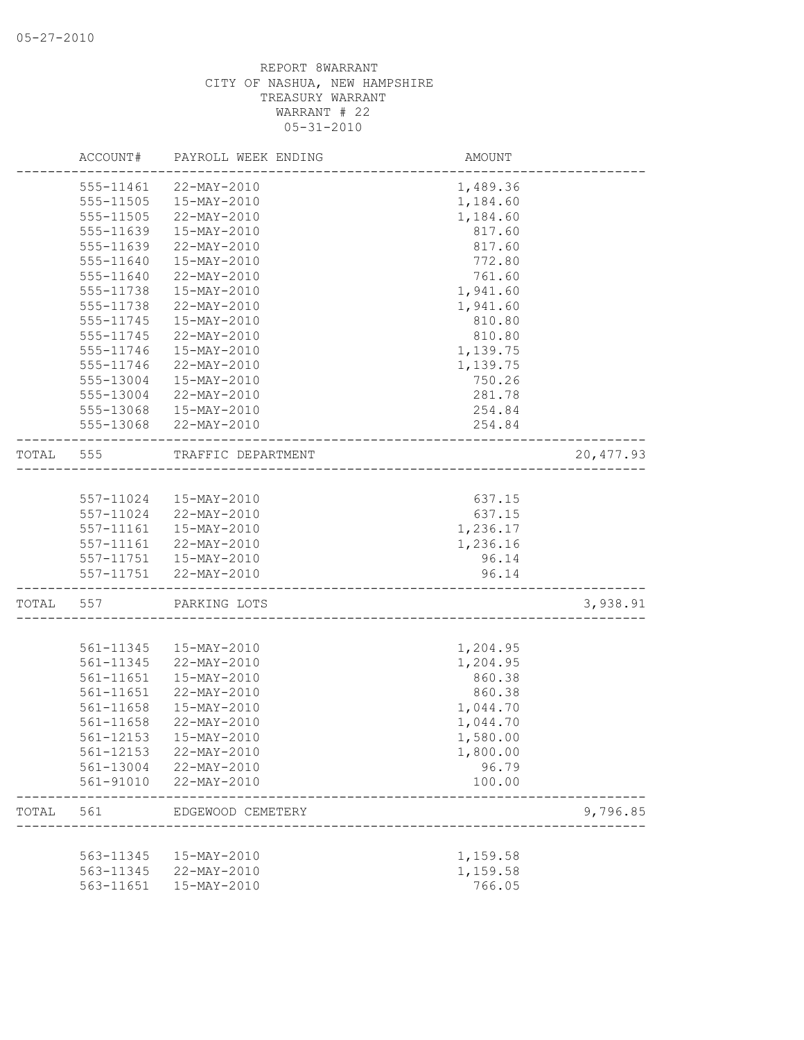|       | ACCOUNT#      | PAYROLL WEEK ENDING    | AMOUNT                         |            |
|-------|---------------|------------------------|--------------------------------|------------|
|       | 555-11461     | 22-MAY-2010            | 1,489.36                       |            |
|       | 555-11505     | 15-MAY-2010            | 1,184.60                       |            |
|       | 555-11505     | 22-MAY-2010            | 1,184.60                       |            |
|       | 555-11639     | 15-MAY-2010            | 817.60                         |            |
|       | 555-11639     | 22-MAY-2010            | 817.60                         |            |
|       | 555-11640     | 15-MAY-2010            | 772.80                         |            |
|       | 555-11640     | 22-MAY-2010            | 761.60                         |            |
|       | 555-11738     | 15-MAY-2010            | 1,941.60                       |            |
|       | 555-11738     | 22-MAY-2010            | 1,941.60                       |            |
|       | $555 - 11745$ | 15-MAY-2010            | 810.80                         |            |
|       | 555-11745     | 22-MAY-2010            | 810.80                         |            |
|       | 555-11746     | 15-MAY-2010            | 1,139.75                       |            |
|       |               | 22-MAY-2010            |                                |            |
|       | 555-11746     | 15-MAY-2010            | 1,139.75<br>750.26             |            |
|       | 555-13004     |                        |                                |            |
|       | 555-13004     | 22-MAY-2010            | 281.78                         |            |
|       | 555-13068     | 15-MAY-2010            | 254.84                         |            |
|       | 555-13068     | 22-MAY-2010            | 254.84                         |            |
| TOTAL | 555           | TRAFFIC DEPARTMENT     | ______________________________ | 20, 477.93 |
|       |               |                        |                                |            |
|       |               | 557-11024  15-MAY-2010 | 637.15                         |            |
|       | 557-11024     | 22-MAY-2010            | 637.15                         |            |
|       | 557-11161     | 15-MAY-2010            | 1,236.17                       |            |
|       | 557-11161     | 22-MAY-2010            | 1,236.16                       |            |
|       |               | 557-11751  15-MAY-2010 | 96.14                          |            |
|       |               | 557-11751 22-MAY-2010  | 96.14                          |            |
| TOTAL | 557           | PARKING LOTS           |                                | 3,938.91   |
|       |               |                        |                                |            |
|       | 561-11345     | 15-MAY-2010            | 1,204.95                       |            |
|       | 561-11345     | 22-MAY-2010            | 1,204.95                       |            |
|       | 561-11651     | 15-MAY-2010            | 860.38                         |            |
|       | 561-11651     | 22-MAY-2010            | 860.38                         |            |
|       | 561-11658     | 15-MAY-2010            | 1,044.70                       |            |
|       | 561-11658     | 22-MAY-2010            | 1,044.70                       |            |
|       | 561-12153     | 15-MAY-2010            | 1,580.00                       |            |
|       | 561-12153     | 22-MAY-2010            | 1,800.00                       |            |
|       | 561-13004     | 22-MAY-2010            | 96.79                          |            |
|       | 561-91010     | 22-MAY-2010            | 100.00                         |            |
| TOTAL | 561           | EDGEWOOD CEMETERY      |                                | 9,796.85   |
|       |               |                        |                                |            |
|       | 563-11345     | 15-MAY-2010            | 1,159.58                       |            |
|       | 563-11345     | 22-MAY-2010            | 1,159.58                       |            |
|       | 563-11651     | 15-MAY-2010            | 766.05                         |            |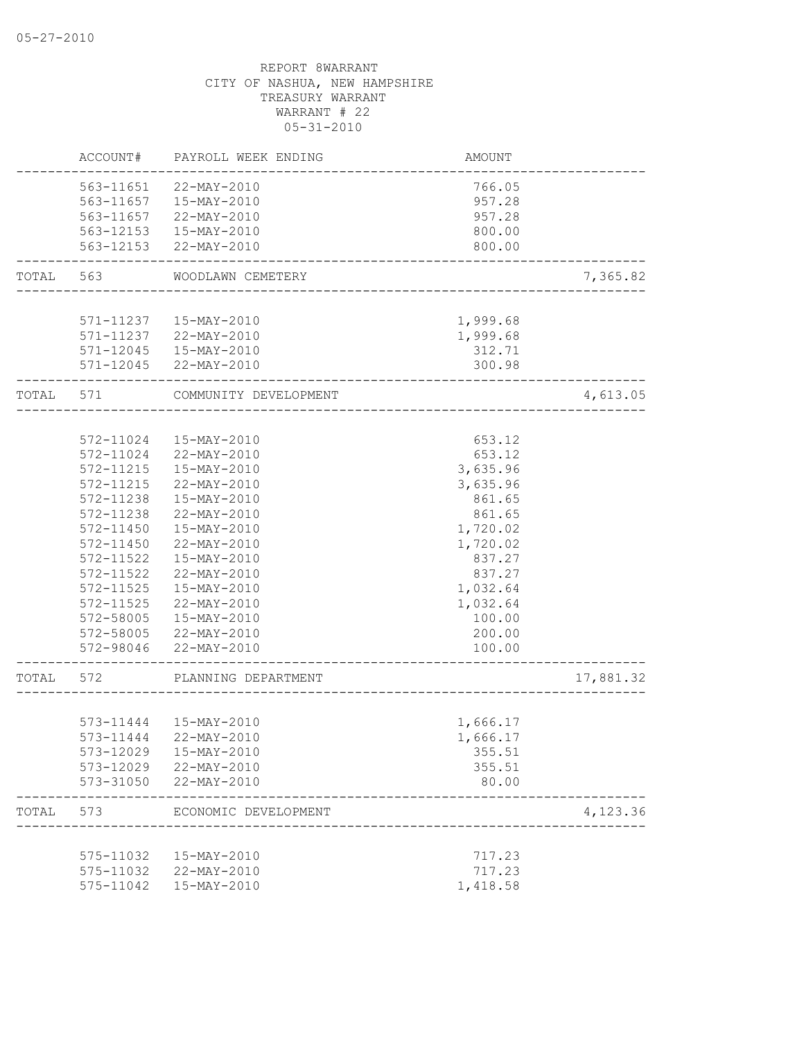|           | ACCOUNT#      | PAYROLL WEEK ENDING     | <b>AMOUNT</b> |           |
|-----------|---------------|-------------------------|---------------|-----------|
|           | 563-11651     | 22-MAY-2010             | 766.05        |           |
|           |               | 563-11657  15-MAY-2010  | 957.28        |           |
|           | 563-11657     | 22-MAY-2010             | 957.28        |           |
|           |               | 563-12153  15-MAY-2010  | 800.00        |           |
|           | 563-12153     | 22-MAY-2010             | 800.00        |           |
| TOTAL     | 563           | WOODLAWN CEMETERY       |               | 7,365.82  |
|           |               |                         |               |           |
|           | 571-11237     | 15-MAY-2010             | 1,999.68      |           |
|           |               | 571-11237 22-MAY-2010   | 1,999.68      |           |
|           |               | 571-12045  15-MAY-2010  | 312.71        |           |
|           |               | 571-12045 22-MAY-2010   | 300.98        |           |
| TOTAL 571 |               | COMMUNITY DEVELOPMENT   |               | 4,613.05  |
|           |               |                         |               |           |
|           | 572-11024     | 15-MAY-2010             | 653.12        |           |
|           | $572 - 11024$ | 22-MAY-2010             | 653.12        |           |
|           | 572-11215     | 15-MAY-2010             | 3,635.96      |           |
|           | 572-11215     | 22-MAY-2010             | 3,635.96      |           |
|           | 572-11238     | 15-MAY-2010             | 861.65        |           |
|           | 572-11238     | 22-MAY-2010             | 861.65        |           |
|           | 572-11450     | 15-MAY-2010             | 1,720.02      |           |
|           | 572-11450     | 22-MAY-2010             | 1,720.02      |           |
|           | 572-11522     | 15-MAY-2010             | 837.27        |           |
|           | 572-11522     | 22-MAY-2010             | 837.27        |           |
|           | 572-11525     | 15-MAY-2010             | 1,032.64      |           |
|           | 572-11525     | 22-MAY-2010             | 1,032.64      |           |
|           | 572-58005     | 15-MAY-2010             | 100.00        |           |
|           | 572-58005     | 22-MAY-2010             | 200.00        |           |
|           | 572-98046     | 22-MAY-2010             | 100.00        |           |
| TOTAL 572 |               | PLANNING DEPARTMENT     |               | 17,881.32 |
|           |               |                         |               |           |
|           |               | 573-11444   15-MAY-2010 | 1,666.17      |           |
|           |               | 573-11444 22-MAY-2010   | 1,666.17      |           |
|           | 573-12029     | 15-MAY-2010             | 355.51        |           |
|           | 573-12029     | 22-MAY-2010             | 355.51        |           |
|           | 573-31050     | 22-MAY-2010             | 80.00         |           |
| TOTAL     | 573           | ECONOMIC DEVELOPMENT    |               | 4,123.36  |
|           |               |                         |               |           |
|           | 575-11032     | 15-MAY-2010             | 717.23        |           |
|           |               | 575-11032 22-MAY-2010   | 717.23        |           |
|           | 575-11042     | 15-MAY-2010             | 1,418.58      |           |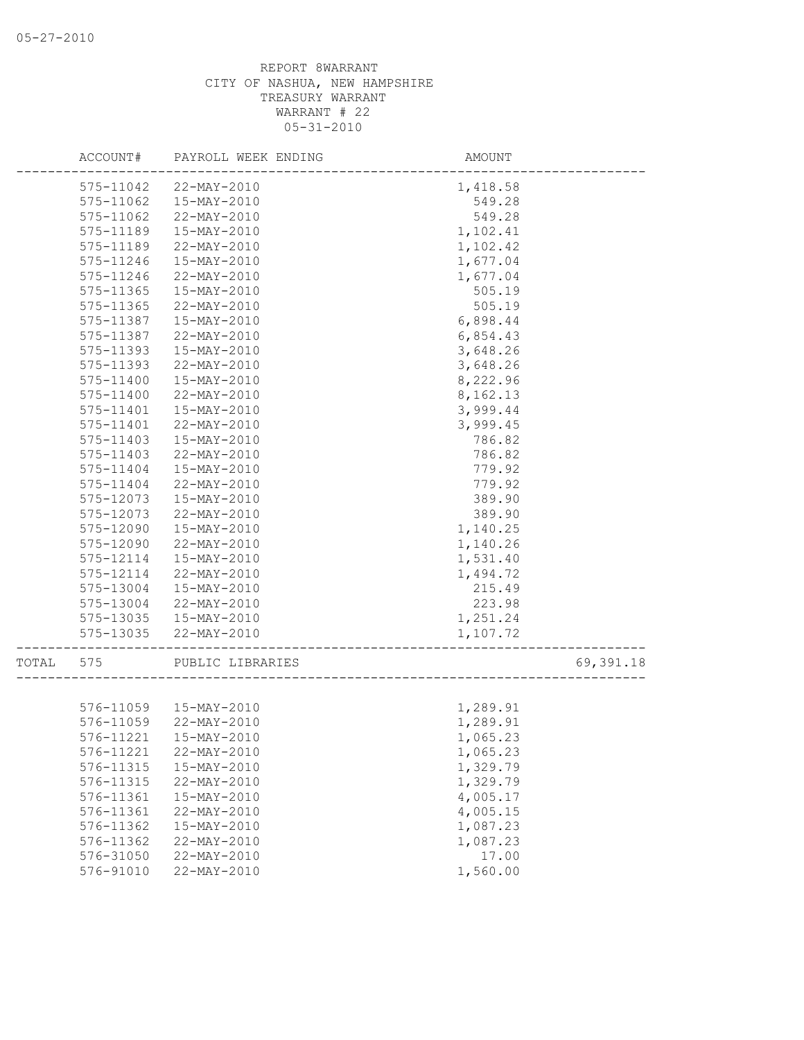|       | ACCOUNT#  | PAYROLL WEEK ENDING    | AMOUNT   |           |
|-------|-----------|------------------------|----------|-----------|
|       | 575-11042 | 22-MAY-2010            | 1,418.58 |           |
|       | 575-11062 | 15-MAY-2010            | 549.28   |           |
|       | 575-11062 | 22-MAY-2010            | 549.28   |           |
|       | 575-11189 | 15-MAY-2010            | 1,102.41 |           |
|       | 575-11189 | 22-MAY-2010            | 1,102.42 |           |
|       | 575-11246 | 15-MAY-2010            | 1,677.04 |           |
|       | 575-11246 | 22-MAY-2010            | 1,677.04 |           |
|       | 575-11365 | 15-MAY-2010            | 505.19   |           |
|       | 575-11365 | 22-MAY-2010            | 505.19   |           |
|       | 575-11387 | 15-MAY-2010            | 6,898.44 |           |
|       | 575-11387 | 22-MAY-2010            | 6,854.43 |           |
|       | 575-11393 | 15-MAY-2010            | 3,648.26 |           |
|       | 575-11393 | 22-MAY-2010            | 3,648.26 |           |
|       | 575-11400 | 15-MAY-2010            | 8,222.96 |           |
|       | 575-11400 | 22-MAY-2010            | 8,162.13 |           |
|       | 575-11401 | 15-MAY-2010            | 3,999.44 |           |
|       | 575-11401 | 22-MAY-2010            | 3,999.45 |           |
|       | 575-11403 | 15-MAY-2010            | 786.82   |           |
|       | 575-11403 | 22-MAY-2010            | 786.82   |           |
|       | 575-11404 | 15-MAY-2010            | 779.92   |           |
|       | 575-11404 | 22-MAY-2010            | 779.92   |           |
|       | 575-12073 | 15-MAY-2010            | 389.90   |           |
|       | 575-12073 | 22-MAY-2010            | 389.90   |           |
|       | 575-12090 | 15-MAY-2010            | 1,140.25 |           |
|       | 575-12090 | 22-MAY-2010            | 1,140.26 |           |
|       | 575-12114 | 15-MAY-2010            | 1,531.40 |           |
|       | 575-12114 | 22-MAY-2010            | 1,494.72 |           |
|       | 575-13004 | 15-MAY-2010            | 215.49   |           |
|       | 575-13004 | 22-MAY-2010            | 223.98   |           |
|       | 575-13035 | 15-MAY-2010            | 1,251.24 |           |
|       | 575-13035 | 22-MAY-2010            | 1,107.72 |           |
| TOTAL | 575       | PUBLIC LIBRARIES       |          | 69,391.18 |
|       |           |                        |          |           |
|       |           | 576-11059  15-MAY-2010 | 1,289.91 |           |
|       | 576-11059 | 22-MAY-2010            | 1,289.91 |           |
|       | 576-11221 | 15-MAY-2010            | 1,065.23 |           |
|       | 576-11221 | 22-MAY-2010            | 1,065.23 |           |
|       | 576-11315 | 15-MAY-2010            | 1,329.79 |           |
|       | 576-11315 | 22-MAY-2010            | 1,329.79 |           |
|       | 576-11361 | 15-MAY-2010            | 4,005.17 |           |
|       | 576-11361 | 22-MAY-2010            | 4,005.15 |           |
|       | 576-11362 | 15-MAY-2010            | 1,087.23 |           |
|       | 576-11362 | 22-MAY-2010            | 1,087.23 |           |
|       | 576-31050 | 22-MAY-2010            | 17.00    |           |
|       | 576-91010 | 22-MAY-2010            | 1,560.00 |           |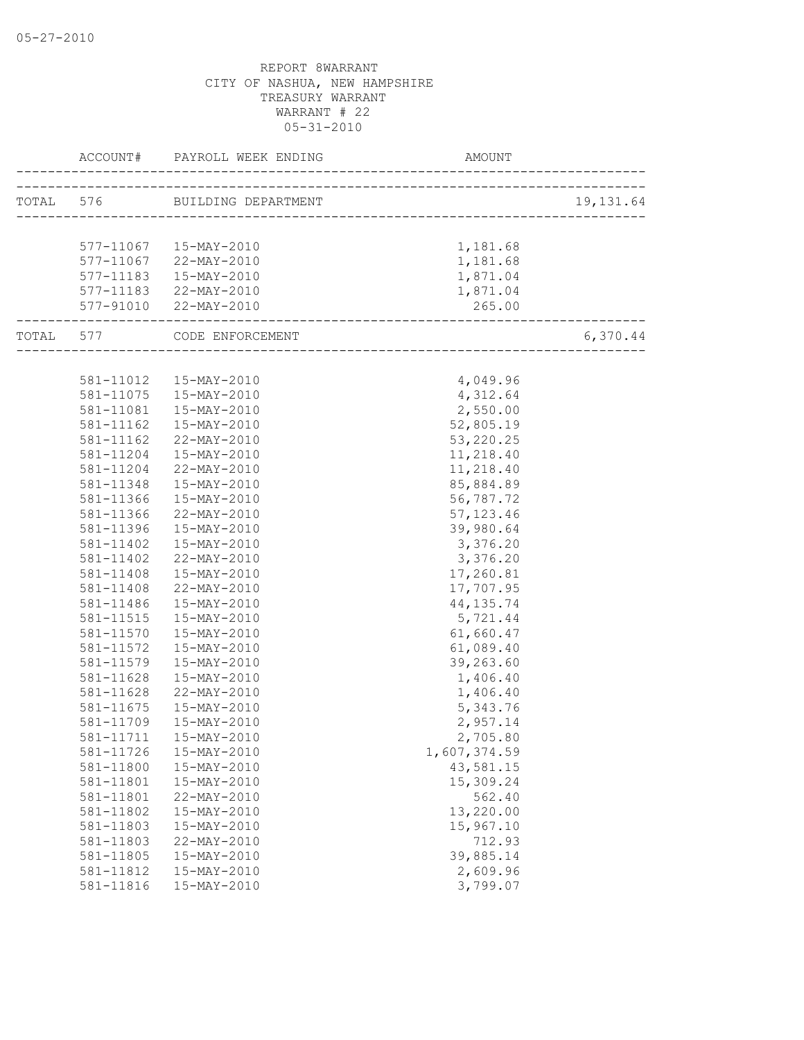|           | ACCOUNT# PAYROLL WEEK ENDING                                  | AMOUNT       |           |
|-----------|---------------------------------------------------------------|--------------|-----------|
|           | TOTAL 576 BUILDING DEPARTMENT                                 |              | 19,131.64 |
|           |                                                               |              |           |
|           | 577-11067  15-MAY-2010                                        | 1,181.68     |           |
|           | 577-11067 22-MAY-2010                                         | 1,181.68     |           |
|           | 577-11183  15-MAY-2010                                        | 1,871.04     |           |
|           | 577-11183 22-MAY-2010                                         | 1,871.04     |           |
|           | 577-91010 22-MAY-2010                                         | 265.00       |           |
|           | -------------------------------<br>TOTAL 577 CODE ENFORCEMENT |              | 6,370.44  |
|           |                                                               |              |           |
|           | 581-11012  15-MAY-2010                                        | 4,049.96     |           |
|           | 581-11075  15-MAY-2010                                        | 4,312.64     |           |
|           | 581-11081  15-MAY-2010                                        | 2,550.00     |           |
| 581-11162 | 15-MAY-2010                                                   | 52,805.19    |           |
| 581-11162 | 22-MAY-2010                                                   | 53, 220.25   |           |
| 581-11204 | 15-MAY-2010                                                   | 11,218.40    |           |
| 581-11204 | 22-MAY-2010                                                   | 11,218.40    |           |
| 581-11348 | 15-MAY-2010                                                   | 85,884.89    |           |
| 581-11366 | 15-MAY-2010                                                   | 56,787.72    |           |
| 581-11366 | 22-MAY-2010                                                   | 57, 123.46   |           |
| 581-11396 | 15-MAY-2010                                                   | 39,980.64    |           |
| 581-11402 | 15-MAY-2010                                                   | 3,376.20     |           |
| 581-11402 | 22-MAY-2010                                                   | 3,376.20     |           |
| 581-11408 | 15-MAY-2010                                                   | 17,260.81    |           |
| 581-11408 | 22-MAY-2010                                                   | 17,707.95    |           |
| 581-11486 | 15-MAY-2010                                                   | 44, 135. 74  |           |
| 581-11515 | 15-MAY-2010                                                   | 5,721.44     |           |
| 581-11570 | 15-MAY-2010                                                   | 61,660.47    |           |
| 581-11572 | 15-MAY-2010                                                   | 61,089.40    |           |
| 581-11579 | 15-MAY-2010                                                   | 39,263.60    |           |
| 581-11628 | 15-MAY-2010                                                   | 1,406.40     |           |
| 581-11628 | 22-MAY-2010                                                   | 1,406.40     |           |
| 581-11675 | 15-MAY-2010                                                   | 5,343.76     |           |
| 581-11709 | 15-MAY-2010                                                   | 2,957.14     |           |
|           | 581-11711  15-MAY-2010                                        | 2,705.80     |           |
| 581-11726 | 15-MAY-2010                                                   | 1,607,374.59 |           |
| 581-11800 | 15-MAY-2010                                                   | 43,581.15    |           |
| 581-11801 | 15-MAY-2010                                                   | 15,309.24    |           |
| 581-11801 | 22-MAY-2010                                                   | 562.40       |           |
| 581-11802 | 15-MAY-2010                                                   | 13,220.00    |           |
| 581-11803 | 15-MAY-2010                                                   | 15,967.10    |           |
| 581-11803 | 22-MAY-2010                                                   | 712.93       |           |
| 581-11805 | 15-MAY-2010                                                   | 39,885.14    |           |
| 581-11812 | 15-MAY-2010                                                   | 2,609.96     |           |
| 581-11816 | 15-MAY-2010                                                   | 3,799.07     |           |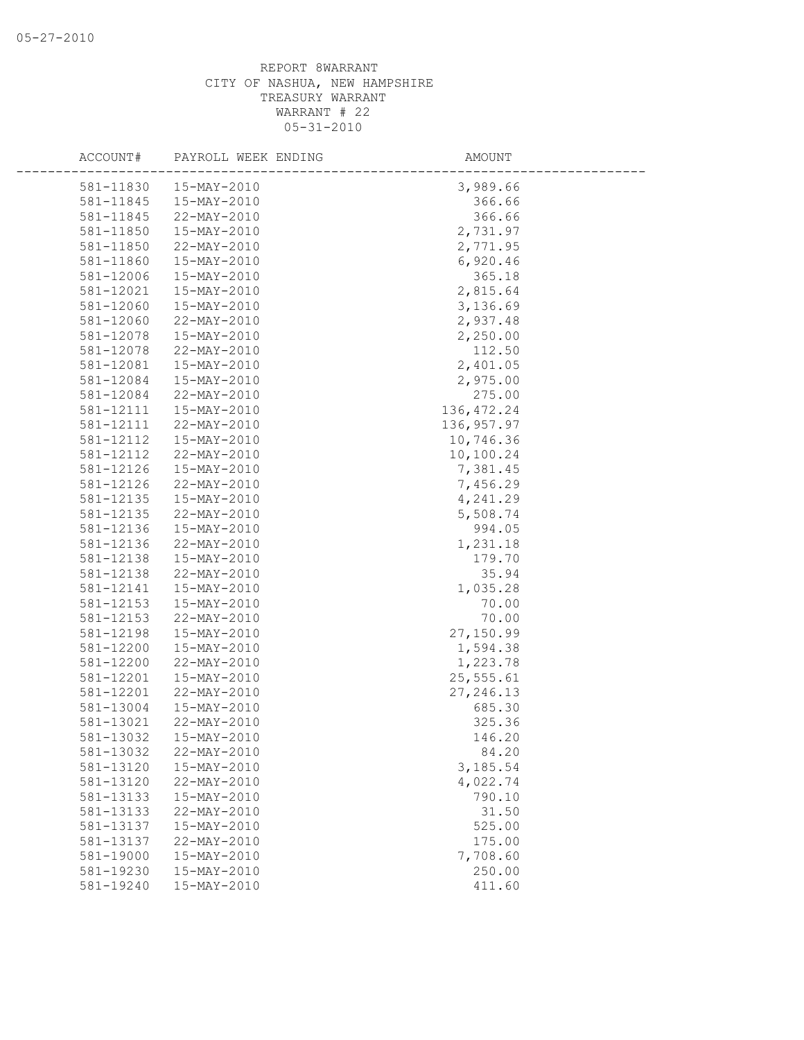| ACCOUNT#  | PAYROLL WEEK ENDING | AMOUNT      |  |
|-----------|---------------------|-------------|--|
| 581-11830 | 15-MAY-2010         | 3,989.66    |  |
| 581-11845 | 15-MAY-2010         | 366.66      |  |
| 581-11845 | 22-MAY-2010         | 366.66      |  |
| 581-11850 | 15-MAY-2010         | 2,731.97    |  |
| 581-11850 | 22-MAY-2010         | 2,771.95    |  |
| 581-11860 | 15-MAY-2010         | 6,920.46    |  |
| 581-12006 | 15-MAY-2010         | 365.18      |  |
| 581-12021 | 15-MAY-2010         | 2,815.64    |  |
| 581-12060 | 15-MAY-2010         | 3,136.69    |  |
| 581-12060 | 22-MAY-2010         | 2,937.48    |  |
| 581-12078 | 15-MAY-2010         | 2,250.00    |  |
| 581-12078 | 22-MAY-2010         | 112.50      |  |
| 581-12081 | 15-MAY-2010         | 2,401.05    |  |
| 581-12084 | 15-MAY-2010         | 2,975.00    |  |
| 581-12084 | 22-MAY-2010         | 275.00      |  |
| 581-12111 | 15-MAY-2010         | 136, 472.24 |  |
| 581-12111 | 22-MAY-2010         | 136, 957.97 |  |
| 581-12112 | 15-MAY-2010         | 10,746.36   |  |
| 581-12112 | 22-MAY-2010         | 10,100.24   |  |
| 581-12126 | 15-MAY-2010         | 7,381.45    |  |
| 581-12126 | 22-MAY-2010         | 7,456.29    |  |
| 581-12135 | 15-MAY-2010         | 4,241.29    |  |
| 581-12135 | 22-MAY-2010         | 5,508.74    |  |
| 581-12136 | 15-MAY-2010         | 994.05      |  |
| 581-12136 | 22-MAY-2010         | 1,231.18    |  |
| 581-12138 | 15-MAY-2010         | 179.70      |  |
| 581-12138 | 22-MAY-2010         | 35.94       |  |
| 581-12141 | 15-MAY-2010         | 1,035.28    |  |
| 581-12153 | 15-MAY-2010         | 70.00       |  |
| 581-12153 | 22-MAY-2010         | 70.00       |  |
| 581-12198 | 15-MAY-2010         | 27,150.99   |  |
| 581-12200 | 15-MAY-2010         | 1,594.38    |  |
| 581-12200 | 22-MAY-2010         | 1,223.78    |  |
| 581-12201 | 15-MAY-2010         | 25,555.61   |  |
| 581-12201 | 22-MAY-2010         | 27, 246.13  |  |
| 581-13004 | 15-MAY-2010         | 685.30      |  |
| 581-13021 | 22-MAY-2010         | 325.36      |  |
| 581-13032 | 15-MAY-2010         | 146.20      |  |
| 581-13032 | 22-MAY-2010         | 84.20       |  |
| 581-13120 | 15-MAY-2010         | 3,185.54    |  |
| 581-13120 | 22-MAY-2010         | 4,022.74    |  |
| 581-13133 | 15-MAY-2010         | 790.10      |  |
| 581-13133 | 22-MAY-2010         | 31.50       |  |
| 581-13137 | $15 - MAX - 2010$   | 525.00      |  |
| 581-13137 | 22-MAY-2010         | 175.00      |  |
| 581-19000 | $15 - MAX - 2010$   | 7,708.60    |  |
| 581-19230 | $15 - MAX - 2010$   | 250.00      |  |
| 581-19240 | 15-MAY-2010         | 411.60      |  |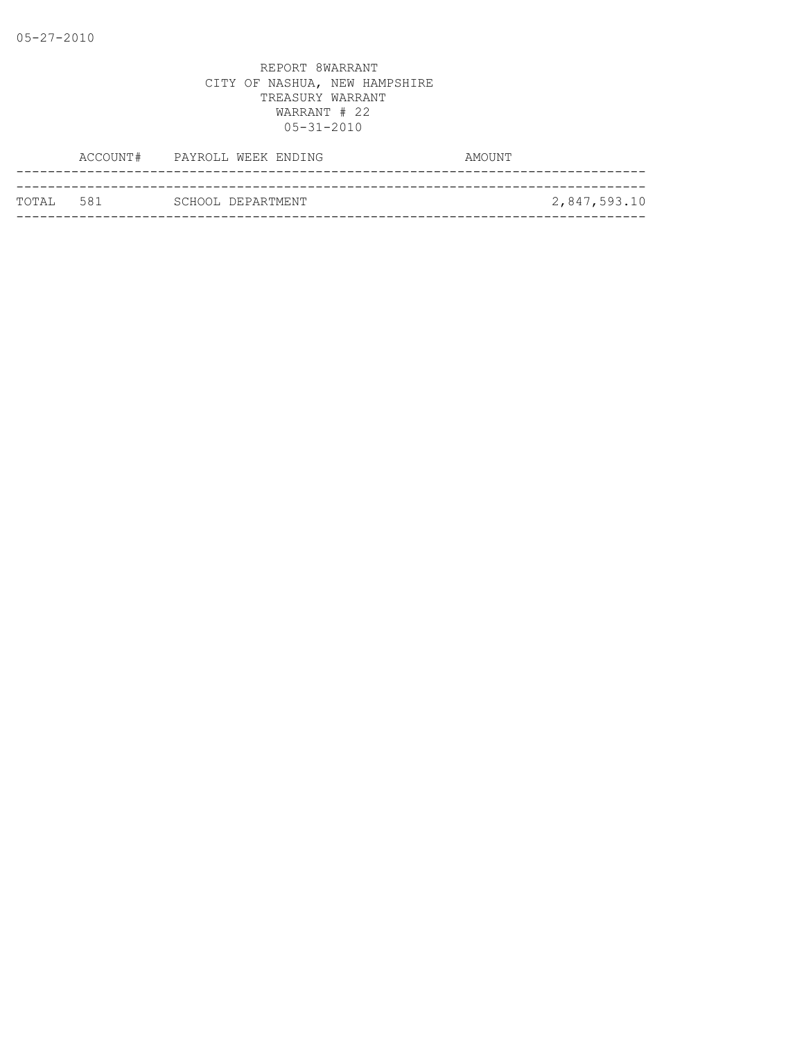|            | ACCOUNT# PAYROLL WEEK ENDING | AMOUNT       |
|------------|------------------------------|--------------|
|            |                              |              |
| тотат. 581 | SCHOOL DEPARTMENT            | 2,847,593.10 |
|            |                              |              |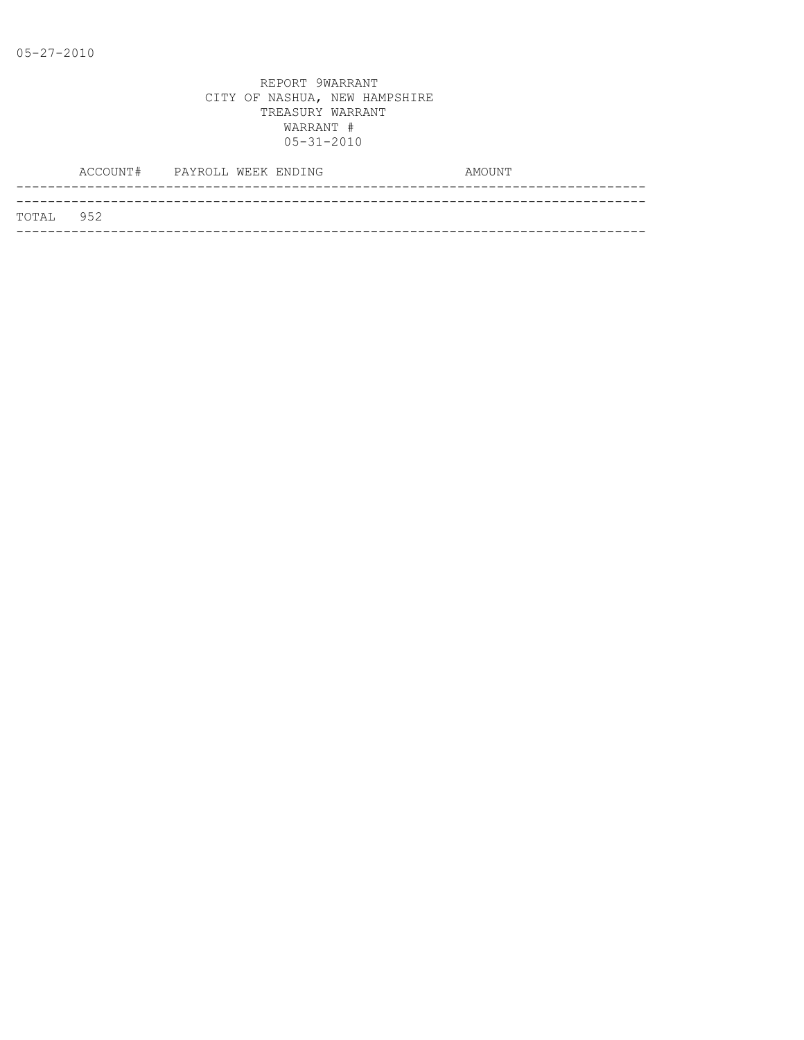|           | ACCOUNT# PAYROLL WEEK ENDING |  |  | AMOUNT |
|-----------|------------------------------|--|--|--------|
|           |                              |  |  |        |
| TOTAL 952 |                              |  |  |        |
|           |                              |  |  |        |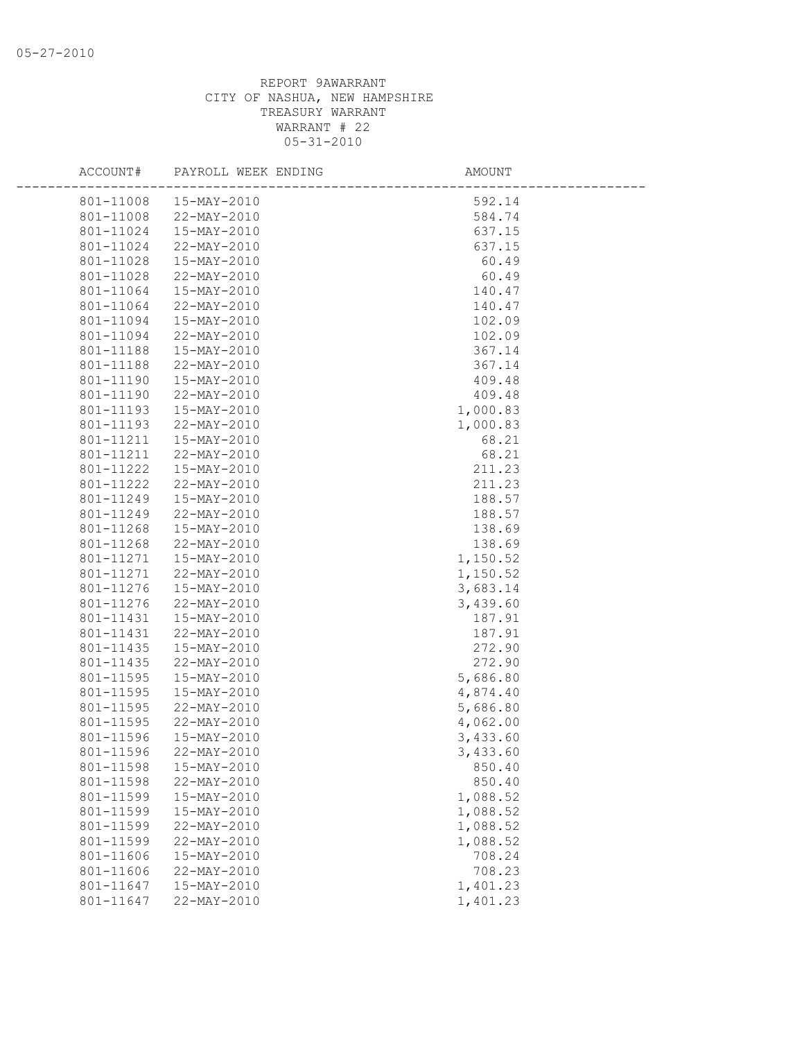| ACCOUNT#               | PAYROLL WEEK ENDING        | AMOUNT               |  |
|------------------------|----------------------------|----------------------|--|
| 801-11008              | 15-MAY-2010                | 592.14               |  |
| 801-11008              | 22-MAY-2010                | 584.74               |  |
| 801-11024              | 15-MAY-2010                | 637.15               |  |
| 801-11024              | 22-MAY-2010                | 637.15               |  |
| 801-11028              | 15-MAY-2010                | 60.49                |  |
| 801-11028              | 22-MAY-2010                | 60.49                |  |
| 801-11064              | 15-MAY-2010                | 140.47               |  |
| 801-11064              | 22-MAY-2010                | 140.47               |  |
| 801-11094              | 15-MAY-2010                | 102.09               |  |
| 801-11094              | 22-MAY-2010                | 102.09               |  |
| 801-11188              | 15-MAY-2010                | 367.14               |  |
| 801-11188              | 22-MAY-2010                | 367.14               |  |
| 801-11190              | 15-MAY-2010                | 409.48               |  |
| 801-11190              | 22-MAY-2010                | 409.48               |  |
| 801-11193              | 15-MAY-2010                | 1,000.83             |  |
| 801-11193              | 22-MAY-2010                | 1,000.83             |  |
| 801-11211              | 15-MAY-2010                | 68.21                |  |
| 801-11211              | 22-MAY-2010                | 68.21                |  |
| 801-11222              | 15-MAY-2010                | 211.23               |  |
| 801-11222              | 22-MAY-2010                | 211.23               |  |
| 801-11249              | 15-MAY-2010                | 188.57               |  |
| 801-11249              | 22-MAY-2010                | 188.57               |  |
| 801-11268              | 15-MAY-2010                | 138.69               |  |
| 801-11268              | 22-MAY-2010                | 138.69               |  |
| 801-11271              | 15-MAY-2010                | 1,150.52             |  |
| 801-11271              | 22-MAY-2010                | 1,150.52             |  |
| 801-11276              | 15-MAY-2010                | 3,683.14             |  |
| 801-11276              | 22-MAY-2010                | 3,439.60             |  |
| 801-11431              | 15-MAY-2010                | 187.91               |  |
| 801-11431              | 22-MAY-2010                | 187.91               |  |
| 801-11435              | 15-MAY-2010                | 272.90               |  |
| 801-11435              | 22-MAY-2010                | 272.90               |  |
| 801-11595              | 15-MAY-2010                | 5,686.80             |  |
| 801-11595              | 15-MAY-2010                | 4,874.40             |  |
| 801-11595              | 22-MAY-2010                | 5,686.80             |  |
| 801-11595<br>801-11596 | 22-MAY-2010<br>15-MAY-2010 | 4,062.00             |  |
|                        | 801-11596 22-MAY-2010      | 3,433.60<br>3,433.60 |  |
| 801-11598              | 15-MAY-2010                | 850.40               |  |
| 801-11598              | $22 - \text{MAX} - 2010$   | 850.40               |  |
| 801-11599              | 15-MAY-2010                | 1,088.52             |  |
| 801-11599              | 15-MAY-2010                | 1,088.52             |  |
| 801-11599              | 22-MAY-2010                | 1,088.52             |  |
| 801-11599              | 22-MAY-2010                | 1,088.52             |  |
| 801-11606              | 15-MAY-2010                | 708.24               |  |
| 801-11606              | 22-MAY-2010                | 708.23               |  |
| 801-11647              | 15-MAY-2010                | 1,401.23             |  |
| 801-11647              | 22-MAY-2010                | 1,401.23             |  |
|                        |                            |                      |  |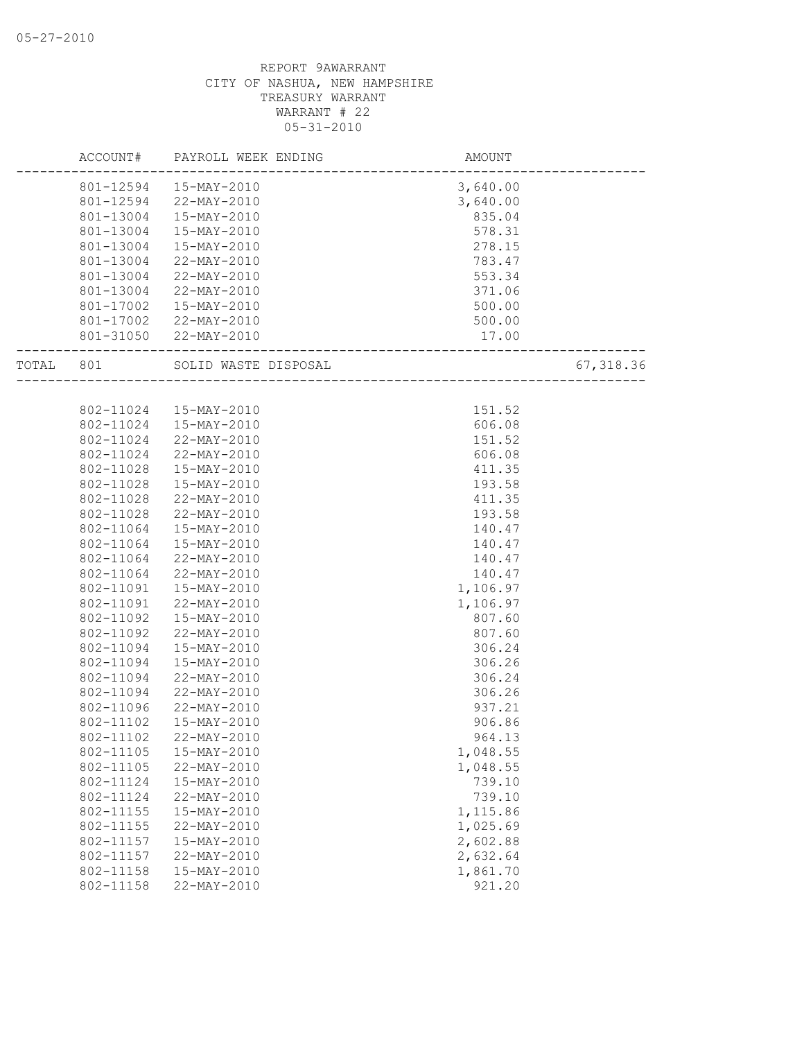|       | ACCOUNT#  | PAYROLL WEEK ENDING    | <b>AMOUNT</b>          |           |
|-------|-----------|------------------------|------------------------|-----------|
|       |           | 801-12594  15-MAY-2010 | 3,640.00               |           |
|       |           | 801-12594 22-MAY-2010  | 3,640.00               |           |
|       | 801-13004 | 15-MAY-2010            | 835.04                 |           |
|       | 801-13004 | 15-MAY-2010            | 578.31                 |           |
|       | 801-13004 | 15-MAY-2010            | 278.15                 |           |
|       | 801-13004 | 22-MAY-2010            | 783.47                 |           |
|       | 801-13004 | 22-MAY-2010            | 553.34                 |           |
|       | 801-13004 | 22-MAY-2010            | 371.06                 |           |
|       | 801-17002 | 15-MAY-2010            | 500.00                 |           |
|       |           | 801-17002 22-MAY-2010  | 500.00                 |           |
|       |           | 801-31050 22-MAY-2010  | 17.00                  |           |
| TOTAL | 801       | SOLID WASTE DISPOSAL   | ______________________ | 67,318.36 |
|       |           |                        |                        |           |
|       | 802-11024 | 15-MAY-2010            | 151.52                 |           |
|       | 802-11024 | 15-MAY-2010            | 606.08                 |           |
|       | 802-11024 | 22-MAY-2010            | 151.52                 |           |
|       | 802-11024 | 22-MAY-2010            | 606.08                 |           |
|       | 802-11028 | 15-MAY-2010            | 411.35                 |           |
|       | 802-11028 | 15-MAY-2010            | 193.58                 |           |
|       | 802-11028 | 22-MAY-2010            | 411.35                 |           |
|       | 802-11028 | 22-MAY-2010            | 193.58                 |           |
|       | 802-11064 | 15-MAY-2010            | 140.47                 |           |
|       | 802-11064 | 15-MAY-2010            | 140.47                 |           |
|       | 802-11064 | 22-MAY-2010            | 140.47                 |           |
|       | 802-11064 | 22-MAY-2010            | 140.47                 |           |
|       | 802-11091 | 15-MAY-2010            | 1,106.97               |           |
|       | 802-11091 | 22-MAY-2010            | 1,106.97               |           |
|       | 802-11092 | 15-MAY-2010            | 807.60                 |           |
|       | 802-11092 | 22-MAY-2010            | 807.60                 |           |
|       | 802-11094 | 15-MAY-2010            | 306.24                 |           |
|       | 802-11094 | 15-MAY-2010            | 306.26                 |           |
|       | 802-11094 | 22-MAY-2010            | 306.24                 |           |
|       | 802-11094 | 22-MAY-2010            | 306.26                 |           |
|       | 802-11096 | 22-MAY-2010            | 937.21                 |           |
|       | 802-11102 | 15-MAY-2010            | 906.86                 |           |
|       | 802-11102 | 22-MAY-2010            | 964.13                 |           |
|       | 802-11105 | 15-MAY-2010            | 1,048.55               |           |
|       | 802-11105 | 22-MAY-2010            | 1,048.55               |           |
|       | 802-11124 | 15-MAY-2010            | 739.10                 |           |
|       | 802-11124 | 22-MAY-2010            | 739.10                 |           |
|       | 802-11155 | 15-MAY-2010            | 1,115.86               |           |
|       | 802-11155 | 22-MAY-2010            | 1,025.69               |           |
|       | 802-11157 | 15-MAY-2010            | 2,602.88               |           |
|       | 802-11157 | 22-MAY-2010            | 2,632.64               |           |
|       | 802-11158 | 15-MAY-2010            | 1,861.70               |           |
|       | 802-11158 | 22-MAY-2010            | 921.20                 |           |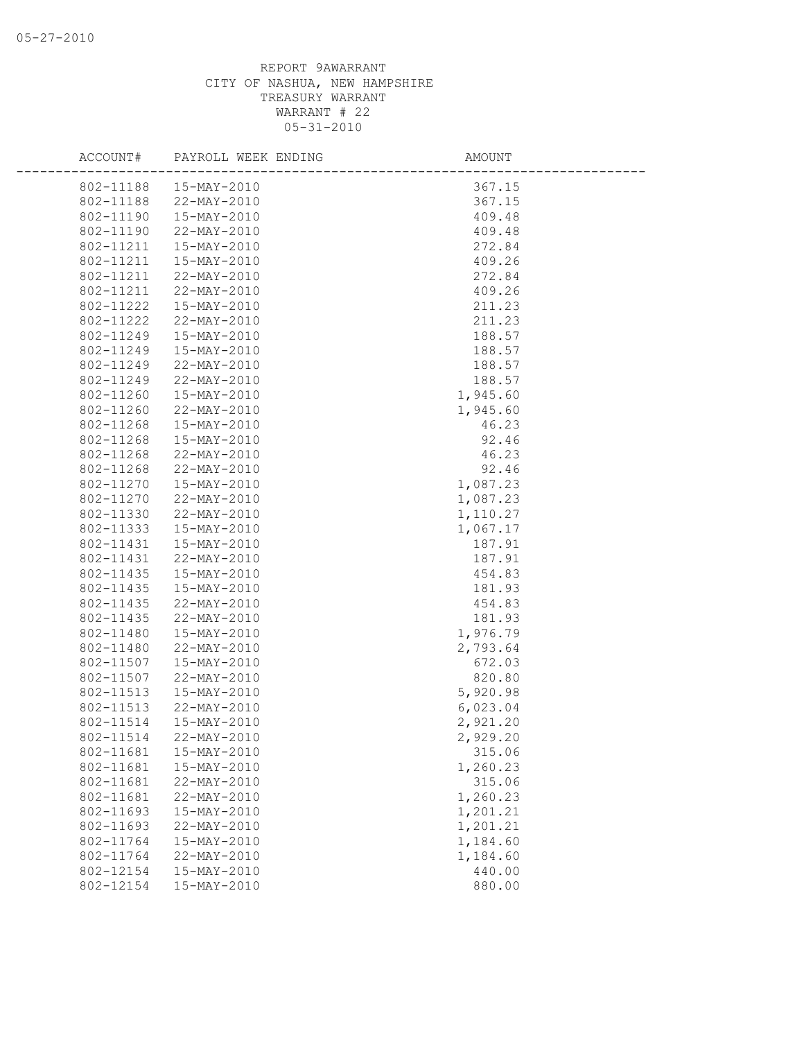| ACCOUNT#                       | PAYROLL WEEK ENDING | AMOUNT   |
|--------------------------------|---------------------|----------|
| 802-11188<br>15-MAY-2010       |                     | 367.15   |
| 802-11188<br>22-MAY-2010       |                     | 367.15   |
| 802-11190<br>15-MAY-2010       |                     | 409.48   |
| 802-11190<br>22-MAY-2010       |                     | 409.48   |
| 802-11211<br>15-MAY-2010       |                     | 272.84   |
| 802-11211<br>15-MAY-2010       |                     | 409.26   |
| 802-11211<br>22-MAY-2010       |                     | 272.84   |
| 802-11211<br>22-MAY-2010       |                     | 409.26   |
| 802-11222<br>15-MAY-2010       |                     | 211.23   |
| 802-11222<br>22-MAY-2010       |                     | 211.23   |
| 802-11249<br>15-MAY-2010       |                     | 188.57   |
| 15-MAY-2010<br>802-11249       |                     | 188.57   |
| 802-11249<br>22-MAY-2010       |                     | 188.57   |
| 802-11249<br>22-MAY-2010       |                     | 188.57   |
| 802-11260<br>15-MAY-2010       |                     | 1,945.60 |
| 802-11260<br>22-MAY-2010       |                     | 1,945.60 |
| 802-11268<br>15-MAY-2010       |                     | 46.23    |
| 802-11268<br>15-MAY-2010       |                     | 92.46    |
| 802-11268<br>22-MAY-2010       |                     | 46.23    |
| 802-11268<br>22-MAY-2010       |                     | 92.46    |
| 802-11270<br>15-MAY-2010       |                     | 1,087.23 |
| 802-11270<br>22-MAY-2010       |                     | 1,087.23 |
| 802-11330<br>22-MAY-2010       |                     | 1,110.27 |
| 802-11333<br>15-MAY-2010       |                     | 1,067.17 |
| 802-11431<br>15-MAY-2010       |                     | 187.91   |
| 802-11431<br>22-MAY-2010       |                     | 187.91   |
| 802-11435<br>15-MAY-2010       |                     | 454.83   |
| 802-11435<br>15-MAY-2010       |                     | 181.93   |
| 802-11435<br>22-MAY-2010       |                     | 454.83   |
| 802-11435<br>22-MAY-2010       |                     | 181.93   |
| 802-11480<br>15-MAY-2010       |                     | 1,976.79 |
| 802-11480<br>22-MAY-2010       |                     | 2,793.64 |
| 802-11507<br>15-MAY-2010       |                     | 672.03   |
| 802-11507<br>22-MAY-2010       |                     | 820.80   |
| 802-11513<br>15-MAY-2010       |                     | 5,920.98 |
| 802-11513<br>22-MAY-2010       |                     | 6,023.04 |
| 802-11514<br>15-MAY-2010       |                     | 2,921.20 |
| 802-11514<br>22-MAY-2010       |                     | 2,929.20 |
| 802-11681<br>15-MAY-2010       |                     | 315.06   |
| 802-11681<br>15-MAY-2010       |                     | 1,260.23 |
| 802-11681<br>22-MAY-2010       |                     | 315.06   |
| 802-11681<br>22-MAY-2010       |                     | 1,260.23 |
| 802-11693<br>15-MAY-2010       |                     | 1,201.21 |
| 802-11693<br>22-MAY-2010       |                     | 1,201.21 |
| 802-11764<br>15-MAY-2010       |                     | 1,184.60 |
| 802-11764<br>22-MAY-2010       |                     | 1,184.60 |
| 802-12154<br>$15 - MAX - 2010$ |                     | 440.00   |
| 802-12154<br>15-MAY-2010       |                     | 880.00   |